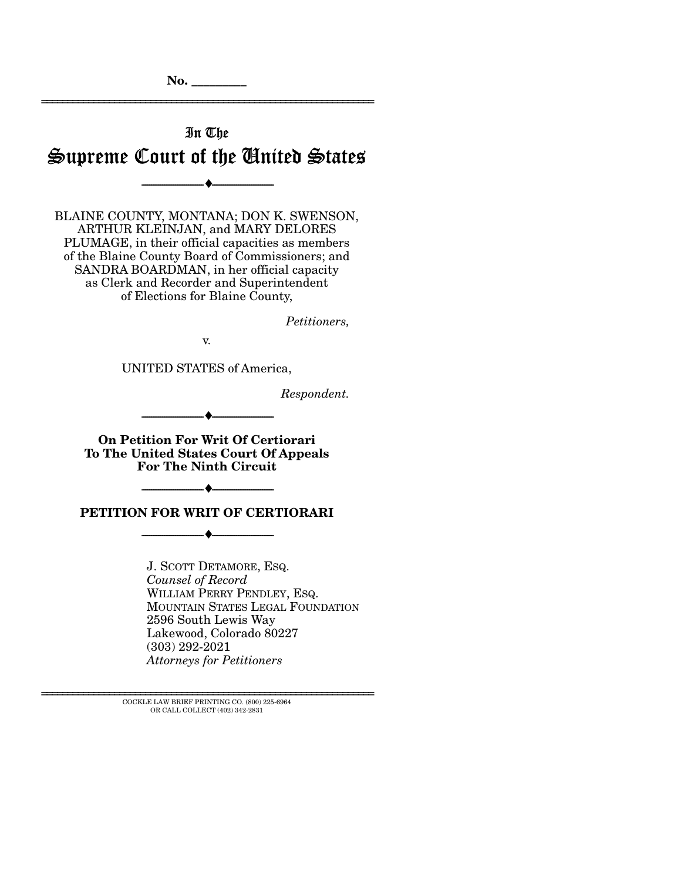# In The Supreme Court of the United States

--------------------------------- ♦ ---------------------------------

================================================================

BLAINE COUNTY, MONTANA; DON K. SWENSON, ARTHUR KLEINJAN, and MARY DELORES PLUMAGE, in their official capacities as members of the Blaine County Board of Commissioners; and SANDRA BOARDMAN, in her official capacity as Clerk and Recorder and Superintendent of Elections for Blaine County,

*Petitioners,* 

v.

UNITED STATES of America,

*Respondent.* 

**On Petition For Writ Of Certiorari To The United States Court Of Appeals For The Ninth Circuit** 

--------------------------------- ♦ ---------------------------------

**PETITION FOR WRIT OF CERTIORARI** 

--------------------------------- ♦ ---------------------------------

--------------------------------- ♦ ---------------------------------

J. SCOTT DETAMORE, ESQ. *Counsel of Record*  WILLIAM PERRY PENDLEY, ESQ. MOUNTAIN STATES LEGAL FOUNDATION 2596 South Lewis Way Lakewood, Colorado 80227 (303) 292-2021 *Attorneys for Petitioners* 

 ${\rm COCKLE}$  LAW BRIEF PRINTING CO. (800) 225-6964 OR CALL COLLECT (402) 342-2831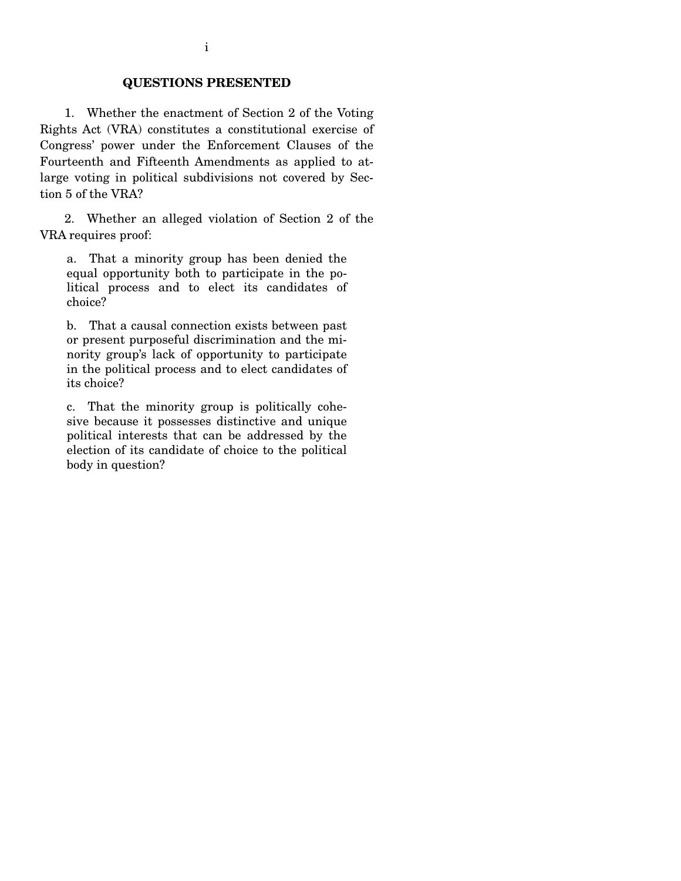#### **QUESTIONS PRESENTED**

 1. Whether the enactment of Section 2 of the Voting Rights Act (VRA) constitutes a constitutional exercise of Congress' power under the Enforcement Clauses of the Fourteenth and Fifteenth Amendments as applied to atlarge voting in political subdivisions not covered by Section 5 of the VRA?

 2. Whether an alleged violation of Section 2 of the VRA requires proof:

a. That a minority group has been denied the equal opportunity both to participate in the political process and to elect its candidates of choice?

b. That a causal connection exists between past or present purposeful discrimination and the minority group's lack of opportunity to participate in the political process and to elect candidates of its choice?

c. That the minority group is politically cohesive because it possesses distinctive and unique political interests that can be addressed by the election of its candidate of choice to the political body in question?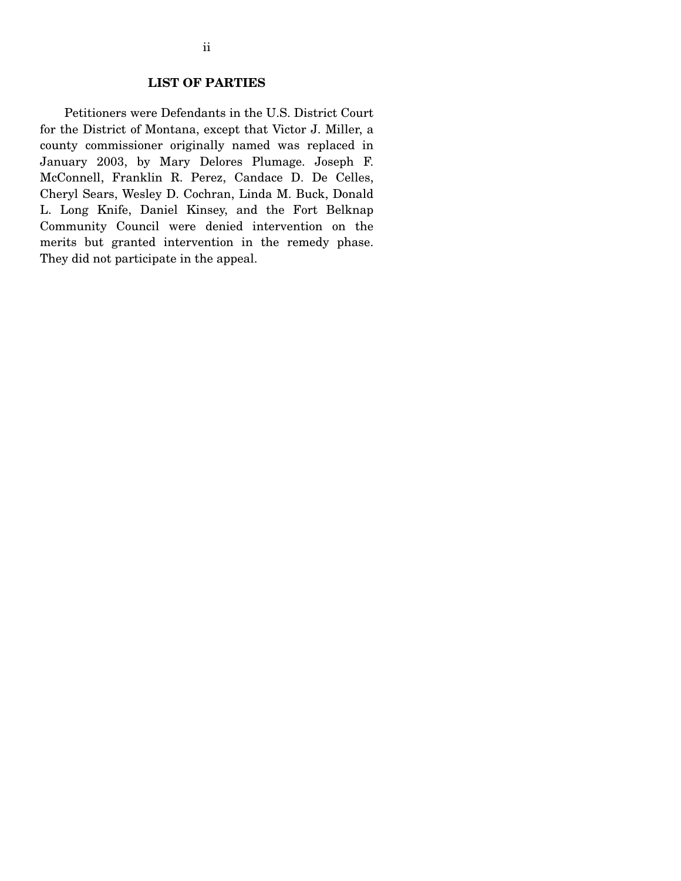Petitioners were Defendants in the U.S. District Court for the District of Montana, except that Victor J. Miller, a county commissioner originally named was replaced in January 2003, by Mary Delores Plumage. Joseph F. McConnell, Franklin R. Perez, Candace D. De Celles, Cheryl Sears, Wesley D. Cochran, Linda M. Buck, Donald L. Long Knife, Daniel Kinsey, and the Fort Belknap Community Council were denied intervention on the merits but granted intervention in the remedy phase. They did not participate in the appeal.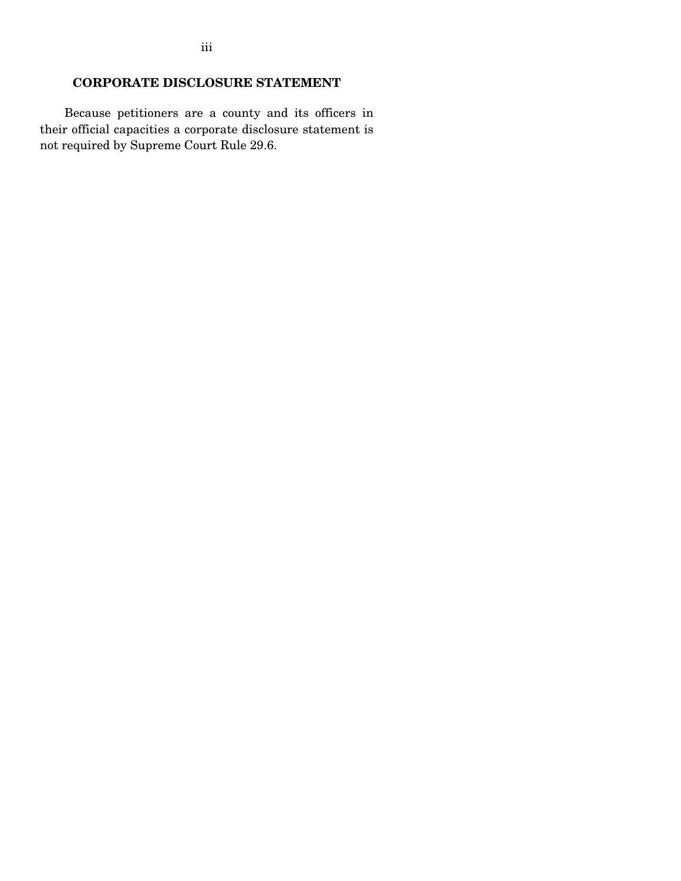## **CORPORATE DISCLOSURE STATEMENT**

 Because petitioners are a county and its officers in their official capacities a corporate disclosure statement is not required by Supreme Court Rule 29.6.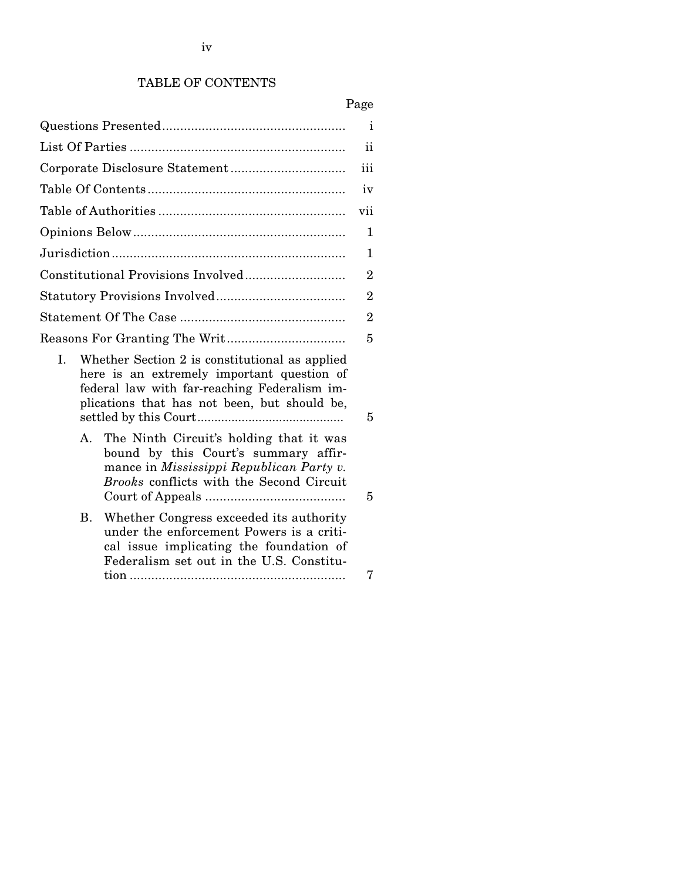## TABLE OF CONTENTS

## Page

|                                                                                                                                                                                                    | $\overline{2}$ |  |  |  |  |
|----------------------------------------------------------------------------------------------------------------------------------------------------------------------------------------------------|----------------|--|--|--|--|
|                                                                                                                                                                                                    |                |  |  |  |  |
| I.<br>Whether Section 2 is constitutional as applied<br>here is an extremely important question of<br>federal law with far-reaching Federalism im-<br>plications that has not been, but should be, |                |  |  |  |  |
| The Ninth Circuit's holding that it was<br>$A_{-}$<br>bound by this Court's summary affir-<br>mance in Mississippi Republican Party v.<br>Brooks conflicts with the Second Circuit                 | 5              |  |  |  |  |
| Whether Congress exceeded its authority<br>$B_{\cdot}$<br>under the enforcement Powers is a criti-<br>cal issue implicating the foundation of<br>Federalism set out in the U.S. Constitu-          | 7              |  |  |  |  |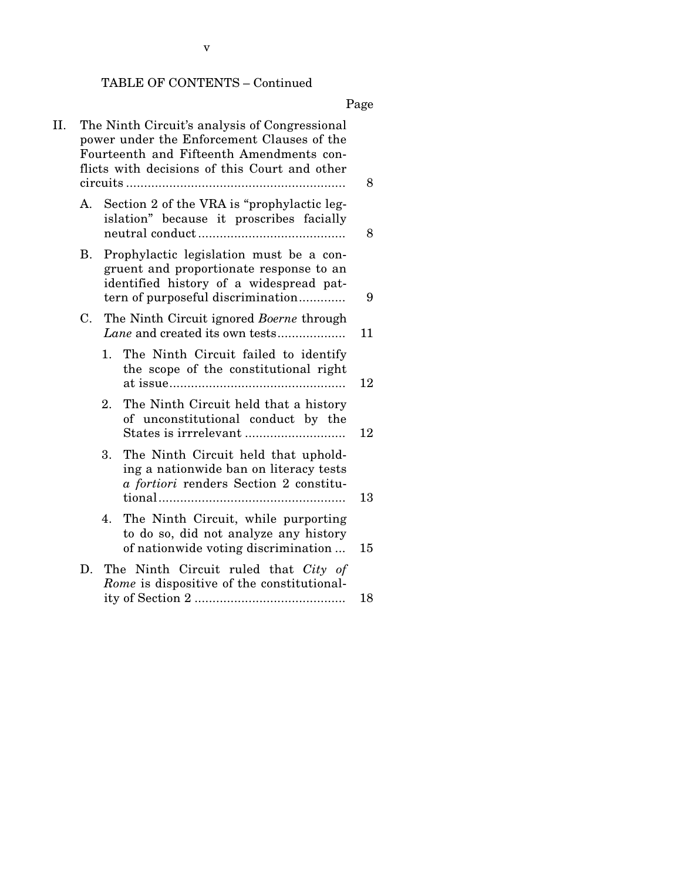## TABLE OF CONTENTS – Continued

Page

| 8  | The Ninth Circuit's analysis of Congressional<br>power under the Enforcement Clauses of the<br>Fourteenth and Fifteenth Amendments con-<br>flicts with decisions of this Court and other | ΙΙ. |
|----|------------------------------------------------------------------------------------------------------------------------------------------------------------------------------------------|-----|
| 8  | Section 2 of the VRA is "prophylactic leg-<br>islation" because it proscribes facially                                                                                                   | A.  |
| 9  | Prophylactic legislation must be a con-<br>gruent and proportionate response to an<br>identified history of a widespread pat-<br>tern of purposeful discrimination                       | В.  |
| 11 | The Ninth Circuit ignored <i>Boerne</i> through<br>Lane and created its own tests                                                                                                        | C.  |
| 12 | The Ninth Circuit failed to identify<br>1.<br>the scope of the constitutional right                                                                                                      |     |
| 12 | The Ninth Circuit held that a history<br>2.<br>of unconstitutional conduct by the                                                                                                        |     |
| 13 | The Ninth Circuit held that uphold-<br>3.<br>ing a nationwide ban on literacy tests<br>a fortiori renders Section 2 constitu-                                                            |     |
| 15 | The Ninth Circuit, while purporting<br>4.<br>to do so, did not analyze any history<br>of nationwide voting discrimination                                                                |     |
| 18 | The Ninth Circuit ruled that City of<br>Rome is dispositive of the constitutional-                                                                                                       | D.  |
|    |                                                                                                                                                                                          |     |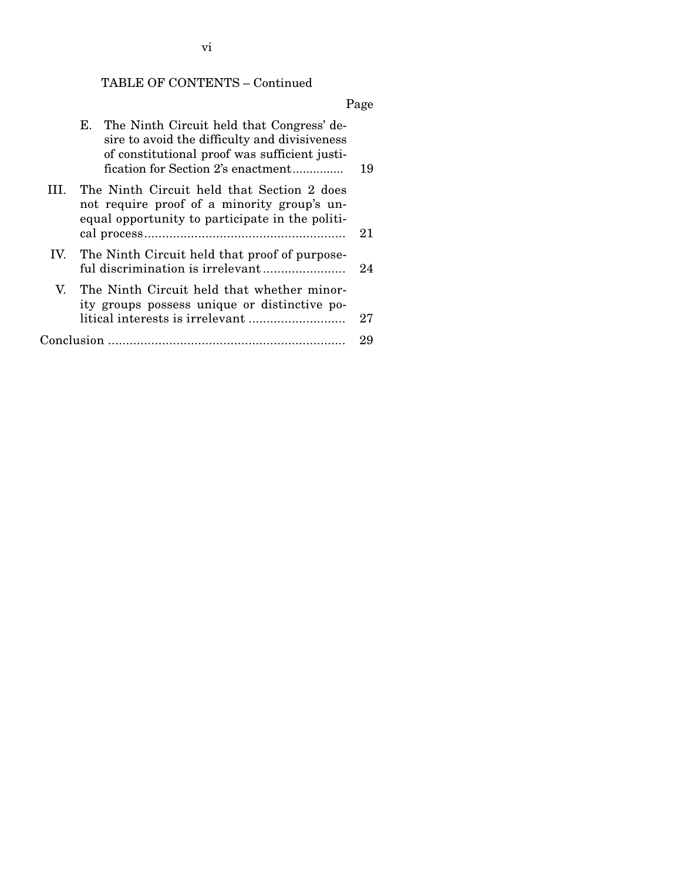## TABLE OF CONTENTS – Continued

Page

|   | E. The Ninth Circuit held that Congress' de-<br>sire to avoid the difficulty and divisiveness<br>of constitutional proof was sufficient justi-<br>fication for Section 2's enactment | 19 |
|---|--------------------------------------------------------------------------------------------------------------------------------------------------------------------------------------|----|
|   | The Ninth Circuit held that Section 2 does<br>not require proof of a minority group's un-<br>equal opportunity to participate in the politi-                                         | 21 |
|   | IV. The Ninth Circuit held that proof of purpose-                                                                                                                                    | 24 |
| V | The Ninth Circuit held that whether minor-<br>ity groups possess unique or distinctive po-                                                                                           | 27 |
|   |                                                                                                                                                                                      | 29 |

vi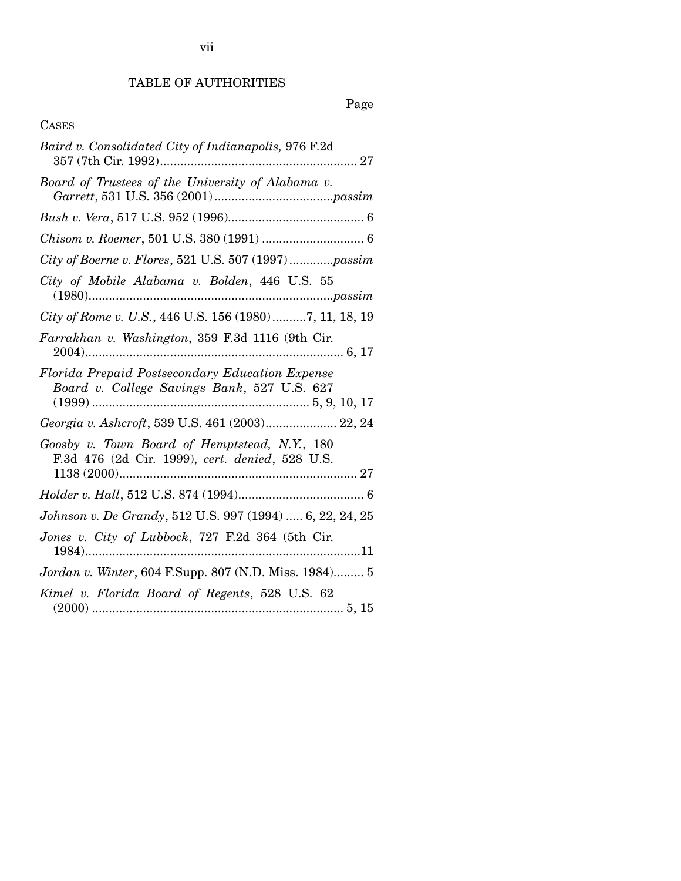## TABLE OF AUTHORITIES

## Page

## CASES

| Baird v. Consolidated City of Indianapolis, 976 F.2d                                             |
|--------------------------------------------------------------------------------------------------|
| Board of Trustees of the University of Alabama v.                                                |
|                                                                                                  |
|                                                                                                  |
| City of Boerne v. Flores, 521 U.S. 507 (1997)passim                                              |
| City of Mobile Alabama v. Bolden, 446 U.S. 55                                                    |
| City of Rome v. U.S., 446 U.S. 156 (1980)7, 11, 18, 19                                           |
| Farrakhan v. Washington, 359 F.3d 1116 (9th Cir.                                                 |
| Florida Prepaid Postsecondary Education Expense<br>Board v. College Savings Bank, 527 U.S. 627   |
| Georgia v. Ashcroft, 539 U.S. 461 (2003) 22, 24                                                  |
| Goosby v. Town Board of Hemptstead, N.Y., 180<br>F.3d 476 (2d Cir. 1999), cert. denied, 528 U.S. |
|                                                                                                  |
| Johnson v. De Grandy, 512 U.S. 997 (1994)  6, 22, 24, 25                                         |
| Jones v. City of Lubbock, 727 F.2d 364 (5th Cir.                                                 |
| Jordan v. Winter, 604 F.Supp. 807 (N.D. Miss. 1984) 5                                            |
| Kimel v. Florida Board of Regents, 528 U.S. 62                                                   |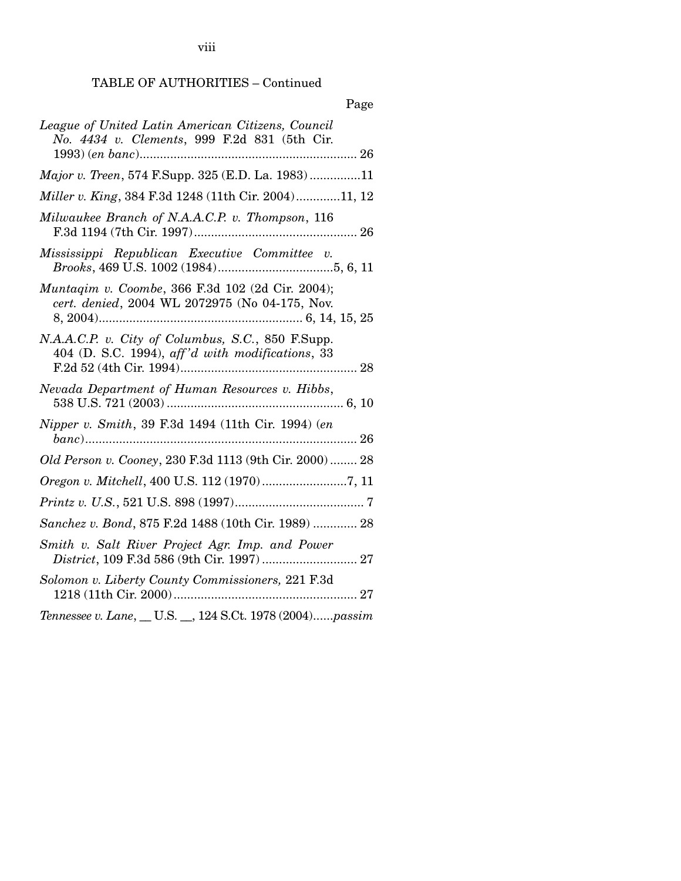viii

## TABLE OF AUTHORITIES – Continued

| Page                                                                                                  |
|-------------------------------------------------------------------------------------------------------|
| League of United Latin American Citizens, Council<br>No. 4434 v. Clements, 999 F.2d 831 (5th Cir.     |
| Major v. Treen, 574 F.Supp. 325 (E.D. La. 1983)11                                                     |
| Miller v. King, 384 F.3d 1248 (11th Cir. 2004)11, 12                                                  |
| Milwaukee Branch of N.A.A.C.P. v. Thompson, 116                                                       |
| Mississippi Republican Executive Committee v.                                                         |
| Muntaqim v. Coombe, 366 F.3d 102 (2d Cir. 2004);<br>cert. denied, 2004 WL 2072975 (No 04-175, Nov.    |
| N.A.A.C.P. v. City of Columbus, S.C., 850 F.Supp.<br>404 (D. S.C. 1994), aff'd with modifications, 33 |
| Nevada Department of Human Resources v. Hibbs,                                                        |
| Nipper v. Smith, 39 F.3d 1494 (11th Cir. 1994) (en                                                    |
| Old Person v. Cooney, 230 F.3d 1113 (9th Cir. 2000)  28                                               |
|                                                                                                       |
|                                                                                                       |
| Sanchez v. Bond, 875 F.2d 1488 (10th Cir. 1989)  28                                                   |
| Smith v. Salt River Project Agr. Imp. and Power                                                       |
| Solomon v. Liberty County Commissioners, 221 F.3d                                                     |
| Tennessee v. Lane, _ U.S. _, 124 S.Ct. 1978 (2004)passim                                              |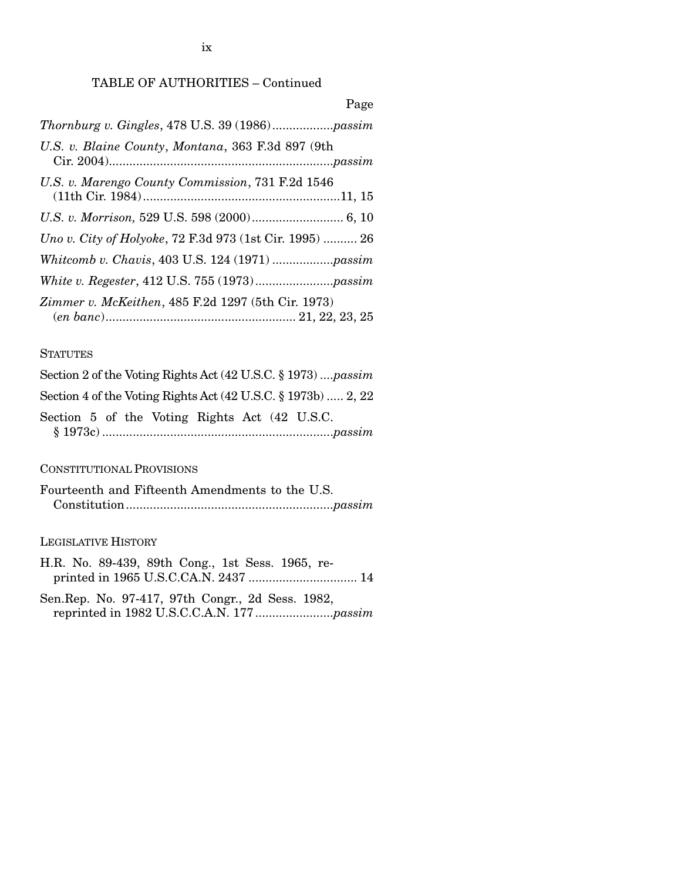## TABLE OF AUTHORITIES – Continued

| Page                                                           |  |
|----------------------------------------------------------------|--|
|                                                                |  |
| U.S. v. Blaine County, Montana, 363 F.3d 897 (9th              |  |
| U.S. v. Marengo County Commission, 731 F.2d 1546               |  |
|                                                                |  |
| <i>Uno v. City of Holyoke, 72 F.3d 973 (1st Cir. 1995)  26</i> |  |
|                                                                |  |
|                                                                |  |
| Zimmer v. McKeithen, 485 F.2d 1297 (5th Cir. 1973)             |  |

#### **STATUTES**

| Section 2 of the Voting Rights Act $(42 \text{ U.S.C.} \$ 1973) \dots \text{passim}$ |
|--------------------------------------------------------------------------------------|
| Section 4 of the Voting Rights Act (42 U.S.C. § 1973b)  2, 22                        |
| Section 5 of the Voting Rights Act (42 U.S.C.                                        |
|                                                                                      |

### CONSTITUTIONAL PROVISIONS

| Fourteenth and Fifteenth Amendments to the U.S. |  |
|-------------------------------------------------|--|
|                                                 |  |

#### LEGISLATIVE HISTORY

|  | H.R. No. 89-439, 89th Cong., 1st Sess. 1965, re- |  |  |  |  |
|--|--------------------------------------------------|--|--|--|--|
|  |                                                  |  |  |  |  |

Sen.Rep. No. 97-417, 97th Congr., 2d Sess. 1982, reprinted in 1982 U.S.C.C.A.N. 177.......................*passim*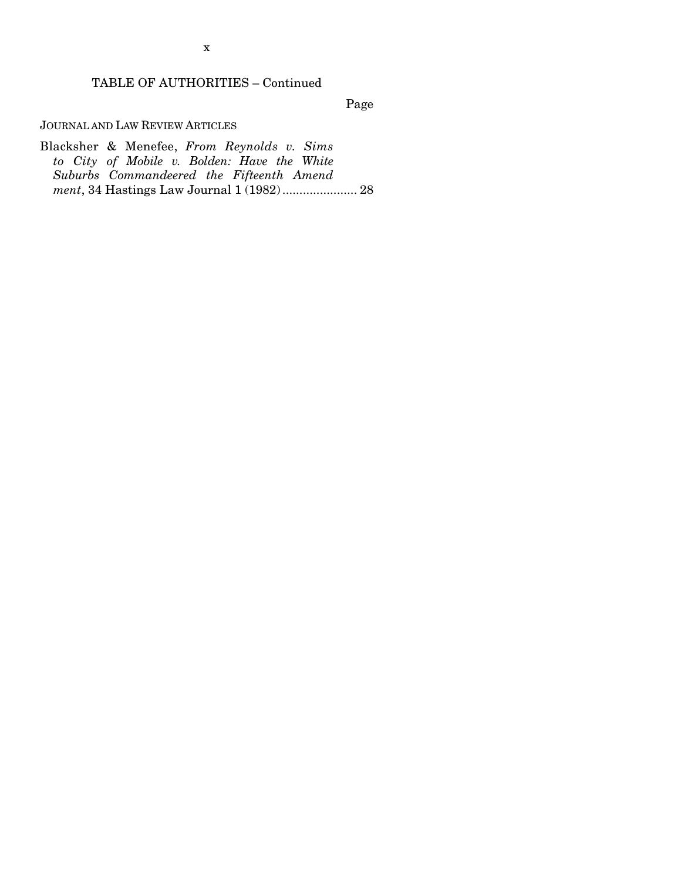x

## TABLE OF AUTHORITIES – Continued

Page

#### JOURNAL AND LAW REVIEW ARTICLES

Blacksher & Menefee, *From Reynolds v. Sims to City of Mobile v. Bolden: Have the White Suburbs Commandeered the Fifteenth Amend ment*, 34 Hastings Law Journal 1 (1982) ...................... 28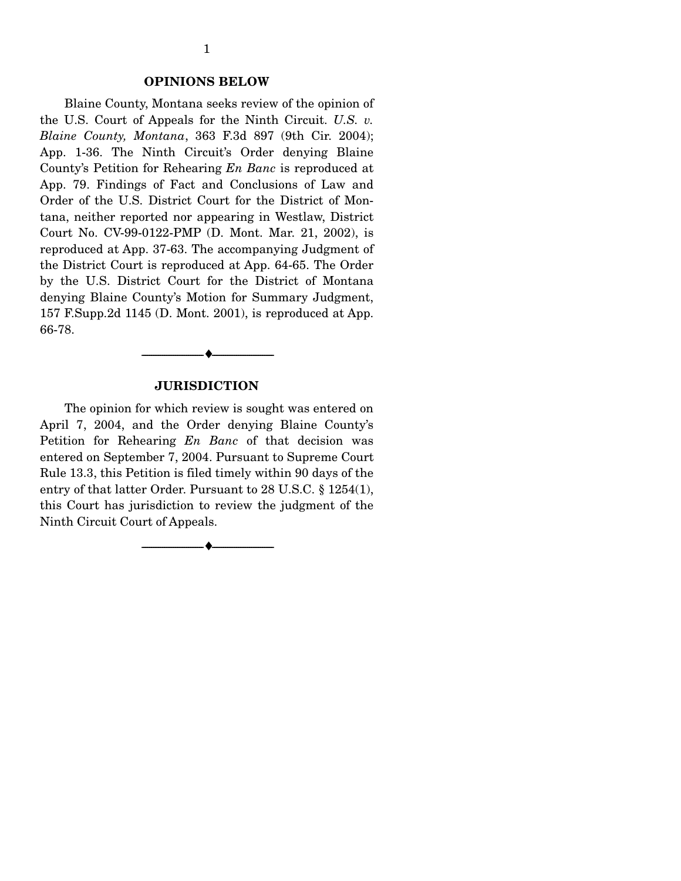#### **OPINIONS BELOW**

 Blaine County, Montana seeks review of the opinion of the U.S. Court of Appeals for the Ninth Circuit. *U.S. v. Blaine County, Montana*, 363 F.3d 897 (9th Cir. 2004); App. 1-36. The Ninth Circuit's Order denying Blaine County's Petition for Rehearing *En Banc* is reproduced at App. 79. Findings of Fact and Conclusions of Law and Order of the U.S. District Court for the District of Montana, neither reported nor appearing in Westlaw, District Court No. CV-99-0122-PMP (D. Mont. Mar. 21, 2002), is reproduced at App. 37-63. The accompanying Judgment of the District Court is reproduced at App. 64-65. The Order by the U.S. District Court for the District of Montana denying Blaine County's Motion for Summary Judgment, 157 F.Supp.2d 1145 (D. Mont. 2001), is reproduced at App. 66-78.

#### **JURISDICTION**

--------------------------------- ♦ ---------------------------------

 The opinion for which review is sought was entered on April 7, 2004, and the Order denying Blaine County's Petition for Rehearing *En Banc* of that decision was entered on September 7, 2004. Pursuant to Supreme Court Rule 13.3, this Petition is filed timely within 90 days of the entry of that latter Order. Pursuant to 28 U.S.C. § 1254(1), this Court has jurisdiction to review the judgment of the Ninth Circuit Court of Appeals.

--------------------------------- ♦ ---------------------------------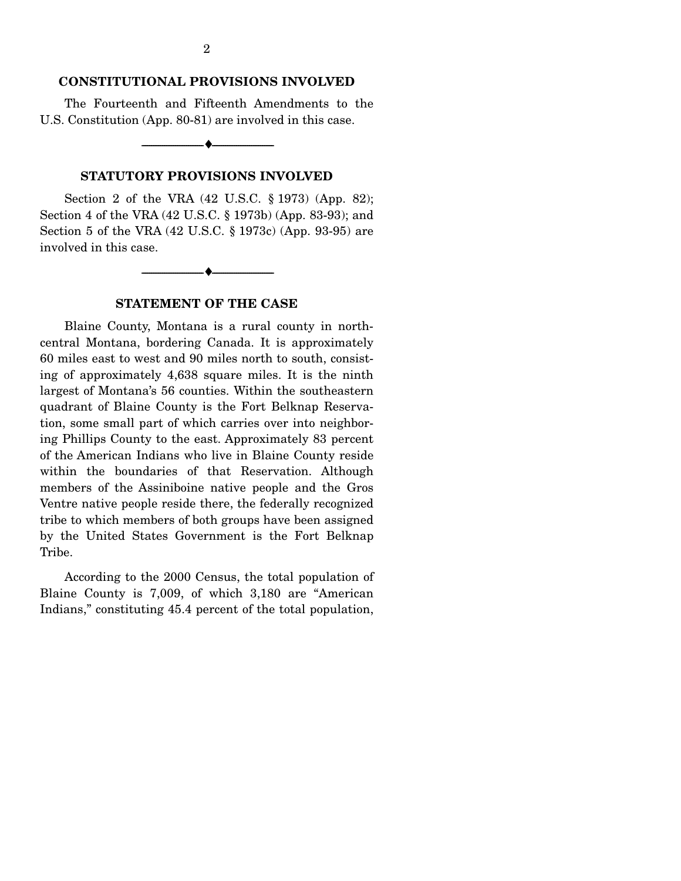#### **CONSTITUTIONAL PROVISIONS INVOLVED**

 The Fourteenth and Fifteenth Amendments to the U.S. Constitution (App. 80-81) are involved in this case.

#### **STATUTORY PROVISIONS INVOLVED**

--------------------------------- ♦ ---------------------------------

 Section 2 of the VRA (42 U.S.C. § 1973) (App. 82); Section 4 of the VRA (42 U.S.C. § 1973b) (App. 83-93); and Section 5 of the VRA (42 U.S.C. § 1973c) (App. 93-95) are involved in this case.

--------------------------------- ♦ ---------------------------------

#### **STATEMENT OF THE CASE**

 Blaine County, Montana is a rural county in northcentral Montana, bordering Canada. It is approximately 60 miles east to west and 90 miles north to south, consisting of approximately 4,638 square miles. It is the ninth largest of Montana's 56 counties. Within the southeastern quadrant of Blaine County is the Fort Belknap Reservation, some small part of which carries over into neighboring Phillips County to the east. Approximately 83 percent of the American Indians who live in Blaine County reside within the boundaries of that Reservation. Although members of the Assiniboine native people and the Gros Ventre native people reside there, the federally recognized tribe to which members of both groups have been assigned by the United States Government is the Fort Belknap Tribe.

 According to the 2000 Census, the total population of Blaine County is 7,009, of which 3,180 are "American Indians," constituting 45.4 percent of the total population,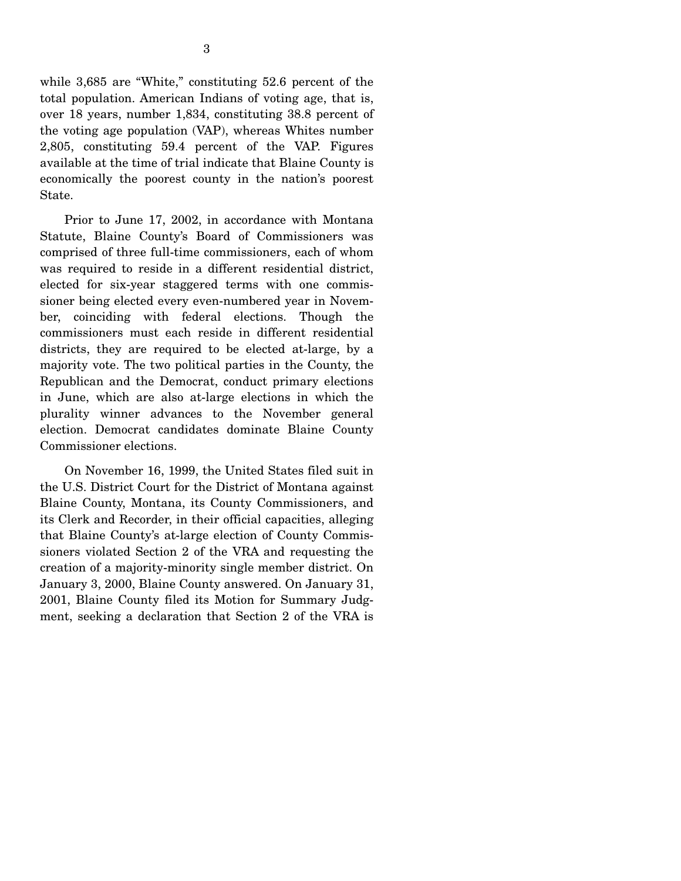while 3,685 are "White," constituting 52.6 percent of the total population. American Indians of voting age, that is, over 18 years, number 1,834, constituting 38.8 percent of the voting age population (VAP), whereas Whites number 2,805, constituting 59.4 percent of the VAP. Figures available at the time of trial indicate that Blaine County is economically the poorest county in the nation's poorest State.

 Prior to June 17, 2002, in accordance with Montana Statute, Blaine County's Board of Commissioners was comprised of three full-time commissioners, each of whom was required to reside in a different residential district, elected for six-year staggered terms with one commissioner being elected every even-numbered year in November, coinciding with federal elections. Though the commissioners must each reside in different residential districts, they are required to be elected at-large, by a majority vote. The two political parties in the County, the Republican and the Democrat, conduct primary elections in June, which are also at-large elections in which the plurality winner advances to the November general election. Democrat candidates dominate Blaine County Commissioner elections.

 On November 16, 1999, the United States filed suit in the U.S. District Court for the District of Montana against Blaine County, Montana, its County Commissioners, and its Clerk and Recorder, in their official capacities, alleging that Blaine County's at-large election of County Commissioners violated Section 2 of the VRA and requesting the creation of a majority-minority single member district. On January 3, 2000, Blaine County answered. On January 31, 2001, Blaine County filed its Motion for Summary Judgment, seeking a declaration that Section 2 of the VRA is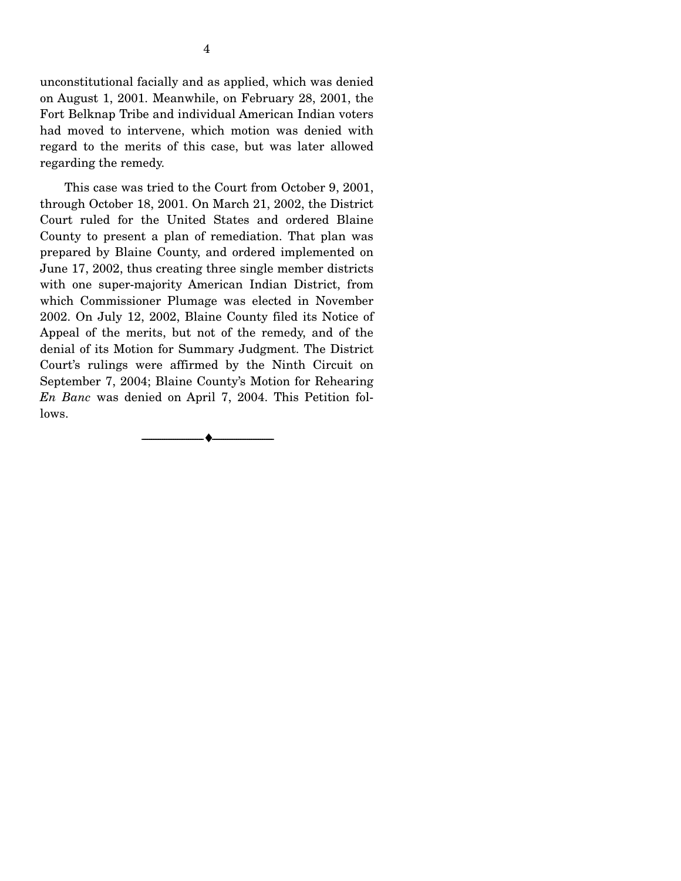unconstitutional facially and as applied, which was denied on August 1, 2001. Meanwhile, on February 28, 2001, the Fort Belknap Tribe and individual American Indian voters had moved to intervene, which motion was denied with regard to the merits of this case, but was later allowed regarding the remedy.

 This case was tried to the Court from October 9, 2001, through October 18, 2001. On March 21, 2002, the District Court ruled for the United States and ordered Blaine County to present a plan of remediation. That plan was prepared by Blaine County, and ordered implemented on June 17, 2002, thus creating three single member districts with one super-majority American Indian District, from which Commissioner Plumage was elected in November 2002. On July 12, 2002, Blaine County filed its Notice of Appeal of the merits, but not of the remedy, and of the denial of its Motion for Summary Judgment. The District Court's rulings were affirmed by the Ninth Circuit on September 7, 2004; Blaine County's Motion for Rehearing *En Banc* was denied on April 7, 2004. This Petition follows.

--------------------------------- ♦ ---------------------------------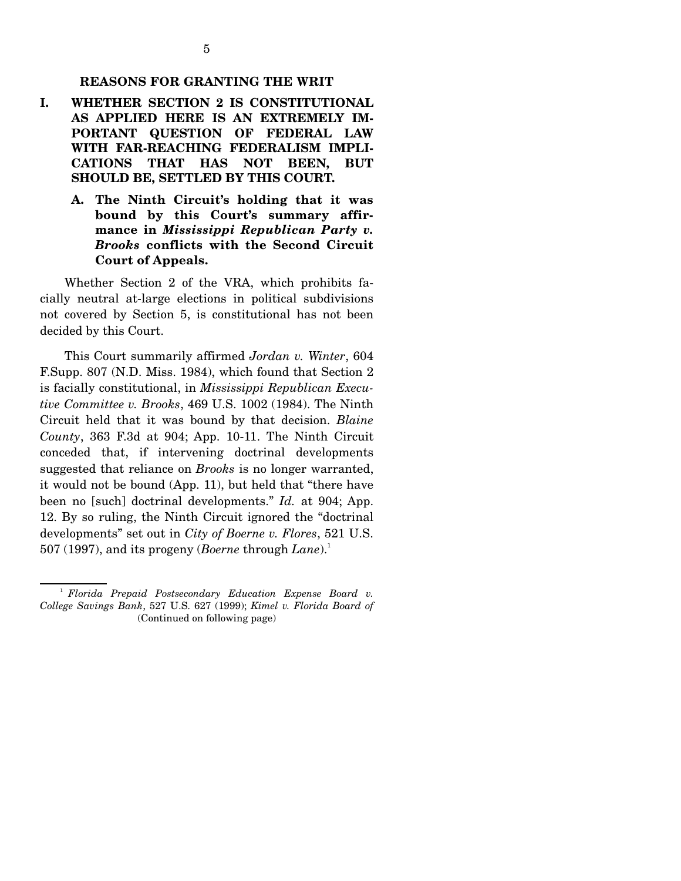- **I. WHETHER SECTION 2 IS CONSTITUTIONAL AS APPLIED HERE IS AN EXTREMELY IM-PORTANT QUESTION OF FEDERAL LAW WITH FAR-REACHING FEDERALISM IMPLI-CATIONS THAT HAS NOT BEEN, BUT SHOULD BE, SETTLED BY THIS COURT.** 
	- **A. The Ninth Circuit's holding that it was bound by this Court's summary affirmance in** *Mississippi Republican Party v. Brooks* **conflicts with the Second Circuit Court of Appeals.**

 Whether Section 2 of the VRA, which prohibits facially neutral at-large elections in political subdivisions not covered by Section 5, is constitutional has not been decided by this Court.

 This Court summarily affirmed *Jordan v. Winter*, 604 F.Supp. 807 (N.D. Miss. 1984), which found that Section 2 is facially constitutional, in *Mississippi Republican Executive Committee v. Brooks*, 469 U.S. 1002 (1984). The Ninth Circuit held that it was bound by that decision. *Blaine County*, 363 F.3d at 904; App. 10-11. The Ninth Circuit conceded that, if intervening doctrinal developments suggested that reliance on *Brooks* is no longer warranted, it would not be bound (App. 11), but held that "there have been no [such] doctrinal developments." *Id.* at 904; App. 12. By so ruling, the Ninth Circuit ignored the "doctrinal developments" set out in *City of Boerne v. Flores*, 521 U.S. 507 (1997), and its progeny (*Boerne* through *Lane*).<sup>1</sup>

<sup>1</sup> *Florida Prepaid Postsecondary Education Expense Board v. College Savings Bank*, 527 U.S. 627 (1999); *Kimel v. Florida Board of*  (Continued on following page)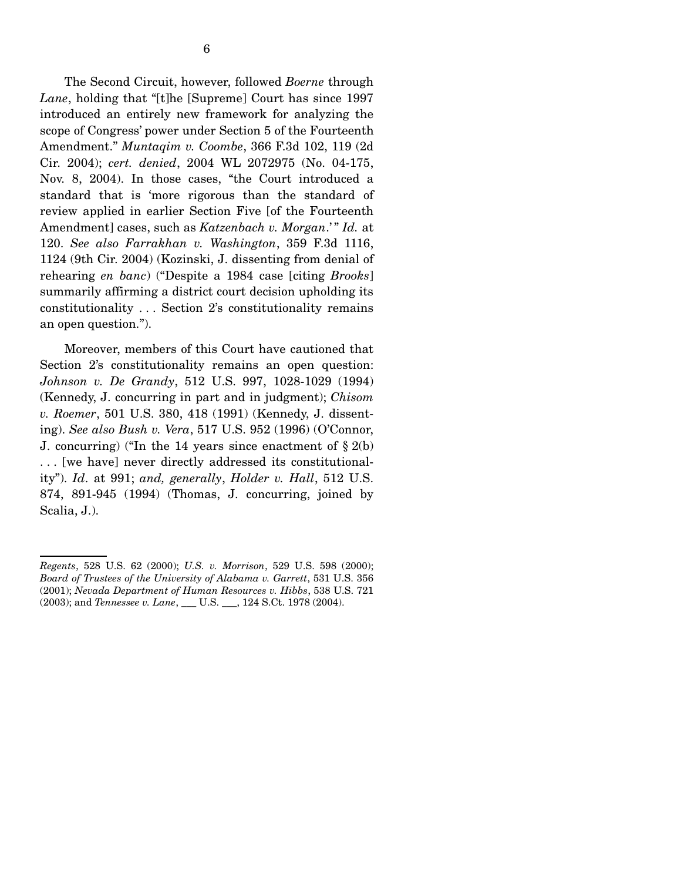The Second Circuit, however, followed *Boerne* through *Lane*, holding that "[t]he [Supreme] Court has since 1997 introduced an entirely new framework for analyzing the scope of Congress' power under Section 5 of the Fourteenth Amendment." *Muntaqim v. Coombe*, 366 F.3d 102, 119 (2d Cir. 2004); *cert. denied*, 2004 WL 2072975 (No. 04-175, Nov. 8, 2004). In those cases, "the Court introduced a standard that is 'more rigorous than the standard of review applied in earlier Section Five [of the Fourteenth Amendment] cases, such as *Katzenbach v. Morgan.*" *Id.* at 120. *See also Farrakhan v. Washington*, 359 F.3d 1116, 1124 (9th Cir. 2004) (Kozinski, J. dissenting from denial of rehearing *en banc*) ("Despite a 1984 case [citing *Brooks*] summarily affirming a district court decision upholding its constitutionality . . . Section 2's constitutionality remains an open question.").

 Moreover, members of this Court have cautioned that Section 2's constitutionality remains an open question: *Johnson v. De Grandy*, 512 U.S. 997, 1028-1029 (1994) (Kennedy, J. concurring in part and in judgment); *Chisom v. Roemer*, 501 U.S. 380, 418 (1991) (Kennedy, J. dissenting). *See also Bush v. Vera*, 517 U.S. 952 (1996) (O'Connor, J. concurring) ("In the 14 years since enactment of  $\S$  2(b) . . . [we have] never directly addressed its constitutionality"). *Id*. at 991; *and, generally*, *Holder v. Hall*, 512 U.S. 874, 891-945 (1994) (Thomas, J. concurring, joined by Scalia, J.).

*Regents*, 528 U.S. 62 (2000); *U.S. v. Morrison*, 529 U.S. 598 (2000); *Board of Trustees of the University of Alabama v. Garrett*, 531 U.S. 356 (2001); *Nevada Department of Human Resources v. Hibbs*, 538 U.S. 721 (2003); and *Tennessee v. Lane*, \_\_\_ U.S. \_\_\_, 124 S.Ct. 1978 (2004).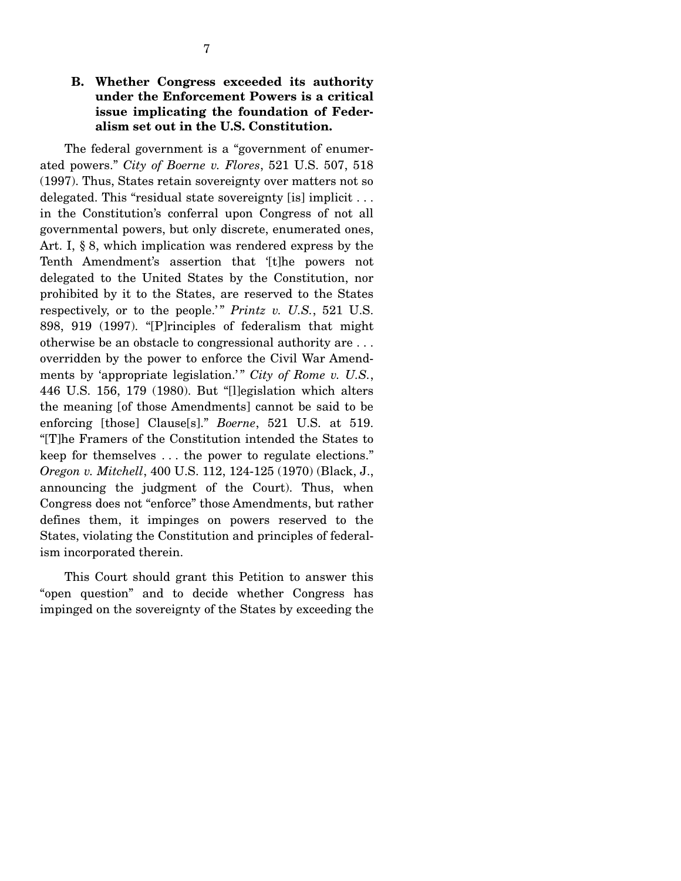### **B. Whether Congress exceeded its authority under the Enforcement Powers is a critical issue implicating the foundation of Federalism set out in the U.S. Constitution.**

 The federal government is a "government of enumerated powers." *City of Boerne v. Flores*, 521 U.S. 507, 518 (1997). Thus, States retain sovereignty over matters not so delegated. This "residual state sovereignty [is] implicit . . . in the Constitution's conferral upon Congress of not all governmental powers, but only discrete, enumerated ones, Art. I, § 8, which implication was rendered express by the Tenth Amendment's assertion that '[t]he powers not delegated to the United States by the Constitution, nor prohibited by it to the States, are reserved to the States respectively, or to the people.'" *Printz v. U.S.*, 521 U.S. 898, 919 (1997). "[P]rinciples of federalism that might otherwise be an obstacle to congressional authority are . . . overridden by the power to enforce the Civil War Amendments by 'appropriate legislation.'" *City of Rome v. U.S.*, 446 U.S. 156, 179 (1980). But "[l]egislation which alters the meaning [of those Amendments] cannot be said to be enforcing [those] Clause[s]." *Boerne*, 521 U.S. at 519. "[T]he Framers of the Constitution intended the States to keep for themselves . . . the power to regulate elections." *Oregon v. Mitchell*, 400 U.S. 112, 124-125 (1970) (Black, J., announcing the judgment of the Court). Thus, when Congress does not "enforce" those Amendments, but rather defines them, it impinges on powers reserved to the States, violating the Constitution and principles of federalism incorporated therein.

 This Court should grant this Petition to answer this "open question" and to decide whether Congress has impinged on the sovereignty of the States by exceeding the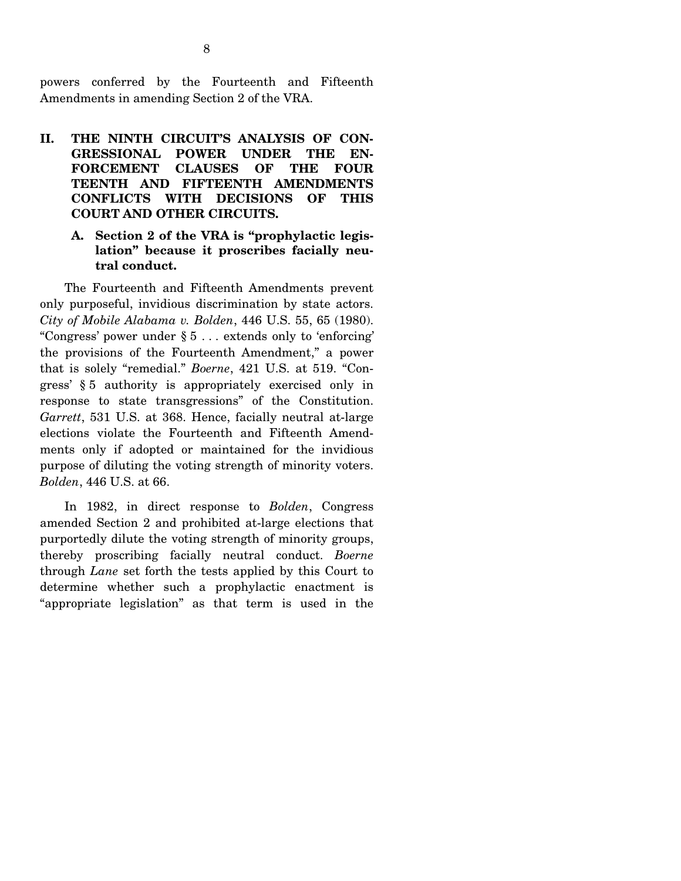powers conferred by the Fourteenth and Fifteenth Amendments in amending Section 2 of the VRA.

- **II. THE NINTH CIRCUIT'S ANALYSIS OF CON-GRESSIONAL POWER UNDER THE EN-FORCEMENT CLAUSES OF THE FOUR TEENTH AND FIFTEENTH AMENDMENTS CONFLICTS WITH DECISIONS OF THIS COURT AND OTHER CIRCUITS.** 
	- **A. Section 2 of the VRA is "prophylactic legislation" because it proscribes facially neutral conduct.**

 The Fourteenth and Fifteenth Amendments prevent only purposeful, invidious discrimination by state actors. *City of Mobile Alabama v. Bolden*, 446 U.S. 55, 65 (1980). "Congress' power under § 5 . . . extends only to 'enforcing' the provisions of the Fourteenth Amendment," a power that is solely "remedial." *Boerne*, 421 U.S. at 519. "Congress' § 5 authority is appropriately exercised only in response to state transgressions" of the Constitution. *Garrett*, 531 U.S. at 368. Hence, facially neutral at-large elections violate the Fourteenth and Fifteenth Amendments only if adopted or maintained for the invidious purpose of diluting the voting strength of minority voters. *Bolden*, 446 U.S. at 66.

 In 1982, in direct response to *Bolden*, Congress amended Section 2 and prohibited at-large elections that purportedly dilute the voting strength of minority groups, thereby proscribing facially neutral conduct. *Boerne* through *Lane* set forth the tests applied by this Court to determine whether such a prophylactic enactment is "appropriate legislation" as that term is used in the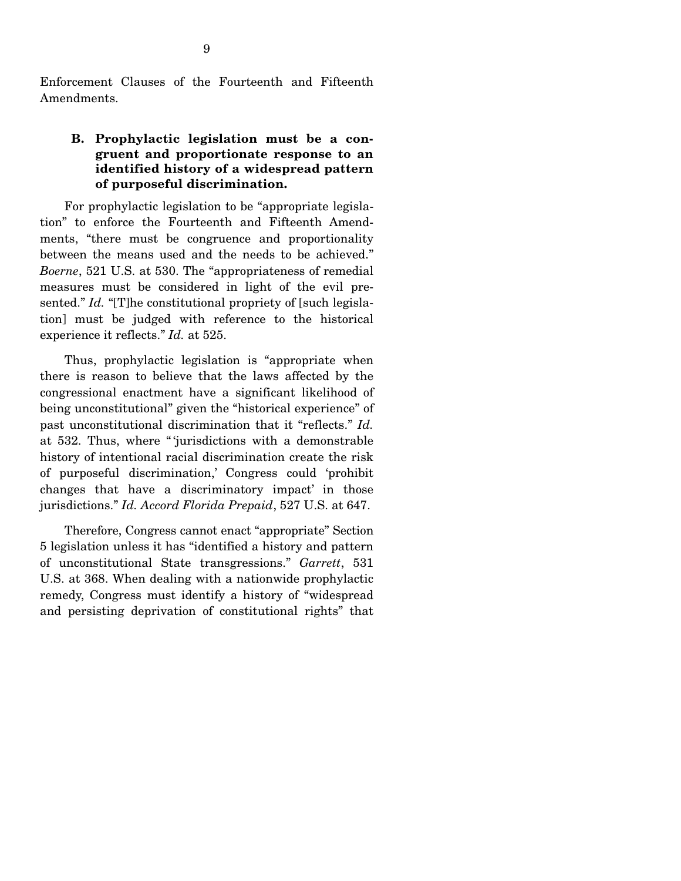Enforcement Clauses of the Fourteenth and Fifteenth Amendments.

### **B. Prophylactic legislation must be a congruent and proportionate response to an identified history of a widespread pattern of purposeful discrimination.**

 For prophylactic legislation to be "appropriate legislation" to enforce the Fourteenth and Fifteenth Amendments, "there must be congruence and proportionality between the means used and the needs to be achieved." *Boerne*, 521 U.S. at 530. The "appropriateness of remedial measures must be considered in light of the evil presented." *Id.* "[T]he constitutional propriety of [such legislation] must be judged with reference to the historical experience it reflects." *Id.* at 525.

 Thus, prophylactic legislation is "appropriate when there is reason to believe that the laws affected by the congressional enactment have a significant likelihood of being unconstitutional" given the "historical experience" of past unconstitutional discrimination that it "reflects." *Id.* at 532. Thus, where " 'jurisdictions with a demonstrable history of intentional racial discrimination create the risk of purposeful discrimination,' Congress could 'prohibit changes that have a discriminatory impact' in those jurisdictions." *Id. Accord Florida Prepaid*, 527 U.S. at 647.

 Therefore, Congress cannot enact "appropriate" Section 5 legislation unless it has "identified a history and pattern of unconstitutional State transgressions." *Garrett*, 531 U.S. at 368. When dealing with a nationwide prophylactic remedy, Congress must identify a history of "widespread and persisting deprivation of constitutional rights" that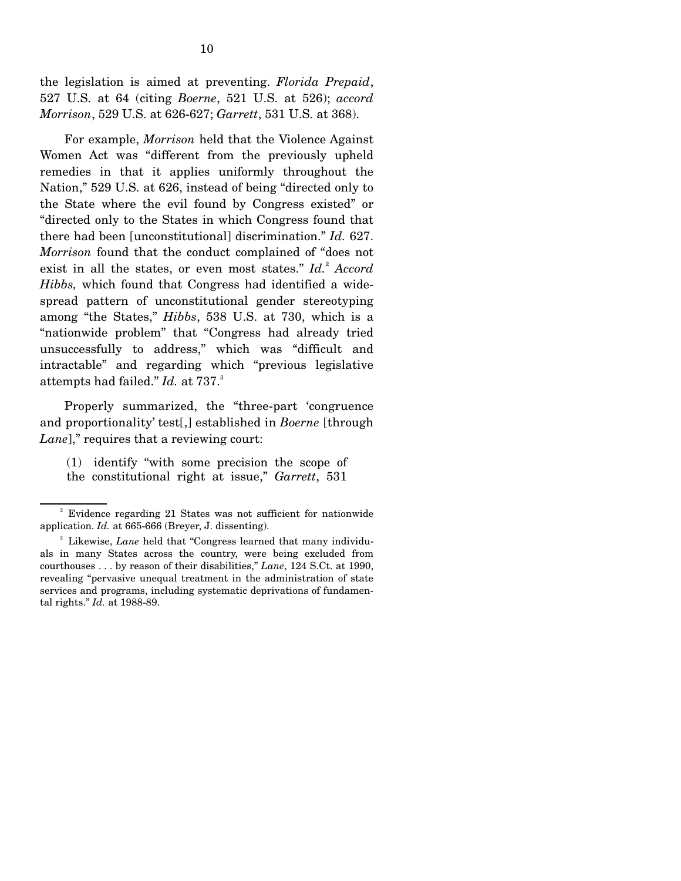the legislation is aimed at preventing. *Florida Prepaid*, 527 U.S. at 64 (citing *Boerne*, 521 U.S. at 526); *accord Morrison*, 529 U.S. at 626-627; *Garrett*, 531 U.S. at 368).

 For example, *Morrison* held that the Violence Against Women Act was "different from the previously upheld remedies in that it applies uniformly throughout the Nation," 529 U.S. at 626, instead of being "directed only to the State where the evil found by Congress existed" or "directed only to the States in which Congress found that there had been [unconstitutional] discrimination." *Id.* 627. *Morrison* found that the conduct complained of "does not exist in all the states, or even most states." *Id.*<sup>2</sup> *Accord Hibbs,* which found that Congress had identified a widespread pattern of unconstitutional gender stereotyping among "the States," *Hibbs*, 538 U.S. at 730, which is a "nationwide problem" that "Congress had already tried unsuccessfully to address," which was "difficult and intractable" and regarding which "previous legislative attempts had failed." *Id.* at 737.<sup>3</sup>

 Properly summarized, the "three-part 'congruence and proportionality' test[,] established in *Boerne* [through *Lane*]," requires that a reviewing court:

(1) identify "with some precision the scope of the constitutional right at issue," *Garrett*, 531

<sup>&</sup>lt;sup>2</sup> Evidence regarding 21 States was not sufficient for nationwide application. *Id.* at 665-666 (Breyer, J. dissenting).

<sup>&</sup>lt;sup>3</sup> Likewise, *Lane* held that "Congress learned that many individuals in many States across the country, were being excluded from courthouses . . . by reason of their disabilities," *Lane*, 124 S.Ct. at 1990, revealing "pervasive unequal treatment in the administration of state services and programs, including systematic deprivations of fundamental rights." *Id.* at 1988-89.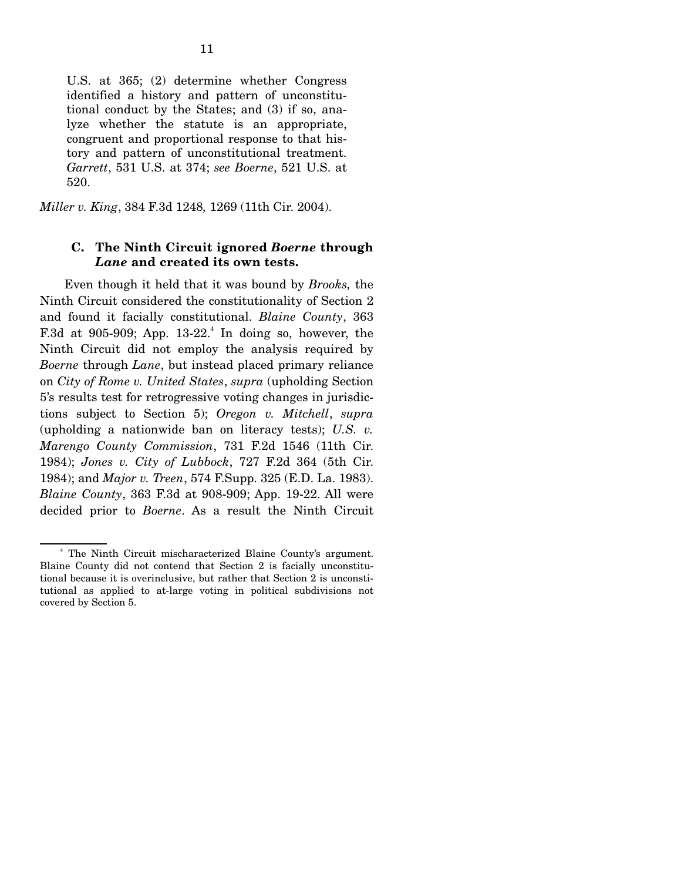U.S. at 365; (2) determine whether Congress identified a history and pattern of unconstitutional conduct by the States; and (3) if so, analyze whether the statute is an appropriate, congruent and proportional response to that history and pattern of unconstitutional treatment. *Garrett*, 531 U.S. at 374; *see Boerne*, 521 U.S. at 520.

*Miller v. King*, 384 F.3d 1248*,* 1269 (11th Cir. 2004).

#### **C. The Ninth Circuit ignored** *Boerne* **through**  *Lane* **and created its own tests.**

 Even though it held that it was bound by *Brooks,* the Ninth Circuit considered the constitutionality of Section 2 and found it facially constitutional. *Blaine County*, 363 F.3d at 905-909; App.  $13-22$ .<sup>4</sup> In doing so, however, the Ninth Circuit did not employ the analysis required by *Boerne* through *Lane*, but instead placed primary reliance on *City of Rome v. United States*, *supra* (upholding Section 5's results test for retrogressive voting changes in jurisdictions subject to Section 5); *Oregon v. Mitchell*, *supra* (upholding a nationwide ban on literacy tests); *U.S. v. Marengo County Commission*, 731 F.2d 1546 (11th Cir. 1984); *Jones v. City of Lubbock*, 727 F.2d 364 (5th Cir. 1984); and *Major v. Treen*, 574 F.Supp. 325 (E.D. La. 1983). *Blaine County*, 363 F.3d at 908-909; App. 19-22. All were decided prior to *Boerne*. As a result the Ninth Circuit

 $\sim$   $\frac{4}{3}$  The Ninth Circuit mischaracterized Blaine County's argument. Blaine County did not contend that Section 2 is facially unconstitutional because it is overinclusive, but rather that Section 2 is unconstitutional as applied to at-large voting in political subdivisions not covered by Section 5.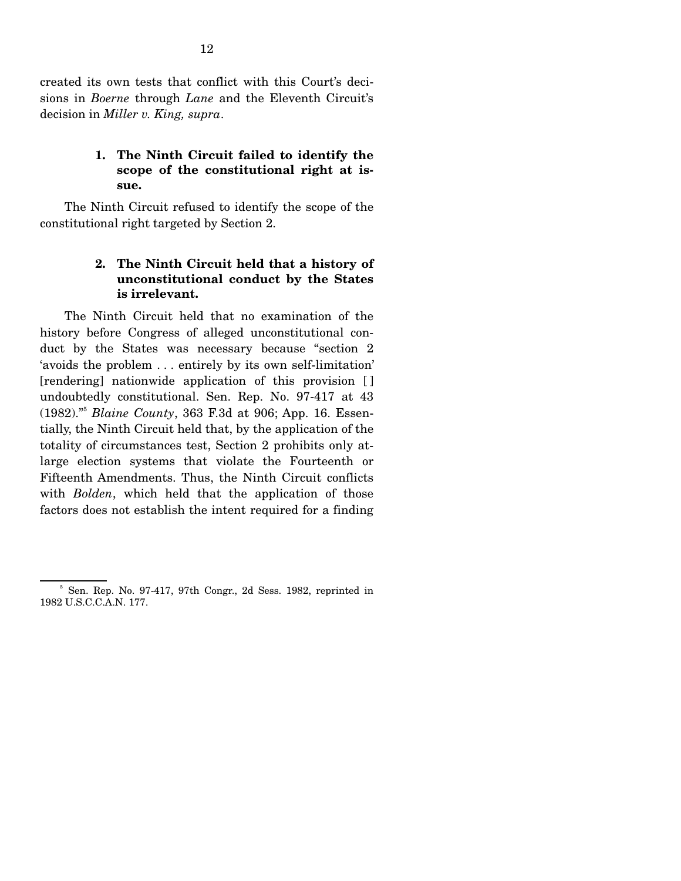created its own tests that conflict with this Court's decisions in *Boerne* through *Lane* and the Eleventh Circuit's decision in *Miller v. King, supra*.

### **1. The Ninth Circuit failed to identify the scope of the constitutional right at issue.**

 The Ninth Circuit refused to identify the scope of the constitutional right targeted by Section 2.

### **2. The Ninth Circuit held that a history of unconstitutional conduct by the States is irrelevant.**

 The Ninth Circuit held that no examination of the history before Congress of alleged unconstitutional conduct by the States was necessary because "section 2 'avoids the problem . . . entirely by its own self-limitation' [rendering] nationwide application of this provision [ ] undoubtedly constitutional. Sen. Rep. No. 97-417 at 43 (1982)."5 *Blaine County*, 363 F.3d at 906; App. 16. Essentially, the Ninth Circuit held that, by the application of the totality of circumstances test, Section 2 prohibits only atlarge election systems that violate the Fourteenth or Fifteenth Amendments. Thus, the Ninth Circuit conflicts with *Bolden*, which held that the application of those factors does not establish the intent required for a finding

<sup>&</sup>lt;sup>5</sup> Sen. Rep. No. 97-417, 97th Congr., 2d Sess. 1982, reprinted in 1982 U.S.C.C.A.N. 177.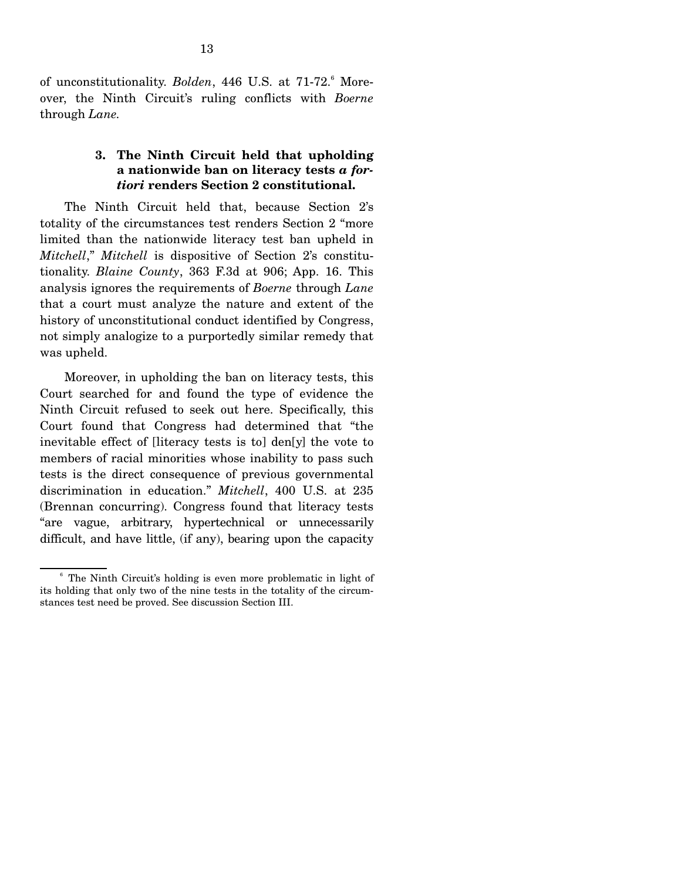of unconstitutionality. *Bolden*, 446 U.S. at 71-72.<sup>6</sup> Moreover, the Ninth Circuit's ruling conflicts with *Boerne* through *Lane.*

### **3. The Ninth Circuit held that upholding a nationwide ban on literacy tests** *a fortiori* **renders Section 2 constitutional.**

 The Ninth Circuit held that, because Section 2's totality of the circumstances test renders Section 2 "more limited than the nationwide literacy test ban upheld in *Mitchell*," *Mitchell* is dispositive of Section 2's constitutionality. *Blaine County*, 363 F.3d at 906; App. 16. This analysis ignores the requirements of *Boerne* through *Lane* that a court must analyze the nature and extent of the history of unconstitutional conduct identified by Congress, not simply analogize to a purportedly similar remedy that was upheld.

 Moreover, in upholding the ban on literacy tests, this Court searched for and found the type of evidence the Ninth Circuit refused to seek out here. Specifically, this Court found that Congress had determined that "the inevitable effect of [literacy tests is to] den[y] the vote to members of racial minorities whose inability to pass such tests is the direct consequence of previous governmental discrimination in education." *Mitchell*, 400 U.S. at 235 (Brennan concurring). Congress found that literacy tests "are vague, arbitrary, hypertechnical or unnecessarily difficult, and have little, (if any), bearing upon the capacity

<sup>&</sup>lt;sup>6</sup> The Ninth Circuit's holding is even more problematic in light of its holding that only two of the nine tests in the totality of the circumstances test need be proved. See discussion Section III.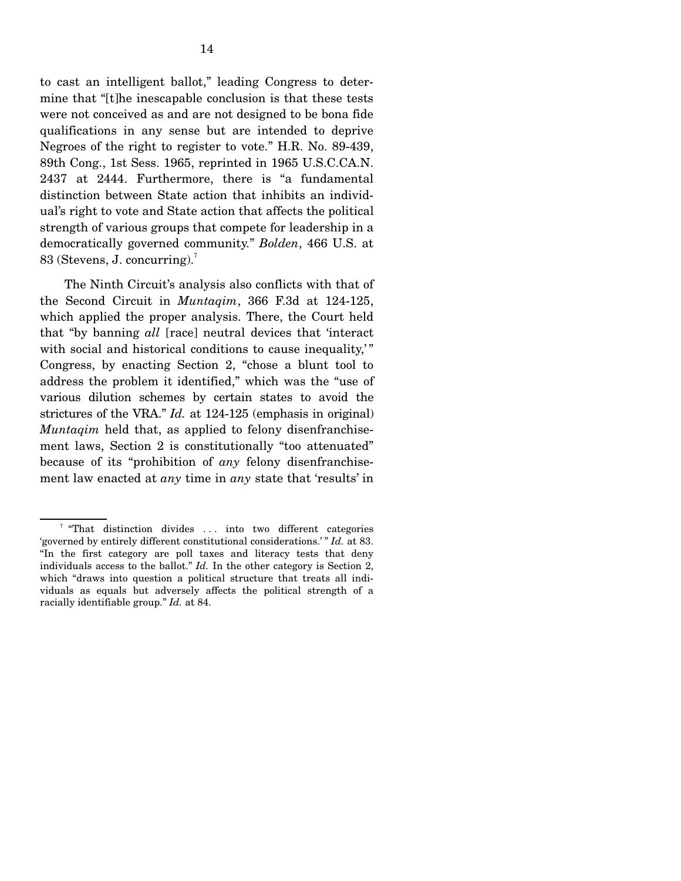to cast an intelligent ballot," leading Congress to determine that "[t]he inescapable conclusion is that these tests were not conceived as and are not designed to be bona fide qualifications in any sense but are intended to deprive Negroes of the right to register to vote." H.R. No. 89-439, 89th Cong., 1st Sess. 1965, reprinted in 1965 U.S.C.CA.N. 2437 at 2444. Furthermore, there is "a fundamental distinction between State action that inhibits an individual's right to vote and State action that affects the political strength of various groups that compete for leadership in a democratically governed community." *Bolden*, 466 U.S. at 83 (Stevens, J. concurring).<sup>7</sup>

 The Ninth Circuit's analysis also conflicts with that of the Second Circuit in *Muntaqim*, 366 F.3d at 124-125, which applied the proper analysis. There, the Court held that "by banning *all* [race] neutral devices that 'interact with social and historical conditions to cause inequality," Congress, by enacting Section 2, "chose a blunt tool to address the problem it identified," which was the "use of various dilution schemes by certain states to avoid the strictures of the VRA." *Id.* at 124-125 (emphasis in original) *Muntaqim* held that, as applied to felony disenfranchisement laws, Section 2 is constitutionally "too attenuated" because of its "prohibition of *any* felony disenfranchisement law enacted at *any* time in *any* state that 'results' in

<sup>&</sup>lt;sup>7</sup> "That distinction divides ... into two different categories 'governed by entirely different constitutional considerations.'" *Id.* at 83. "In the first category are poll taxes and literacy tests that deny individuals access to the ballot." *Id.* In the other category is Section 2, which "draws into question a political structure that treats all individuals as equals but adversely affects the political strength of a racially identifiable group." *Id.* at 84.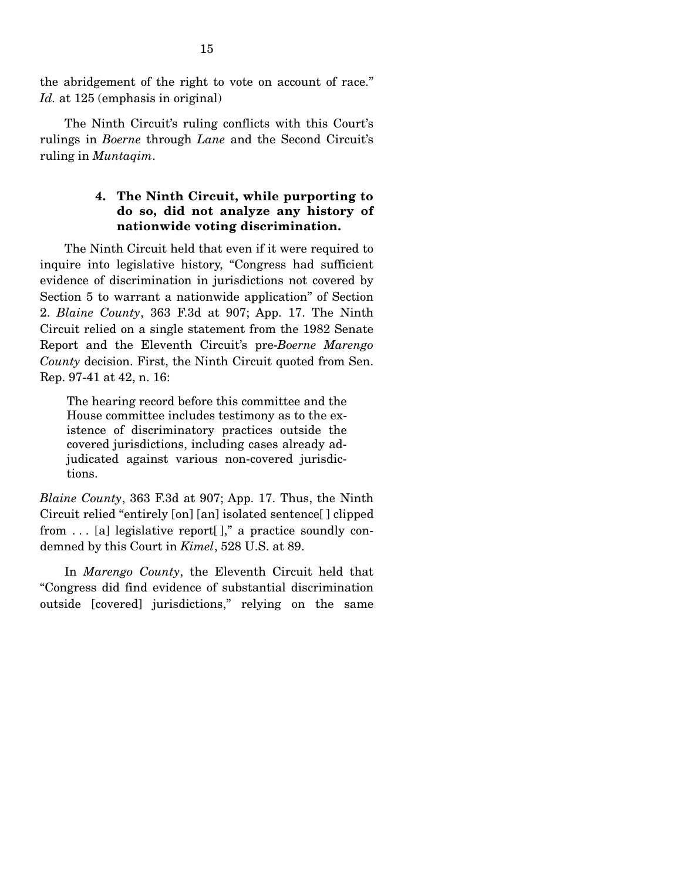the abridgement of the right to vote on account of race." *Id.* at 125 (emphasis in original)

 The Ninth Circuit's ruling conflicts with this Court's rulings in *Boerne* through *Lane* and the Second Circuit's ruling in *Muntaqim*.

### **4. The Ninth Circuit, while purporting to do so, did not analyze any history of nationwide voting discrimination.**

 The Ninth Circuit held that even if it were required to inquire into legislative history, "Congress had sufficient evidence of discrimination in jurisdictions not covered by Section 5 to warrant a nationwide application" of Section 2. *Blaine County*, 363 F.3d at 907; App. 17. The Ninth Circuit relied on a single statement from the 1982 Senate Report and the Eleventh Circuit's pre-*Boerne Marengo County* decision. First, the Ninth Circuit quoted from Sen. Rep. 97-41 at 42, n. 16:

The hearing record before this committee and the House committee includes testimony as to the existence of discriminatory practices outside the covered jurisdictions, including cases already adjudicated against various non-covered jurisdictions.

*Blaine County*, 363 F.3d at 907; App. 17. Thus, the Ninth Circuit relied "entirely [on] [an] isolated sentence[ ] clipped from ... [a] legislative report []," a practice soundly condemned by this Court in *Kimel*, 528 U.S. at 89.

 In *Marengo County*, the Eleventh Circuit held that "Congress did find evidence of substantial discrimination outside [covered] jurisdictions," relying on the same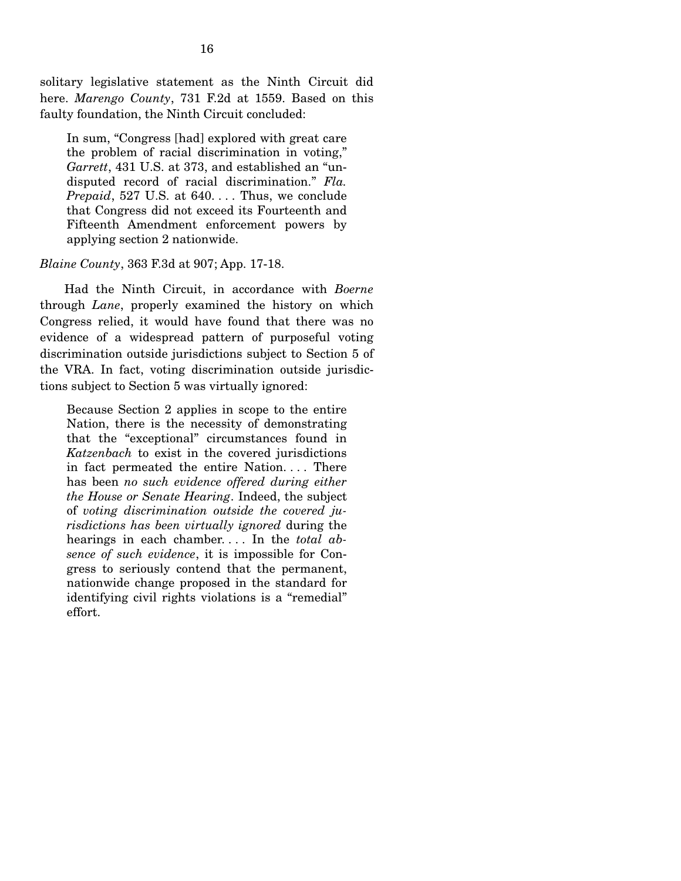solitary legislative statement as the Ninth Circuit did here. *Marengo County*, 731 F.2d at 1559. Based on this faulty foundation, the Ninth Circuit concluded:

In sum, "Congress [had] explored with great care the problem of racial discrimination in voting," *Garrett*, 431 U.S. at 373, and established an "undisputed record of racial discrimination." *Fla. Prepaid*, 527 U.S. at 640. . . . Thus, we conclude that Congress did not exceed its Fourteenth and Fifteenth Amendment enforcement powers by applying section 2 nationwide.

#### *Blaine County*, 363 F.3d at 907; App. 17-18.

 Had the Ninth Circuit, in accordance with *Boerne* through *Lane*, properly examined the history on which Congress relied, it would have found that there was no evidence of a widespread pattern of purposeful voting discrimination outside jurisdictions subject to Section 5 of the VRA. In fact, voting discrimination outside jurisdictions subject to Section 5 was virtually ignored:

Because Section 2 applies in scope to the entire Nation, there is the necessity of demonstrating that the "exceptional" circumstances found in *Katzenbach* to exist in the covered jurisdictions in fact permeated the entire Nation. . . . There has been *no such evidence offered during either the House or Senate Hearing*. Indeed, the subject of *voting discrimination outside the covered jurisdictions has been virtually ignored* during the hearings in each chamber. . . . In the *total absence of such evidence*, it is impossible for Congress to seriously contend that the permanent, nationwide change proposed in the standard for identifying civil rights violations is a "remedial" effort.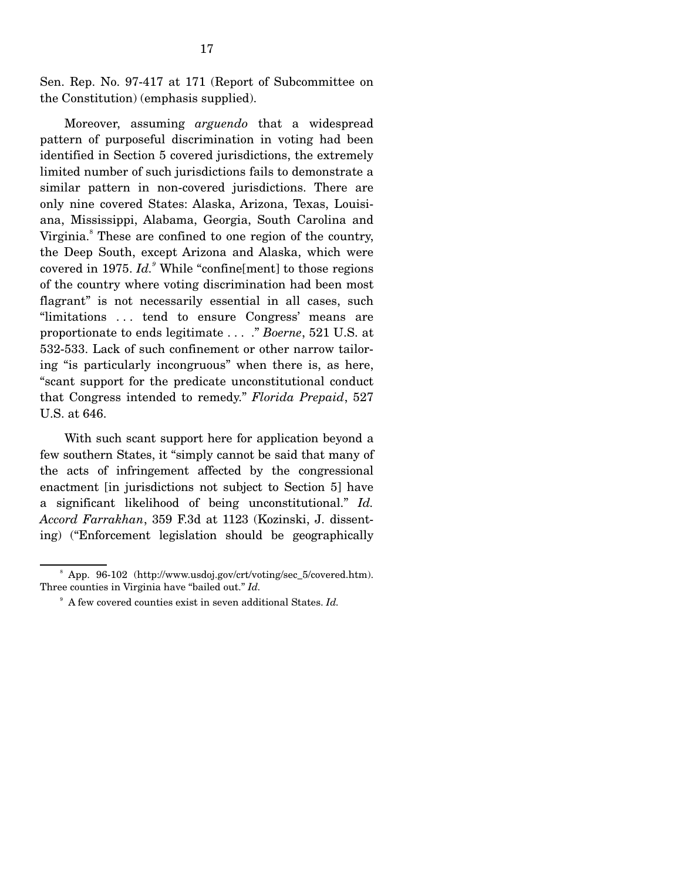Sen. Rep. No. 97-417 at 171 (Report of Subcommittee on the Constitution) (emphasis supplied).

 Moreover, assuming *arguendo* that a widespread pattern of purposeful discrimination in voting had been identified in Section 5 covered jurisdictions, the extremely limited number of such jurisdictions fails to demonstrate a similar pattern in non-covered jurisdictions. There are only nine covered States: Alaska, Arizona, Texas, Louisiana, Mississippi, Alabama, Georgia, South Carolina and Virginia.<sup>8</sup> These are confined to one region of the country, the Deep South, except Arizona and Alaska, which were covered in 1975. *Id.*<sup>9</sup> While "confine[ment] to those regions of the country where voting discrimination had been most flagrant" is not necessarily essential in all cases, such "limitations . . . tend to ensure Congress' means are proportionate to ends legitimate . . . ." *Boerne*, 521 U.S. at 532-533. Lack of such confinement or other narrow tailoring "is particularly incongruous" when there is, as here, "scant support for the predicate unconstitutional conduct that Congress intended to remedy." *Florida Prepaid*, 527 U.S. at 646.

 With such scant support here for application beyond a few southern States, it "simply cannot be said that many of the acts of infringement affected by the congressional enactment [in jurisdictions not subject to Section 5] have a significant likelihood of being unconstitutional." *Id. Accord Farrakhan*, 359 F.3d at 1123 (Kozinski, J. dissenting) ("Enforcement legislation should be geographically

<sup>8</sup> App. 96-102 (http://www.usdoj.gov/crt/voting/sec\_5/covered.htm). Three counties in Virginia have "bailed out." *Id.*

<sup>&</sup>lt;sup>9</sup> A few covered counties exist in seven additional States. *Id.*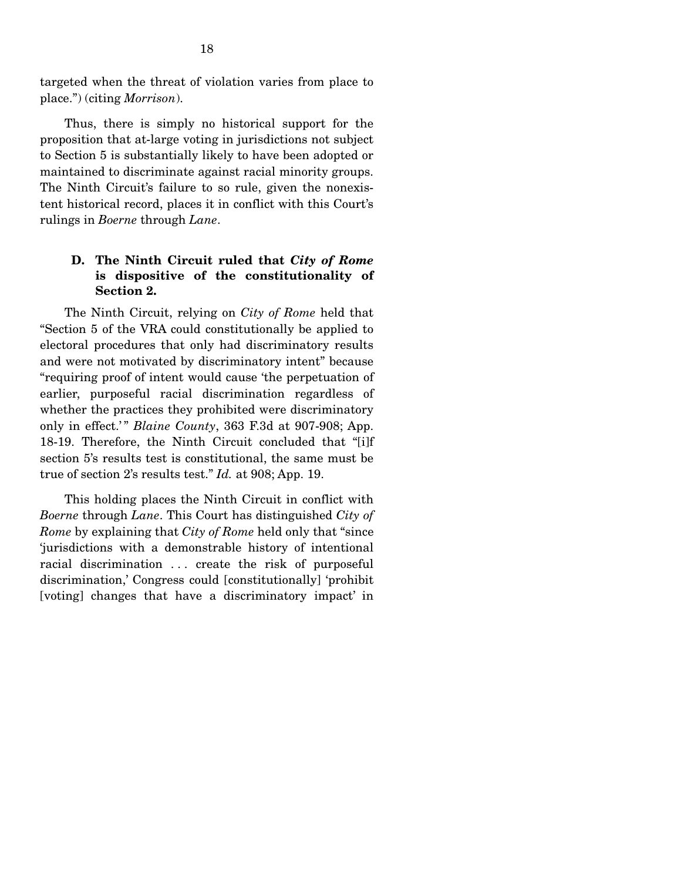targeted when the threat of violation varies from place to place.") (citing *Morrison*).

 Thus, there is simply no historical support for the proposition that at-large voting in jurisdictions not subject to Section 5 is substantially likely to have been adopted or maintained to discriminate against racial minority groups. The Ninth Circuit's failure to so rule, given the nonexistent historical record, places it in conflict with this Court's rulings in *Boerne* through *Lane*.

## **D. The Ninth Circuit ruled that** *City of Rome*  **is dispositive of the constitutionality of Section 2.**

 The Ninth Circuit, relying on *City of Rome* held that "Section 5 of the VRA could constitutionally be applied to electoral procedures that only had discriminatory results and were not motivated by discriminatory intent" because "requiring proof of intent would cause 'the perpetuation of earlier, purposeful racial discrimination regardless of whether the practices they prohibited were discriminatory only in effect.'" *Blaine County*, 363 F.3d at 907-908; App. 18-19. Therefore, the Ninth Circuit concluded that "[i]f section 5's results test is constitutional, the same must be true of section 2's results test." *Id.* at 908; App. 19.

 This holding places the Ninth Circuit in conflict with *Boerne* through *Lane*. This Court has distinguished *City of Rome* by explaining that *City of Rome* held only that "since 'jurisdictions with a demonstrable history of intentional racial discrimination . . . create the risk of purposeful discrimination,' Congress could [constitutionally] 'prohibit [voting] changes that have a discriminatory impact' in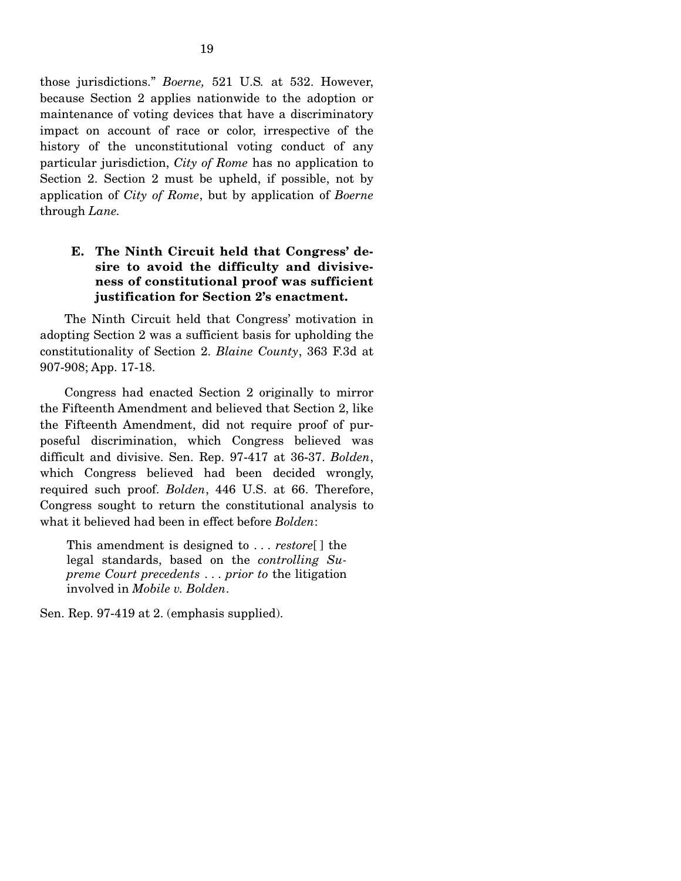those jurisdictions." *Boerne,* 521 U.S*.* at 532. However, because Section 2 applies nationwide to the adoption or maintenance of voting devices that have a discriminatory impact on account of race or color, irrespective of the history of the unconstitutional voting conduct of any particular jurisdiction, *City of Rome* has no application to Section 2. Section 2 must be upheld, if possible, not by application of *City of Rome*, but by application of *Boerne* through *Lane.*

### **E. The Ninth Circuit held that Congress' desire to avoid the difficulty and divisiveness of constitutional proof was sufficient justification for Section 2's enactment.**

 The Ninth Circuit held that Congress' motivation in adopting Section 2 was a sufficient basis for upholding the constitutionality of Section 2. *Blaine County*, 363 F.3d at 907-908; App. 17-18.

 Congress had enacted Section 2 originally to mirror the Fifteenth Amendment and believed that Section 2, like the Fifteenth Amendment, did not require proof of purposeful discrimination, which Congress believed was difficult and divisive. Sen. Rep. 97-417 at 36-37. *Bolden*, which Congress believed had been decided wrongly, required such proof. *Bolden*, 446 U.S. at 66. Therefore, Congress sought to return the constitutional analysis to what it believed had been in effect before *Bolden*:

This amendment is designed to . . . *restore*[ ] the legal standards, based on the *controlling Supreme Court precedents* . . . *prior to* the litigation involved in *Mobile v. Bolden*.

Sen. Rep. 97-419 at 2. (emphasis supplied).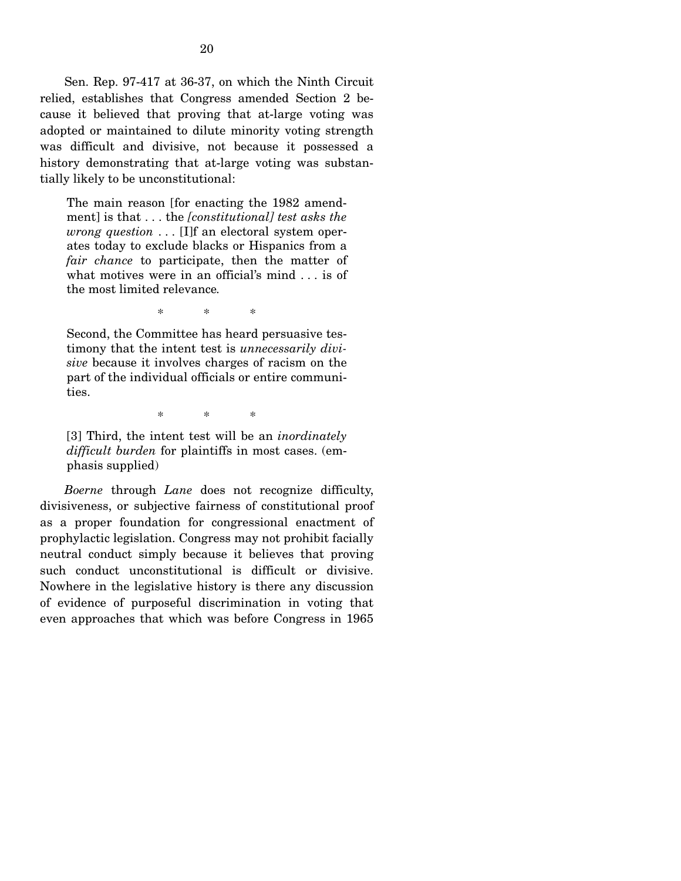Sen. Rep. 97-417 at 36-37, on which the Ninth Circuit relied, establishes that Congress amended Section 2 because it believed that proving that at-large voting was adopted or maintained to dilute minority voting strength was difficult and divisive, not because it possessed a history demonstrating that at-large voting was substantially likely to be unconstitutional:

The main reason [for enacting the 1982 amendment] is that . . . the *[constitutional] test asks the wrong question* . . . [I]f an electoral system operates today to exclude blacks or Hispanics from a *fair chance* to participate, then the matter of what motives were in an official's mind . . . is of the most limited relevance*.*

\* \* \*

Second, the Committee has heard persuasive testimony that the intent test is *unnecessarily divisive* because it involves charges of racism on the part of the individual officials or entire communities.

\* \* \*

[3] Third, the intent test will be an *inordinately difficult burden* for plaintiffs in most cases. (emphasis supplied)

 *Boerne* through *Lane* does not recognize difficulty, divisiveness, or subjective fairness of constitutional proof as a proper foundation for congressional enactment of prophylactic legislation. Congress may not prohibit facially neutral conduct simply because it believes that proving such conduct unconstitutional is difficult or divisive. Nowhere in the legislative history is there any discussion of evidence of purposeful discrimination in voting that even approaches that which was before Congress in 1965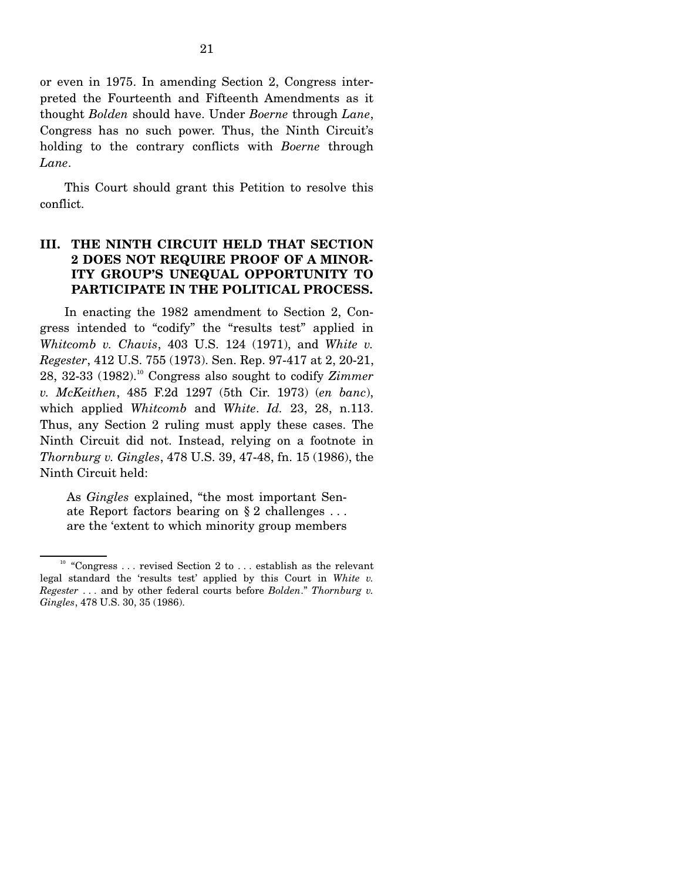or even in 1975. In amending Section 2, Congress interpreted the Fourteenth and Fifteenth Amendments as it thought *Bolden* should have. Under *Boerne* through *Lane*, Congress has no such power. Thus, the Ninth Circuit's holding to the contrary conflicts with *Boerne* through *Lane*.

 This Court should grant this Petition to resolve this conflict.

### **III. THE NINTH CIRCUIT HELD THAT SECTION 2 DOES NOT REQUIRE PROOF OF A MINOR-ITY GROUP'S UNEQUAL OPPORTUNITY TO PARTICIPATE IN THE POLITICAL PROCESS.**

 In enacting the 1982 amendment to Section 2, Congress intended to "codify" the "results test" applied in *Whitcomb v. Chavis*, 403 U.S. 124 (1971), and *White v. Regester*, 412 U.S. 755 (1973). Sen. Rep. 97-417 at 2, 20-21, 28, 32-33 (1982).10 Congress also sought to codify *Zimmer v. McKeithen*, 485 F.2d 1297 (5th Cir. 1973) (*en banc*), which applied *Whitcomb* and *White*. *Id.* 23, 28, n.113. Thus, any Section 2 ruling must apply these cases. The Ninth Circuit did not. Instead, relying on a footnote in *Thornburg v. Gingles*, 478 U.S. 39, 47-48, fn. 15 (1986), the Ninth Circuit held:

As *Gingles* explained, "the most important Senate Report factors bearing on § 2 challenges . . . are the 'extent to which minority group members

<sup>&</sup>lt;sup>10</sup> "Congress ... revised Section 2 to ... establish as the relevant legal standard the 'results test' applied by this Court in *White v. Regester* . . . and by other federal courts before *Bolden*." *Thornburg v. Gingles*, 478 U.S. 30, 35 (1986).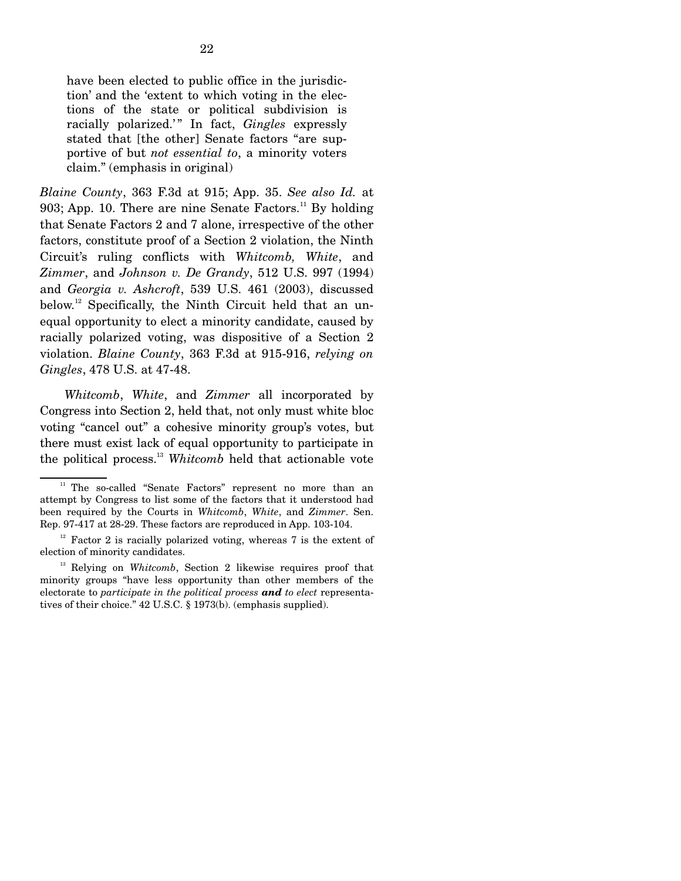*Blaine County*, 363 F.3d at 915; App. 35. *See also Id.* at 903; App. 10. There are nine Senate Factors.<sup>11</sup> By holding that Senate Factors 2 and 7 alone, irrespective of the other factors, constitute proof of a Section 2 violation, the Ninth Circuit's ruling conflicts with *Whitcomb, White*, and *Zimmer*, and *Johnson v. De Grandy*, 512 U.S. 997 (1994) and *Georgia v. Ashcroft*, 539 U.S. 461 (2003), discussed below.12 Specifically, the Ninth Circuit held that an unequal opportunity to elect a minority candidate, caused by racially polarized voting, was dispositive of a Section 2 violation. *Blaine County*, 363 F.3d at 915-916, *relying on Gingles*, 478 U.S. at 47-48.

 *Whitcomb*, *White*, and *Zimmer* all incorporated by Congress into Section 2, held that, not only must white bloc voting "cancel out" a cohesive minority group's votes, but there must exist lack of equal opportunity to participate in the political process.13 *Whitcomb* held that actionable vote

<sup>&</sup>lt;sup>11</sup> The so-called "Senate Factors" represent no more than an attempt by Congress to list some of the factors that it understood had been required by the Courts in *Whitcomb*, *White*, and *Zimmer*. Sen. Rep. 97-417 at 28-29. These factors are reproduced in App. 103-104.

 $12$  Factor 2 is racially polarized voting, whereas 7 is the extent of election of minority candidates.

<sup>&</sup>lt;sup>13</sup> Relying on *Whitcomb*, Section 2 likewise requires proof that minority groups "have less opportunity than other members of the electorate to *participate in the political process and to elect* representatives of their choice." 42 U.S.C. § 1973(b). (emphasis supplied).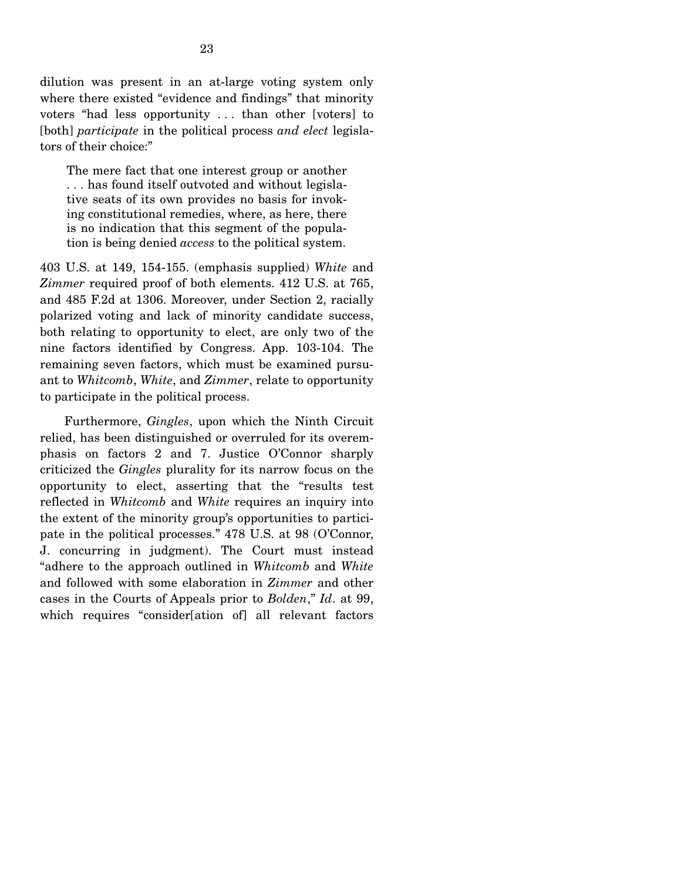dilution was present in an at-large voting system only where there existed "evidence and findings" that minority voters "had less opportunity . . . than other [voters] to [both] *participate* in the political process *and elect* legislators of their choice:"

The mere fact that one interest group or another . . . has found itself outvoted and without legislative seats of its own provides no basis for invoking constitutional remedies, where, as here, there is no indication that this segment of the population is being denied *access* to the political system.

403 U.S. at 149, 154-155. (emphasis supplied) *White* and *Zimmer* required proof of both elements. 412 U.S. at 765, and 485 F.2d at 1306. Moreover, under Section 2, racially polarized voting and lack of minority candidate success, both relating to opportunity to elect, are only two of the nine factors identified by Congress. App. 103-104. The remaining seven factors, which must be examined pursuant to *Whitcomb*, *White*, and *Zimmer*, relate to opportunity to participate in the political process.

 Furthermore, *Gingles*, upon which the Ninth Circuit relied, has been distinguished or overruled for its overemphasis on factors 2 and 7. Justice O'Connor sharply criticized the *Gingles* plurality for its narrow focus on the opportunity to elect, asserting that the "results test reflected in *Whitcomb* and *White* requires an inquiry into the extent of the minority group's opportunities to participate in the political processes." 478 U.S. at 98 (O'Connor, J. concurring in judgment). The Court must instead "adhere to the approach outlined in *Whitcomb* and *White* and followed with some elaboration in *Zimmer* and other cases in the Courts of Appeals prior to *Bolden*," *Id*. at 99, which requires "consider[ation of] all relevant factors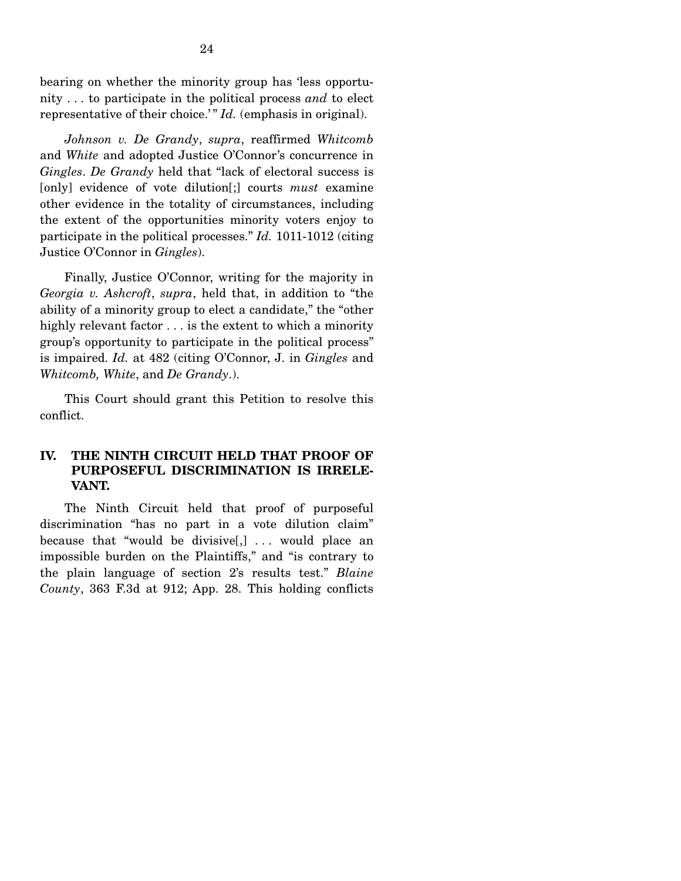bearing on whether the minority group has 'less opportunity . . . to participate in the political process *and* to elect representative of their choice.'" *Id.* (emphasis in original).

 *Johnson v. De Grandy*, *supra*, reaffirmed *Whitcomb*  and *White* and adopted Justice O'Connor's concurrence in *Gingles*. *De Grandy* held that "lack of electoral success is [only] evidence of vote dilution[;] courts *must* examine other evidence in the totality of circumstances, including the extent of the opportunities minority voters enjoy to participate in the political processes." *Id.* 1011-1012 (citing Justice O'Connor in *Gingles*).

 Finally, Justice O'Connor, writing for the majority in *Georgia v. Ashcroft*, *supra*, held that, in addition to "the ability of a minority group to elect a candidate," the "other highly relevant factor . . . is the extent to which a minority group's opportunity to participate in the political process" is impaired. *Id.* at 482 (citing O'Connor, J. in *Gingles* and *Whitcomb, White*, and *De Grandy*.).

 This Court should grant this Petition to resolve this conflict.

## **IV. THE NINTH CIRCUIT HELD THAT PROOF OF PURPOSEFUL DISCRIMINATION IS IRRELE-VANT.**

 The Ninth Circuit held that proof of purposeful discrimination "has no part in a vote dilution claim" because that "would be divisive[,] . . . would place an impossible burden on the Plaintiffs," and "is contrary to the plain language of section 2's results test." *Blaine County*, 363 F.3d at 912; App. 28. This holding conflicts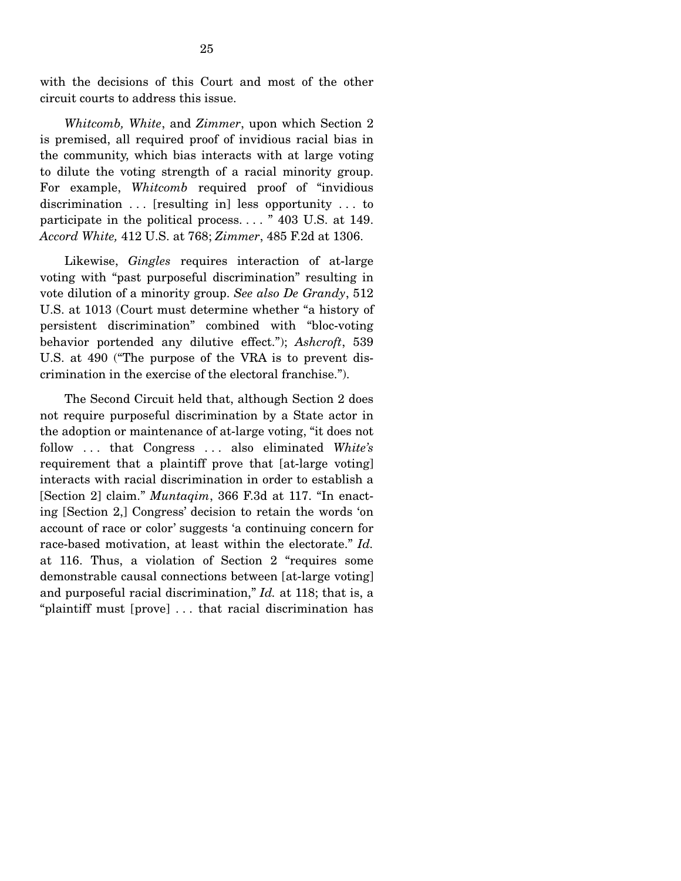with the decisions of this Court and most of the other circuit courts to address this issue.

 *Whitcomb, White*, and *Zimmer*, upon which Section 2 is premised, all required proof of invidious racial bias in the community, which bias interacts with at large voting to dilute the voting strength of a racial minority group. For example, *Whitcomb* required proof of "invidious discrimination ... [resulting in] less opportunity ... to participate in the political process. . . . " 403 U.S. at 149. *Accord White,* 412 U.S. at 768; *Zimmer*, 485 F.2d at 1306.

 Likewise, *Gingles* requires interaction of at-large voting with "past purposeful discrimination" resulting in vote dilution of a minority group. *See also De Grandy*, 512 U.S. at 1013 (Court must determine whether "a history of persistent discrimination" combined with "bloc-voting behavior portended any dilutive effect."); *Ashcroft*, 539 U.S. at 490 ("The purpose of the VRA is to prevent discrimination in the exercise of the electoral franchise.").

 The Second Circuit held that, although Section 2 does not require purposeful discrimination by a State actor in the adoption or maintenance of at-large voting, "it does not follow . . . that Congress . . . also eliminated *White's* requirement that a plaintiff prove that [at-large voting] interacts with racial discrimination in order to establish a [Section 2] claim." *Muntaqim*, 366 F.3d at 117. "In enacting [Section 2,] Congress' decision to retain the words 'on account of race or color' suggests 'a continuing concern for race-based motivation, at least within the electorate." *Id.* at 116. Thus, a violation of Section 2 "requires some demonstrable causal connections between [at-large voting] and purposeful racial discrimination," *Id.* at 118; that is, a "plaintiff must [prove] . . . that racial discrimination has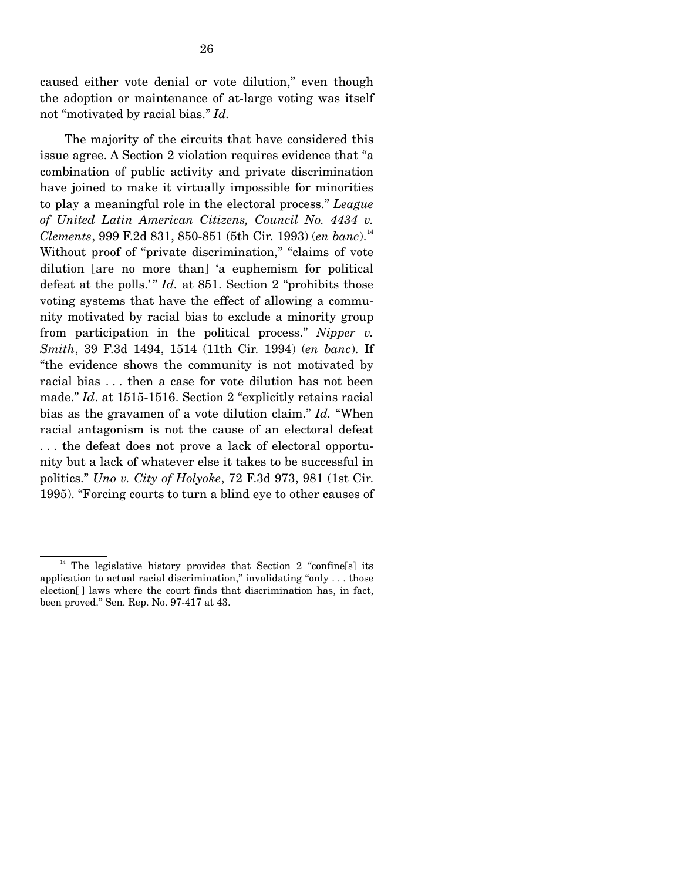caused either vote denial or vote dilution," even though the adoption or maintenance of at-large voting was itself not "motivated by racial bias." *Id.*

 The majority of the circuits that have considered this issue agree. A Section 2 violation requires evidence that "a combination of public activity and private discrimination have joined to make it virtually impossible for minorities to play a meaningful role in the electoral process." *League of United Latin American Citizens, Council No. 4434 v. Clements*, 999 F.2d 831, 850-851 (5th Cir. 1993) (*en banc*).<sup>14</sup> Without proof of "private discrimination," "claims of vote dilution [are no more than] 'a euphemism for political defeat at the polls.'" *Id.* at 851. Section 2 "prohibits those voting systems that have the effect of allowing a community motivated by racial bias to exclude a minority group from participation in the political process." *Nipper v. Smith*, 39 F.3d 1494, 1514 (11th Cir. 1994) (*en banc*). If "the evidence shows the community is not motivated by racial bias . . . then a case for vote dilution has not been made." *Id*. at 1515-1516. Section 2 "explicitly retains racial bias as the gravamen of a vote dilution claim." *Id.* "When racial antagonism is not the cause of an electoral defeat . . . the defeat does not prove a lack of electoral opportunity but a lack of whatever else it takes to be successful in politics." *Uno v. City of Holyoke*, 72 F.3d 973, 981 (1st Cir. 1995). "Forcing courts to turn a blind eye to other causes of

 $14$  The legislative history provides that Section 2 "confine[s] its application to actual racial discrimination," invalidating "only . . . those election laws where the court finds that discrimination has, in fact, been proved." Sen. Rep. No. 97-417 at 43.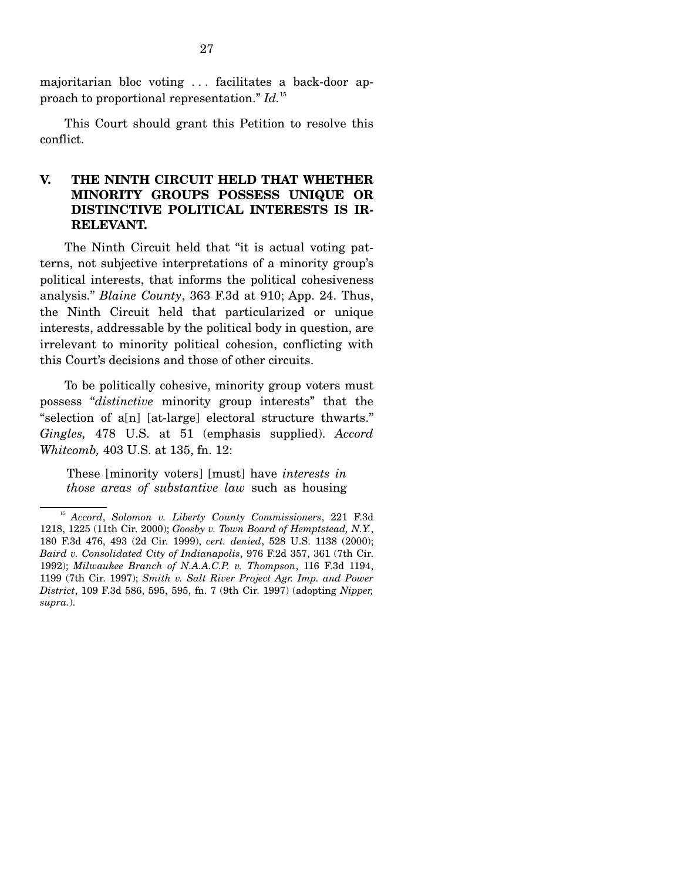majoritarian bloc voting . . . facilitates a back-door approach to proportional representation." *Id.*<sup>15</sup>

 This Court should grant this Petition to resolve this conflict.

# **V. THE NINTH CIRCUIT HELD THAT WHETHER MINORITY GROUPS POSSESS UNIQUE OR DISTINCTIVE POLITICAL INTERESTS IS IR-RELEVANT.**

 The Ninth Circuit held that "it is actual voting patterns, not subjective interpretations of a minority group's political interests, that informs the political cohesiveness analysis." *Blaine County*, 363 F.3d at 910; App. 24. Thus, the Ninth Circuit held that particularized or unique interests, addressable by the political body in question, are irrelevant to minority political cohesion, conflicting with this Court's decisions and those of other circuits.

 To be politically cohesive, minority group voters must possess "*distinctive* minority group interests" that the "selection of a[n] [at-large] electoral structure thwarts." *Gingles,* 478 U.S. at 51 (emphasis supplied). *Accord Whitcomb,* 403 U.S. at 135, fn. 12:

These [minority voters] [must] have *interests in those areas of substantive law* such as housing

<sup>15</sup> *Accord*, *Solomon v. Liberty County Commissioners*, 221 F.3d 1218, 1225 (11th Cir. 2000); *Goosby v. Town Board of Hemptstead, N.Y.*, 180 F.3d 476, 493 (2d Cir. 1999), *cert. denied*, 528 U.S. 1138 (2000); *Baird v. Consolidated City of Indianapolis*, 976 F.2d 357, 361 (7th Cir. 1992); *Milwaukee Branch of N.A.A.C.P. v. Thompson*, 116 F.3d 1194, 1199 (7th Cir. 1997); *Smith v. Salt River Project Agr. Imp. and Power District*, 109 F.3d 586, 595, 595, fn. 7 (9th Cir. 1997) (adopting *Nipper, supra.*).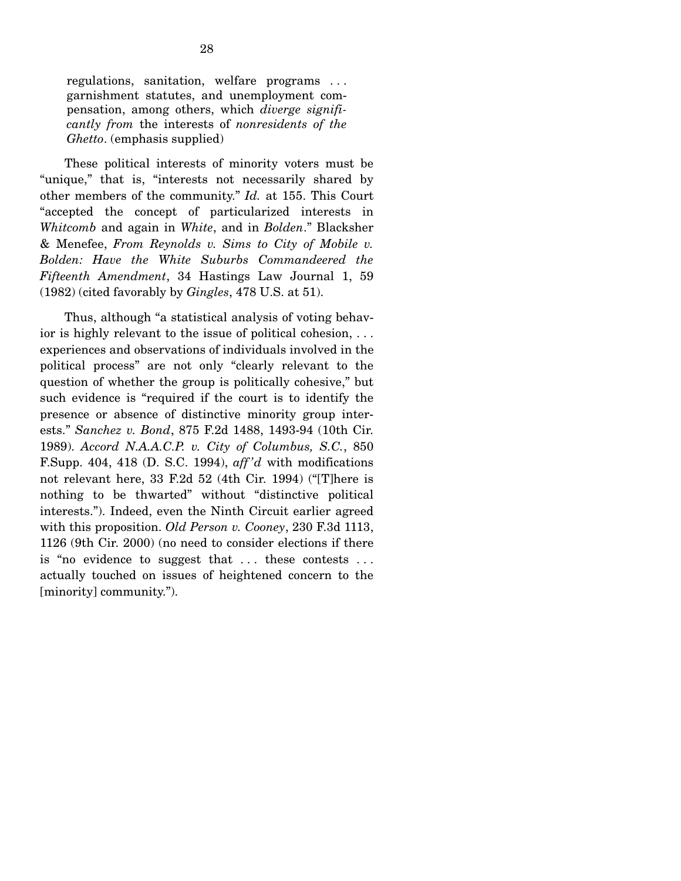regulations, sanitation, welfare programs . . . garnishment statutes, and unemployment compensation, among others, which *diverge significantly from* the interests of *nonresidents of the Ghetto*. (emphasis supplied)

 These political interests of minority voters must be "unique," that is, "interests not necessarily shared by other members of the community." *Id.* at 155. This Court "accepted the concept of particularized interests in *Whitcomb* and again in *White*, and in *Bolden*." Blacksher & Menefee, *From Reynolds v. Sims to City of Mobile v. Bolden: Have the White Suburbs Commandeered the Fifteenth Amendment*, 34 Hastings Law Journal 1, 59 (1982) (cited favorably by *Gingles*, 478 U.S. at 51).

 Thus, although "a statistical analysis of voting behavior is highly relevant to the issue of political cohesion, . . . experiences and observations of individuals involved in the political process" are not only "clearly relevant to the question of whether the group is politically cohesive," but such evidence is "required if the court is to identify the presence or absence of distinctive minority group interests." *Sanchez v. Bond*, 875 F.2d 1488, 1493-94 (10th Cir. 1989). *Accord N.A.A.C.P. v. City of Columbus, S.C.*, 850 F.Supp. 404, 418 (D. S.C. 1994), *aff 'd* with modifications not relevant here, 33 F.2d 52 (4th Cir. 1994) ("[T]here is nothing to be thwarted" without "distinctive political interests."). Indeed, even the Ninth Circuit earlier agreed with this proposition. *Old Person v. Cooney*, 230 F.3d 1113, 1126 (9th Cir. 2000) (no need to consider elections if there is "no evidence to suggest that  $\dots$  these contests  $\dots$ actually touched on issues of heightened concern to the [minority] community.").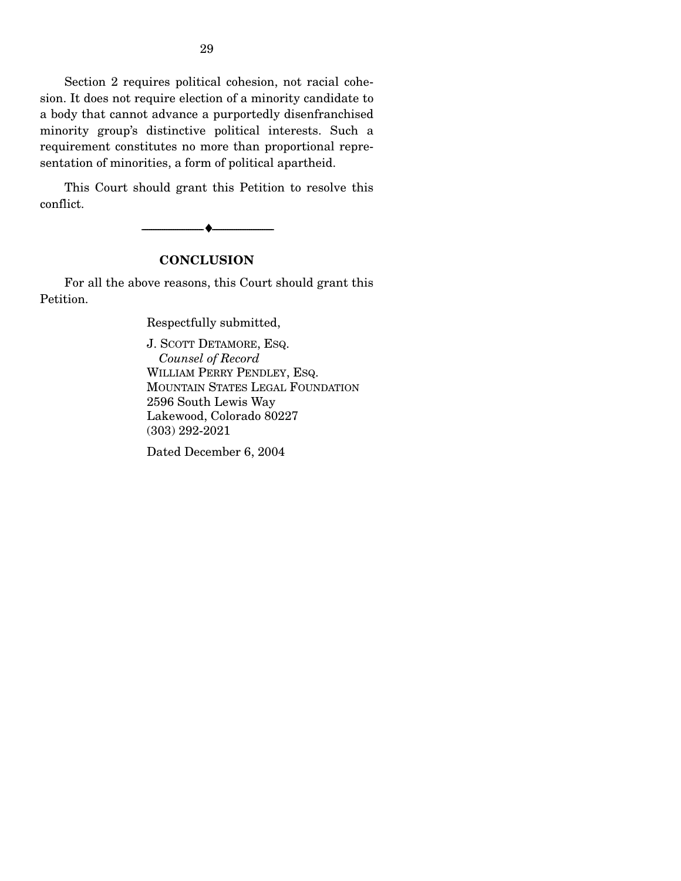Section 2 requires political cohesion, not racial cohesion. It does not require election of a minority candidate to a body that cannot advance a purportedly disenfranchised minority group's distinctive political interests. Such a requirement constitutes no more than proportional representation of minorities, a form of political apartheid.

 This Court should grant this Petition to resolve this conflict.

--------------------------------- ♦ ---------------------------------

# **CONCLUSION**

 For all the above reasons, this Court should grant this Petition.

Respectfully submitted,

J. SCOTT DETAMORE, ESQ. *Counsel of Record* WILLIAM PERRY PENDLEY, ESQ. MOUNTAIN STATES LEGAL FOUNDATION 2596 South Lewis Way Lakewood, Colorado 80227 (303) 292-2021

Dated December 6, 2004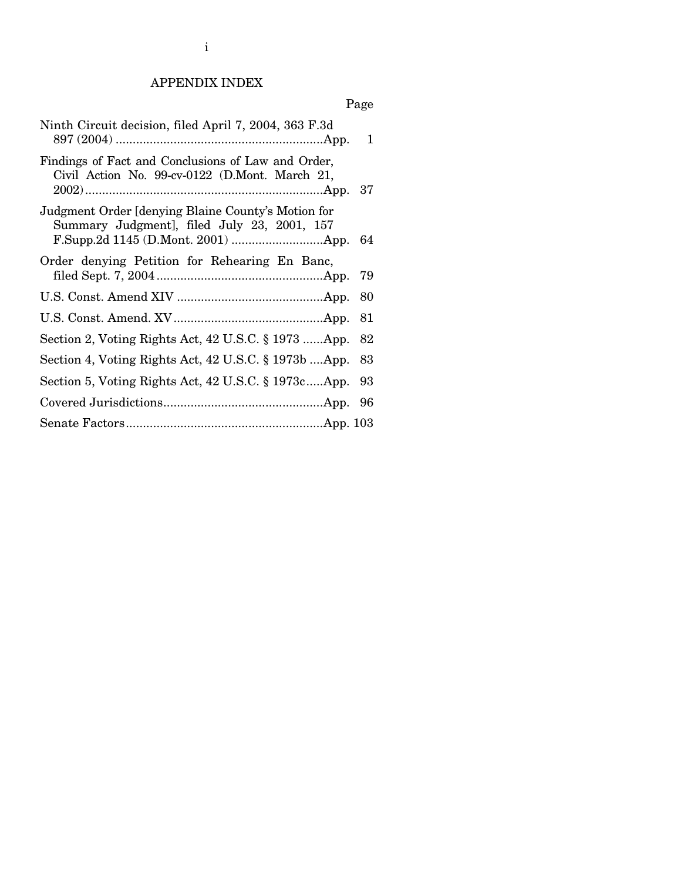# APPENDIX INDEX

| Ninth Circuit decision, filed April 7, 2004, 363 F.3d                                                |      |
|------------------------------------------------------------------------------------------------------|------|
| Findings of Fact and Conclusions of Law and Order,<br>Civil Action No. 99-cv-0122 (D.Mont. March 21, |      |
| Judgment Order [denying Blaine County's Motion for<br>Summary Judgment], filed July 23, 2001, 157    |      |
| Order denying Petition for Rehearing En Banc,                                                        |      |
|                                                                                                      | -80  |
|                                                                                                      | - 81 |
| Section 2, Voting Rights Act, 42 U.S.C. § 1973 App.                                                  | -82  |
| Section 4, Voting Rights Act, 42 U.S.C. § 1973b App.                                                 | 83   |
| Section 5, Voting Rights Act, 42 U.S.C. § 1973cApp.                                                  | 93   |
|                                                                                                      |      |
|                                                                                                      |      |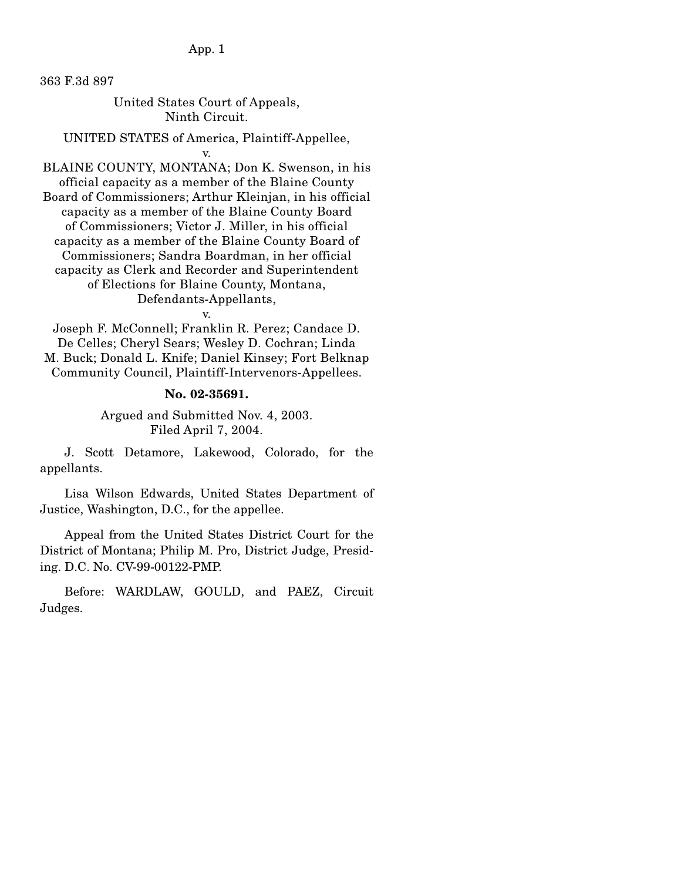# App. 1

363 F.3d 897

## United States Court of Appeals, Ninth Circuit.

# UNITED STATES of America, Plaintiff-Appellee,

v. BLAINE COUNTY, MONTANA; Don K. Swenson, in his official capacity as a member of the Blaine County Board of Commissioners; Arthur Kleinjan, in his official capacity as a member of the Blaine County Board of Commissioners; Victor J. Miller, in his official capacity as a member of the Blaine County Board of Commissioners; Sandra Boardman, in her official capacity as Clerk and Recorder and Superintendent of Elections for Blaine County, Montana, Defendants-Appellants,

v.

Joseph F. McConnell; Franklin R. Perez; Candace D. De Celles; Cheryl Sears; Wesley D. Cochran; Linda M. Buck; Donald L. Knife; Daniel Kinsey; Fort Belknap Community Council, Plaintiff-Intervenors-Appellees.

## **No. 02-35691.**

Argued and Submitted Nov. 4, 2003. Filed April 7, 2004.

 J. Scott Detamore, Lakewood, Colorado, for the appellants.

 Lisa Wilson Edwards, United States Department of Justice, Washington, D.C., for the appellee.

 Appeal from the United States District Court for the District of Montana; Philip M. Pro, District Judge, Presiding. D.C. No. CV-99-00122-PMP.

 Before: WARDLAW, GOULD, and PAEZ, Circuit Judges.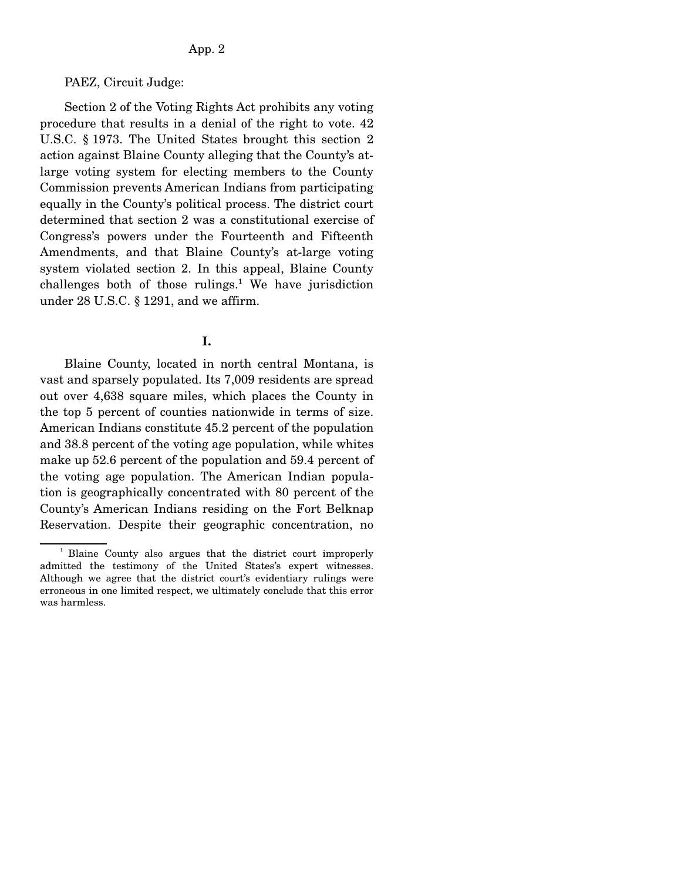#### PAEZ, Circuit Judge:

 Section 2 of the Voting Rights Act prohibits any voting procedure that results in a denial of the right to vote. 42 U.S.C. § 1973. The United States brought this section 2 action against Blaine County alleging that the County's atlarge voting system for electing members to the County Commission prevents American Indians from participating equally in the County's political process. The district court determined that section 2 was a constitutional exercise of Congress's powers under the Fourteenth and Fifteenth Amendments, and that Blaine County's at-large voting system violated section 2. In this appeal, Blaine County challenges both of those rulings.<sup>1</sup> We have jurisdiction under 28 U.S.C. § 1291, and we affirm.

## **I.**

 Blaine County, located in north central Montana, is vast and sparsely populated. Its 7,009 residents are spread out over 4,638 square miles, which places the County in the top 5 percent of counties nationwide in terms of size. American Indians constitute 45.2 percent of the population and 38.8 percent of the voting age population, while whites make up 52.6 percent of the population and 59.4 percent of the voting age population. The American Indian population is geographically concentrated with 80 percent of the County's American Indians residing on the Fort Belknap Reservation. Despite their geographic concentration, no

 $\frac{1}{2}$  Blaine County also argues that the district court improperly admitted the testimony of the United States's expert witnesses. Although we agree that the district court's evidentiary rulings were erroneous in one limited respect, we ultimately conclude that this error was harmless.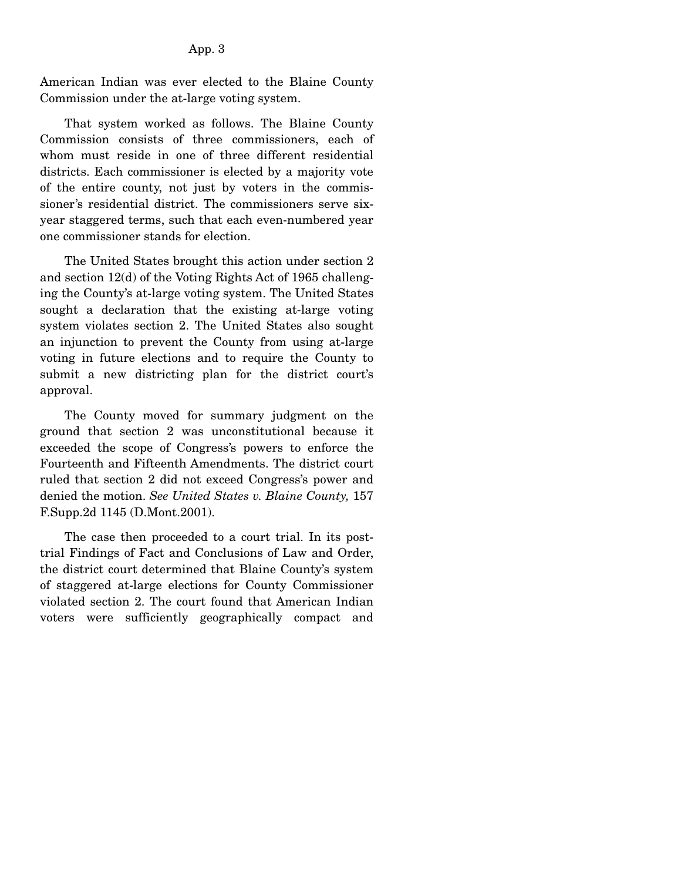American Indian was ever elected to the Blaine County Commission under the at-large voting system.

 That system worked as follows. The Blaine County Commission consists of three commissioners, each of whom must reside in one of three different residential districts. Each commissioner is elected by a majority vote of the entire county, not just by voters in the commissioner's residential district. The commissioners serve sixyear staggered terms, such that each even-numbered year one commissioner stands for election.

 The United States brought this action under section 2 and section 12(d) of the Voting Rights Act of 1965 challenging the County's at-large voting system. The United States sought a declaration that the existing at-large voting system violates section 2. The United States also sought an injunction to prevent the County from using at-large voting in future elections and to require the County to submit a new districting plan for the district court's approval.

 The County moved for summary judgment on the ground that section 2 was unconstitutional because it exceeded the scope of Congress's powers to enforce the Fourteenth and Fifteenth Amendments. The district court ruled that section 2 did not exceed Congress's power and denied the motion. *See United States v. Blaine County,* 157 F.Supp.2d 1145 (D.Mont.2001).

 The case then proceeded to a court trial. In its posttrial Findings of Fact and Conclusions of Law and Order, the district court determined that Blaine County's system of staggered at-large elections for County Commissioner violated section 2. The court found that American Indian voters were sufficiently geographically compact and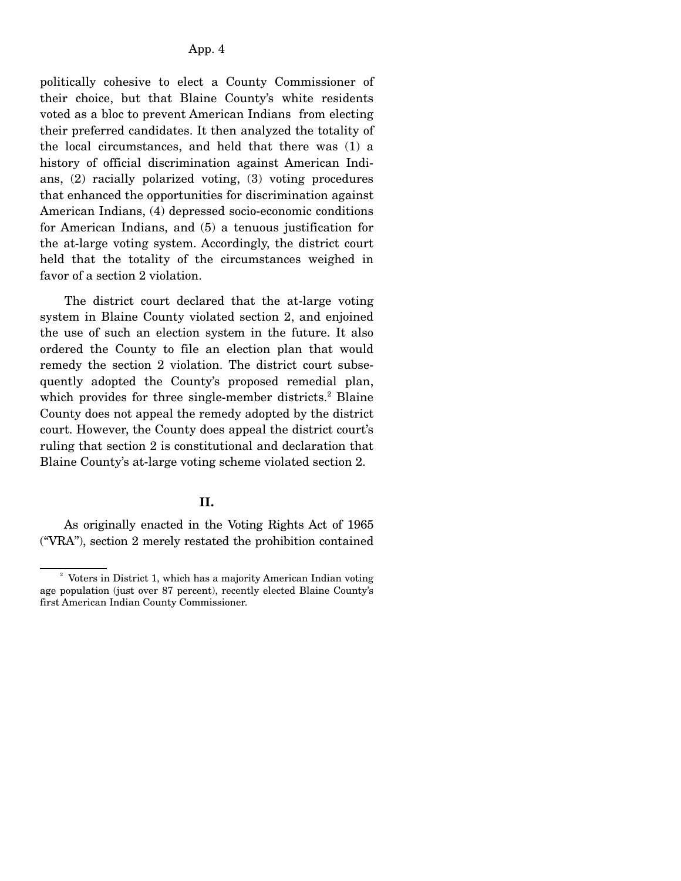politically cohesive to elect a County Commissioner of their choice, but that Blaine County's white residents voted as a bloc to prevent American Indians from electing their preferred candidates. It then analyzed the totality of the local circumstances, and held that there was (1) a history of official discrimination against American Indians, (2) racially polarized voting, (3) voting procedures that enhanced the opportunities for discrimination against American Indians, (4) depressed socio-economic conditions for American Indians, and (5) a tenuous justification for the at-large voting system. Accordingly, the district court held that the totality of the circumstances weighed in favor of a section 2 violation.

 The district court declared that the at-large voting system in Blaine County violated section 2, and enjoined the use of such an election system in the future. It also ordered the County to file an election plan that would remedy the section 2 violation. The district court subsequently adopted the County's proposed remedial plan, which provides for three single-member districts.<sup>2</sup> Blaine County does not appeal the remedy adopted by the district court. However, the County does appeal the district court's ruling that section 2 is constitutional and declaration that Blaine County's at-large voting scheme violated section 2.

#### **II.**

 As originally enacted in the Voting Rights Act of 1965 ("VRA"), section 2 merely restated the prohibition contained

<sup>&</sup>lt;sup>2</sup> Voters in District 1, which has a majority American Indian voting age population (just over 87 percent), recently elected Blaine County's first American Indian County Commissioner.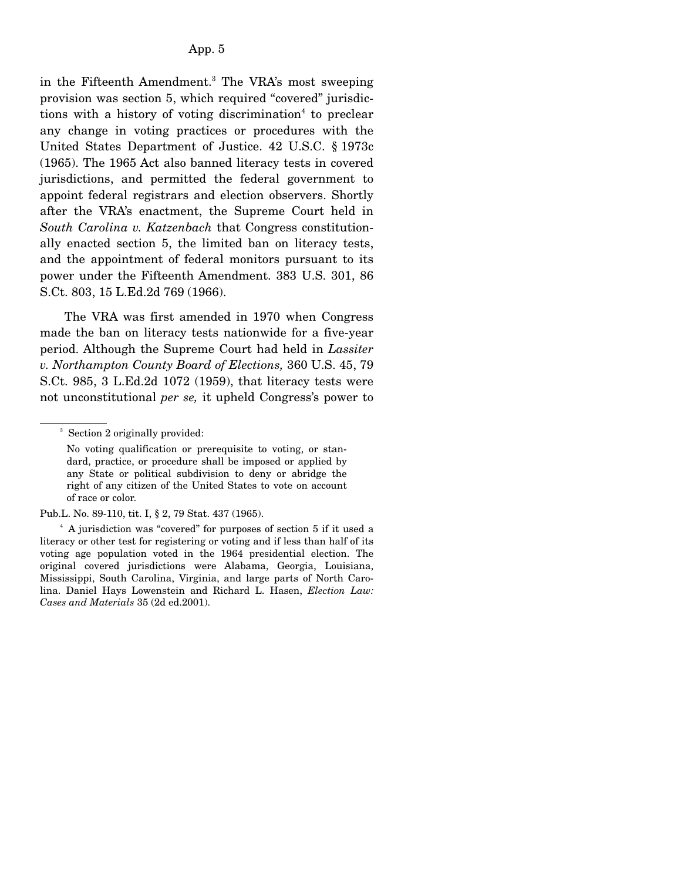in the Fifteenth Amendment.3 The VRA's most sweeping provision was section 5, which required "covered" jurisdictions with a history of voting discrimination<sup>4</sup> to preclear any change in voting practices or procedures with the United States Department of Justice. 42 U.S.C. § 1973c (1965). The 1965 Act also banned literacy tests in covered jurisdictions, and permitted the federal government to appoint federal registrars and election observers. Shortly after the VRA's enactment, the Supreme Court held in *South Carolina v. Katzenbach* that Congress constitutionally enacted section 5, the limited ban on literacy tests, and the appointment of federal monitors pursuant to its power under the Fifteenth Amendment. 383 U.S. 301, 86 S.Ct. 803, 15 L.Ed.2d 769 (1966).

 The VRA was first amended in 1970 when Congress made the ban on literacy tests nationwide for a five-year period. Although the Supreme Court had held in *Lassiter v. Northampton County Board of Elections,* 360 U.S. 45, 79 S.Ct. 985, 3 L.Ed.2d 1072 (1959), that literacy tests were not unconstitutional *per se,* it upheld Congress's power to

<sup>&</sup>lt;sup>3</sup> Section 2 originally provided:

No voting qualification or prerequisite to voting, or standard, practice, or procedure shall be imposed or applied by any State or political subdivision to deny or abridge the right of any citizen of the United States to vote on account of race or color.

Pub.L. No. 89-110, tit. I, § 2, 79 Stat. 437 (1965).

<sup>&</sup>lt;sup>4</sup> A jurisdiction was "covered" for purposes of section 5 if it used a literacy or other test for registering or voting and if less than half of its voting age population voted in the 1964 presidential election. The original covered jurisdictions were Alabama, Georgia, Louisiana, Mississippi, South Carolina, Virginia, and large parts of North Carolina. Daniel Hays Lowenstein and Richard L. Hasen, *Election Law: Cases and Materials* 35 (2d ed.2001).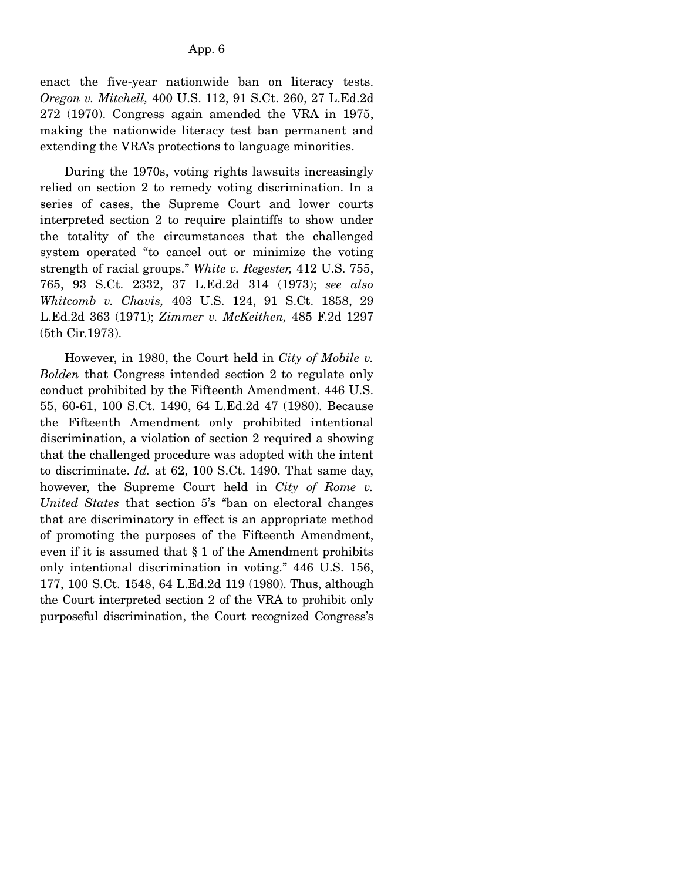enact the five-year nationwide ban on literacy tests. *Oregon v. Mitchell,* 400 U.S. 112, 91 S.Ct. 260, 27 L.Ed.2d 272 (1970). Congress again amended the VRA in 1975, making the nationwide literacy test ban permanent and extending the VRA's protections to language minorities.

 During the 1970s, voting rights lawsuits increasingly relied on section 2 to remedy voting discrimination. In a series of cases, the Supreme Court and lower courts interpreted section 2 to require plaintiffs to show under the totality of the circumstances that the challenged system operated "to cancel out or minimize the voting strength of racial groups." *White v. Regester,* 412 U.S. 755, 765, 93 S.Ct. 2332, 37 L.Ed.2d 314 (1973); *see also Whitcomb v. Chavis,* 403 U.S. 124, 91 S.Ct. 1858, 29 L.Ed.2d 363 (1971); *Zimmer v. McKeithen,* 485 F.2d 1297 (5th Cir.1973).

 However, in 1980, the Court held in *City of Mobile v. Bolden* that Congress intended section 2 to regulate only conduct prohibited by the Fifteenth Amendment. 446 U.S. 55, 60-61, 100 S.Ct. 1490, 64 L.Ed.2d 47 (1980). Because the Fifteenth Amendment only prohibited intentional discrimination, a violation of section 2 required a showing that the challenged procedure was adopted with the intent to discriminate. *Id.* at 62, 100 S.Ct. 1490. That same day, however, the Supreme Court held in *City of Rome v. United States* that section 5's "ban on electoral changes that are discriminatory in effect is an appropriate method of promoting the purposes of the Fifteenth Amendment, even if it is assumed that § 1 of the Amendment prohibits only intentional discrimination in voting." 446 U.S. 156, 177, 100 S.Ct. 1548, 64 L.Ed.2d 119 (1980). Thus, although the Court interpreted section 2 of the VRA to prohibit only purposeful discrimination, the Court recognized Congress's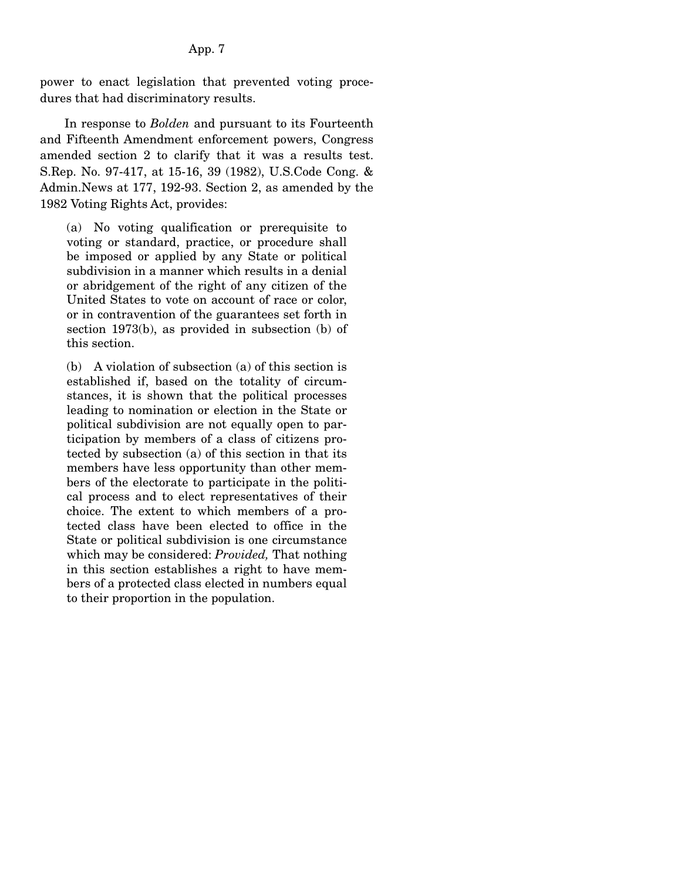power to enact legislation that prevented voting procedures that had discriminatory results.

 In response to *Bolden* and pursuant to its Fourteenth and Fifteenth Amendment enforcement powers, Congress amended section 2 to clarify that it was a results test. S.Rep. No. 97-417, at 15-16, 39 (1982), U.S.Code Cong. & Admin.News at 177, 192-93. Section 2, as amended by the 1982 Voting Rights Act, provides:

(a) No voting qualification or prerequisite to voting or standard, practice, or procedure shall be imposed or applied by any State or political subdivision in a manner which results in a denial or abridgement of the right of any citizen of the United States to vote on account of race or color, or in contravention of the guarantees set forth in section 1973(b), as provided in subsection (b) of this section.

(b) A violation of subsection (a) of this section is established if, based on the totality of circumstances, it is shown that the political processes leading to nomination or election in the State or political subdivision are not equally open to participation by members of a class of citizens protected by subsection (a) of this section in that its members have less opportunity than other members of the electorate to participate in the political process and to elect representatives of their choice. The extent to which members of a protected class have been elected to office in the State or political subdivision is one circumstance which may be considered: *Provided,* That nothing in this section establishes a right to have members of a protected class elected in numbers equal to their proportion in the population.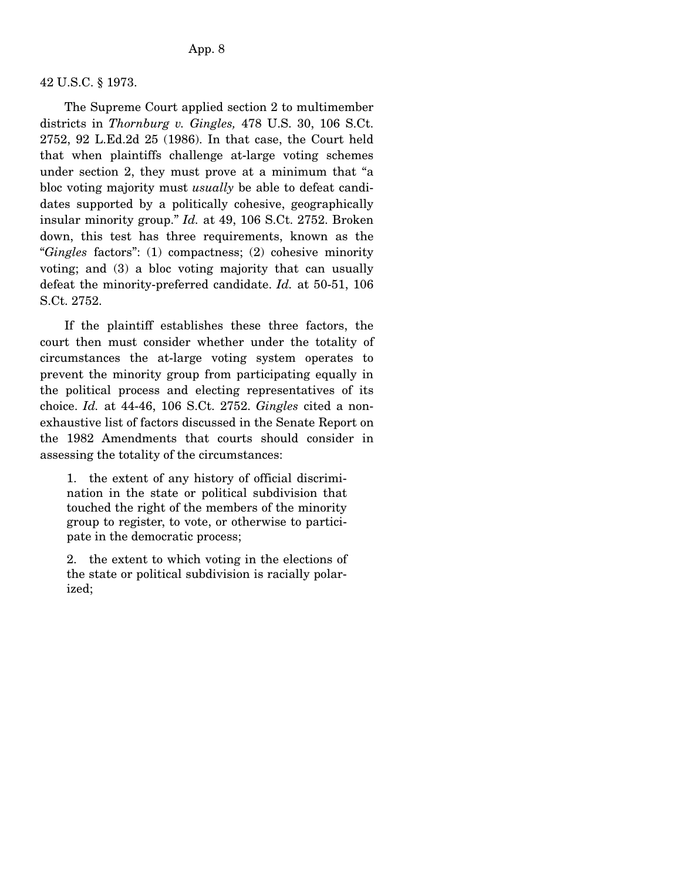#### 42 U.S.C. § 1973.

 The Supreme Court applied section 2 to multimember districts in *Thornburg v. Gingles,* 478 U.S. 30, 106 S.Ct. 2752, 92 L.Ed.2d 25 (1986). In that case, the Court held that when plaintiffs challenge at-large voting schemes under section 2, they must prove at a minimum that "a bloc voting majority must *usually* be able to defeat candidates supported by a politically cohesive, geographically insular minority group." *Id.* at 49, 106 S.Ct. 2752. Broken down, this test has three requirements, known as the "*Gingles* factors": (1) compactness; (2) cohesive minority voting; and (3) a bloc voting majority that can usually defeat the minority-preferred candidate. *Id.* at 50-51, 106 S.Ct. 2752.

 If the plaintiff establishes these three factors, the court then must consider whether under the totality of circumstances the at-large voting system operates to prevent the minority group from participating equally in the political process and electing representatives of its choice. *Id.* at 44-46, 106 S.Ct. 2752. *Gingles* cited a nonexhaustive list of factors discussed in the Senate Report on the 1982 Amendments that courts should consider in assessing the totality of the circumstances:

1. the extent of any history of official discrimination in the state or political subdivision that touched the right of the members of the minority group to register, to vote, or otherwise to participate in the democratic process;

2. the extent to which voting in the elections of the state or political subdivision is racially polarized;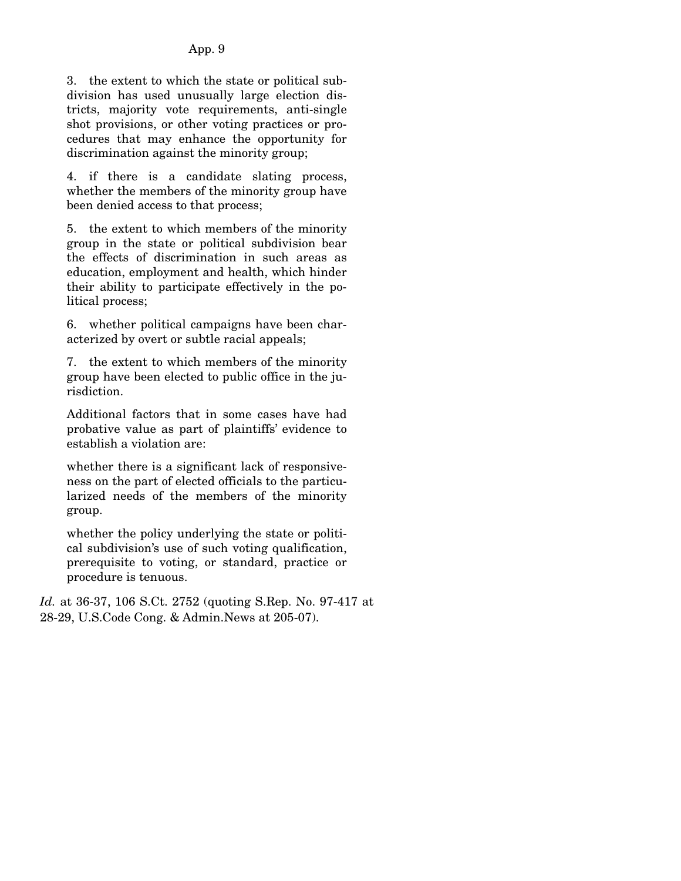3. the extent to which the state or political subdivision has used unusually large election districts, majority vote requirements, anti-single shot provisions, or other voting practices or procedures that may enhance the opportunity for discrimination against the minority group;

4. if there is a candidate slating process, whether the members of the minority group have been denied access to that process;

5. the extent to which members of the minority group in the state or political subdivision bear the effects of discrimination in such areas as education, employment and health, which hinder their ability to participate effectively in the political process;

6. whether political campaigns have been characterized by overt or subtle racial appeals;

7. the extent to which members of the minority group have been elected to public office in the jurisdiction.

Additional factors that in some cases have had probative value as part of plaintiffs' evidence to establish a violation are:

whether there is a significant lack of responsiveness on the part of elected officials to the particularized needs of the members of the minority group.

whether the policy underlying the state or political subdivision's use of such voting qualification, prerequisite to voting, or standard, practice or procedure is tenuous.

*Id.* at 36-37, 106 S.Ct. 2752 (quoting S.Rep. No. 97-417 at 28-29, U.S.Code Cong. & Admin.News at 205-07).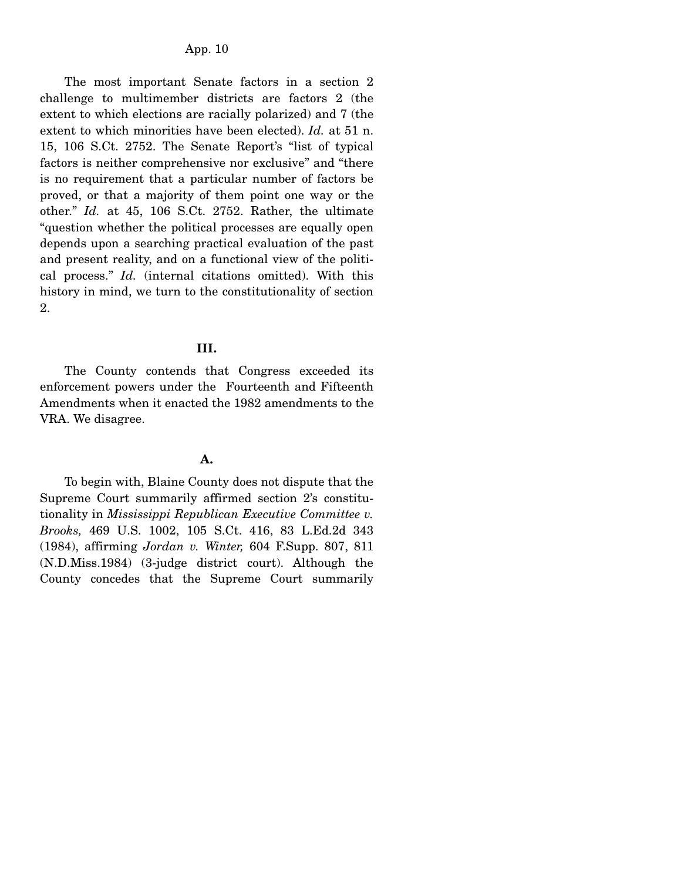#### App. 10

 The most important Senate factors in a section 2 challenge to multimember districts are factors 2 (the extent to which elections are racially polarized) and 7 (the extent to which minorities have been elected). *Id.* at 51 n. 15, 106 S.Ct. 2752. The Senate Report's "list of typical factors is neither comprehensive nor exclusive" and "there is no requirement that a particular number of factors be proved, or that a majority of them point one way or the other." *Id.* at 45, 106 S.Ct. 2752. Rather, the ultimate "question whether the political processes are equally open depends upon a searching practical evaluation of the past and present reality, and on a functional view of the political process." *Id.* (internal citations omitted). With this history in mind, we turn to the constitutionality of section 2.

#### **III.**

 The County contends that Congress exceeded its enforcement powers under the Fourteenth and Fifteenth Amendments when it enacted the 1982 amendments to the VRA. We disagree.

#### **A.**

 To begin with, Blaine County does not dispute that the Supreme Court summarily affirmed section 2's constitutionality in *Mississippi Republican Executive Committee v. Brooks,* 469 U.S. 1002, 105 S.Ct. 416, 83 L.Ed.2d 343 (1984), affirming *Jordan v. Winter,* 604 F.Supp. 807, 811 (N.D.Miss.1984) (3-judge district court). Although the County concedes that the Supreme Court summarily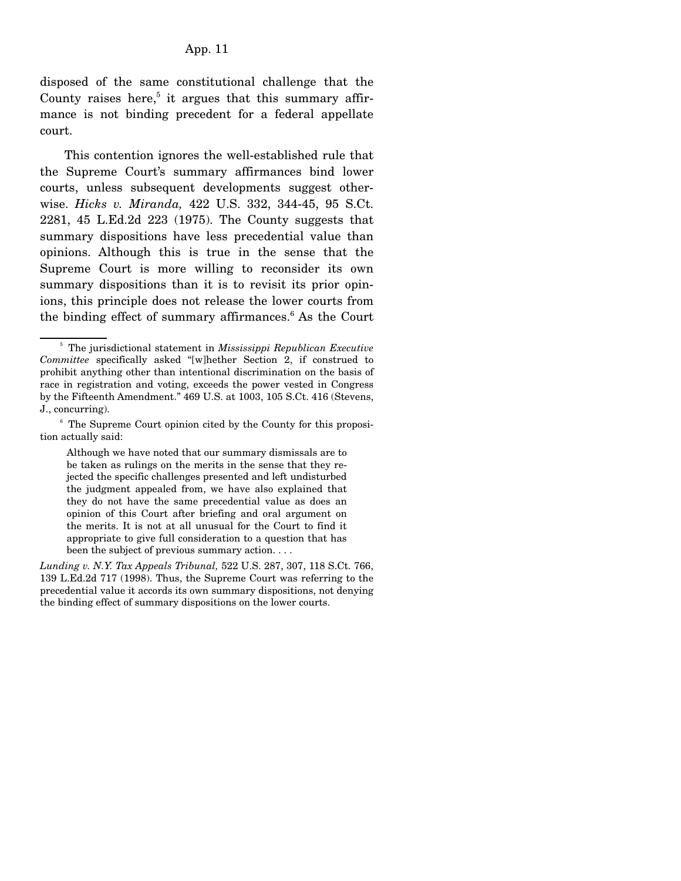disposed of the same constitutional challenge that the County raises here, $5$  it argues that this summary affirmance is not binding precedent for a federal appellate court.

 This contention ignores the well-established rule that the Supreme Court's summary affirmances bind lower courts, unless subsequent developments suggest otherwise. *Hicks v. Miranda,* 422 U.S. 332, 344-45, 95 S.Ct. 2281, 45 L.Ed.2d 223 (1975). The County suggests that summary dispositions have less precedential value than opinions. Although this is true in the sense that the Supreme Court is more willing to reconsider its own summary dispositions than it is to revisit its prior opinions, this principle does not release the lower courts from the binding effect of summary affirmances.<sup>6</sup> As the Court

<sup>5</sup> The jurisdictional statement in *Mississippi Republican Executive Committee* specifically asked "[w]hether Section 2, if construed to prohibit anything other than intentional discrimination on the basis of race in registration and voting, exceeds the power vested in Congress by the Fifteenth Amendment." 469 U.S. at 1003, 105 S.Ct. 416 (Stevens, J., concurring).

<sup>&</sup>lt;sup>6</sup> The Supreme Court opinion cited by the County for this proposition actually said:

Although we have noted that our summary dismissals are to be taken as rulings on the merits in the sense that they rejected the specific challenges presented and left undisturbed the judgment appealed from, we have also explained that they do not have the same precedential value as does an opinion of this Court after briefing and oral argument on the merits. It is not at all unusual for the Court to find it appropriate to give full consideration to a question that has been the subject of previous summary action. . . .

*Lunding v. N.Y. Tax Appeals Tribunal,* 522 U.S. 287, 307, 118 S.Ct. 766, 139 L.Ed.2d 717 (1998). Thus, the Supreme Court was referring to the precedential value it accords its own summary dispositions, not denying the binding effect of summary dispositions on the lower courts.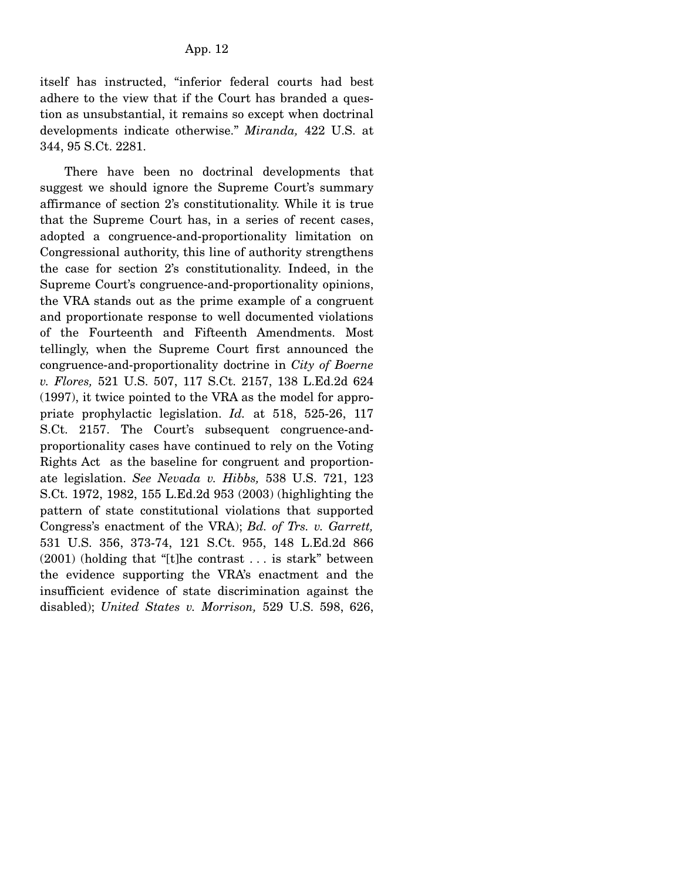itself has instructed, "inferior federal courts had best adhere to the view that if the Court has branded a question as unsubstantial, it remains so except when doctrinal developments indicate otherwise." *Miranda,* 422 U.S. at 344, 95 S.Ct. 2281.

 There have been no doctrinal developments that suggest we should ignore the Supreme Court's summary affirmance of section 2's constitutionality. While it is true that the Supreme Court has, in a series of recent cases, adopted a congruence-and-proportionality limitation on Congressional authority, this line of authority strengthens the case for section 2's constitutionality. Indeed, in the Supreme Court's congruence-and-proportionality opinions, the VRA stands out as the prime example of a congruent and proportionate response to well documented violations of the Fourteenth and Fifteenth Amendments. Most tellingly, when the Supreme Court first announced the congruence-and-proportionality doctrine in *City of Boerne v. Flores,* 521 U.S. 507, 117 S.Ct. 2157, 138 L.Ed.2d 624 (1997), it twice pointed to the VRA as the model for appropriate prophylactic legislation. *Id.* at 518, 525-26, 117 S.Ct. 2157. The Court's subsequent congruence-andproportionality cases have continued to rely on the Voting Rights Act as the baseline for congruent and proportionate legislation. *See Nevada v. Hibbs,* 538 U.S. 721, 123 S.Ct. 1972, 1982, 155 L.Ed.2d 953 (2003) (highlighting the pattern of state constitutional violations that supported Congress's enactment of the VRA); *Bd. of Trs. v. Garrett,* 531 U.S. 356, 373-74, 121 S.Ct. 955, 148 L.Ed.2d 866 (2001) (holding that "[t]he contrast . . . is stark" between the evidence supporting the VRA's enactment and the insufficient evidence of state discrimination against the disabled); *United States v. Morrison,* 529 U.S. 598, 626,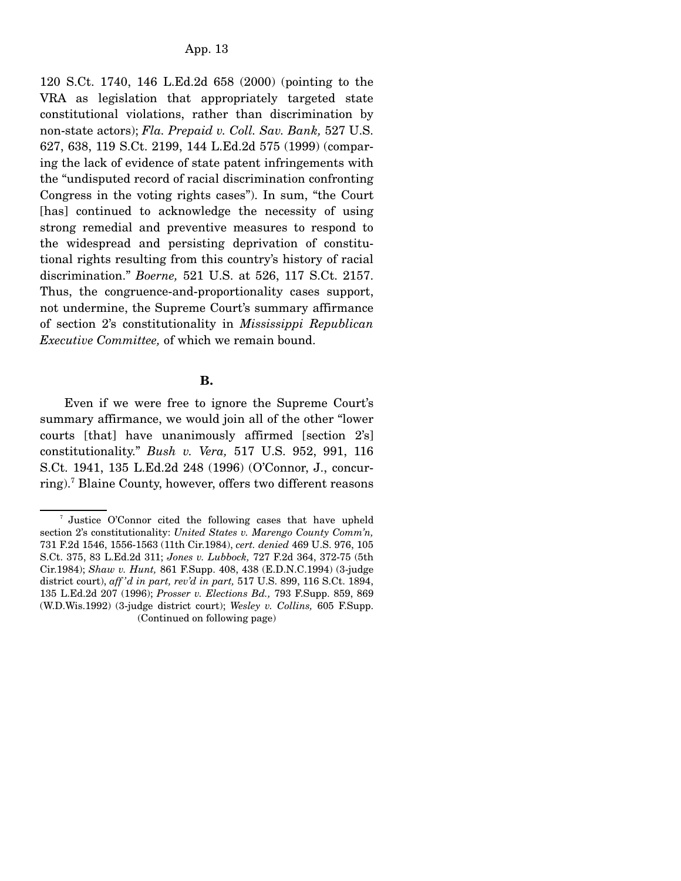120 S.Ct. 1740, 146 L.Ed.2d 658 (2000) (pointing to the VRA as legislation that appropriately targeted state constitutional violations, rather than discrimination by non-state actors); *Fla. Prepaid v. Coll. Sav. Bank,* 527 U.S. 627, 638, 119 S.Ct. 2199, 144 L.Ed.2d 575 (1999) (comparing the lack of evidence of state patent infringements with the "undisputed record of racial discrimination confronting Congress in the voting rights cases"). In sum, "the Court [has] continued to acknowledge the necessity of using strong remedial and preventive measures to respond to the widespread and persisting deprivation of constitutional rights resulting from this country's history of racial discrimination." *Boerne,* 521 U.S. at 526, 117 S.Ct. 2157. Thus, the congruence-and-proportionality cases support, not undermine, the Supreme Court's summary affirmance of section 2's constitutionality in *Mississippi Republican Executive Committee,* of which we remain bound.

#### **B.**

 Even if we were free to ignore the Supreme Court's summary affirmance, we would join all of the other "lower courts [that] have unanimously affirmed [section 2's] constitutionality." *Bush v. Vera,* 517 U.S. 952, 991, 116 S.Ct. 1941, 135 L.Ed.2d 248 (1996) (O'Connor, J., concurring).<sup>7</sup> Blaine County, however, offers two different reasons

<sup>&</sup>lt;sup>7</sup> Justice O'Connor cited the following cases that have upheld section 2's constitutionality: *United States v. Marengo County Comm'n,* 731 F.2d 1546, 1556-1563 (11th Cir.1984), *cert. denied* 469 U.S. 976, 105 S.Ct. 375, 83 L.Ed.2d 311; *Jones v. Lubbock,* 727 F.2d 364, 372-75 (5th Cir.1984); *Shaw v. Hunt,* 861 F.Supp. 408, 438 (E.D.N.C.1994) (3-judge district court), *aff 'd in part, rev'd in part,* 517 U.S. 899, 116 S.Ct. 1894, 135 L.Ed.2d 207 (1996); *Prosser v. Elections Bd.,* 793 F.Supp. 859, 869 (W.D.Wis.1992) (3-judge district court); *Wesley v. Collins,* 605 F.Supp. (Continued on following page)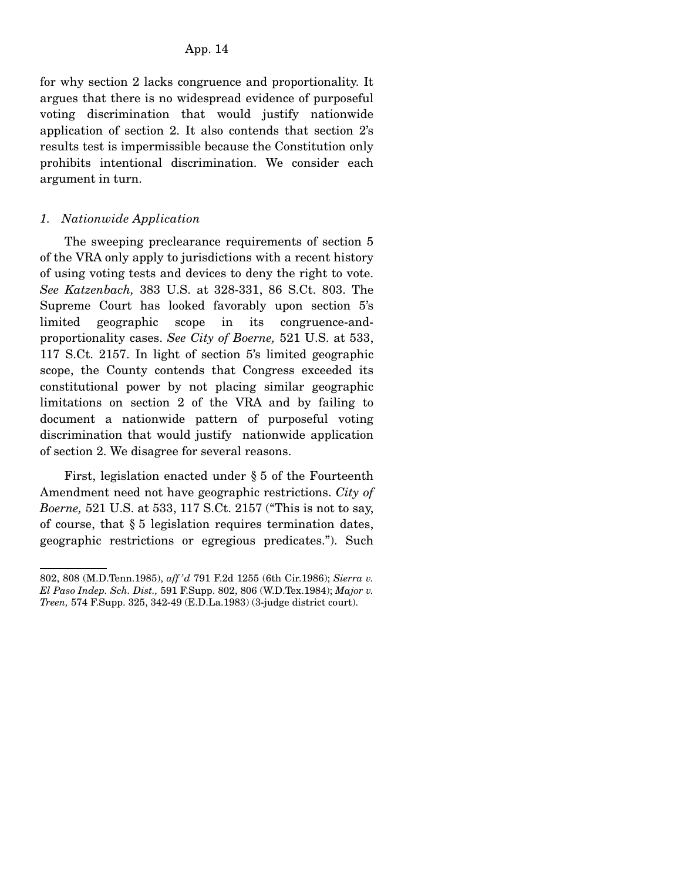for why section 2 lacks congruence and proportionality. It argues that there is no widespread evidence of purposeful voting discrimination that would justify nationwide application of section 2. It also contends that section 2's results test is impermissible because the Constitution only prohibits intentional discrimination. We consider each argument in turn.

# *1. Nationwide Application*

 The sweeping preclearance requirements of section 5 of the VRA only apply to jurisdictions with a recent history of using voting tests and devices to deny the right to vote. *See Katzenbach,* 383 U.S. at 328-331, 86 S.Ct. 803. The Supreme Court has looked favorably upon section 5's limited geographic scope in its congruence-andproportionality cases. *See City of Boerne,* 521 U.S. at 533, 117 S.Ct. 2157. In light of section 5's limited geographic scope, the County contends that Congress exceeded its constitutional power by not placing similar geographic limitations on section 2 of the VRA and by failing to document a nationwide pattern of purposeful voting discrimination that would justify nationwide application of section 2. We disagree for several reasons.

 First, legislation enacted under § 5 of the Fourteenth Amendment need not have geographic restrictions. *City of Boerne,* 521 U.S. at 533, 117 S.Ct. 2157 ("This is not to say, of course, that § 5 legislation requires termination dates, geographic restrictions or egregious predicates."). Such

<sup>802, 808 (</sup>M.D.Tenn.1985), *aff 'd* 791 F.2d 1255 (6th Cir.1986); *Sierra v. El Paso Indep. Sch. Dist.,* 591 F.Supp. 802, 806 (W.D.Tex.1984); *Major v. Treen,* 574 F.Supp. 325, 342-49 (E.D.La.1983) (3-judge district court).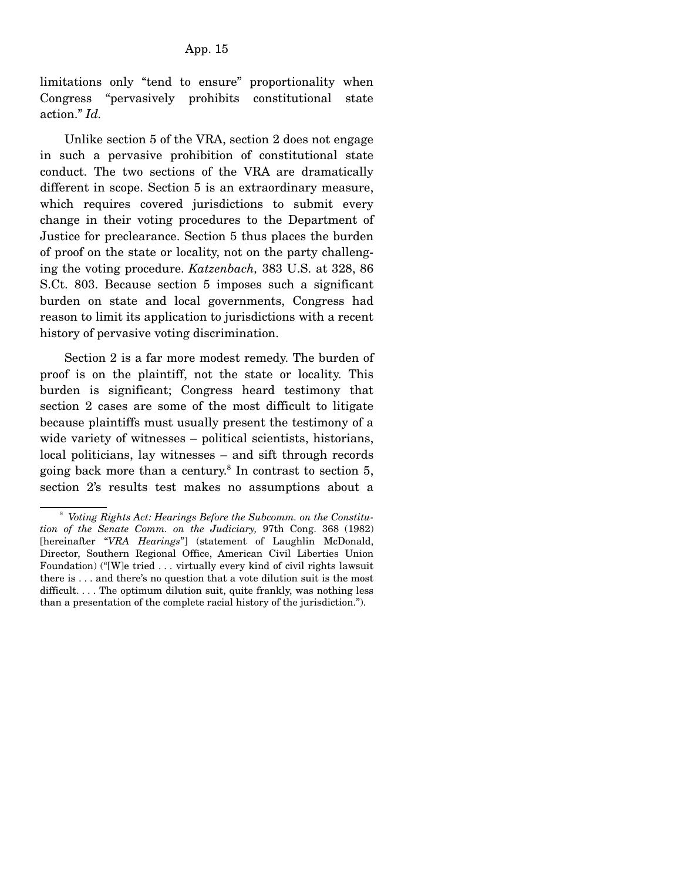limitations only "tend to ensure" proportionality when Congress "pervasively prohibits constitutional state action." *Id.*

 Unlike section 5 of the VRA, section 2 does not engage in such a pervasive prohibition of constitutional state conduct. The two sections of the VRA are dramatically different in scope. Section 5 is an extraordinary measure, which requires covered jurisdictions to submit every change in their voting procedures to the Department of Justice for preclearance. Section 5 thus places the burden of proof on the state or locality, not on the party challenging the voting procedure. *Katzenbach,* 383 U.S. at 328, 86 S.Ct. 803. Because section 5 imposes such a significant burden on state and local governments, Congress had reason to limit its application to jurisdictions with a recent history of pervasive voting discrimination.

 Section 2 is a far more modest remedy. The burden of proof is on the plaintiff, not the state or locality. This burden is significant; Congress heard testimony that section 2 cases are some of the most difficult to litigate because plaintiffs must usually present the testimony of a wide variety of witnesses – political scientists, historians, local politicians, lay witnesses – and sift through records going back more than a century.<sup>8</sup> In contrast to section  $5$ , section 2's results test makes no assumptions about a

<sup>8</sup> *Voting Rights Act: Hearings Before the Subcomm. on the Constitution of the Senate Comm. on the Judiciary,* 97th Cong. 368 (1982) [hereinafter "*VRA Hearings*"] (statement of Laughlin McDonald, Director, Southern Regional Office, American Civil Liberties Union Foundation) ("[W]e tried . . . virtually every kind of civil rights lawsuit there is . . . and there's no question that a vote dilution suit is the most difficult. . . . The optimum dilution suit, quite frankly, was nothing less than a presentation of the complete racial history of the jurisdiction.").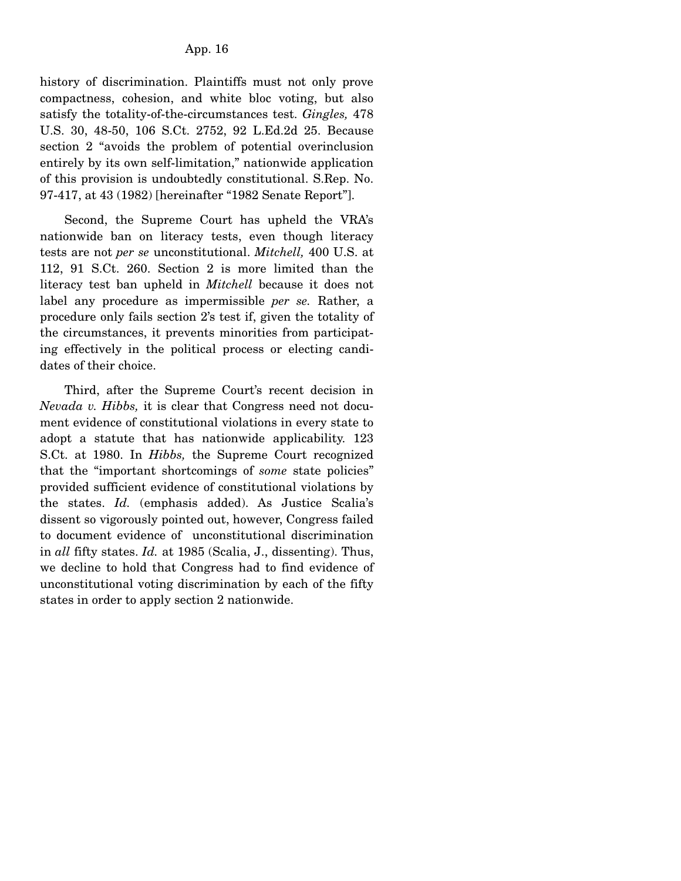history of discrimination. Plaintiffs must not only prove compactness, cohesion, and white bloc voting, but also satisfy the totality-of-the-circumstances test. *Gingles,* 478 U.S. 30, 48-50, 106 S.Ct. 2752, 92 L.Ed.2d 25. Because section 2 "avoids the problem of potential overinclusion entirely by its own self-limitation," nationwide application of this provision is undoubtedly constitutional. S.Rep. No. 97-417, at 43 (1982) [hereinafter "1982 Senate Report"].

 Second, the Supreme Court has upheld the VRA's nationwide ban on literacy tests, even though literacy tests are not *per se* unconstitutional. *Mitchell,* 400 U.S. at 112, 91 S.Ct. 260. Section 2 is more limited than the literacy test ban upheld in *Mitchell* because it does not label any procedure as impermissible *per se.* Rather, a procedure only fails section 2's test if, given the totality of the circumstances, it prevents minorities from participating effectively in the political process or electing candidates of their choice.

 Third, after the Supreme Court's recent decision in *Nevada v. Hibbs,* it is clear that Congress need not document evidence of constitutional violations in every state to adopt a statute that has nationwide applicability. 123 S.Ct. at 1980. In *Hibbs,* the Supreme Court recognized that the "important shortcomings of *some* state policies" provided sufficient evidence of constitutional violations by the states. *Id.* (emphasis added). As Justice Scalia's dissent so vigorously pointed out, however, Congress failed to document evidence of unconstitutional discrimination in *all* fifty states. *Id.* at 1985 (Scalia, J., dissenting). Thus, we decline to hold that Congress had to find evidence of unconstitutional voting discrimination by each of the fifty states in order to apply section 2 nationwide.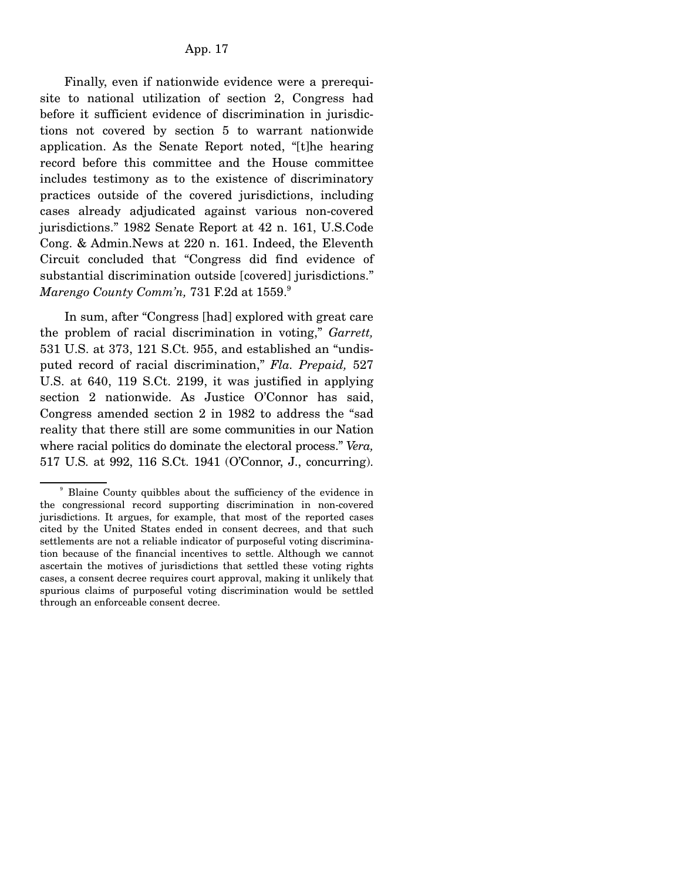Finally, even if nationwide evidence were a prerequisite to national utilization of section 2, Congress had before it sufficient evidence of discrimination in jurisdictions not covered by section 5 to warrant nationwide application. As the Senate Report noted, "[t]he hearing record before this committee and the House committee includes testimony as to the existence of discriminatory practices outside of the covered jurisdictions, including cases already adjudicated against various non-covered jurisdictions." 1982 Senate Report at 42 n. 161, U.S.Code Cong. & Admin.News at 220 n. 161. Indeed, the Eleventh Circuit concluded that "Congress did find evidence of substantial discrimination outside [covered] jurisdictions." *Marengo County Comm'n,* 731 F.2d at 1559.9

 In sum, after "Congress [had] explored with great care the problem of racial discrimination in voting," *Garrett,* 531 U.S. at 373, 121 S.Ct. 955, and established an "undisputed record of racial discrimination," *Fla. Prepaid,* 527 U.S. at 640, 119 S.Ct. 2199, it was justified in applying section 2 nationwide. As Justice O'Connor has said, Congress amended section 2 in 1982 to address the "sad reality that there still are some communities in our Nation where racial politics do dominate the electoral process." *Vera,* 517 U.S. at 992, 116 S.Ct. 1941 (O'Connor, J., concurring).

<sup>9</sup> Blaine County quibbles about the sufficiency of the evidence in the congressional record supporting discrimination in non-covered jurisdictions. It argues, for example, that most of the reported cases cited by the United States ended in consent decrees, and that such settlements are not a reliable indicator of purposeful voting discrimination because of the financial incentives to settle. Although we cannot ascertain the motives of jurisdictions that settled these voting rights cases, a consent decree requires court approval, making it unlikely that spurious claims of purposeful voting discrimination would be settled through an enforceable consent decree.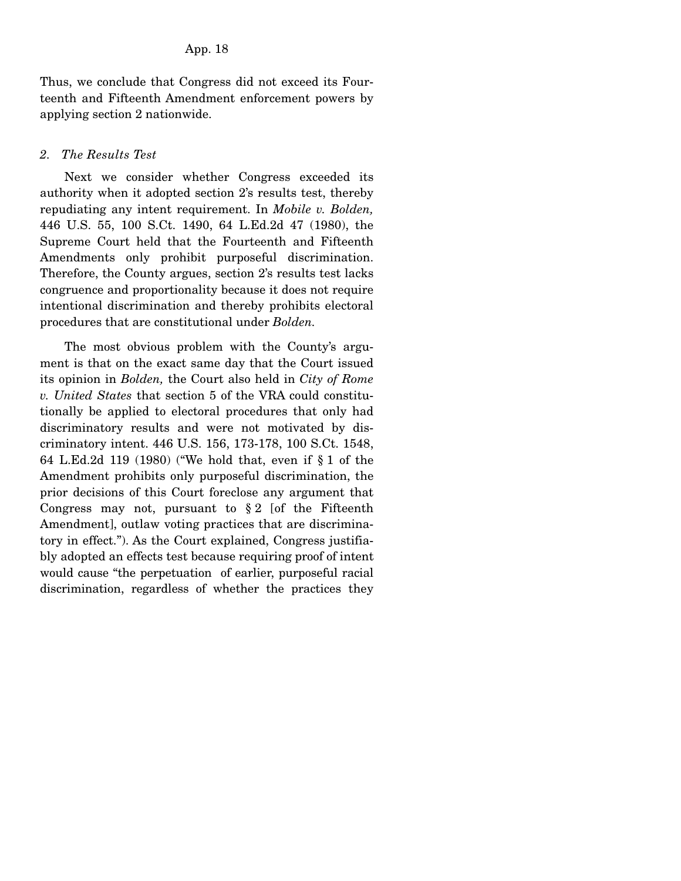Thus, we conclude that Congress did not exceed its Fourteenth and Fifteenth Amendment enforcement powers by applying section 2 nationwide.

## *2. The Results Test*

 Next we consider whether Congress exceeded its authority when it adopted section 2's results test, thereby repudiating any intent requirement. In *Mobile v. Bolden,* 446 U.S. 55, 100 S.Ct. 1490, 64 L.Ed.2d 47 (1980), the Supreme Court held that the Fourteenth and Fifteenth Amendments only prohibit purposeful discrimination. Therefore, the County argues, section 2's results test lacks congruence and proportionality because it does not require intentional discrimination and thereby prohibits electoral procedures that are constitutional under *Bolden.*

 The most obvious problem with the County's argument is that on the exact same day that the Court issued its opinion in *Bolden,* the Court also held in *City of Rome v. United States* that section 5 of the VRA could constitutionally be applied to electoral procedures that only had discriminatory results and were not motivated by discriminatory intent. 446 U.S. 156, 173-178, 100 S.Ct. 1548, 64 L.Ed.2d 119 (1980) ("We hold that, even if § 1 of the Amendment prohibits only purposeful discrimination, the prior decisions of this Court foreclose any argument that Congress may not, pursuant to  $\S 2$  [of the Fifteenth Amendment], outlaw voting practices that are discriminatory in effect."). As the Court explained, Congress justifiably adopted an effects test because requiring proof of intent would cause "the perpetuation of earlier, purposeful racial discrimination, regardless of whether the practices they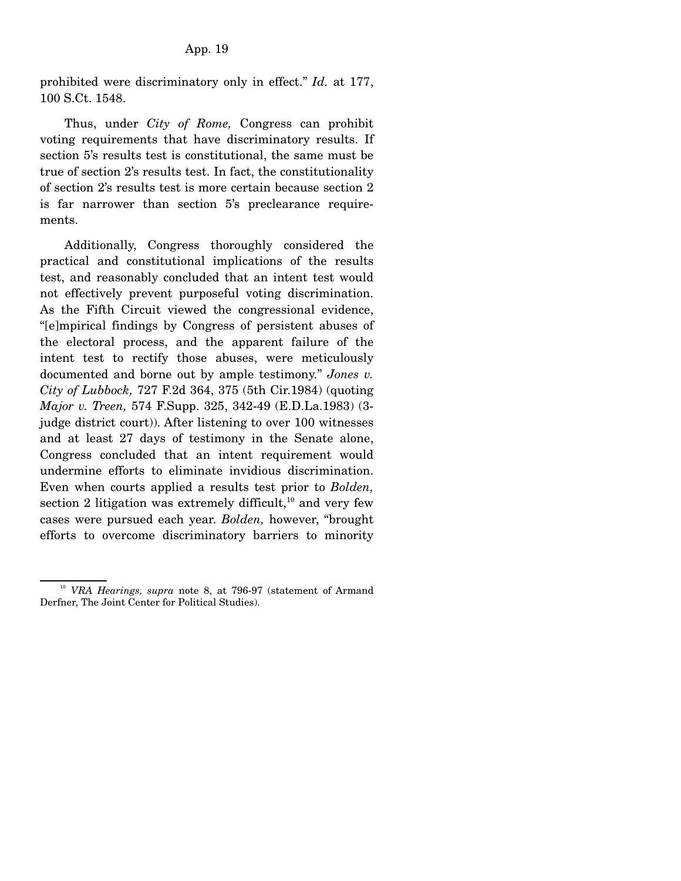prohibited were discriminatory only in effect." *Id.* at 177, 100 S.Ct. 1548.

 Thus, under *City of Rome,* Congress can prohibit voting requirements that have discriminatory results. If section 5's results test is constitutional, the same must be true of section 2's results test. In fact, the constitutionality of section 2's results test is more certain because section 2 is far narrower than section 5's preclearance requirements.

 Additionally, Congress thoroughly considered the practical and constitutional implications of the results test, and reasonably concluded that an intent test would not effectively prevent purposeful voting discrimination. As the Fifth Circuit viewed the congressional evidence, "[e]mpirical findings by Congress of persistent abuses of the electoral process, and the apparent failure of the intent test to rectify those abuses, were meticulously documented and borne out by ample testimony." *Jones v. City of Lubbock,* 727 F.2d 364, 375 (5th Cir.1984) (quoting *Major v. Treen,* 574 F.Supp. 325, 342-49 (E.D.La.1983) (3 judge district court)). After listening to over 100 witnesses and at least 27 days of testimony in the Senate alone, Congress concluded that an intent requirement would undermine efforts to eliminate invidious discrimination. Even when courts applied a results test prior to *Bolden,* section 2 litigation was extremely difficult, $10$  and very few cases were pursued each year. *Bolden,* however, "brought efforts to overcome discriminatory barriers to minority

<sup>&</sup>lt;sup>10</sup> VRA Hearings, supra note 8, at 796-97 (statement of Armand Derfner, The Joint Center for Political Studies).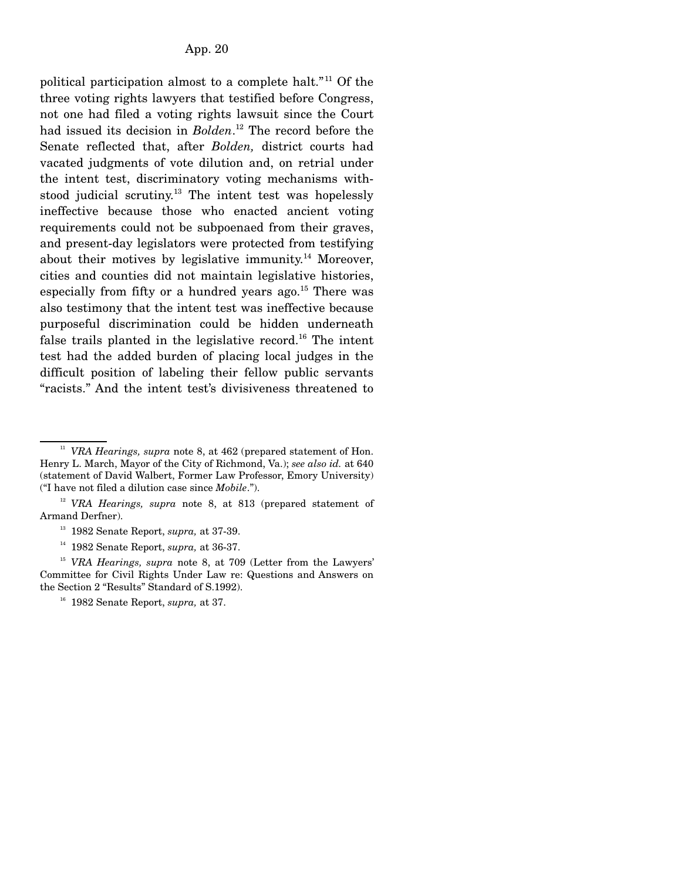political participation almost to a complete halt." 11 Of the three voting rights lawyers that testified before Congress, not one had filed a voting rights lawsuit since the Court had issued its decision in *Bolden*. 12 The record before the Senate reflected that, after *Bolden,* district courts had vacated judgments of vote dilution and, on retrial under the intent test, discriminatory voting mechanisms withstood judicial scrutiny.<sup>13</sup> The intent test was hopelessly ineffective because those who enacted ancient voting requirements could not be subpoenaed from their graves, and present-day legislators were protected from testifying about their motives by legislative immunity.<sup>14</sup> Moreover, cities and counties did not maintain legislative histories, especially from fifty or a hundred years ago.<sup>15</sup> There was also testimony that the intent test was ineffective because purposeful discrimination could be hidden underneath false trails planted in the legislative record.<sup>16</sup> The intent test had the added burden of placing local judges in the difficult position of labeling their fellow public servants "racists." And the intent test's divisiveness threatened to

<sup>15</sup> *VRA Hearings, supra* note 8, at 709 (Letter from the Lawyers' Committee for Civil Rights Under Law re: Questions and Answers on the Section 2 "Results" Standard of S.1992).

<sup>&</sup>lt;sup>11</sup> *VRA Hearings, supra* note 8, at 462 (prepared statement of Hon. Henry L. March, Mayor of the City of Richmond, Va.); *see also id.* at 640 (statement of David Walbert, Former Law Professor, Emory University) ("I have not filed a dilution case since *Mobile*.").

<sup>12</sup> *VRA Hearings, supra* note 8, at 813 (prepared statement of Armand Derfner).

13 1982 Senate Report, *supra,* at 37-39.

14 1982 Senate Report, *supra,* at 36-37.

16 1982 Senate Report, *supra,* at 37.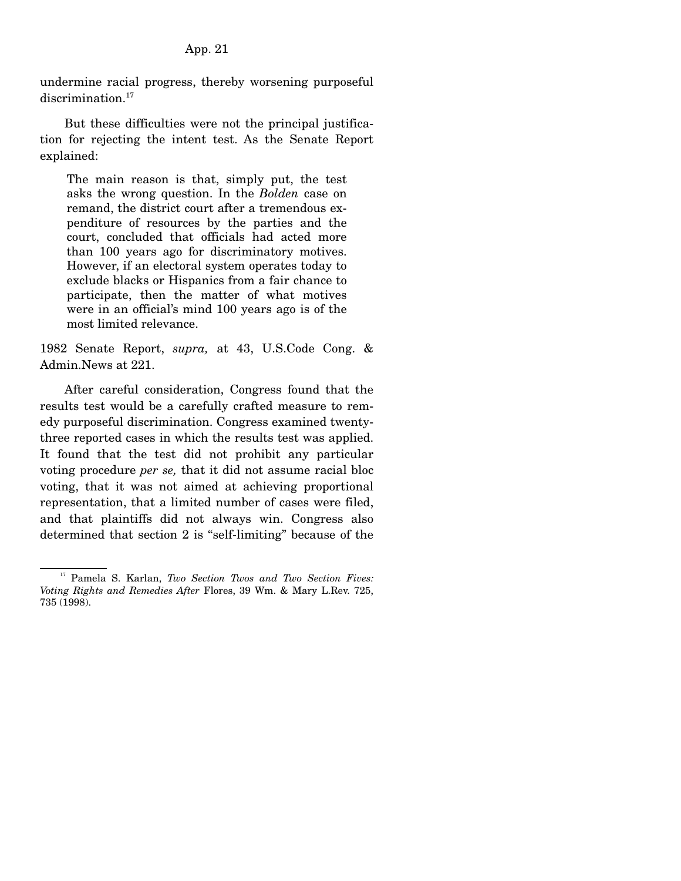App. 21

undermine racial progress, thereby worsening purposeful discrimination.<sup>17</sup>

 But these difficulties were not the principal justification for rejecting the intent test. As the Senate Report explained:

The main reason is that, simply put, the test asks the wrong question. In the *Bolden* case on remand, the district court after a tremendous expenditure of resources by the parties and the court, concluded that officials had acted more than 100 years ago for discriminatory motives. However, if an electoral system operates today to exclude blacks or Hispanics from a fair chance to participate, then the matter of what motives were in an official's mind 100 years ago is of the most limited relevance.

1982 Senate Report, *supra,* at 43, U.S.Code Cong. & Admin.News at 221.

 After careful consideration, Congress found that the results test would be a carefully crafted measure to remedy purposeful discrimination. Congress examined twentythree reported cases in which the results test was applied. It found that the test did not prohibit any particular voting procedure *per se,* that it did not assume racial bloc voting, that it was not aimed at achieving proportional representation, that a limited number of cases were filed, and that plaintiffs did not always win. Congress also determined that section 2 is "self-limiting" because of the

17 Pamela S. Karlan, *Two Section Twos and Two Section Fives: Voting Rights and Remedies After* Flores, 39 Wm. & Mary L.Rev. 725, 735 (1998).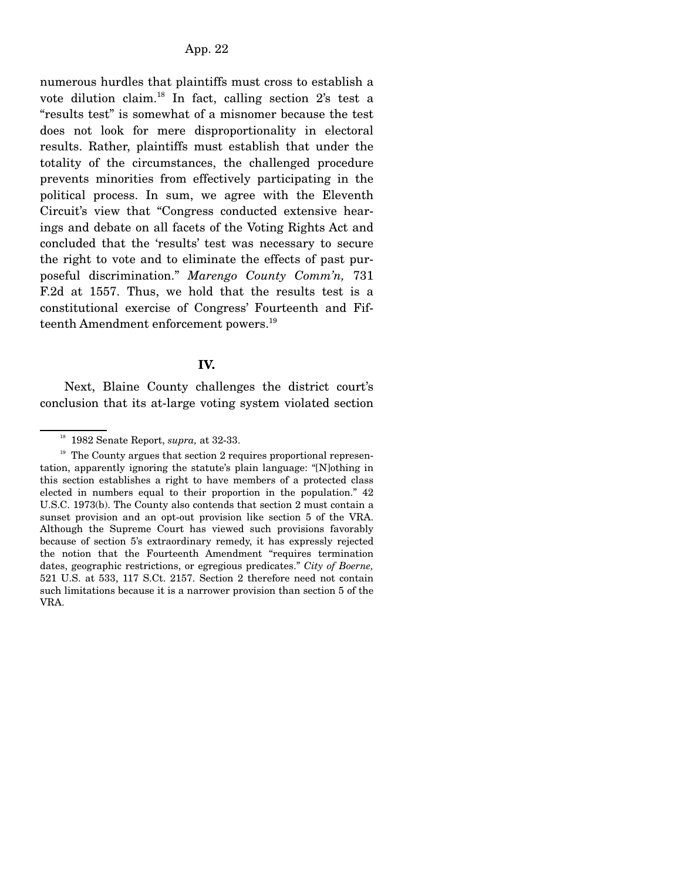numerous hurdles that plaintiffs must cross to establish a vote dilution claim.18 In fact, calling section 2's test a "results test" is somewhat of a misnomer because the test does not look for mere disproportionality in electoral results. Rather, plaintiffs must establish that under the totality of the circumstances, the challenged procedure prevents minorities from effectively participating in the political process. In sum, we agree with the Eleventh Circuit's view that "Congress conducted extensive hearings and debate on all facets of the Voting Rights Act and concluded that the 'results' test was necessary to secure the right to vote and to eliminate the effects of past purposeful discrimination." *Marengo County Comm'n,* 731 F.2d at 1557. Thus, we hold that the results test is a constitutional exercise of Congress' Fourteenth and Fifteenth Amendment enforcement powers.19

## **IV.**

 Next, Blaine County challenges the district court's conclusion that its at-large voting system violated section

18 1982 Senate Report, *supra,* at 32-33.

 $19$  The County argues that section 2 requires proportional representation, apparently ignoring the statute's plain language: "[N]othing in this section establishes a right to have members of a protected class elected in numbers equal to their proportion in the population." 42 U.S.C. 1973(b). The County also contends that section 2 must contain a sunset provision and an opt-out provision like section 5 of the VRA. Although the Supreme Court has viewed such provisions favorably because of section 5's extraordinary remedy, it has expressly rejected the notion that the Fourteenth Amendment "requires termination dates, geographic restrictions, or egregious predicates." *City of Boerne,* 521 U.S. at 533, 117 S.Ct. 2157. Section 2 therefore need not contain such limitations because it is a narrower provision than section 5 of the VRA.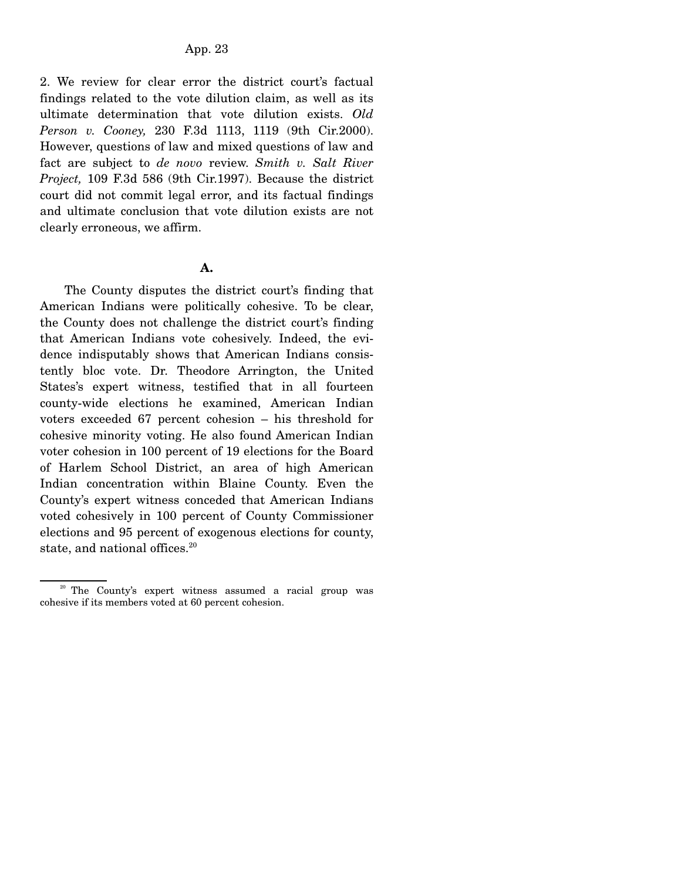2. We review for clear error the district court's factual findings related to the vote dilution claim, as well as its ultimate determination that vote dilution exists. *Old Person v. Cooney,* 230 F.3d 1113, 1119 (9th Cir.2000). However, questions of law and mixed questions of law and fact are subject to *de novo* review. *Smith v. Salt River Project,* 109 F.3d 586 (9th Cir.1997). Because the district court did not commit legal error, and its factual findings and ultimate conclusion that vote dilution exists are not clearly erroneous, we affirm.

## **A.**

 The County disputes the district court's finding that American Indians were politically cohesive. To be clear, the County does not challenge the district court's finding that American Indians vote cohesively. Indeed, the evidence indisputably shows that American Indians consistently bloc vote. Dr. Theodore Arrington, the United States's expert witness, testified that in all fourteen county-wide elections he examined, American Indian voters exceeded 67 percent cohesion – his threshold for cohesive minority voting. He also found American Indian voter cohesion in 100 percent of 19 elections for the Board of Harlem School District, an area of high American Indian concentration within Blaine County. Even the County's expert witness conceded that American Indians voted cohesively in 100 percent of County Commissioner elections and 95 percent of exogenous elections for county, state, and national offices.<sup>20</sup>

<sup>&</sup>lt;sup>20</sup> The County's expert witness assumed a racial group was cohesive if its members voted at 60 percent cohesion.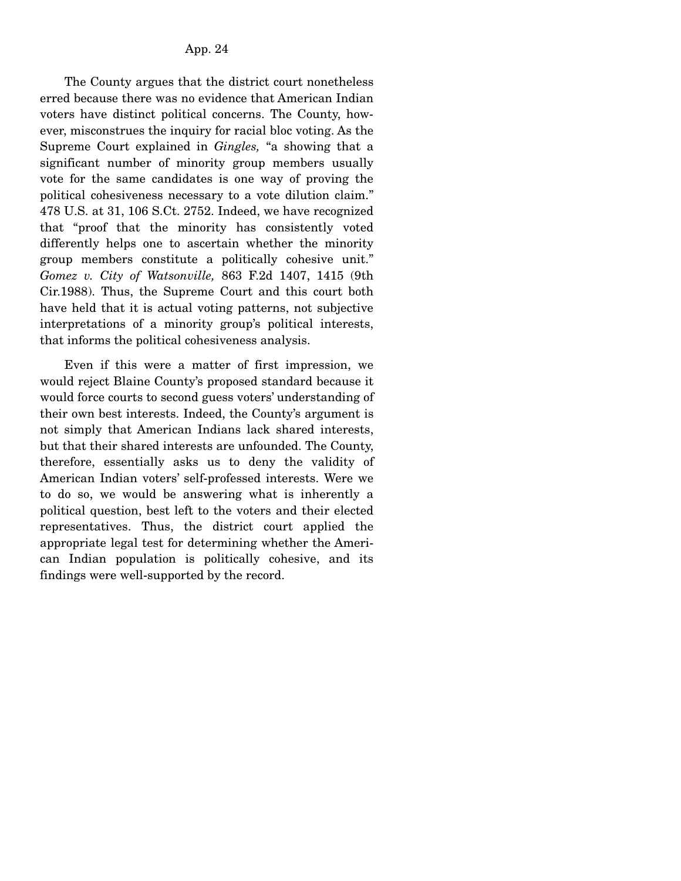The County argues that the district court nonetheless erred because there was no evidence that American Indian voters have distinct political concerns. The County, however, misconstrues the inquiry for racial bloc voting. As the Supreme Court explained in *Gingles,* "a showing that a significant number of minority group members usually vote for the same candidates is one way of proving the political cohesiveness necessary to a vote dilution claim." 478 U.S. at 31, 106 S.Ct. 2752. Indeed, we have recognized that "proof that the minority has consistently voted differently helps one to ascertain whether the minority group members constitute a politically cohesive unit." *Gomez v. City of Watsonville,* 863 F.2d 1407, 1415 (9th Cir.1988). Thus, the Supreme Court and this court both have held that it is actual voting patterns, not subjective interpretations of a minority group's political interests, that informs the political cohesiveness analysis.

 Even if this were a matter of first impression, we would reject Blaine County's proposed standard because it would force courts to second guess voters' understanding of their own best interests. Indeed, the County's argument is not simply that American Indians lack shared interests, but that their shared interests are unfounded. The County, therefore, essentially asks us to deny the validity of American Indian voters' self-professed interests. Were we to do so, we would be answering what is inherently a political question, best left to the voters and their elected representatives. Thus, the district court applied the appropriate legal test for determining whether the American Indian population is politically cohesive, and its findings were well-supported by the record.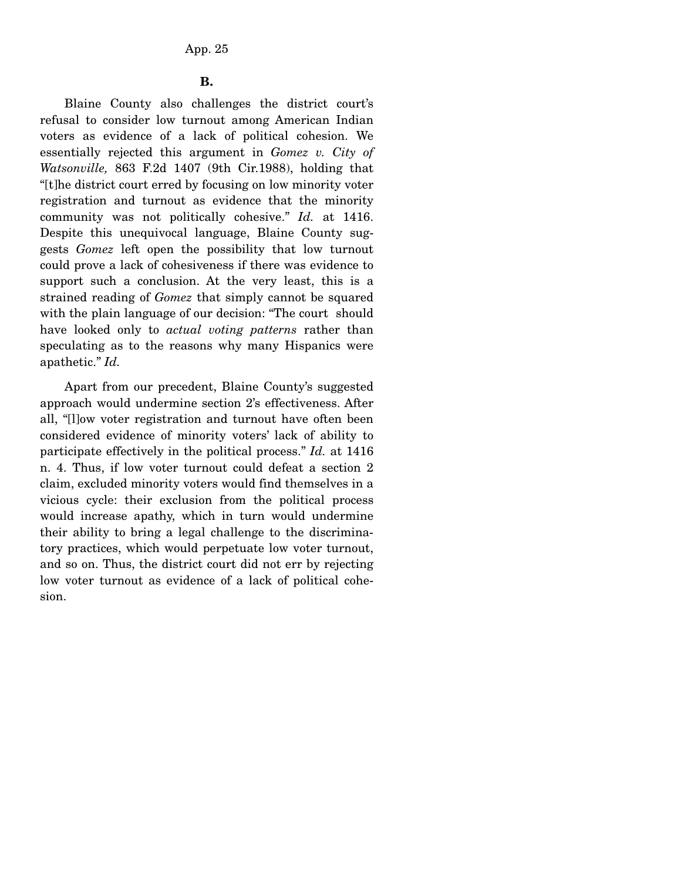Blaine County also challenges the district court's refusal to consider low turnout among American Indian voters as evidence of a lack of political cohesion. We essentially rejected this argument in *Gomez v. City of Watsonville,* 863 F.2d 1407 (9th Cir.1988), holding that "[t]he district court erred by focusing on low minority voter registration and turnout as evidence that the minority community was not politically cohesive." *Id.* at 1416. Despite this unequivocal language, Blaine County suggests *Gomez* left open the possibility that low turnout could prove a lack of cohesiveness if there was evidence to support such a conclusion. At the very least, this is a strained reading of *Gomez* that simply cannot be squared with the plain language of our decision: "The court should have looked only to *actual voting patterns* rather than speculating as to the reasons why many Hispanics were apathetic." *Id.*

 Apart from our precedent, Blaine County's suggested approach would undermine section 2's effectiveness. After all, "[l]ow voter registration and turnout have often been considered evidence of minority voters' lack of ability to participate effectively in the political process." *Id.* at 1416 n. 4. Thus, if low voter turnout could defeat a section 2 claim, excluded minority voters would find themselves in a vicious cycle: their exclusion from the political process would increase apathy, which in turn would undermine their ability to bring a legal challenge to the discriminatory practices, which would perpetuate low voter turnout, and so on. Thus, the district court did not err by rejecting low voter turnout as evidence of a lack of political cohesion.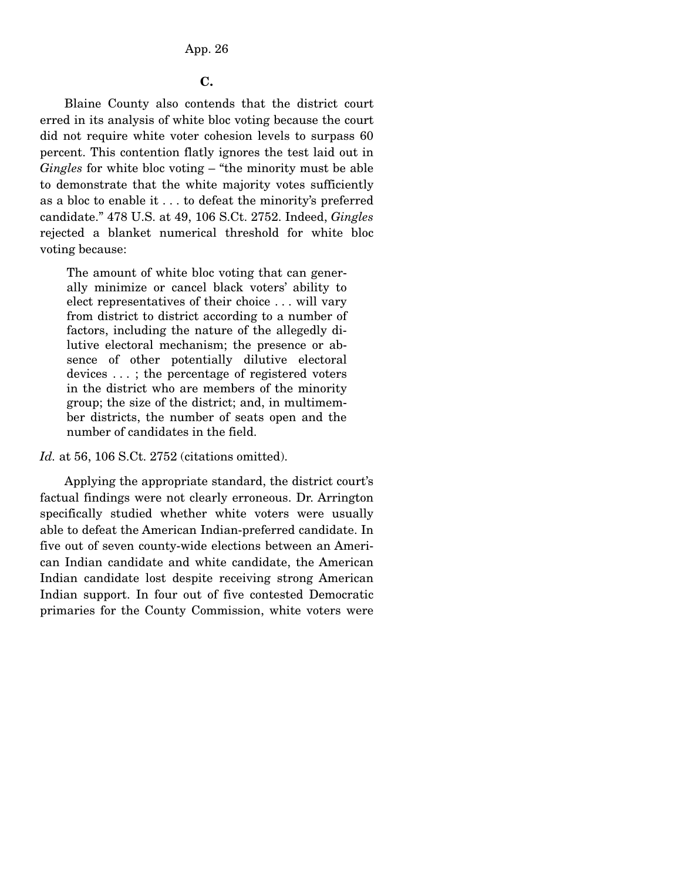**C.** 

 Blaine County also contends that the district court erred in its analysis of white bloc voting because the court did not require white voter cohesion levels to surpass 60 percent. This contention flatly ignores the test laid out in *Gingles* for white bloc voting – "the minority must be able to demonstrate that the white majority votes sufficiently as a bloc to enable it . . . to defeat the minority's preferred candidate." 478 U.S. at 49, 106 S.Ct. 2752. Indeed, *Gingles* rejected a blanket numerical threshold for white bloc voting because:

The amount of white bloc voting that can generally minimize or cancel black voters' ability to elect representatives of their choice . . . will vary from district to district according to a number of factors, including the nature of the allegedly dilutive electoral mechanism; the presence or absence of other potentially dilutive electoral devices . . . ; the percentage of registered voters in the district who are members of the minority group; the size of the district; and, in multimember districts, the number of seats open and the number of candidates in the field.

*Id.* at 56, 106 S.Ct. 2752 (citations omitted).

 Applying the appropriate standard, the district court's factual findings were not clearly erroneous. Dr. Arrington specifically studied whether white voters were usually able to defeat the American Indian-preferred candidate. In five out of seven county-wide elections between an American Indian candidate and white candidate, the American Indian candidate lost despite receiving strong American Indian support. In four out of five contested Democratic primaries for the County Commission, white voters were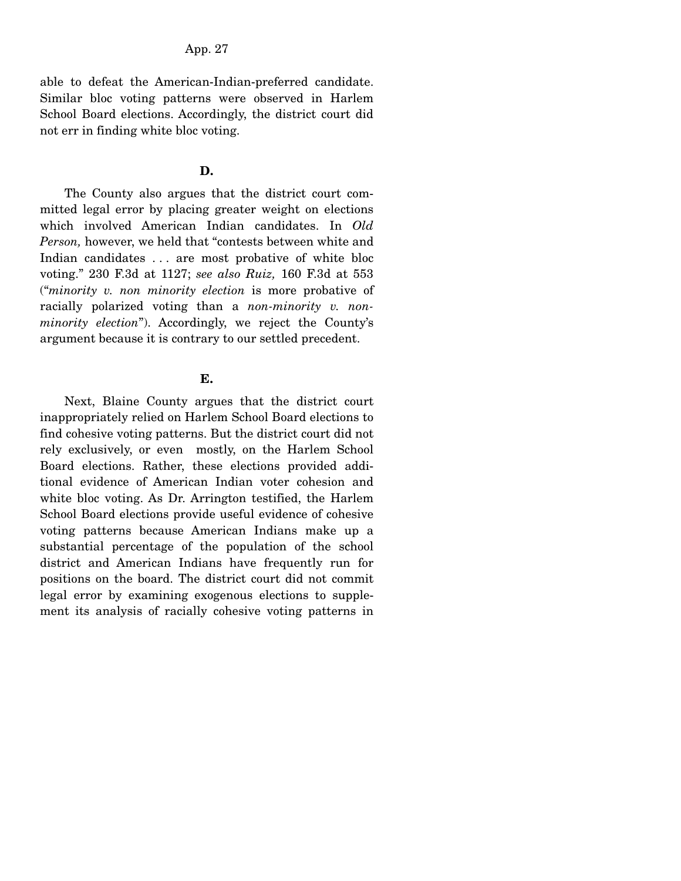able to defeat the American-Indian-preferred candidate. Similar bloc voting patterns were observed in Harlem School Board elections. Accordingly, the district court did not err in finding white bloc voting.

## **D.**

 The County also argues that the district court committed legal error by placing greater weight on elections which involved American Indian candidates. In *Old Person,* however, we held that "contests between white and Indian candidates . . . are most probative of white bloc voting." 230 F.3d at 1127; *see also Ruiz,* 160 F.3d at 553 ("*minority v. non minority election* is more probative of racially polarized voting than a *non-minority v. nonminority election*"). Accordingly, we reject the County's argument because it is contrary to our settled precedent.

## **E.**

 Next, Blaine County argues that the district court inappropriately relied on Harlem School Board elections to find cohesive voting patterns. But the district court did not rely exclusively, or even mostly, on the Harlem School Board elections. Rather, these elections provided additional evidence of American Indian voter cohesion and white bloc voting. As Dr. Arrington testified, the Harlem School Board elections provide useful evidence of cohesive voting patterns because American Indians make up a substantial percentage of the population of the school district and American Indians have frequently run for positions on the board. The district court did not commit legal error by examining exogenous elections to supplement its analysis of racially cohesive voting patterns in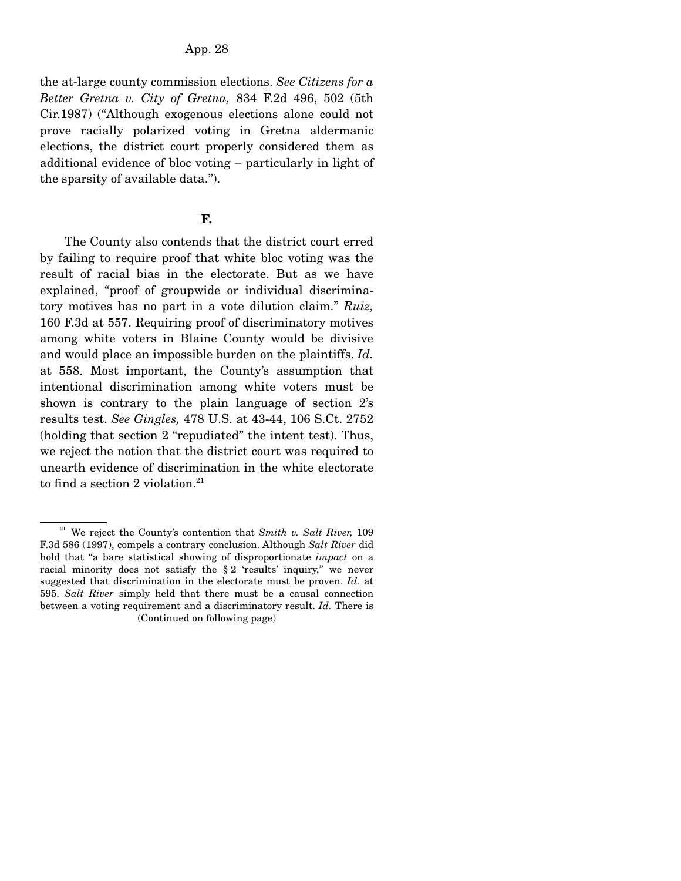the at-large county commission elections. *See Citizens for a Better Gretna v. City of Gretna,* 834 F.2d 496, 502 (5th Cir.1987) ("Although exogenous elections alone could not prove racially polarized voting in Gretna aldermanic elections, the district court properly considered them as additional evidence of bloc voting – particularly in light of the sparsity of available data.").

#### **F.**

 The County also contends that the district court erred by failing to require proof that white bloc voting was the result of racial bias in the electorate. But as we have explained, "proof of groupwide or individual discriminatory motives has no part in a vote dilution claim." *Ruiz,* 160 F.3d at 557. Requiring proof of discriminatory motives among white voters in Blaine County would be divisive and would place an impossible burden on the plaintiffs. *Id.* at 558. Most important, the County's assumption that intentional discrimination among white voters must be shown is contrary to the plain language of section 2's results test. *See Gingles,* 478 U.S. at 43-44, 106 S.Ct. 2752 (holding that section 2 "repudiated" the intent test). Thus, we reject the notion that the district court was required to unearth evidence of discrimination in the white electorate to find a section 2 violation.<sup>21</sup>

21 We reject the County's contention that *Smith v. Salt River,* 109 F.3d 586 (1997), compels a contrary conclusion. Although *Salt River* did hold that "a bare statistical showing of disproportionate *impact* on a racial minority does not satisfy the § 2 'results' inquiry," we never suggested that discrimination in the electorate must be proven. *Id.* at 595. *Salt River* simply held that there must be a causal connection between a voting requirement and a discriminatory result. *Id.* There is (Continued on following page)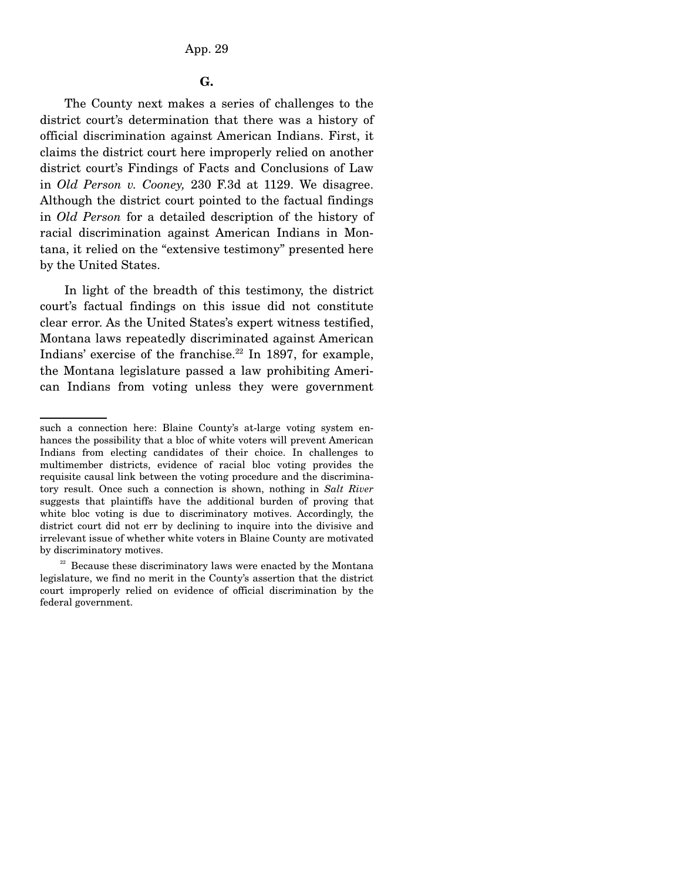# **G.**

 The County next makes a series of challenges to the district court's determination that there was a history of official discrimination against American Indians. First, it claims the district court here improperly relied on another district court's Findings of Facts and Conclusions of Law in *Old Person v. Cooney,* 230 F.3d at 1129. We disagree. Although the district court pointed to the factual findings in *Old Person* for a detailed description of the history of racial discrimination against American Indians in Montana, it relied on the "extensive testimony" presented here by the United States.

 In light of the breadth of this testimony, the district court's factual findings on this issue did not constitute clear error. As the United States's expert witness testified, Montana laws repeatedly discriminated against American Indians' exercise of the franchise. $22$  In 1897, for example, the Montana legislature passed a law prohibiting American Indians from voting unless they were government

such a connection here: Blaine County's at-large voting system enhances the possibility that a bloc of white voters will prevent American Indians from electing candidates of their choice. In challenges to multimember districts, evidence of racial bloc voting provides the requisite causal link between the voting procedure and the discriminatory result. Once such a connection is shown, nothing in *Salt River* suggests that plaintiffs have the additional burden of proving that white bloc voting is due to discriminatory motives. Accordingly, the district court did not err by declining to inquire into the divisive and irrelevant issue of whether white voters in Blaine County are motivated by discriminatory motives.

 $22$  Because these discriminatory laws were enacted by the Montana legislature, we find no merit in the County's assertion that the district court improperly relied on evidence of official discrimination by the federal government.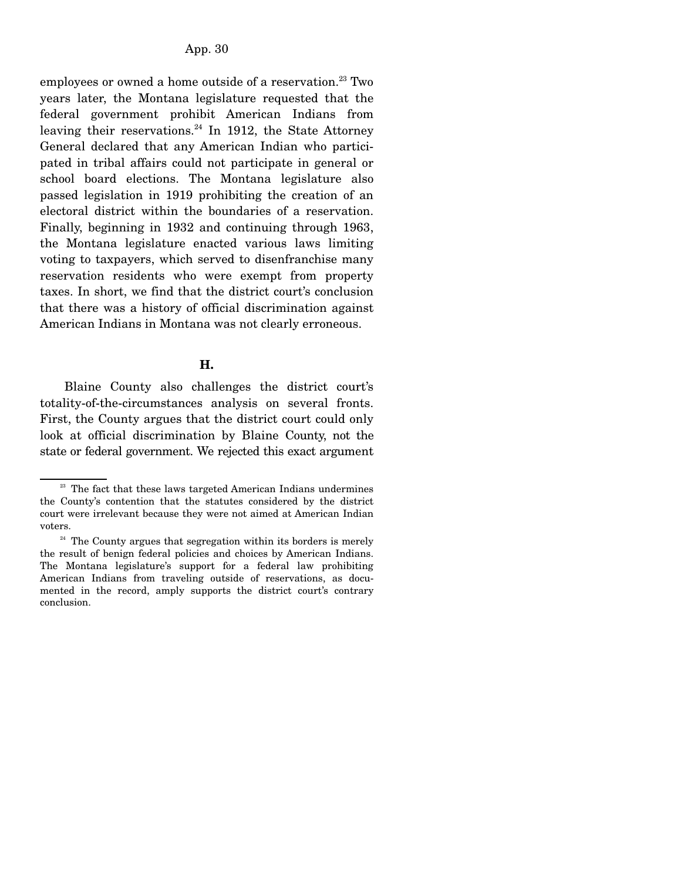employees or owned a home outside of a reservation.<sup>23</sup> Two years later, the Montana legislature requested that the federal government prohibit American Indians from leaving their reservations.<sup>24</sup> In 1912, the State Attorney General declared that any American Indian who participated in tribal affairs could not participate in general or school board elections. The Montana legislature also passed legislation in 1919 prohibiting the creation of an electoral district within the boundaries of a reservation. Finally, beginning in 1932 and continuing through 1963, the Montana legislature enacted various laws limiting voting to taxpayers, which served to disenfranchise many reservation residents who were exempt from property taxes. In short, we find that the district court's conclusion that there was a history of official discrimination against American Indians in Montana was not clearly erroneous.

# **H.**

 Blaine County also challenges the district court's totality-of-the-circumstances analysis on several fronts. First, the County argues that the district court could only look at official discrimination by Blaine County, not the state or federal government. We rejected this exact argument

<sup>&</sup>lt;sup>23</sup> The fact that these laws targeted American Indians undermines the County's contention that the statutes considered by the district court were irrelevant because they were not aimed at American Indian voters.

 $24$  The County argues that segregation within its borders is merely the result of benign federal policies and choices by American Indians. The Montana legislature's support for a federal law prohibiting American Indians from traveling outside of reservations, as documented in the record, amply supports the district court's contrary conclusion.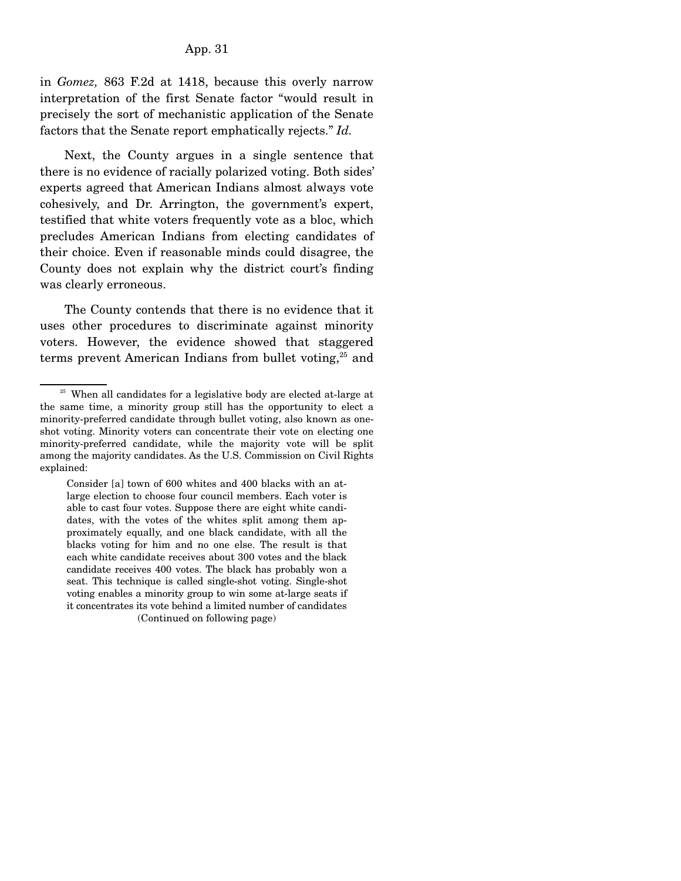in *Gomez,* 863 F.2d at 1418, because this overly narrow interpretation of the first Senate factor "would result in precisely the sort of mechanistic application of the Senate factors that the Senate report emphatically rejects." *Id.*

 Next, the County argues in a single sentence that there is no evidence of racially polarized voting. Both sides' experts agreed that American Indians almost always vote cohesively, and Dr. Arrington, the government's expert, testified that white voters frequently vote as a bloc, which precludes American Indians from electing candidates of their choice. Even if reasonable minds could disagree, the County does not explain why the district court's finding was clearly erroneous.

 The County contends that there is no evidence that it uses other procedures to discriminate against minority voters. However, the evidence showed that staggered terms prevent American Indians from bullet voting,<sup>25</sup> and

<sup>&</sup>lt;sup>25</sup> When all candidates for a legislative body are elected at-large at the same time, a minority group still has the opportunity to elect a minority-preferred candidate through bullet voting, also known as oneshot voting. Minority voters can concentrate their vote on electing one minority-preferred candidate, while the majority vote will be split among the majority candidates. As the U.S. Commission on Civil Rights explained:

Consider [a] town of 600 whites and 400 blacks with an atlarge election to choose four council members. Each voter is able to cast four votes. Suppose there are eight white candidates, with the votes of the whites split among them approximately equally, and one black candidate, with all the blacks voting for him and no one else. The result is that each white candidate receives about 300 votes and the black candidate receives 400 votes. The black has probably won a seat. This technique is called single-shot voting. Single-shot voting enables a minority group to win some at-large seats if it concentrates its vote behind a limited number of candidates (Continued on following page)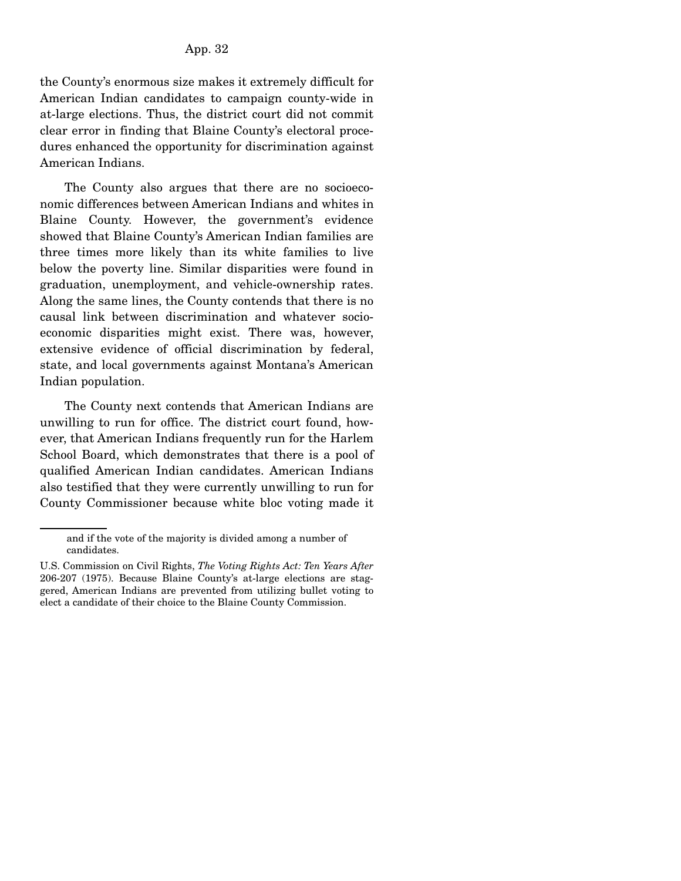the County's enormous size makes it extremely difficult for American Indian candidates to campaign county-wide in at-large elections. Thus, the district court did not commit clear error in finding that Blaine County's electoral procedures enhanced the opportunity for discrimination against American Indians.

 The County also argues that there are no socioeconomic differences between American Indians and whites in Blaine County. However, the government's evidence showed that Blaine County's American Indian families are three times more likely than its white families to live below the poverty line. Similar disparities were found in graduation, unemployment, and vehicle-ownership rates. Along the same lines, the County contends that there is no causal link between discrimination and whatever socioeconomic disparities might exist. There was, however, extensive evidence of official discrimination by federal, state, and local governments against Montana's American Indian population.

 The County next contends that American Indians are unwilling to run for office. The district court found, however, that American Indians frequently run for the Harlem School Board, which demonstrates that there is a pool of qualified American Indian candidates. American Indians also testified that they were currently unwilling to run for County Commissioner because white bloc voting made it

and if the vote of the majority is divided among a number of candidates.

U.S. Commission on Civil Rights, *The Voting Rights Act: Ten Years After* 206-207 (1975). Because Blaine County's at-large elections are staggered, American Indians are prevented from utilizing bullet voting to elect a candidate of their choice to the Blaine County Commission.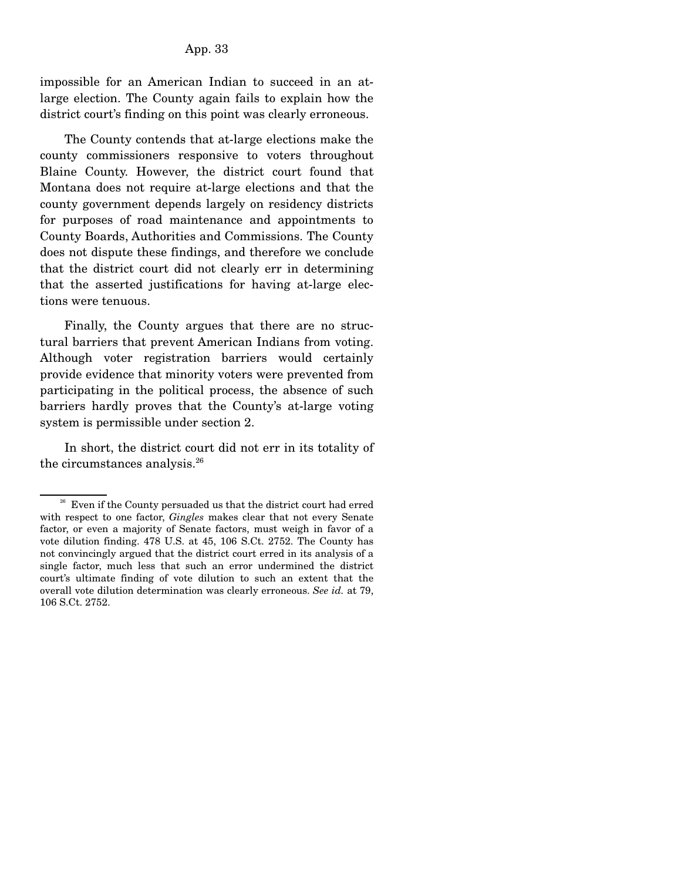impossible for an American Indian to succeed in an atlarge election. The County again fails to explain how the district court's finding on this point was clearly erroneous.

 The County contends that at-large elections make the county commissioners responsive to voters throughout Blaine County. However, the district court found that Montana does not require at-large elections and that the county government depends largely on residency districts for purposes of road maintenance and appointments to County Boards, Authorities and Commissions. The County does not dispute these findings, and therefore we conclude that the district court did not clearly err in determining that the asserted justifications for having at-large elections were tenuous.

 Finally, the County argues that there are no structural barriers that prevent American Indians from voting. Although voter registration barriers would certainly provide evidence that minority voters were prevented from participating in the political process, the absence of such barriers hardly proves that the County's at-large voting system is permissible under section 2.

 In short, the district court did not err in its totality of the circumstances analysis.<sup>26</sup>

<sup>&</sup>lt;sup>26</sup> Even if the County persuaded us that the district court had erred with respect to one factor, *Gingles* makes clear that not every Senate factor, or even a majority of Senate factors, must weigh in favor of a vote dilution finding. 478 U.S. at 45, 106 S.Ct. 2752. The County has not convincingly argued that the district court erred in its analysis of a single factor, much less that such an error undermined the district court's ultimate finding of vote dilution to such an extent that the overall vote dilution determination was clearly erroneous. *See id.* at 79, 106 S.Ct. 2752.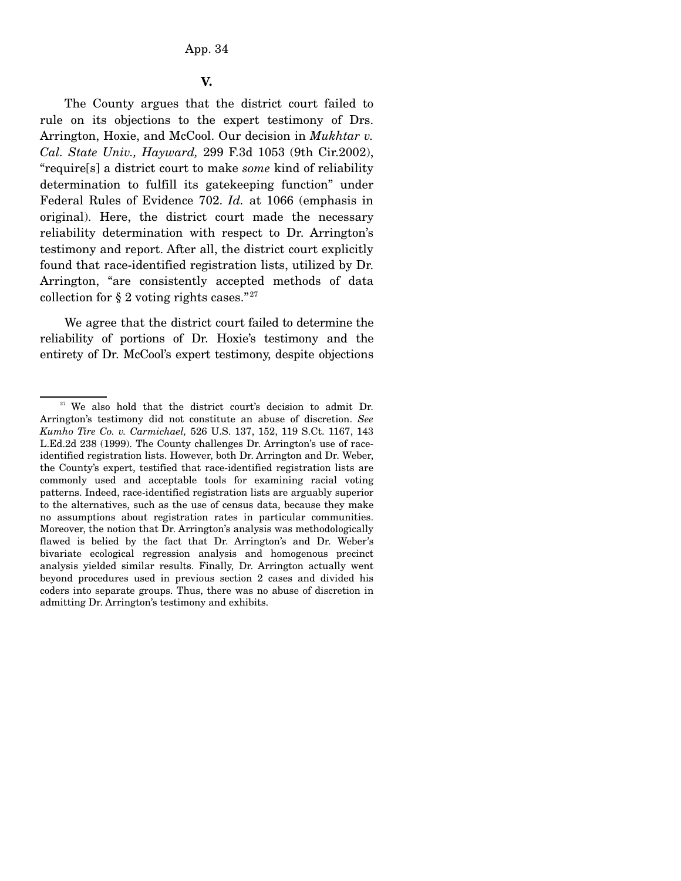The County argues that the district court failed to rule on its objections to the expert testimony of Drs. Arrington, Hoxie, and McCool. Our decision in *Mukhtar v. Cal. State Univ., Hayward,* 299 F.3d 1053 (9th Cir.2002), "require[s] a district court to make *some* kind of reliability determination to fulfill its gatekeeping function" under Federal Rules of Evidence 702. *Id.* at 1066 (emphasis in original). Here, the district court made the necessary reliability determination with respect to Dr. Arrington's testimony and report. After all, the district court explicitly found that race-identified registration lists, utilized by Dr. Arrington, "are consistently accepted methods of data collection for  $\S 2$  voting rights cases."<sup>27</sup>

 We agree that the district court failed to determine the reliability of portions of Dr. Hoxie's testimony and the entirety of Dr. McCool's expert testimony, despite objections

<sup>&</sup>lt;sup>27</sup> We also hold that the district court's decision to admit Dr. Arrington's testimony did not constitute an abuse of discretion. *See Kumho Tire Co. v. Carmichael,* 526 U.S. 137, 152, 119 S.Ct. 1167, 143 L.Ed.2d 238 (1999). The County challenges Dr. Arrington's use of raceidentified registration lists. However, both Dr. Arrington and Dr. Weber, the County's expert, testified that race-identified registration lists are commonly used and acceptable tools for examining racial voting patterns. Indeed, race-identified registration lists are arguably superior to the alternatives, such as the use of census data, because they make no assumptions about registration rates in particular communities. Moreover, the notion that Dr. Arrington's analysis was methodologically flawed is belied by the fact that Dr. Arrington's and Dr. Weber's bivariate ecological regression analysis and homogenous precinct analysis yielded similar results. Finally, Dr. Arrington actually went beyond procedures used in previous section 2 cases and divided his coders into separate groups. Thus, there was no abuse of discretion in admitting Dr. Arrington's testimony and exhibits.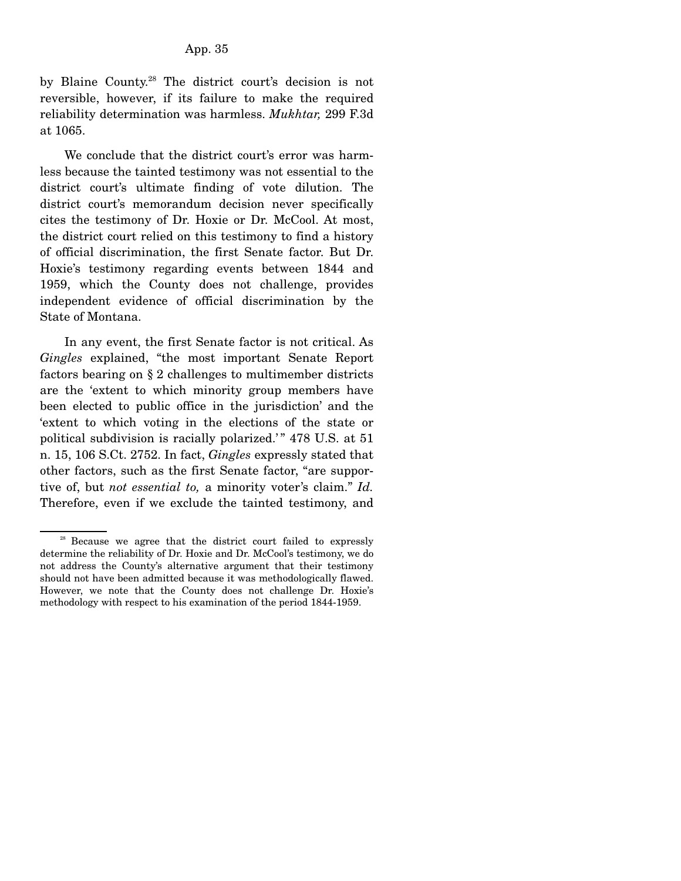by Blaine County.28 The district court's decision is not reversible, however, if its failure to make the required reliability determination was harmless. *Mukhtar,* 299 F.3d at 1065.

 We conclude that the district court's error was harmless because the tainted testimony was not essential to the district court's ultimate finding of vote dilution. The district court's memorandum decision never specifically cites the testimony of Dr. Hoxie or Dr. McCool. At most, the district court relied on this testimony to find a history of official discrimination, the first Senate factor. But Dr. Hoxie's testimony regarding events between 1844 and 1959, which the County does not challenge, provides independent evidence of official discrimination by the State of Montana.

 In any event, the first Senate factor is not critical. As *Gingles* explained, "the most important Senate Report factors bearing on § 2 challenges to multimember districts are the 'extent to which minority group members have been elected to public office in the jurisdiction' and the 'extent to which voting in the elections of the state or political subdivision is racially polarized.'" 478 U.S. at 51 n. 15, 106 S.Ct. 2752. In fact, *Gingles* expressly stated that other factors, such as the first Senate factor, "are supportive of, but *not essential to,* a minority voter's claim." *Id.* Therefore, even if we exclude the tainted testimony, and

<sup>&</sup>lt;sup>28</sup> Because we agree that the district court failed to expressly determine the reliability of Dr. Hoxie and Dr. McCool's testimony, we do not address the County's alternative argument that their testimony should not have been admitted because it was methodologically flawed. However, we note that the County does not challenge Dr. Hoxie's methodology with respect to his examination of the period 1844-1959.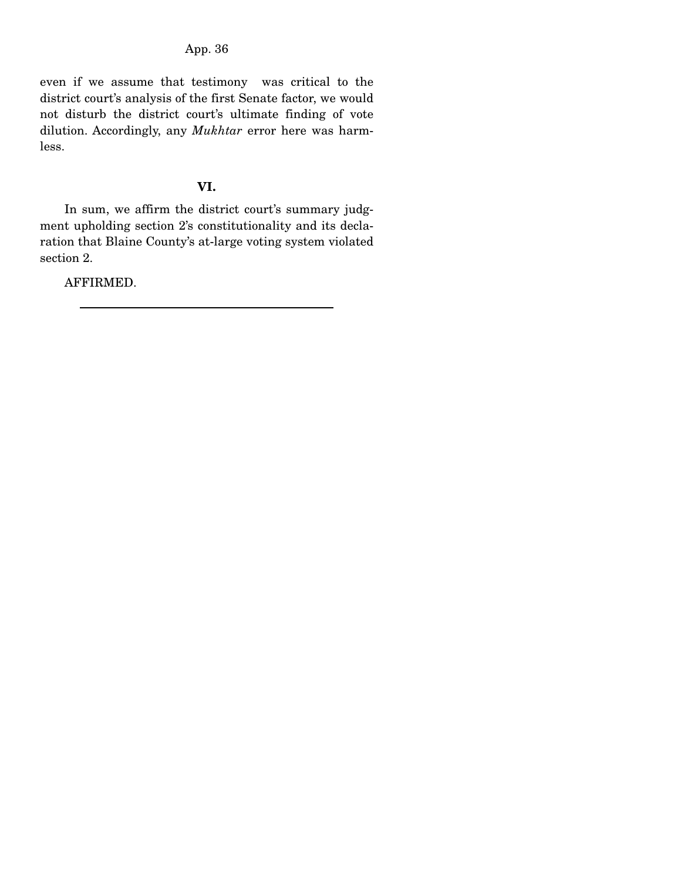even if we assume that testimony was critical to the district court's analysis of the first Senate factor, we would not disturb the district court's ultimate finding of vote dilution. Accordingly, any *Mukhtar* error here was harmless.

# **VI.**

 In sum, we affirm the district court's summary judgment upholding section 2's constitutionality and its declaration that Blaine County's at-large voting system violated section 2.

AFFIRMED.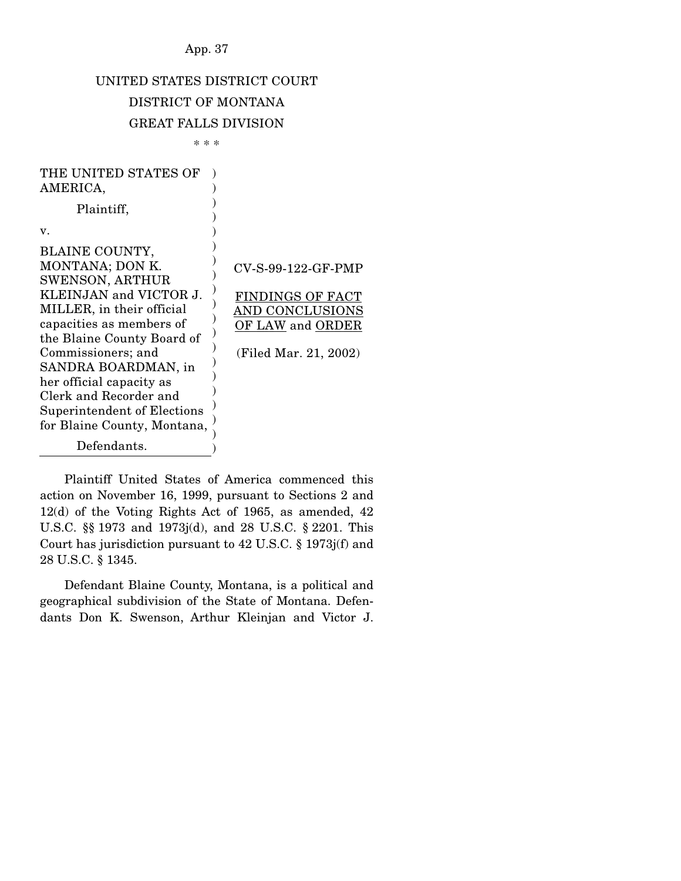# App. 37

# UNITED STATES DISTRICT COURT DISTRICT OF MONTANA

# GREAT FALLS DIVISION

\* \* \*

#### THE UNITED STATES OF AMERICA, Plaintiff, v. BLAINE COUNTY, MONTANA; DON K. SWENSON, ARTHUR KLEINJAN and VICTOR J. MILLER, in their official capacities as members of the Blaine County Board of Commissioners; and SANDRA BOARDMAN, in her official capacity as Clerk and Recorder and Superintendent of Elections for Blaine County, Montana, Defendants.  $\lambda$ ) ) ) ) ) ) ) ) ) ) ) ) ) ) ) ) ) ) ) CV-S-99-122-GF-PMP FINDINGS OF FACT AND CONCLUSIONS OF LAW and ORDER (Filed Mar. 21, 2002)

 Plaintiff United States of America commenced this action on November 16, 1999, pursuant to Sections 2 and 12(d) of the Voting Rights Act of 1965, as amended, 42 U.S.C. §§ 1973 and 1973j(d), and 28 U.S.C. § 2201. This Court has jurisdiction pursuant to 42 U.S.C. § 1973j(f) and 28 U.S.C. § 1345.

 Defendant Blaine County, Montana, is a political and geographical subdivision of the State of Montana. Defendants Don K. Swenson, Arthur Kleinjan and Victor J.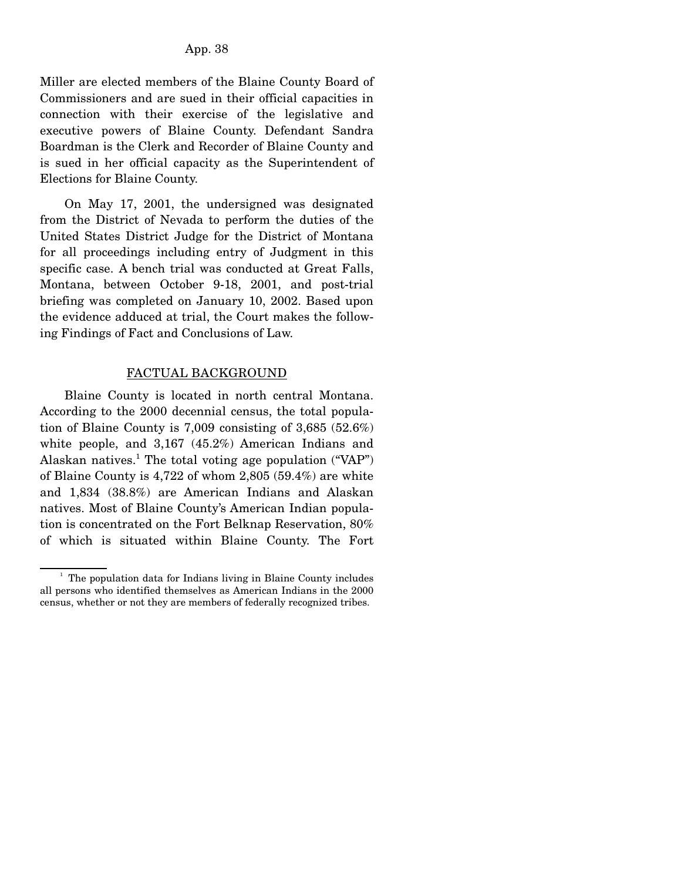Miller are elected members of the Blaine County Board of Commissioners and are sued in their official capacities in connection with their exercise of the legislative and executive powers of Blaine County. Defendant Sandra Boardman is the Clerk and Recorder of Blaine County and is sued in her official capacity as the Superintendent of Elections for Blaine County.

 On May 17, 2001, the undersigned was designated from the District of Nevada to perform the duties of the United States District Judge for the District of Montana for all proceedings including entry of Judgment in this specific case. A bench trial was conducted at Great Falls, Montana, between October 9-18, 2001, and post-trial briefing was completed on January 10, 2002. Based upon the evidence adduced at trial, the Court makes the following Findings of Fact and Conclusions of Law.

# FACTUAL BACKGROUND

 Blaine County is located in north central Montana. According to the 2000 decennial census, the total population of Blaine County is 7,009 consisting of 3,685 (52.6%) white people, and 3,167 (45.2%) American Indians and Alaskan natives.<sup>1</sup> The total voting age population ("VAP") of Blaine County is 4,722 of whom 2,805 (59.4%) are white and 1,834 (38.8%) are American Indians and Alaskan natives. Most of Blaine County's American Indian population is concentrated on the Fort Belknap Reservation, 80% of which is situated within Blaine County. The Fort

<sup>&</sup>lt;sup>1</sup> The population data for Indians living in Blaine County includes all persons who identified themselves as American Indians in the 2000 census, whether or not they are members of federally recognized tribes.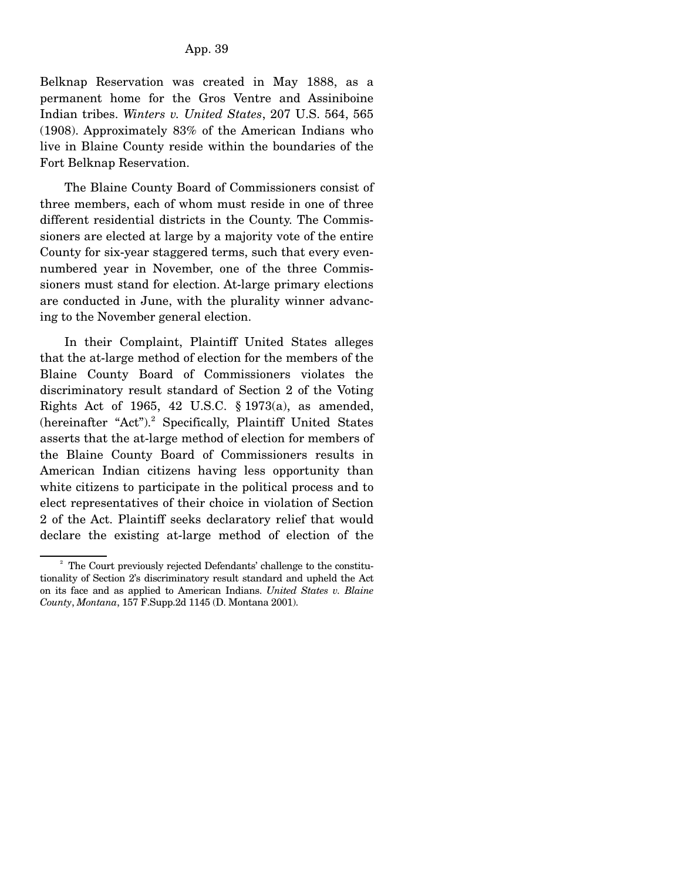Belknap Reservation was created in May 1888, as a permanent home for the Gros Ventre and Assiniboine Indian tribes. *Winters v. United States*, 207 U.S. 564, 565 (1908). Approximately 83% of the American Indians who live in Blaine County reside within the boundaries of the Fort Belknap Reservation.

 The Blaine County Board of Commissioners consist of three members, each of whom must reside in one of three different residential districts in the County. The Commissioners are elected at large by a majority vote of the entire County for six-year staggered terms, such that every evennumbered year in November, one of the three Commissioners must stand for election. At-large primary elections are conducted in June, with the plurality winner advancing to the November general election.

 In their Complaint, Plaintiff United States alleges that the at-large method of election for the members of the Blaine County Board of Commissioners violates the discriminatory result standard of Section 2 of the Voting Rights Act of 1965, 42 U.S.C. § 1973(a), as amended, (hereinafter "Act").<sup>2</sup> Specifically, Plaintiff United States asserts that the at-large method of election for members of the Blaine County Board of Commissioners results in American Indian citizens having less opportunity than white citizens to participate in the political process and to elect representatives of their choice in violation of Section 2 of the Act. Plaintiff seeks declaratory relief that would declare the existing at-large method of election of the

<sup>&</sup>lt;sup>2</sup> The Court previously rejected Defendants' challenge to the constitutionality of Section 2's discriminatory result standard and upheld the Act on its face and as applied to American Indians. *United States v. Blaine County*, *Montana*, 157 F.Supp.2d 1145 (D. Montana 2001).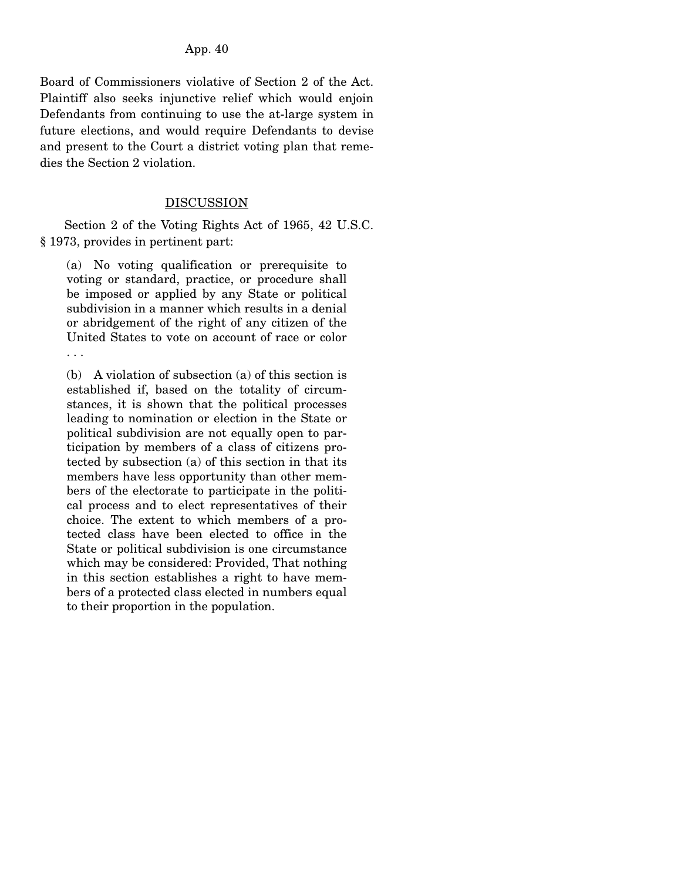Board of Commissioners violative of Section 2 of the Act. Plaintiff also seeks injunctive relief which would enjoin Defendants from continuing to use the at-large system in future elections, and would require Defendants to devise and present to the Court a district voting plan that remedies the Section 2 violation.

# DISCUSSION

 Section 2 of the Voting Rights Act of 1965, 42 U.S.C. § 1973, provides in pertinent part:

(a) No voting qualification or prerequisite to voting or standard, practice, or procedure shall be imposed or applied by any State or political subdivision in a manner which results in a denial or abridgement of the right of any citizen of the United States to vote on account of race or color . . .

(b) A violation of subsection (a) of this section is established if, based on the totality of circumstances, it is shown that the political processes leading to nomination or election in the State or political subdivision are not equally open to participation by members of a class of citizens protected by subsection (a) of this section in that its members have less opportunity than other members of the electorate to participate in the political process and to elect representatives of their choice. The extent to which members of a protected class have been elected to office in the State or political subdivision is one circumstance which may be considered: Provided, That nothing in this section establishes a right to have members of a protected class elected in numbers equal to their proportion in the population.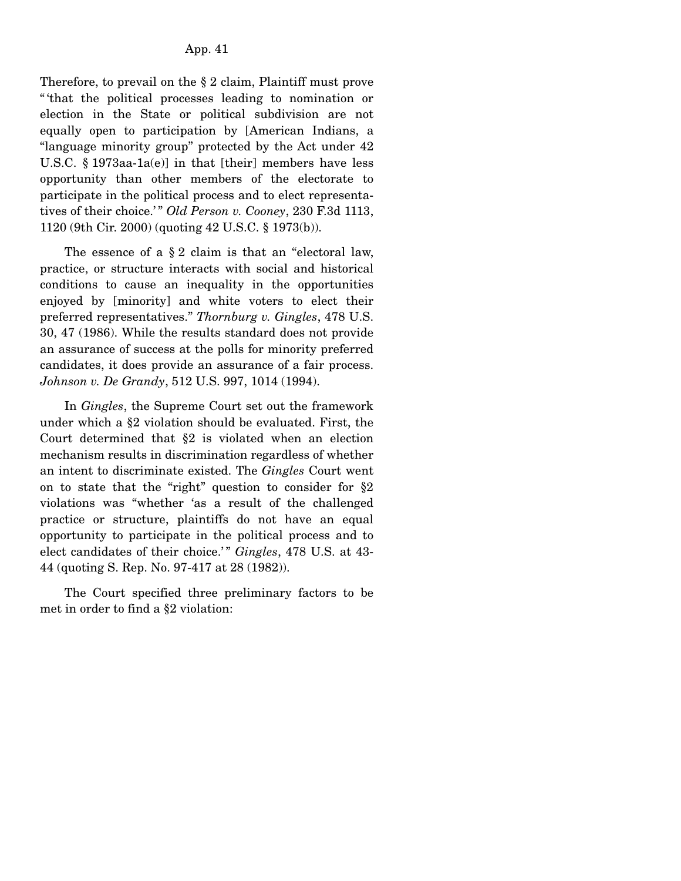Therefore, to prevail on the § 2 claim, Plaintiff must prove " 'that the political processes leading to nomination or election in the State or political subdivision are not equally open to participation by [American Indians, a "language minority group" protected by the Act under 42 U.S.C. § 1973aa-1a(e)] in that [their] members have less opportunity than other members of the electorate to participate in the political process and to elect representatives of their choice.'" *Old Person v. Cooney*, 230 F.3d 1113, 1120 (9th Cir. 2000) (quoting 42 U.S.C. § 1973(b)).

 The essence of a § 2 claim is that an "electoral law, practice, or structure interacts with social and historical conditions to cause an inequality in the opportunities enjoyed by [minority] and white voters to elect their preferred representatives." *Thornburg v. Gingles*, 478 U.S. 30, 47 (1986). While the results standard does not provide an assurance of success at the polls for minority preferred candidates, it does provide an assurance of a fair process. *Johnson v. De Grandy*, 512 U.S. 997, 1014 (1994).

 In *Gingles*, the Supreme Court set out the framework under which a §2 violation should be evaluated. First, the Court determined that §2 is violated when an election mechanism results in discrimination regardless of whether an intent to discriminate existed. The *Gingles* Court went on to state that the "right" question to consider for §2 violations was "whether 'as a result of the challenged practice or structure, plaintiffs do not have an equal opportunity to participate in the political process and to elect candidates of their choice.'" *Gingles*, 478 U.S. at 43-44 (quoting S. Rep. No. 97-417 at 28 (1982)).

 The Court specified three preliminary factors to be met in order to find a §2 violation: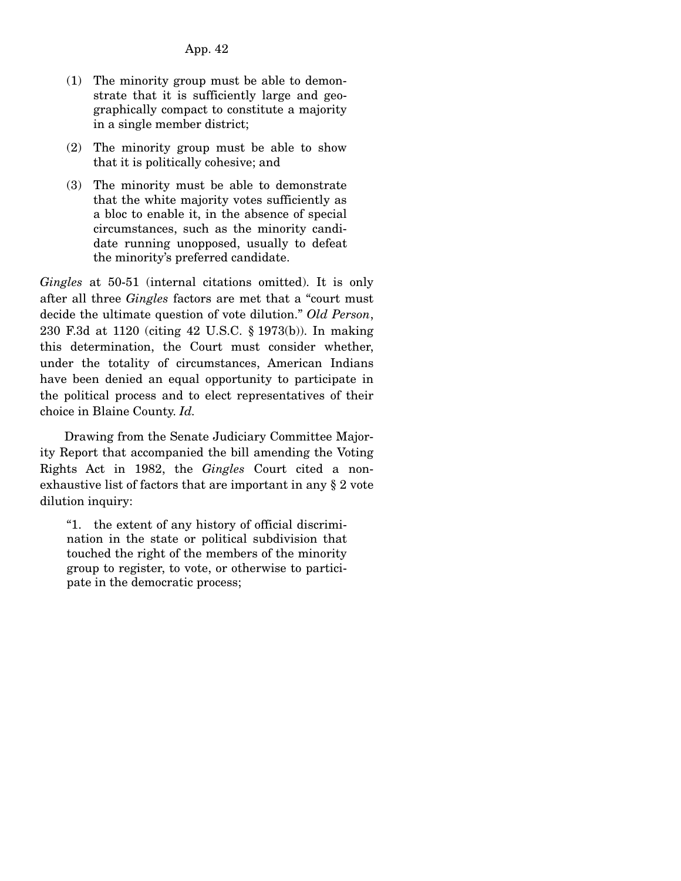App. 42

- (1) The minority group must be able to demonstrate that it is sufficiently large and geographically compact to constitute a majority in a single member district;
- (2) The minority group must be able to show that it is politically cohesive; and
- (3) The minority must be able to demonstrate that the white majority votes sufficiently as a bloc to enable it, in the absence of special circumstances, such as the minority candidate running unopposed, usually to defeat the minority's preferred candidate.

*Gingles* at 50-51 (internal citations omitted). It is only after all three *Gingles* factors are met that a "court must decide the ultimate question of vote dilution." *Old Person*, 230 F.3d at 1120 (citing 42 U.S.C. § 1973(b)). In making this determination, the Court must consider whether, under the totality of circumstances, American Indians have been denied an equal opportunity to participate in the political process and to elect representatives of their choice in Blaine County. *Id.*

 Drawing from the Senate Judiciary Committee Majority Report that accompanied the bill amending the Voting Rights Act in 1982, the *Gingles* Court cited a nonexhaustive list of factors that are important in any § 2 vote dilution inquiry:

"1. the extent of any history of official discrimination in the state or political subdivision that touched the right of the members of the minority group to register, to vote, or otherwise to participate in the democratic process;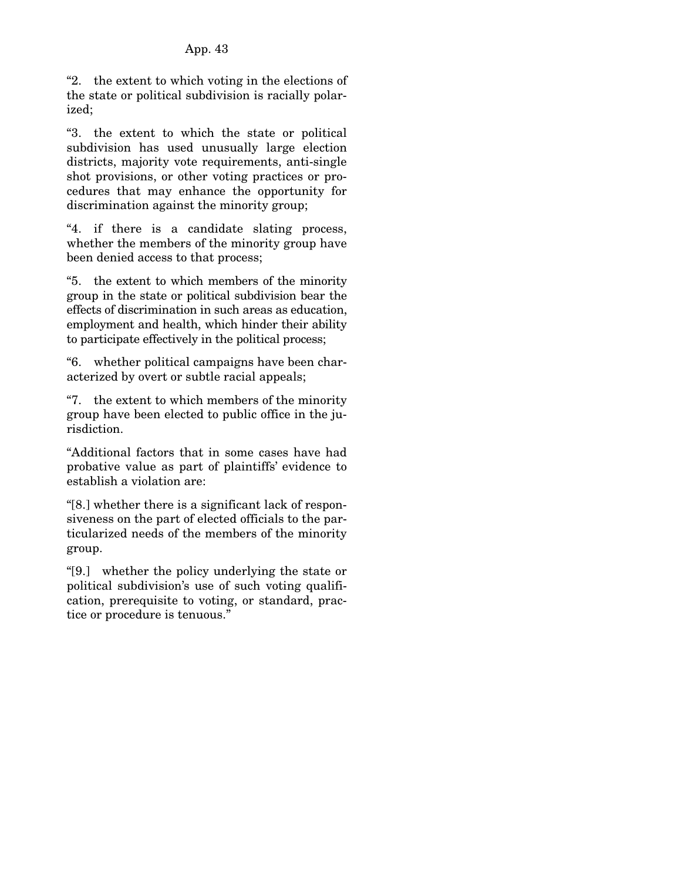"2. the extent to which voting in the elections of the state or political subdivision is racially polarized;

"3. the extent to which the state or political subdivision has used unusually large election districts, majority vote requirements, anti-single shot provisions, or other voting practices or procedures that may enhance the opportunity for discrimination against the minority group;

"4. if there is a candidate slating process, whether the members of the minority group have been denied access to that process;

"5. the extent to which members of the minority group in the state or political subdivision bear the effects of discrimination in such areas as education, employment and health, which hinder their ability to participate effectively in the political process;

"6. whether political campaigns have been characterized by overt or subtle racial appeals;

"7. the extent to which members of the minority group have been elected to public office in the jurisdiction.

"Additional factors that in some cases have had probative value as part of plaintiffs' evidence to establish a violation are:

"[8.] whether there is a significant lack of responsiveness on the part of elected officials to the particularized needs of the members of the minority group.

"[9.] whether the policy underlying the state or political subdivision's use of such voting qualification, prerequisite to voting, or standard, practice or procedure is tenuous."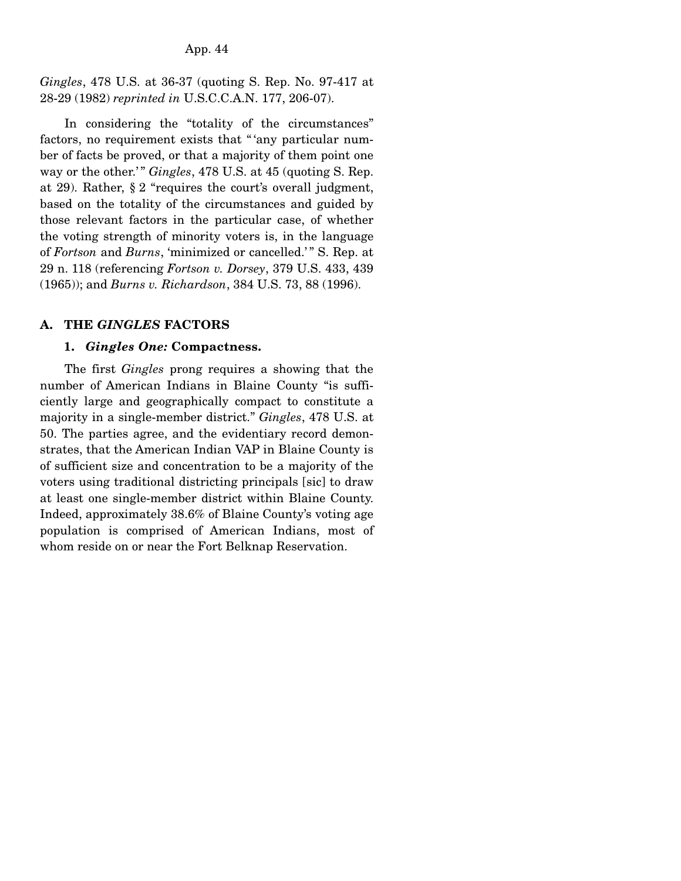App. 44

*Gingles*, 478 U.S. at 36-37 (quoting S. Rep. No. 97-417 at 28-29 (1982) *reprinted in* U.S.C.C.A.N. 177, 206-07).

In considering the "totality of the circumstances" factors, no requirement exists that " 'any particular number of facts be proved, or that a majority of them point one way or the other.'" *Gingles*, 478 U.S. at 45 (quoting S. Rep. at 29). Rather, § 2 "requires the court's overall judgment, based on the totality of the circumstances and guided by those relevant factors in the particular case, of whether the voting strength of minority voters is, in the language of *Fortson* and *Burns*, 'minimized or cancelled.' " S. Rep. at 29 n. 118 (referencing *Fortson v. Dorsey*, 379 U.S. 433, 439 (1965)); and *Burns v. Richardson*, 384 U.S. 73, 88 (1996).

# **A. THE** *GINGLES* **FACTORS**

#### **1.** *Gingles One:* **Compactness.**

 The first *Gingles* prong requires a showing that the number of American Indians in Blaine County "is sufficiently large and geographically compact to constitute a majority in a single-member district." *Gingles*, 478 U.S. at 50. The parties agree, and the evidentiary record demonstrates, that the American Indian VAP in Blaine County is of sufficient size and concentration to be a majority of the voters using traditional districting principals [sic] to draw at least one single-member district within Blaine County. Indeed, approximately 38.6% of Blaine County's voting age population is comprised of American Indians, most of whom reside on or near the Fort Belknap Reservation.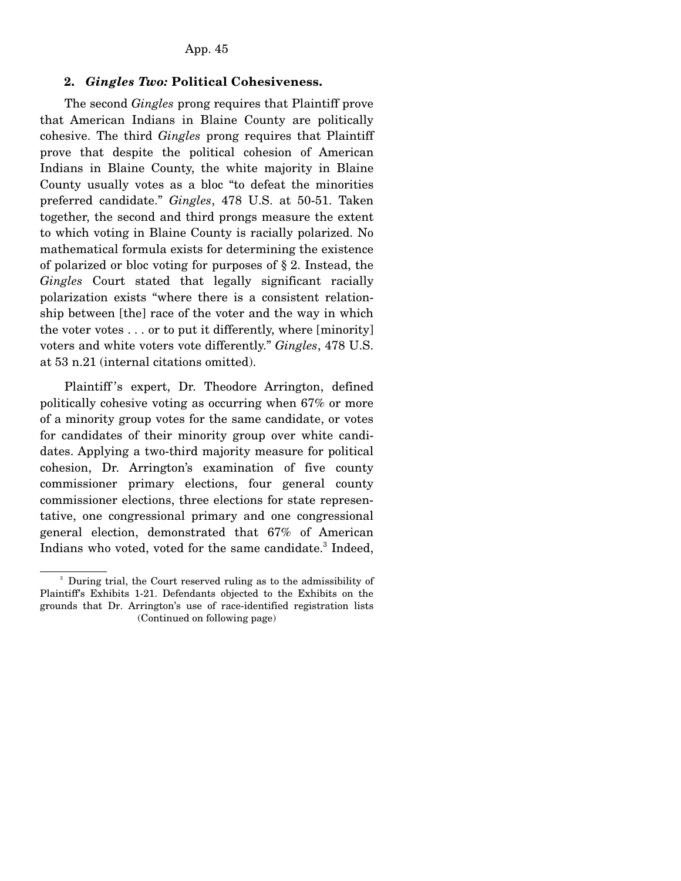#### **2.** *Gingles Two:* **Political Cohesiveness.**

 The second *Gingles* prong requires that Plaintiff prove that American Indians in Blaine County are politically cohesive. The third *Gingles* prong requires that Plaintiff prove that despite the political cohesion of American Indians in Blaine County, the white majority in Blaine County usually votes as a bloc "to defeat the minorities preferred candidate." *Gingles*, 478 U.S. at 50-51. Taken together, the second and third prongs measure the extent to which voting in Blaine County is racially polarized. No mathematical formula exists for determining the existence of polarized or bloc voting for purposes of § 2. Instead, the *Gingles* Court stated that legally significant racially polarization exists "where there is a consistent relationship between [the] race of the voter and the way in which the voter votes . . . or to put it differently, where [minority] voters and white voters vote differently." *Gingles*, 478 U.S. at 53 n.21 (internal citations omitted).

 Plaintiff 's expert, Dr. Theodore Arrington, defined politically cohesive voting as occurring when 67% or more of a minority group votes for the same candidate, or votes for candidates of their minority group over white candidates. Applying a two-third majority measure for political cohesion, Dr. Arrington's examination of five county commissioner primary elections, four general county commissioner elections, three elections for state representative, one congressional primary and one congressional general election, demonstrated that 67% of American Indians who voted, voted for the same candidate.<sup>3</sup> Indeed,

<sup>&</sup>lt;sup>3</sup> During trial, the Court reserved ruling as to the admissibility of Plaintiff's Exhibits 1-21. Defendants objected to the Exhibits on the grounds that Dr. Arrington's use of race-identified registration lists (Continued on following page)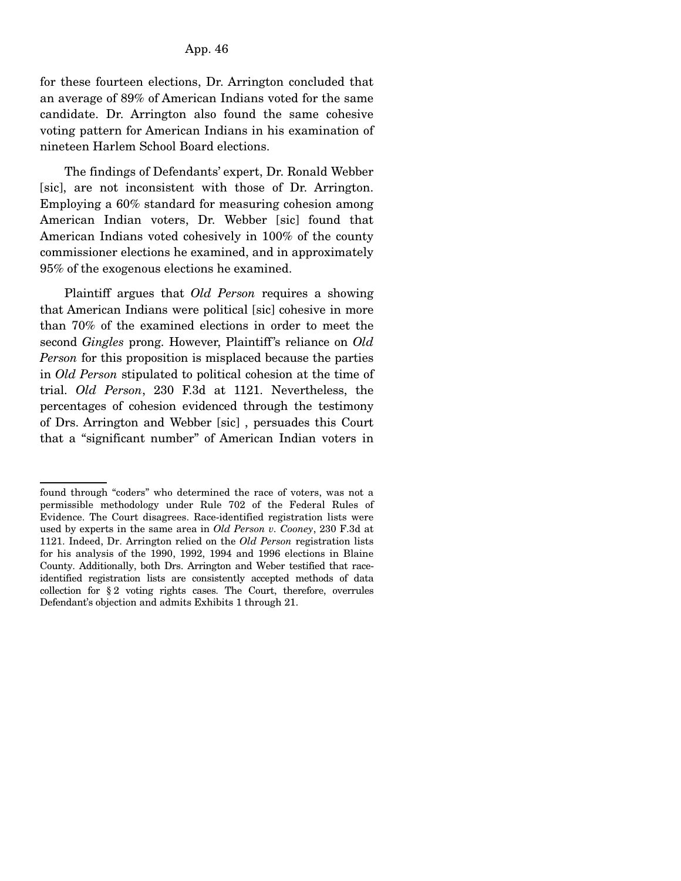### App. 46

for these fourteen elections, Dr. Arrington concluded that an average of 89% of American Indians voted for the same candidate. Dr. Arrington also found the same cohesive voting pattern for American Indians in his examination of nineteen Harlem School Board elections.

 The findings of Defendants' expert, Dr. Ronald Webber [sic], are not inconsistent with those of Dr. Arrington. Employing a 60% standard for measuring cohesion among American Indian voters, Dr. Webber [sic] found that American Indians voted cohesively in 100% of the county commissioner elections he examined, and in approximately 95% of the exogenous elections he examined.

 Plaintiff argues that *Old Person* requires a showing that American Indians were political [sic] cohesive in more than 70% of the examined elections in order to meet the second *Gingles* prong. However, Plaintiff's reliance on *Old Person* for this proposition is misplaced because the parties in *Old Person* stipulated to political cohesion at the time of trial. *Old Person*, 230 F.3d at 1121. Nevertheless, the percentages of cohesion evidenced through the testimony of Drs. Arrington and Webber [sic] , persuades this Court that a "significant number" of American Indian voters in

found through "coders" who determined the race of voters, was not a permissible methodology under Rule 702 of the Federal Rules of Evidence. The Court disagrees. Race-identified registration lists were used by experts in the same area in *Old Person v. Cooney*, 230 F.3d at 1121. Indeed, Dr. Arrington relied on the *Old Person* registration lists for his analysis of the 1990, 1992, 1994 and 1996 elections in Blaine County. Additionally, both Drs. Arrington and Weber testified that raceidentified registration lists are consistently accepted methods of data collection for § 2 voting rights cases. The Court, therefore, overrules Defendant's objection and admits Exhibits 1 through 21.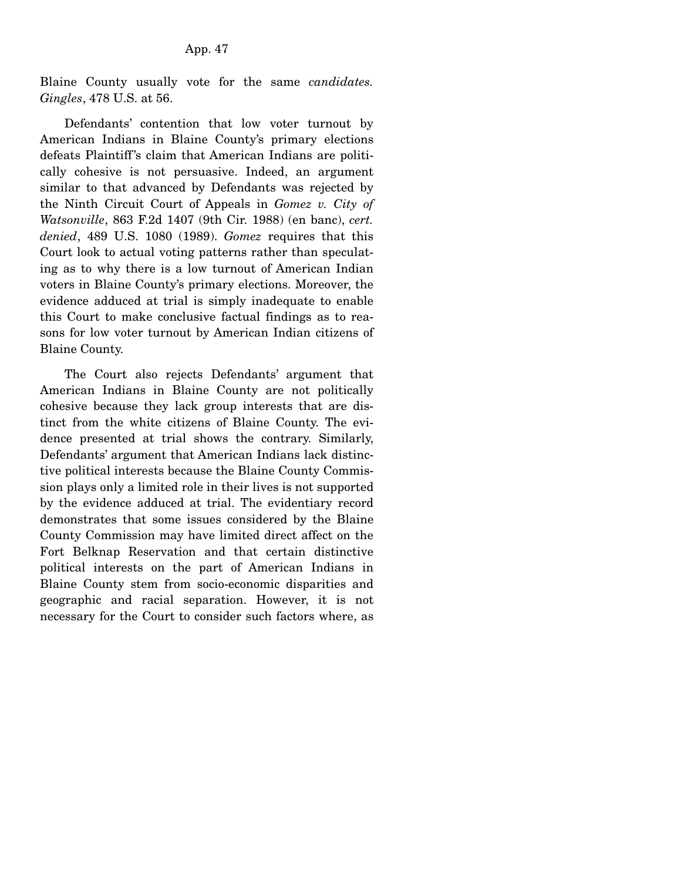Blaine County usually vote for the same *candidates. Gingles*, 478 U.S. at 56.

 Defendants' contention that low voter turnout by American Indians in Blaine County's primary elections defeats Plaintiff's claim that American Indians are politically cohesive is not persuasive. Indeed, an argument similar to that advanced by Defendants was rejected by the Ninth Circuit Court of Appeals in *Gomez v. City of Watsonville*, 863 F.2d 1407 (9th Cir. 1988) (en banc), *cert. denied*, 489 U.S. 1080 (1989). *Gomez* requires that this Court look to actual voting patterns rather than speculating as to why there is a low turnout of American Indian voters in Blaine County's primary elections. Moreover, the evidence adduced at trial is simply inadequate to enable this Court to make conclusive factual findings as to reasons for low voter turnout by American Indian citizens of Blaine County.

 The Court also rejects Defendants' argument that American Indians in Blaine County are not politically cohesive because they lack group interests that are distinct from the white citizens of Blaine County. The evidence presented at trial shows the contrary. Similarly, Defendants' argument that American Indians lack distinctive political interests because the Blaine County Commission plays only a limited role in their lives is not supported by the evidence adduced at trial. The evidentiary record demonstrates that some issues considered by the Blaine County Commission may have limited direct affect on the Fort Belknap Reservation and that certain distinctive political interests on the part of American Indians in Blaine County stem from socio-economic disparities and geographic and racial separation. However, it is not necessary for the Court to consider such factors where, as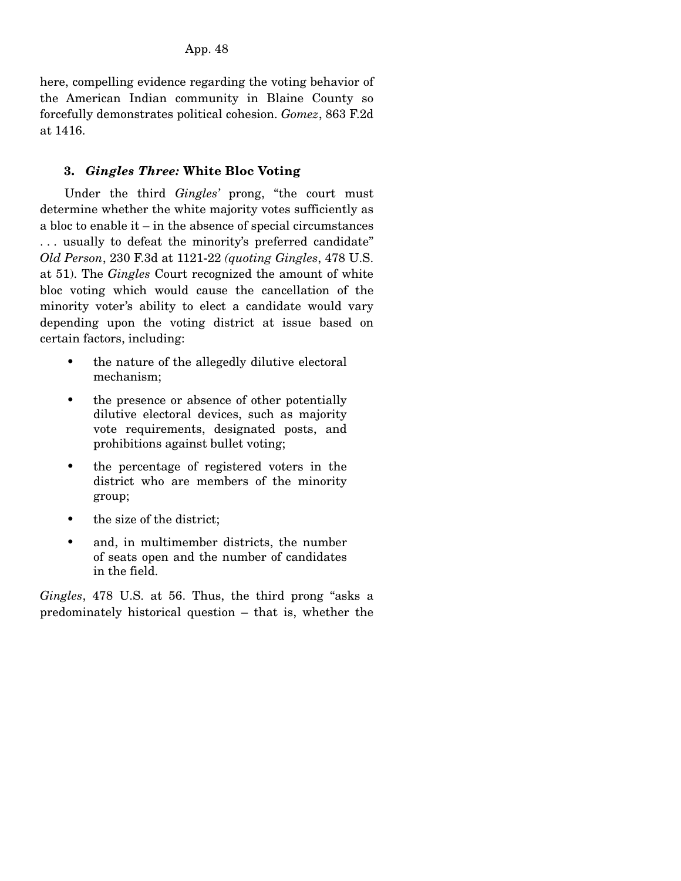here, compelling evidence regarding the voting behavior of the American Indian community in Blaine County so forcefully demonstrates political cohesion. *Gomez*, 863 F.2d at 1416.

# **3.** *Gingles Three:* **White Bloc Voting**

 Under the third *Gingles'* prong, "the court must determine whether the white majority votes sufficiently as a bloc to enable it – in the absence of special circumstances . . . usually to defeat the minority's preferred candidate" *Old Person*, 230 F.3d at 1121-22 *(quoting Gingles*, 478 U.S. at 51). The *Gingles* Court recognized the amount of white bloc voting which would cause the cancellation of the minority voter's ability to elect a candidate would vary depending upon the voting district at issue based on certain factors, including:

- the nature of the allegedly dilutive electoral mechanism;
- the presence or absence of other potentially dilutive electoral devices, such as majority vote requirements, designated posts, and prohibitions against bullet voting;
- the percentage of registered voters in the district who are members of the minority group;
- the size of the district;
- and, in multimember districts, the number of seats open and the number of candidates in the field.

*Gingles*, 478 U.S. at 56. Thus, the third prong "asks a predominately historical question – that is, whether the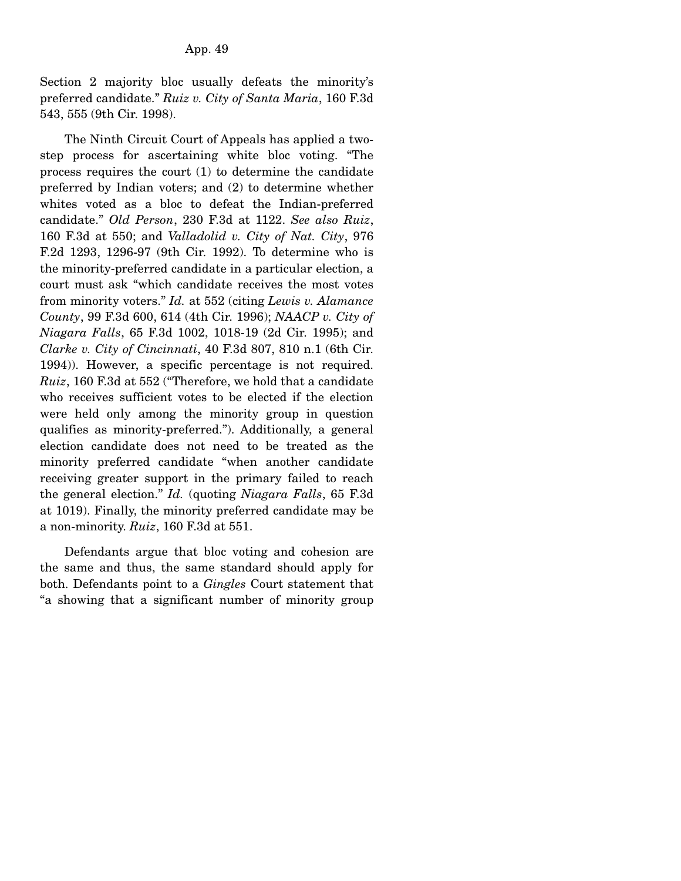Section 2 majority bloc usually defeats the minority's preferred candidate." *Ruiz v. City of Santa Maria*, 160 F.3d 543, 555 (9th Cir. 1998).

 The Ninth Circuit Court of Appeals has applied a twostep process for ascertaining white bloc voting. "The process requires the court (1) to determine the candidate preferred by Indian voters; and (2) to determine whether whites voted as a bloc to defeat the Indian-preferred candidate." *Old Person*, 230 F.3d at 1122. *See also Ruiz*, 160 F.3d at 550; and *Valladolid v. City of Nat. City*, 976 F.2d 1293, 1296-97 (9th Cir. 1992). To determine who is the minority-preferred candidate in a particular election, a court must ask "which candidate receives the most votes from minority voters." *Id.* at 552 (citing *Lewis v. Alamance County*, 99 F.3d 600, 614 (4th Cir. 1996); *NAACP v. City of Niagara Falls*, 65 F.3d 1002, 1018-19 (2d Cir. 1995); and *Clarke v. City of Cincinnati*, 40 F.3d 807, 810 n.1 (6th Cir. 1994)). However, a specific percentage is not required. *Ruiz*, 160 F.3d at 552 ("Therefore, we hold that a candidate who receives sufficient votes to be elected if the election were held only among the minority group in question qualifies as minority-preferred."). Additionally, a general election candidate does not need to be treated as the minority preferred candidate "when another candidate receiving greater support in the primary failed to reach the general election." *Id.* (quoting *Niagara Falls*, 65 F.3d at 1019). Finally, the minority preferred candidate may be a non-minority. *Ruiz*, 160 F.3d at 551.

 Defendants argue that bloc voting and cohesion are the same and thus, the same standard should apply for both. Defendants point to a *Gingles* Court statement that "a showing that a significant number of minority group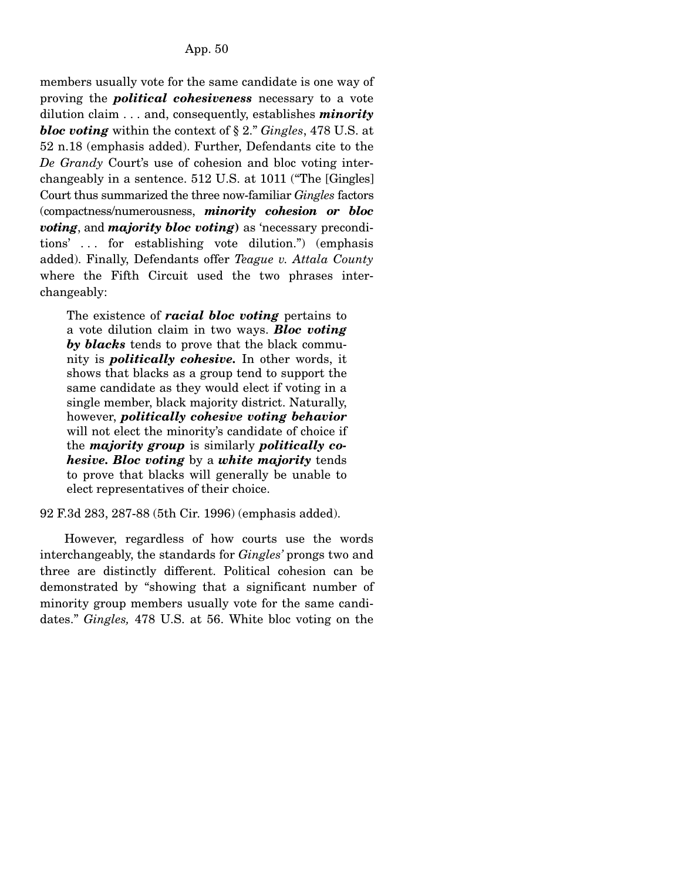members usually vote for the same candidate is one way of proving the *political cohesiveness* necessary to a vote dilution claim . . . and, consequently, establishes *minority bloc voting* within the context of § 2." *Gingles*, 478 U.S. at 52 n.18 (emphasis added). Further, Defendants cite to the *De Grandy* Court's use of cohesion and bloc voting interchangeably in a sentence. 512 U.S. at 1011 ("The [Gingles] Court thus summarized the three now-familiar *Gingles* factors (compactness/numerousness, *minority cohesion or bloc voting*, and *majority bloc voting***)** as 'necessary preconditions' . . . for establishing vote dilution.") (emphasis added). Finally, Defendants offer *Teague v. Attala County* where the Fifth Circuit used the two phrases interchangeably:

The existence of *racial bloc voting* pertains to a vote dilution claim in two ways. *Bloc voting by blacks* tends to prove that the black community is *politically cohesive.* In other words, it shows that blacks as a group tend to support the same candidate as they would elect if voting in a single member, black majority district. Naturally, however, *politically cohesive voting behavior*  will not elect the minority's candidate of choice if the *majority group* is similarly *politically cohesive. Bloc voting* by a *white majority* tends to prove that blacks will generally be unable to elect representatives of their choice.

92 F.3d 283, 287-88 (5th Cir. 1996) (emphasis added).

 However, regardless of how courts use the words interchangeably, the standards for *Gingles'* prongs two and three are distinctly different. Political cohesion can be demonstrated by "showing that a significant number of minority group members usually vote for the same candidates." *Gingles,* 478 U.S. at 56. White bloc voting on the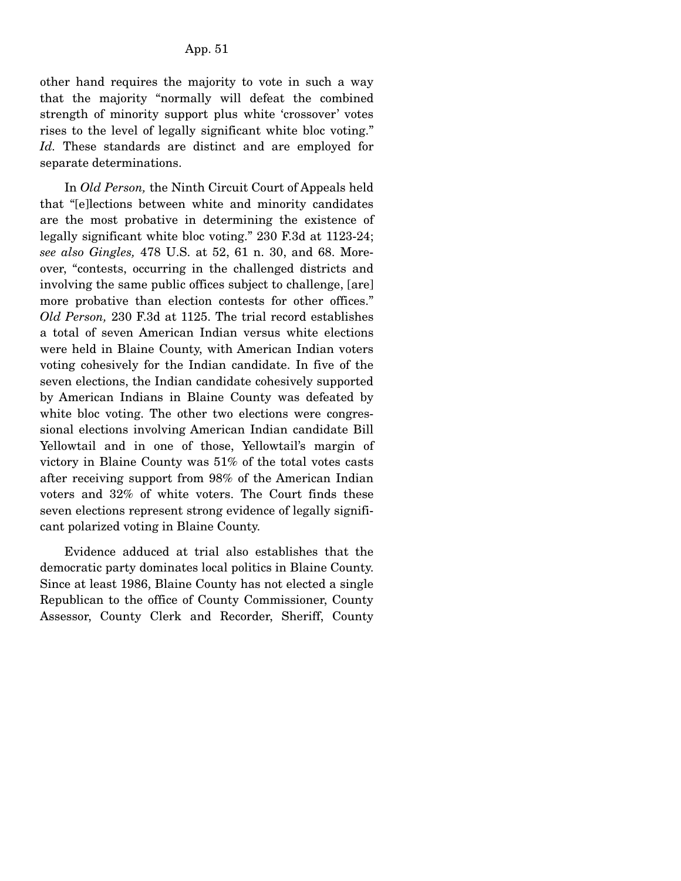other hand requires the majority to vote in such a way that the majority "normally will defeat the combined strength of minority support plus white 'crossover' votes rises to the level of legally significant white bloc voting." *Id.* These standards are distinct and are employed for separate determinations.

 In *Old Person,* the Ninth Circuit Court of Appeals held that "[e]lections between white and minority candidates are the most probative in determining the existence of legally significant white bloc voting." 230 F.3d at 1123-24; *see also Gingles,* 478 U.S. at 52, 61 n. 30, and 68. Moreover, "contests, occurring in the challenged districts and involving the same public offices subject to challenge, [are] more probative than election contests for other offices." *Old Person,* 230 F.3d at 1125. The trial record establishes a total of seven American Indian versus white elections were held in Blaine County, with American Indian voters voting cohesively for the Indian candidate. In five of the seven elections, the Indian candidate cohesively supported by American Indians in Blaine County was defeated by white bloc voting. The other two elections were congressional elections involving American Indian candidate Bill Yellowtail and in one of those, Yellowtail's margin of victory in Blaine County was 51% of the total votes casts after receiving support from 98% of the American Indian voters and 32% of white voters. The Court finds these seven elections represent strong evidence of legally significant polarized voting in Blaine County.

 Evidence adduced at trial also establishes that the democratic party dominates local politics in Blaine County. Since at least 1986, Blaine County has not elected a single Republican to the office of County Commissioner, County Assessor, County Clerk and Recorder, Sheriff, County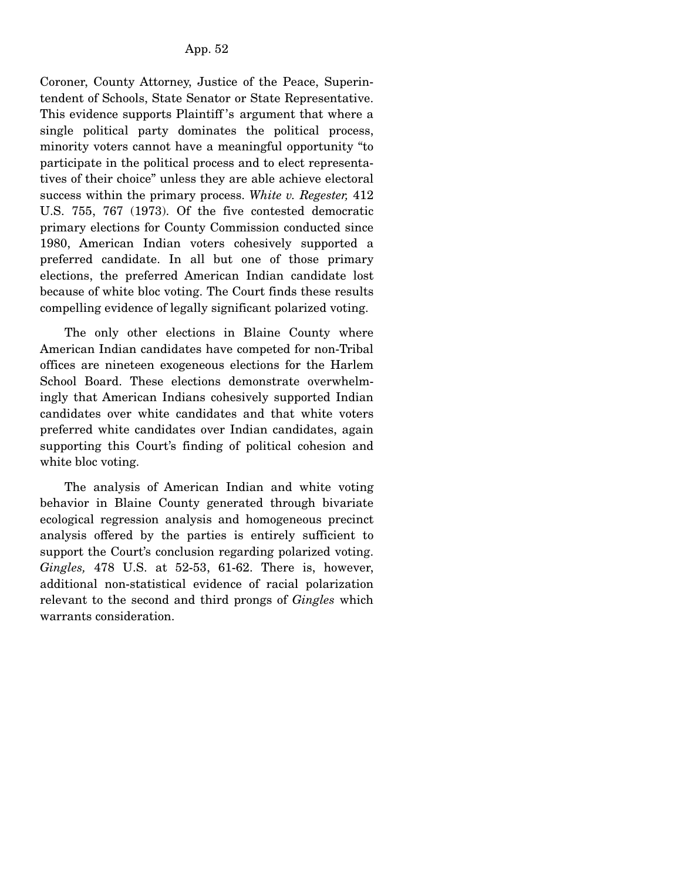Coroner, County Attorney, Justice of the Peace, Superintendent of Schools, State Senator or State Representative. This evidence supports Plaintiff 's argument that where a single political party dominates the political process, minority voters cannot have a meaningful opportunity "to participate in the political process and to elect representatives of their choice" unless they are able achieve electoral success within the primary process. *White v. Regester,* 412 U.S. 755, 767 (1973). Of the five contested democratic primary elections for County Commission conducted since 1980, American Indian voters cohesively supported a preferred candidate. In all but one of those primary elections, the preferred American Indian candidate lost because of white bloc voting. The Court finds these results compelling evidence of legally significant polarized voting.

 The only other elections in Blaine County where American Indian candidates have competed for non-Tribal offices are nineteen exogeneous elections for the Harlem School Board. These elections demonstrate overwhelmingly that American Indians cohesively supported Indian candidates over white candidates and that white voters preferred white candidates over Indian candidates, again supporting this Court's finding of political cohesion and white bloc voting.

 The analysis of American Indian and white voting behavior in Blaine County generated through bivariate ecological regression analysis and homogeneous precinct analysis offered by the parties is entirely sufficient to support the Court's conclusion regarding polarized voting. *Gingles,* 478 U.S. at 52-53, 61-62. There is, however, additional non-statistical evidence of racial polarization relevant to the second and third prongs of *Gingles* which warrants consideration.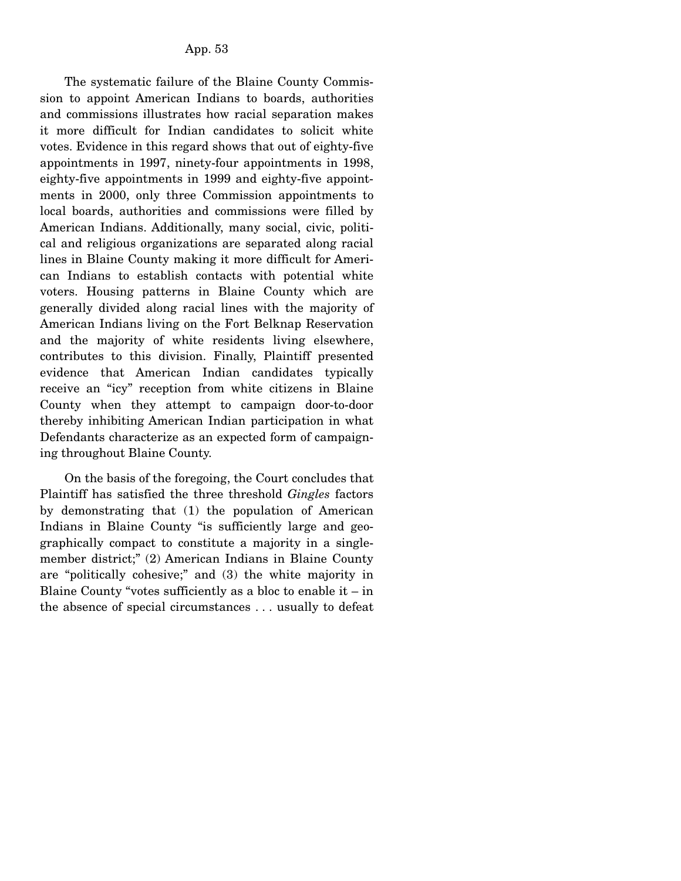The systematic failure of the Blaine County Commission to appoint American Indians to boards, authorities and commissions illustrates how racial separation makes it more difficult for Indian candidates to solicit white votes. Evidence in this regard shows that out of eighty-five appointments in 1997, ninety-four appointments in 1998, eighty-five appointments in 1999 and eighty-five appointments in 2000, only three Commission appointments to local boards, authorities and commissions were filled by American Indians. Additionally, many social, civic, political and religious organizations are separated along racial lines in Blaine County making it more difficult for American Indians to establish contacts with potential white voters. Housing patterns in Blaine County which are generally divided along racial lines with the majority of American Indians living on the Fort Belknap Reservation and the majority of white residents living elsewhere, contributes to this division. Finally, Plaintiff presented evidence that American Indian candidates typically receive an "icy" reception from white citizens in Blaine County when they attempt to campaign door-to-door thereby inhibiting American Indian participation in what Defendants characterize as an expected form of campaigning throughout Blaine County.

 On the basis of the foregoing, the Court concludes that Plaintiff has satisfied the three threshold *Gingles* factors by demonstrating that (1) the population of American Indians in Blaine County "is sufficiently large and geographically compact to constitute a majority in a singlemember district;" (2) American Indians in Blaine County are "politically cohesive;" and (3) the white majority in Blaine County "votes sufficiently as a bloc to enable it – in the absence of special circumstances . . . usually to defeat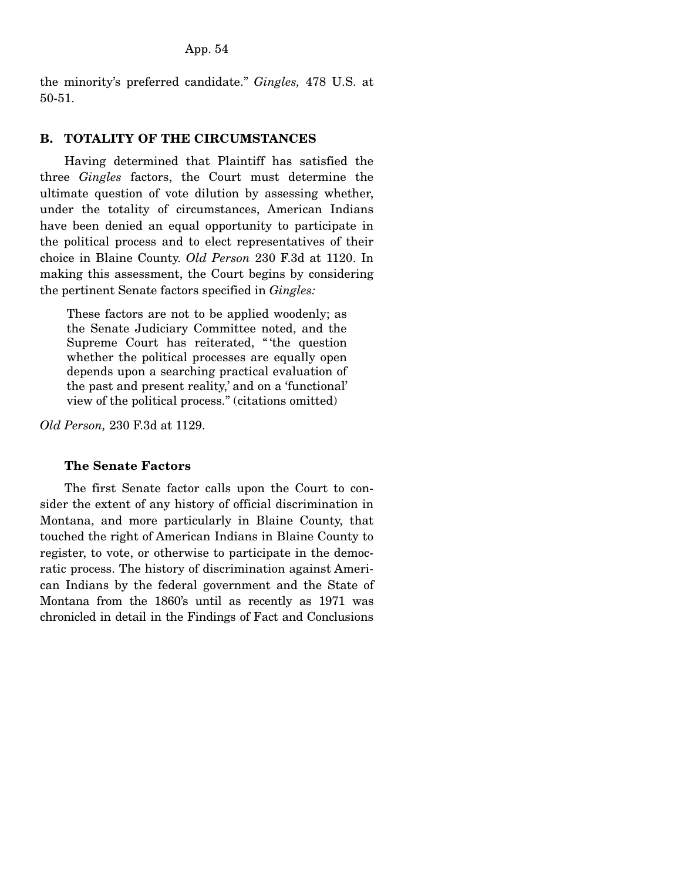the minority's preferred candidate." *Gingles,* 478 U.S. at 50-51.

# **B. TOTALITY OF THE CIRCUMSTANCES**

 Having determined that Plaintiff has satisfied the three *Gingles* factors, the Court must determine the ultimate question of vote dilution by assessing whether, under the totality of circumstances, American Indians have been denied an equal opportunity to participate in the political process and to elect representatives of their choice in Blaine County. *Old Person* 230 F.3d at 1120. In making this assessment, the Court begins by considering the pertinent Senate factors specified in *Gingles:*

These factors are not to be applied woodenly; as the Senate Judiciary Committee noted, and the Supreme Court has reiterated, " 'the question whether the political processes are equally open depends upon a searching practical evaluation of the past and present reality,' and on a 'functional' view of the political process." (citations omitted)

*Old Person,* 230 F.3d at 1129.

# **The Senate Factors**

 The first Senate factor calls upon the Court to consider the extent of any history of official discrimination in Montana, and more particularly in Blaine County, that touched the right of American Indians in Blaine County to register, to vote, or otherwise to participate in the democratic process. The history of discrimination against American Indians by the federal government and the State of Montana from the 1860's until as recently as 1971 was chronicled in detail in the Findings of Fact and Conclusions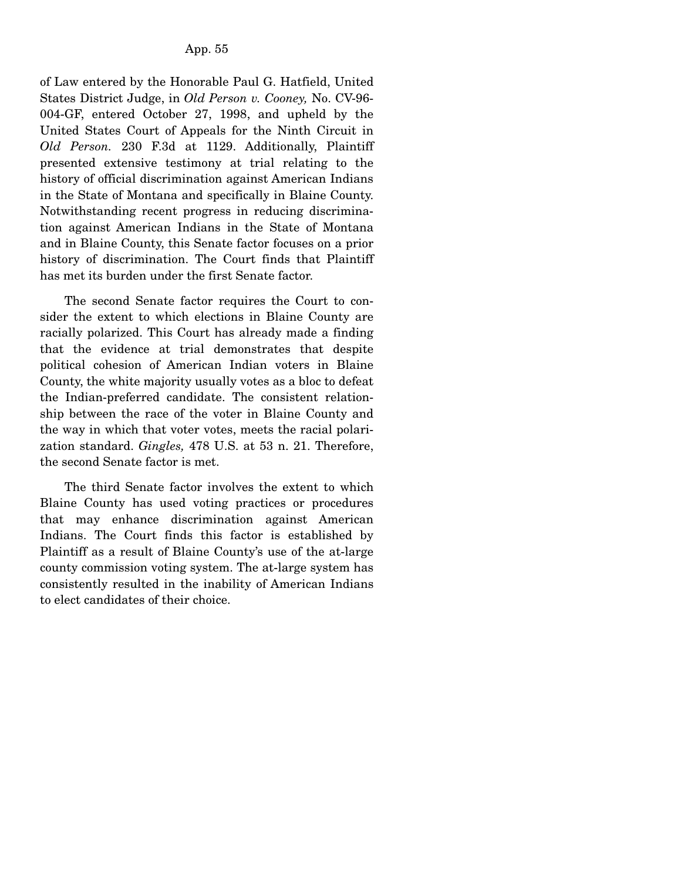of Law entered by the Honorable Paul G. Hatfield, United States District Judge, in *Old Person v. Cooney,* No. CV-96- 004-GF, entered October 27, 1998, and upheld by the United States Court of Appeals for the Ninth Circuit in *Old Person.* 230 F.3d at 1129. Additionally, Plaintiff presented extensive testimony at trial relating to the history of official discrimination against American Indians in the State of Montana and specifically in Blaine County. Notwithstanding recent progress in reducing discrimination against American Indians in the State of Montana and in Blaine County, this Senate factor focuses on a prior history of discrimination. The Court finds that Plaintiff has met its burden under the first Senate factor.

 The second Senate factor requires the Court to consider the extent to which elections in Blaine County are racially polarized. This Court has already made a finding that the evidence at trial demonstrates that despite political cohesion of American Indian voters in Blaine County, the white majority usually votes as a bloc to defeat the Indian-preferred candidate. The consistent relationship between the race of the voter in Blaine County and the way in which that voter votes, meets the racial polarization standard. *Gingles,* 478 U.S. at 53 n. 21. Therefore, the second Senate factor is met.

 The third Senate factor involves the extent to which Blaine County has used voting practices or procedures that may enhance discrimination against American Indians. The Court finds this factor is established by Plaintiff as a result of Blaine County's use of the at-large county commission voting system. The at-large system has consistently resulted in the inability of American Indians to elect candidates of their choice.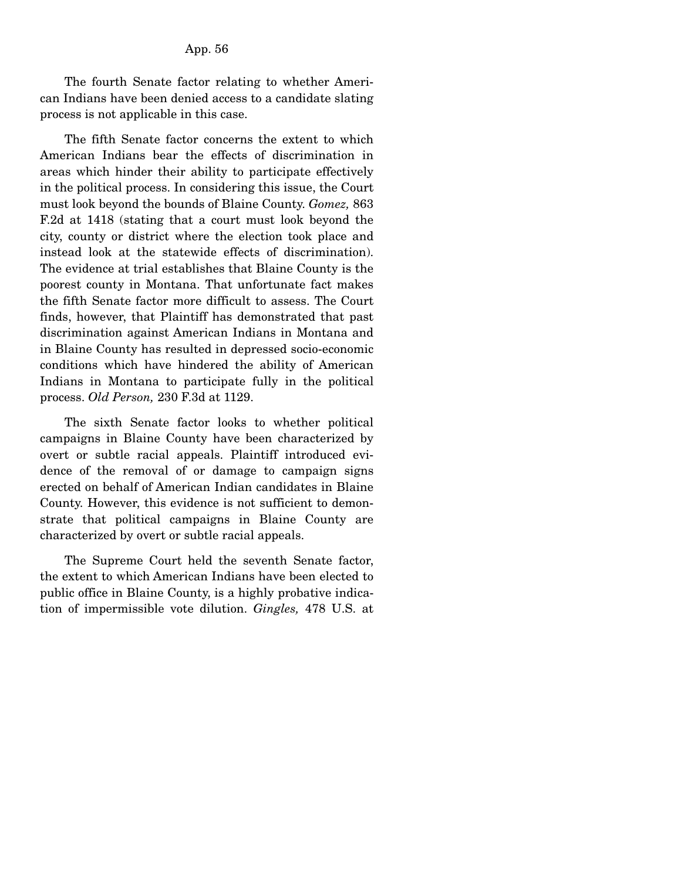The fourth Senate factor relating to whether American Indians have been denied access to a candidate slating process is not applicable in this case.

 The fifth Senate factor concerns the extent to which American Indians bear the effects of discrimination in areas which hinder their ability to participate effectively in the political process. In considering this issue, the Court must look beyond the bounds of Blaine County. *Gomez,* 863 F.2d at 1418 (stating that a court must look beyond the city, county or district where the election took place and instead look at the statewide effects of discrimination). The evidence at trial establishes that Blaine County is the poorest county in Montana. That unfortunate fact makes the fifth Senate factor more difficult to assess. The Court finds, however, that Plaintiff has demonstrated that past discrimination against American Indians in Montana and in Blaine County has resulted in depressed socio-economic conditions which have hindered the ability of American Indians in Montana to participate fully in the political process. *Old Person,* 230 F.3d at 1129.

 The sixth Senate factor looks to whether political campaigns in Blaine County have been characterized by overt or subtle racial appeals. Plaintiff introduced evidence of the removal of or damage to campaign signs erected on behalf of American Indian candidates in Blaine County. However, this evidence is not sufficient to demonstrate that political campaigns in Blaine County are characterized by overt or subtle racial appeals.

 The Supreme Court held the seventh Senate factor, the extent to which American Indians have been elected to public office in Blaine County, is a highly probative indication of impermissible vote dilution. *Gingles,* 478 U.S. at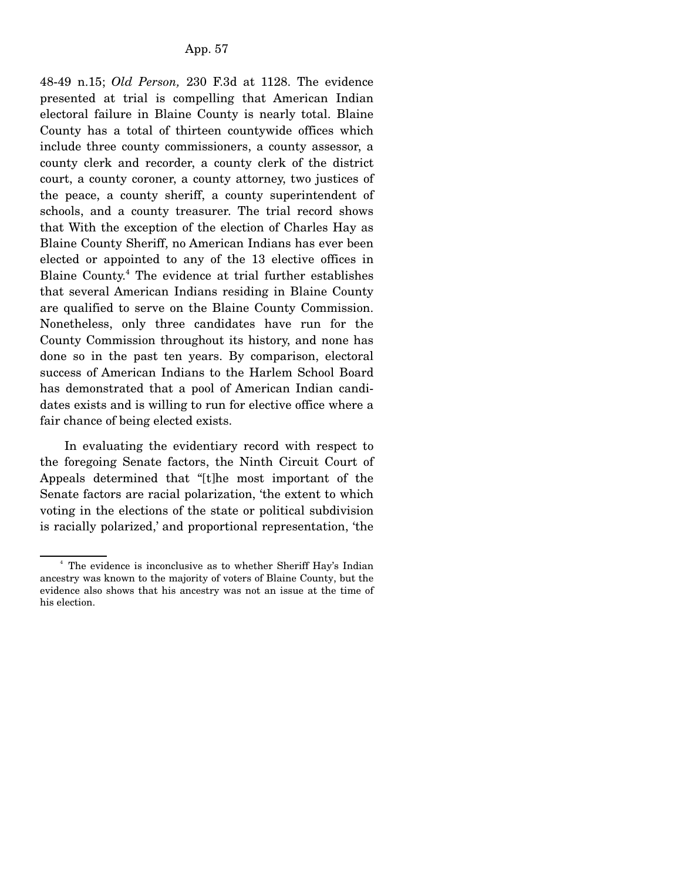48-49 n.15; *Old Person,* 230 F.3d at 1128. The evidence presented at trial is compelling that American Indian electoral failure in Blaine County is nearly total. Blaine County has a total of thirteen countywide offices which include three county commissioners, a county assessor, a county clerk and recorder, a county clerk of the district court, a county coroner, a county attorney, two justices of the peace, a county sheriff, a county superintendent of schools, and a county treasurer. The trial record shows that With the exception of the election of Charles Hay as Blaine County Sheriff, no American Indians has ever been elected or appointed to any of the 13 elective offices in Blaine County.4 The evidence at trial further establishes that several American Indians residing in Blaine County are qualified to serve on the Blaine County Commission. Nonetheless, only three candidates have run for the County Commission throughout its history, and none has done so in the past ten years. By comparison, electoral success of American Indians to the Harlem School Board has demonstrated that a pool of American Indian candidates exists and is willing to run for elective office where a fair chance of being elected exists.

 In evaluating the evidentiary record with respect to the foregoing Senate factors, the Ninth Circuit Court of Appeals determined that "[t]he most important of the Senate factors are racial polarization, 'the extent to which voting in the elections of the state or political subdivision is racially polarized,' and proportional representation, 'the

<sup>&</sup>lt;sup>4</sup> The evidence is inconclusive as to whether Sheriff Hay's Indian ancestry was known to the majority of voters of Blaine County, but the evidence also shows that his ancestry was not an issue at the time of his election.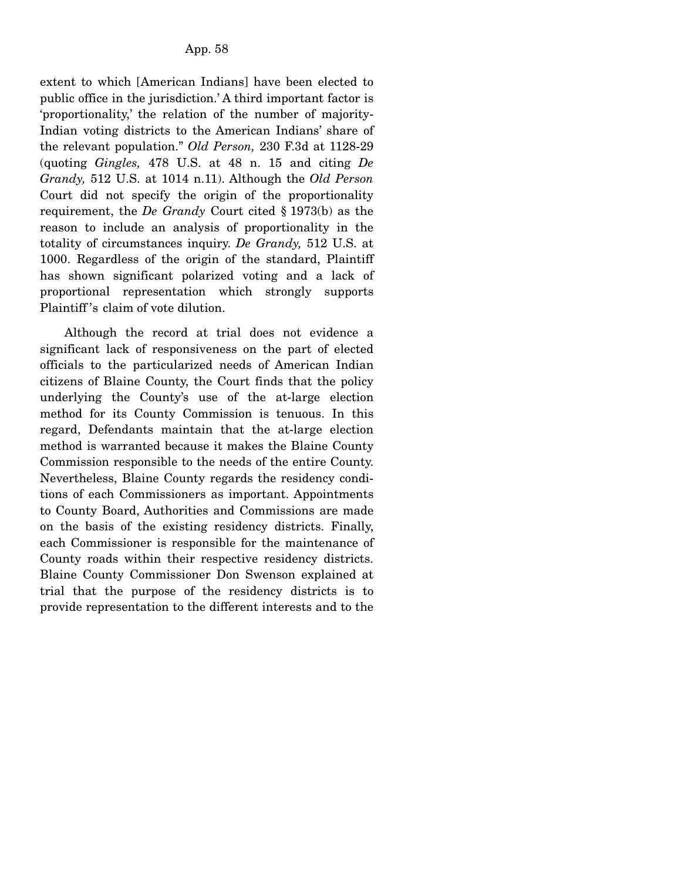extent to which [American Indians] have been elected to public office in the jurisdiction.' A third important factor is 'proportionality,' the relation of the number of majority-Indian voting districts to the American Indians' share of the relevant population." *Old Person,* 230 F.3d at 1128-29 (quoting *Gingles,* 478 U.S. at 48 n. 15 and citing *De Grandy,* 512 U.S. at 1014 n.11). Although the *Old Person* Court did not specify the origin of the proportionality requirement, the *De Grandy* Court cited § 1973(b) as the reason to include an analysis of proportionality in the totality of circumstances inquiry. *De Grandy,* 512 U.S. at 1000. Regardless of the origin of the standard, Plaintiff has shown significant polarized voting and a lack of proportional representation which strongly supports Plaintiff 's claim of vote dilution.

 Although the record at trial does not evidence a significant lack of responsiveness on the part of elected officials to the particularized needs of American Indian citizens of Blaine County, the Court finds that the policy underlying the County's use of the at-large election method for its County Commission is tenuous. In this regard, Defendants maintain that the at-large election method is warranted because it makes the Blaine County Commission responsible to the needs of the entire County. Nevertheless, Blaine County regards the residency conditions of each Commissioners as important. Appointments to County Board, Authorities and Commissions are made on the basis of the existing residency districts. Finally, each Commissioner is responsible for the maintenance of County roads within their respective residency districts. Blaine County Commissioner Don Swenson explained at trial that the purpose of the residency districts is to provide representation to the different interests and to the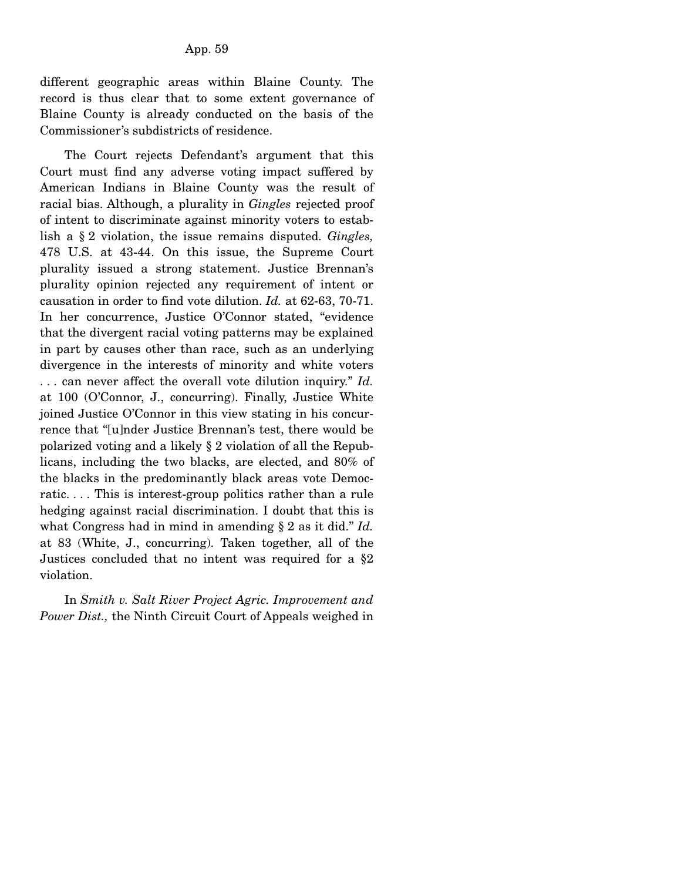different geographic areas within Blaine County. The record is thus clear that to some extent governance of Blaine County is already conducted on the basis of the Commissioner's subdistricts of residence.

 The Court rejects Defendant's argument that this Court must find any adverse voting impact suffered by American Indians in Blaine County was the result of racial bias. Although, a plurality in *Gingles* rejected proof of intent to discriminate against minority voters to establish a § 2 violation, the issue remains disputed. *Gingles,* 478 U.S. at 43-44. On this issue, the Supreme Court plurality issued a strong statement. Justice Brennan's plurality opinion rejected any requirement of intent or causation in order to find vote dilution. *Id.* at 62-63, 70-71. In her concurrence, Justice O'Connor stated, "evidence that the divergent racial voting patterns may be explained in part by causes other than race, such as an underlying divergence in the interests of minority and white voters . . . can never affect the overall vote dilution inquiry." *Id.* at 100 (O'Connor, J., concurring). Finally, Justice White joined Justice O'Connor in this view stating in his concurrence that "[u]nder Justice Brennan's test, there would be polarized voting and a likely § 2 violation of all the Republicans, including the two blacks, are elected, and 80% of the blacks in the predominantly black areas vote Democratic. . . . This is interest-group politics rather than a rule hedging against racial discrimination. I doubt that this is what Congress had in mind in amending § 2 as it did." *Id.* at 83 (White, J., concurring). Taken together, all of the Justices concluded that no intent was required for a §2 violation.

 In *Smith v. Salt River Project Agric. Improvement and Power Dist.,* the Ninth Circuit Court of Appeals weighed in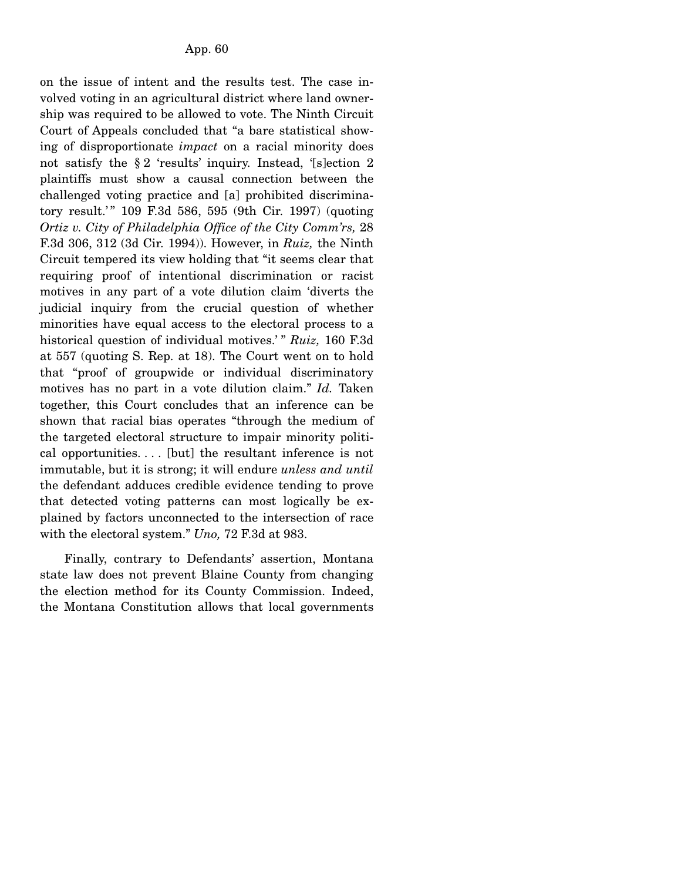on the issue of intent and the results test. The case involved voting in an agricultural district where land ownership was required to be allowed to vote. The Ninth Circuit Court of Appeals concluded that "a bare statistical showing of disproportionate *impact* on a racial minority does not satisfy the § 2 'results' inquiry. Instead, '[s]ection 2 plaintiffs must show a causal connection between the challenged voting practice and [a] prohibited discriminatory result.'" 109 F.3d 586, 595 (9th Cir. 1997) (quoting *Ortiz v. City of Philadelphia Office of the City Comm'rs,* 28 F.3d 306, 312 (3d Cir. 1994)). However, in *Ruiz,* the Ninth Circuit tempered its view holding that "it seems clear that requiring proof of intentional discrimination or racist motives in any part of a vote dilution claim 'diverts the judicial inquiry from the crucial question of whether minorities have equal access to the electoral process to a historical question of individual motives.'" Ruiz, 160 F.3d at 557 (quoting S. Rep. at 18). The Court went on to hold that "proof of groupwide or individual discriminatory motives has no part in a vote dilution claim." *Id.* Taken together, this Court concludes that an inference can be shown that racial bias operates "through the medium of the targeted electoral structure to impair minority political opportunities. . . . [but] the resultant inference is not immutable, but it is strong; it will endure *unless and until*  the defendant adduces credible evidence tending to prove that detected voting patterns can most logically be explained by factors unconnected to the intersection of race with the electoral system." *Uno,* 72 F.3d at 983.

 Finally, contrary to Defendants' assertion, Montana state law does not prevent Blaine County from changing the election method for its County Commission. Indeed, the Montana Constitution allows that local governments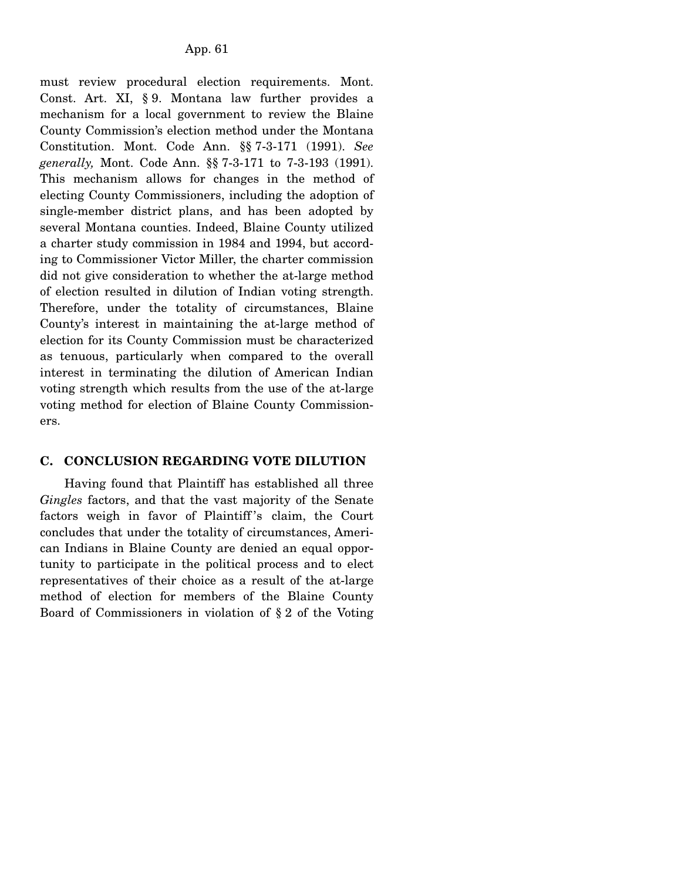must review procedural election requirements. Mont. Const. Art. XI, § 9. Montana law further provides a mechanism for a local government to review the Blaine County Commission's election method under the Montana Constitution. Mont. Code Ann. §§ 7-3-171 (1991). *See generally,* Mont. Code Ann. §§ 7-3-171 to 7-3-193 (1991). This mechanism allows for changes in the method of electing County Commissioners, including the adoption of single-member district plans, and has been adopted by several Montana counties. Indeed, Blaine County utilized a charter study commission in 1984 and 1994, but according to Commissioner Victor Miller, the charter commission did not give consideration to whether the at-large method of election resulted in dilution of Indian voting strength. Therefore, under the totality of circumstances, Blaine County's interest in maintaining the at-large method of election for its County Commission must be characterized as tenuous, particularly when compared to the overall interest in terminating the dilution of American Indian voting strength which results from the use of the at-large voting method for election of Blaine County Commissioners.

# **C. CONCLUSION REGARDING VOTE DILUTION**

 Having found that Plaintiff has established all three *Gingles* factors, and that the vast majority of the Senate factors weigh in favor of Plaintiff's claim, the Court concludes that under the totality of circumstances, American Indians in Blaine County are denied an equal opportunity to participate in the political process and to elect representatives of their choice as a result of the at-large method of election for members of the Blaine County Board of Commissioners in violation of § 2 of the Voting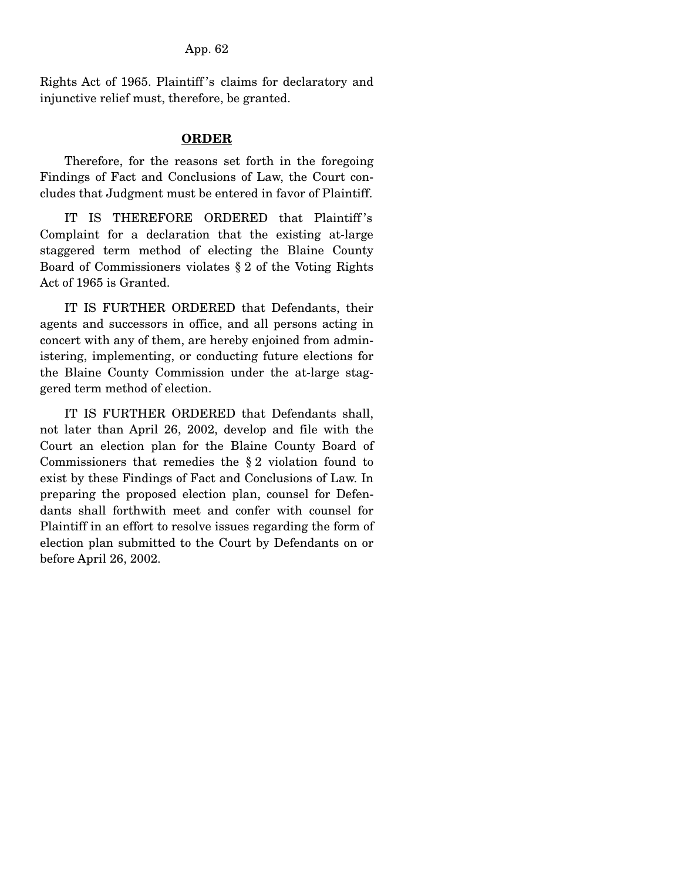Rights Act of 1965. Plaintiff 's claims for declaratory and injunctive relief must, therefore, be granted.

#### **ORDER**

 Therefore, for the reasons set forth in the foregoing Findings of Fact and Conclusions of Law, the Court concludes that Judgment must be entered in favor of Plaintiff.

 IT IS THEREFORE ORDERED that Plaintiff 's Complaint for a declaration that the existing at-large staggered term method of electing the Blaine County Board of Commissioners violates § 2 of the Voting Rights Act of 1965 is Granted.

 IT IS FURTHER ORDERED that Defendants, their agents and successors in office, and all persons acting in concert with any of them, are hereby enjoined from administering, implementing, or conducting future elections for the Blaine County Commission under the at-large staggered term method of election.

 IT IS FURTHER ORDERED that Defendants shall, not later than April 26, 2002, develop and file with the Court an election plan for the Blaine County Board of Commissioners that remedies the § 2 violation found to exist by these Findings of Fact and Conclusions of Law. In preparing the proposed election plan, counsel for Defendants shall forthwith meet and confer with counsel for Plaintiff in an effort to resolve issues regarding the form of election plan submitted to the Court by Defendants on or before April 26, 2002.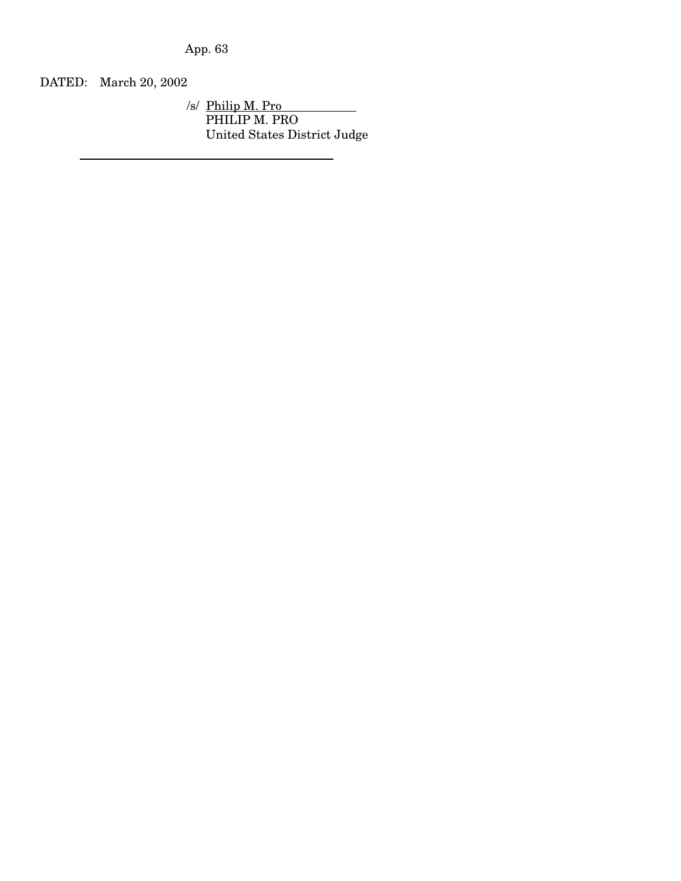App. 63

DATED: March 20, 2002

/s/ Philip M. Pro PHILIP M. PRO United States District Judge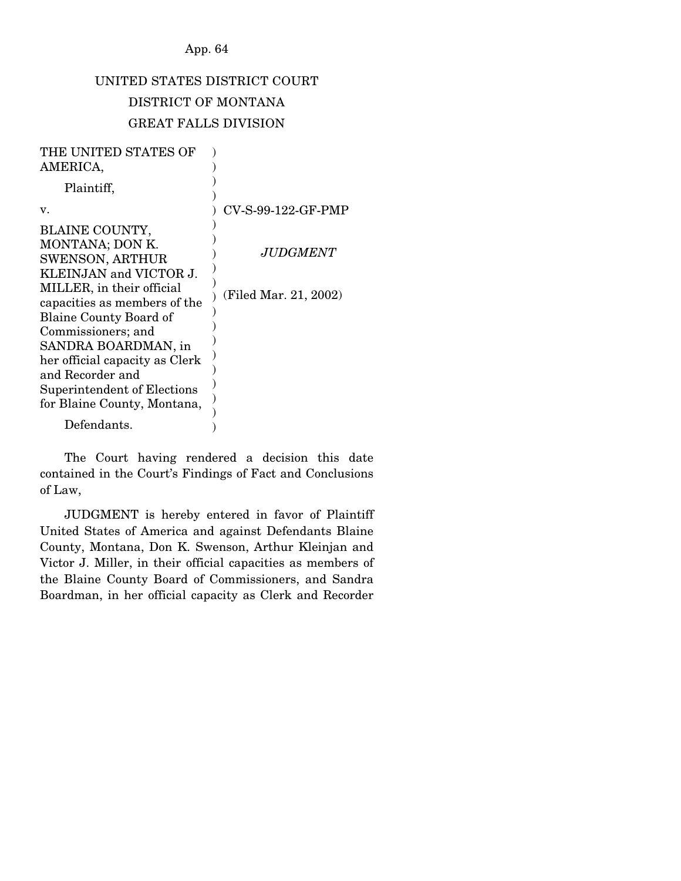# App. 64

# UNITED STATES DISTRICT COURT DISTRICT OF MONTANA GREAT FALLS DIVISION

| THE UNITED STATES OF<br>AMERICA,<br>Plaintiff,                                                                                                                                                                                                                                                                                                       |                                          |
|------------------------------------------------------------------------------------------------------------------------------------------------------------------------------------------------------------------------------------------------------------------------------------------------------------------------------------------------------|------------------------------------------|
| v.                                                                                                                                                                                                                                                                                                                                                   | CV-S-99-122-GF-PMP                       |
| BLAINE COUNTY,<br>MONTANA; DON K.<br><b>SWENSON, ARTHUR</b><br>KLEINJAN and VICTOR J.<br>MILLER, in their official<br>capacities as members of the<br><b>Blaine County Board of</b><br>Commissioners; and<br>SANDRA BOARDMAN, in<br>her official capacity as Clerk<br>and Recorder and<br>Superintendent of Elections<br>for Blaine County, Montana, | <i>JUDGMENT</i><br>(Filed Mar. 21, 2002) |
| Defendants.                                                                                                                                                                                                                                                                                                                                          |                                          |

 The Court having rendered a decision this date contained in the Court's Findings of Fact and Conclusions of Law,

 JUDGMENT is hereby entered in favor of Plaintiff United States of America and against Defendants Blaine County, Montana, Don K. Swenson, Arthur Kleinjan and Victor J. Miller, in their official capacities as members of the Blaine County Board of Commissioners, and Sandra Boardman, in her official capacity as Clerk and Recorder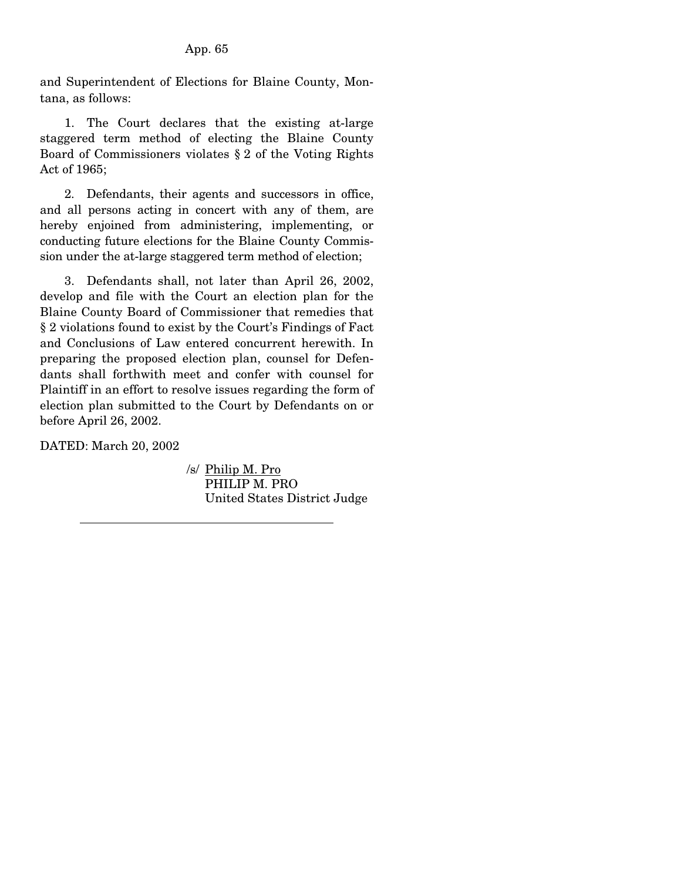and Superintendent of Elections for Blaine County, Montana, as follows:

 1. The Court declares that the existing at-large staggered term method of electing the Blaine County Board of Commissioners violates § 2 of the Voting Rights Act of 1965;

 2. Defendants, their agents and successors in office, and all persons acting in concert with any of them, are hereby enjoined from administering, implementing, or conducting future elections for the Blaine County Commission under the at-large staggered term method of election;

 3. Defendants shall, not later than April 26, 2002, develop and file with the Court an election plan for the Blaine County Board of Commissioner that remedies that § 2 violations found to exist by the Court's Findings of Fact and Conclusions of Law entered concurrent herewith. In preparing the proposed election plan, counsel for Defendants shall forthwith meet and confer with counsel for Plaintiff in an effort to resolve issues regarding the form of election plan submitted to the Court by Defendants on or before April 26, 2002.

DATED: March 20, 2002

/s/ Philip M. Pro PHILIP M. PRO United States District Judge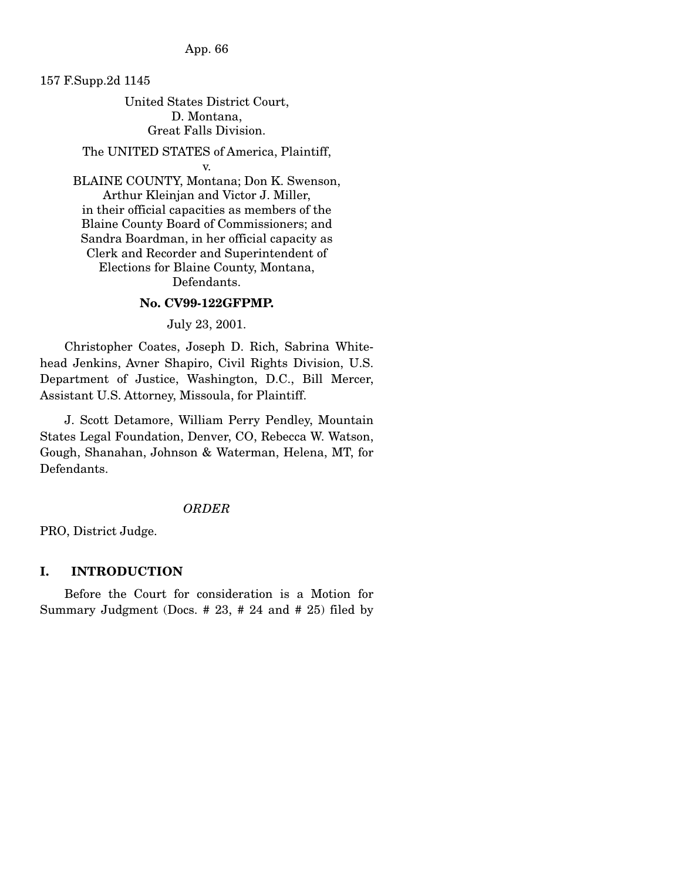App. 66

157 F.Supp.2d 1145

United States District Court, D. Montana, Great Falls Division.

## The UNITED STATES of America, Plaintiff,

#### v.

BLAINE COUNTY, Montana; Don K. Swenson, Arthur Kleinjan and Victor J. Miller, in their official capacities as members of the Blaine County Board of Commissioners; and Sandra Boardman, in her official capacity as Clerk and Recorder and Superintendent of Elections for Blaine County, Montana, Defendants.

### **No. CV99-122GFPMP.**

July 23, 2001.

 Christopher Coates, Joseph D. Rich, Sabrina Whitehead Jenkins, Avner Shapiro, Civil Rights Division, U.S. Department of Justice, Washington, D.C., Bill Mercer, Assistant U.S. Attorney, Missoula, for Plaintiff.

 J. Scott Detamore, William Perry Pendley, Mountain States Legal Foundation, Denver, CO, Rebecca W. Watson, Gough, Shanahan, Johnson & Waterman, Helena, MT, for Defendants.

#### *ORDER*

PRO, District Judge.

# **I. INTRODUCTION**

 Before the Court for consideration is a Motion for Summary Judgment (Docs. # 23, # 24 and # 25) filed by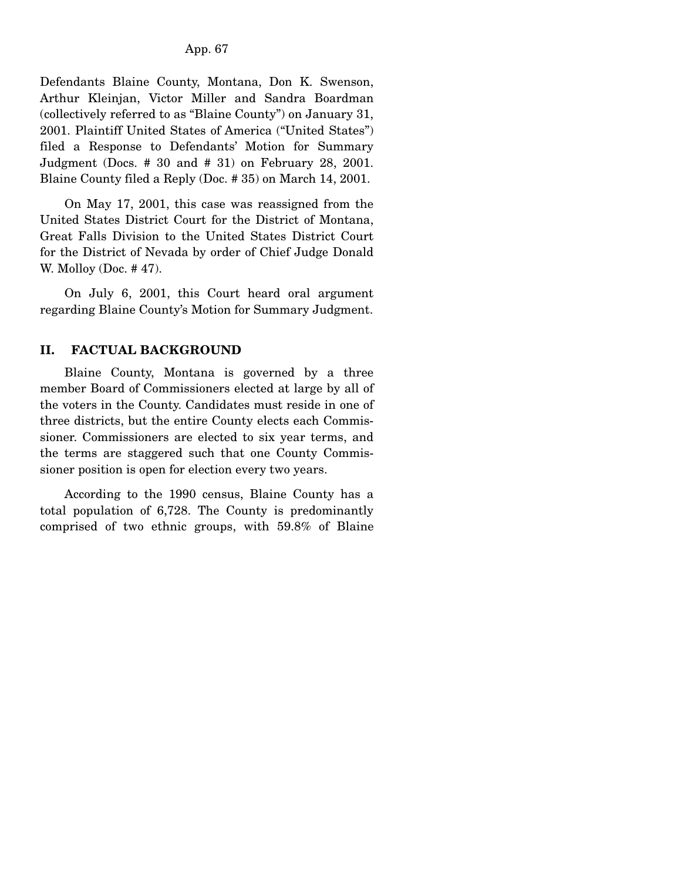Defendants Blaine County, Montana, Don K. Swenson, Arthur Kleinjan, Victor Miller and Sandra Boardman (collectively referred to as "Blaine County") on January 31, 2001. Plaintiff United States of America ("United States") filed a Response to Defendants' Motion for Summary Judgment (Docs. # 30 and # 31) on February 28, 2001. Blaine County filed a Reply (Doc. # 35) on March 14, 2001.

 On May 17, 2001, this case was reassigned from the United States District Court for the District of Montana, Great Falls Division to the United States District Court for the District of Nevada by order of Chief Judge Donald W. Molloy (Doc. # 47).

 On July 6, 2001, this Court heard oral argument regarding Blaine County's Motion for Summary Judgment.

# **II. FACTUAL BACKGROUND**

 Blaine County, Montana is governed by a three member Board of Commissioners elected at large by all of the voters in the County. Candidates must reside in one of three districts, but the entire County elects each Commissioner. Commissioners are elected to six year terms, and the terms are staggered such that one County Commissioner position is open for election every two years.

 According to the 1990 census, Blaine County has a total population of 6,728. The County is predominantly comprised of two ethnic groups, with 59.8% of Blaine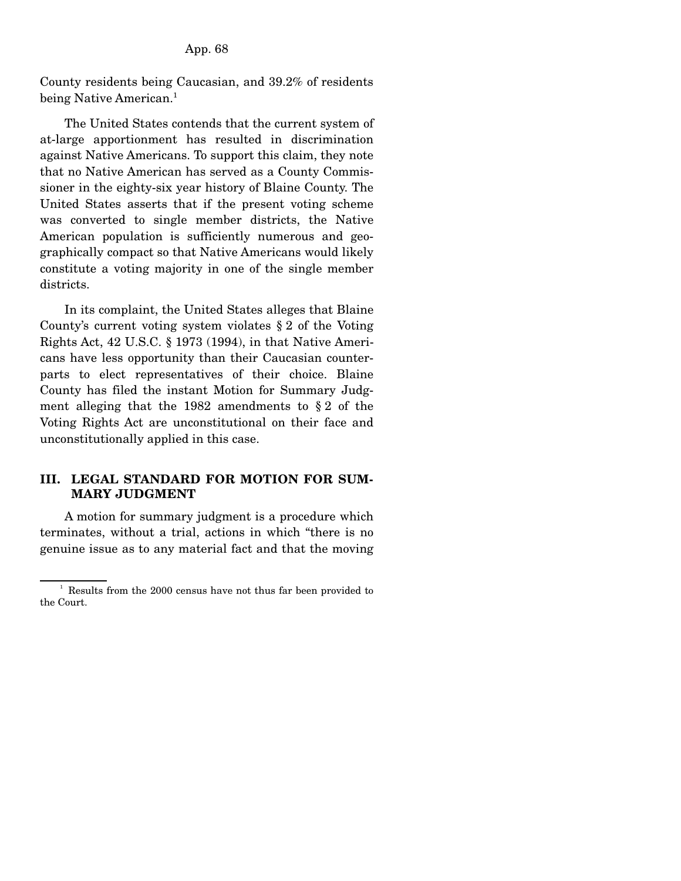County residents being Caucasian, and 39.2% of residents being Native American.<sup>1</sup>

 The United States contends that the current system of at-large apportionment has resulted in discrimination against Native Americans. To support this claim, they note that no Native American has served as a County Commissioner in the eighty-six year history of Blaine County. The United States asserts that if the present voting scheme was converted to single member districts, the Native American population is sufficiently numerous and geographically compact so that Native Americans would likely constitute a voting majority in one of the single member districts.

 In its complaint, the United States alleges that Blaine County's current voting system violates § 2 of the Voting Rights Act, 42 U.S.C. § 1973 (1994), in that Native Americans have less opportunity than their Caucasian counterparts to elect representatives of their choice. Blaine County has filed the instant Motion for Summary Judgment alleging that the 1982 amendments to § 2 of the Voting Rights Act are unconstitutional on their face and unconstitutionally applied in this case.

#### **III. LEGAL STANDARD FOR MOTION FOR SUM-MARY JUDGMENT**

 A motion for summary judgment is a procedure which terminates, without a trial, actions in which "there is no genuine issue as to any material fact and that the moving

<sup>&</sup>lt;sup>1</sup> Results from the 2000 census have not thus far been provided to the Court.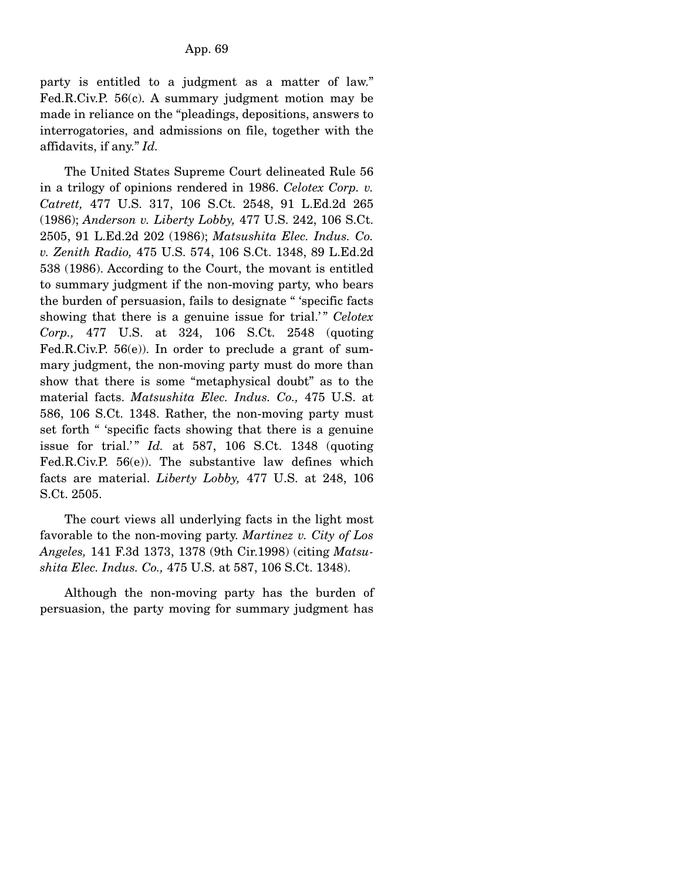party is entitled to a judgment as a matter of law." Fed.R.Civ.P. 56(c). A summary judgment motion may be made in reliance on the "pleadings, depositions, answers to interrogatories, and admissions on file, together with the affidavits, if any." *Id.*

 The United States Supreme Court delineated Rule 56 in a trilogy of opinions rendered in 1986. *Celotex Corp. v. Catrett,* 477 U.S. 317, 106 S.Ct. 2548, 91 L.Ed.2d 265 (1986); *Anderson v. Liberty Lobby,* 477 U.S. 242, 106 S.Ct. 2505, 91 L.Ed.2d 202 (1986); *Matsushita Elec. Indus. Co. v. Zenith Radio,* 475 U.S. 574, 106 S.Ct. 1348, 89 L.Ed.2d 538 (1986). According to the Court, the movant is entitled to summary judgment if the non-moving party, who bears the burden of persuasion, fails to designate " 'specific facts showing that there is a genuine issue for trial.'" *Celotex Corp.,* 477 U.S. at 324, 106 S.Ct. 2548 (quoting Fed.R.Civ.P. 56(e)). In order to preclude a grant of summary judgment, the non-moving party must do more than show that there is some "metaphysical doubt" as to the material facts. *Matsushita Elec. Indus. Co.,* 475 U.S. at 586, 106 S.Ct. 1348. Rather, the non-moving party must set forth " 'specific facts showing that there is a genuine issue for trial.'" *Id.* at 587, 106 S.Ct. 1348 (quoting Fed.R.Civ.P. 56(e)). The substantive law defines which facts are material. *Liberty Lobby,* 477 U.S. at 248, 106 S.Ct. 2505.

 The court views all underlying facts in the light most favorable to the non-moving party. *Martinez v. City of Los Angeles,* 141 F.3d 1373, 1378 (9th Cir.1998) (citing *Matsushita Elec. Indus. Co.,* 475 U.S. at 587, 106 S.Ct. 1348).

 Although the non-moving party has the burden of persuasion, the party moving for summary judgment has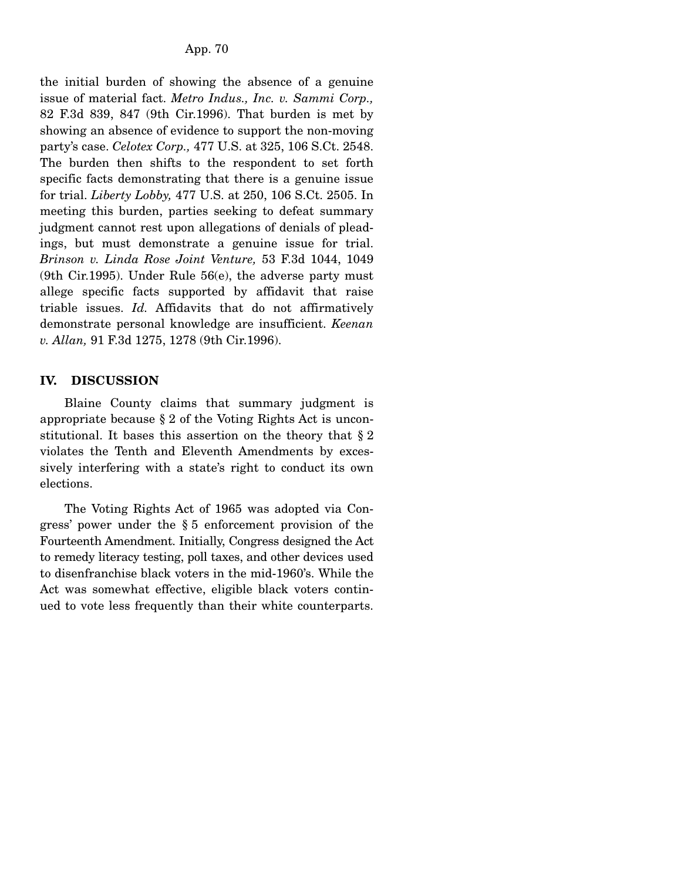the initial burden of showing the absence of a genuine issue of material fact. *Metro Indus., Inc. v. Sammi Corp.,* 82 F.3d 839, 847 (9th Cir.1996). That burden is met by showing an absence of evidence to support the non-moving party's case. *Celotex Corp.,* 477 U.S. at 325, 106 S.Ct. 2548. The burden then shifts to the respondent to set forth specific facts demonstrating that there is a genuine issue for trial. *Liberty Lobby,* 477 U.S. at 250, 106 S.Ct. 2505. In meeting this burden, parties seeking to defeat summary judgment cannot rest upon allegations of denials of pleadings, but must demonstrate a genuine issue for trial. *Brinson v. Linda Rose Joint Venture,* 53 F.3d 1044, 1049 (9th Cir.1995). Under Rule 56(e), the adverse party must allege specific facts supported by affidavit that raise triable issues. *Id.* Affidavits that do not affirmatively demonstrate personal knowledge are insufficient. *Keenan v. Allan,* 91 F.3d 1275, 1278 (9th Cir.1996).

#### **IV. DISCUSSION**

 Blaine County claims that summary judgment is appropriate because § 2 of the Voting Rights Act is unconstitutional. It bases this assertion on the theory that § 2 violates the Tenth and Eleventh Amendments by excessively interfering with a state's right to conduct its own elections.

 The Voting Rights Act of 1965 was adopted via Congress' power under the § 5 enforcement provision of the Fourteenth Amendment. Initially, Congress designed the Act to remedy literacy testing, poll taxes, and other devices used to disenfranchise black voters in the mid-1960's. While the Act was somewhat effective, eligible black voters continued to vote less frequently than their white counterparts.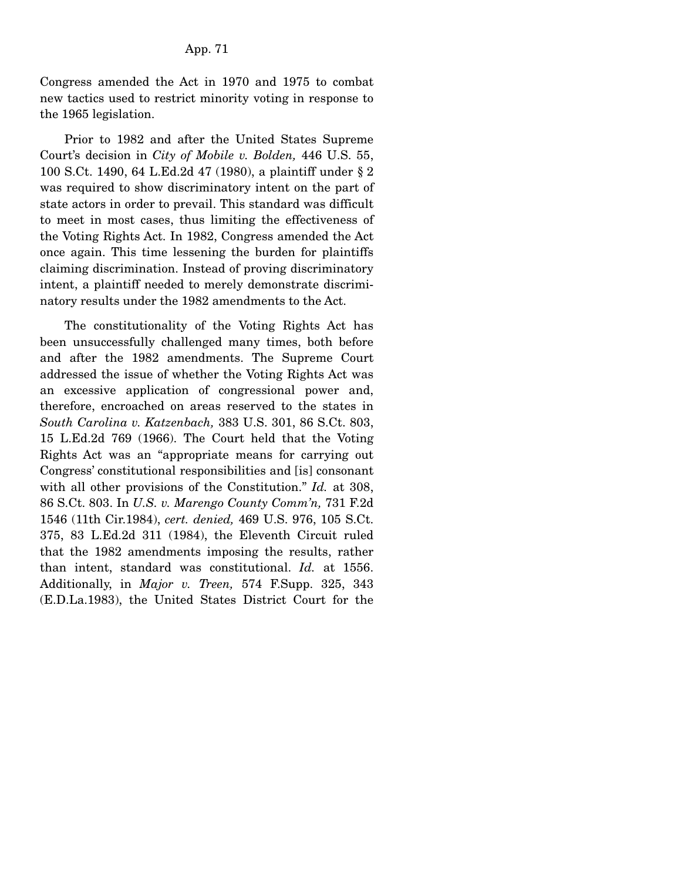Congress amended the Act in 1970 and 1975 to combat new tactics used to restrict minority voting in response to the 1965 legislation.

 Prior to 1982 and after the United States Supreme Court's decision in *City of Mobile v. Bolden,* 446 U.S. 55, 100 S.Ct. 1490, 64 L.Ed.2d 47 (1980), a plaintiff under § 2 was required to show discriminatory intent on the part of state actors in order to prevail. This standard was difficult to meet in most cases, thus limiting the effectiveness of the Voting Rights Act. In 1982, Congress amended the Act once again. This time lessening the burden for plaintiffs claiming discrimination. Instead of proving discriminatory intent, a plaintiff needed to merely demonstrate discriminatory results under the 1982 amendments to the Act.

 The constitutionality of the Voting Rights Act has been unsuccessfully challenged many times, both before and after the 1982 amendments. The Supreme Court addressed the issue of whether the Voting Rights Act was an excessive application of congressional power and, therefore, encroached on areas reserved to the states in *South Carolina v. Katzenbach,* 383 U.S. 301, 86 S.Ct. 803, 15 L.Ed.2d 769 (1966). The Court held that the Voting Rights Act was an "appropriate means for carrying out Congress' constitutional responsibilities and [is] consonant with all other provisions of the Constitution." *Id.* at 308, 86 S.Ct. 803. In *U.S. v. Marengo County Comm'n,* 731 F.2d 1546 (11th Cir.1984), *cert. denied,* 469 U.S. 976, 105 S.Ct. 375, 83 L.Ed.2d 311 (1984), the Eleventh Circuit ruled that the 1982 amendments imposing the results, rather than intent, standard was constitutional. *Id.* at 1556. Additionally, in *Major v. Treen,* 574 F.Supp. 325, 343 (E.D.La.1983), the United States District Court for the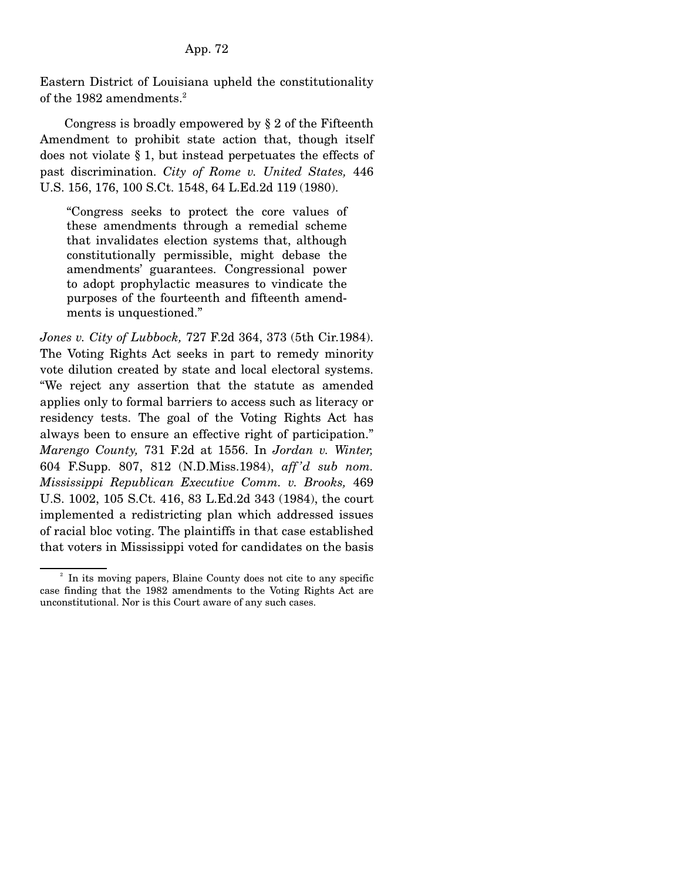App. 72

Eastern District of Louisiana upheld the constitutionality of the 1982 amendments.<sup>2</sup>

 Congress is broadly empowered by § 2 of the Fifteenth Amendment to prohibit state action that, though itself does not violate § 1, but instead perpetuates the effects of past discrimination. *City of Rome v. United States,* 446 U.S. 156, 176, 100 S.Ct. 1548, 64 L.Ed.2d 119 (1980).

"Congress seeks to protect the core values of these amendments through a remedial scheme that invalidates election systems that, although constitutionally permissible, might debase the amendments' guarantees. Congressional power to adopt prophylactic measures to vindicate the purposes of the fourteenth and fifteenth amendments is unquestioned."

*Jones v. City of Lubbock,* 727 F.2d 364, 373 (5th Cir.1984). The Voting Rights Act seeks in part to remedy minority vote dilution created by state and local electoral systems. "We reject any assertion that the statute as amended applies only to formal barriers to access such as literacy or residency tests. The goal of the Voting Rights Act has always been to ensure an effective right of participation." *Marengo County,* 731 F.2d at 1556. In *Jordan v. Winter,* 604 F.Supp. 807, 812 (N.D.Miss.1984), *aff 'd sub nom. Mississippi Republican Executive Comm. v. Brooks,* 469 U.S. 1002, 105 S.Ct. 416, 83 L.Ed.2d 343 (1984), the court implemented a redistricting plan which addressed issues of racial bloc voting. The plaintiffs in that case established that voters in Mississippi voted for candidates on the basis

<sup>&</sup>lt;sup>2</sup> In its moving papers, Blaine County does not cite to any specific case finding that the 1982 amendments to the Voting Rights Act are unconstitutional. Nor is this Court aware of any such cases.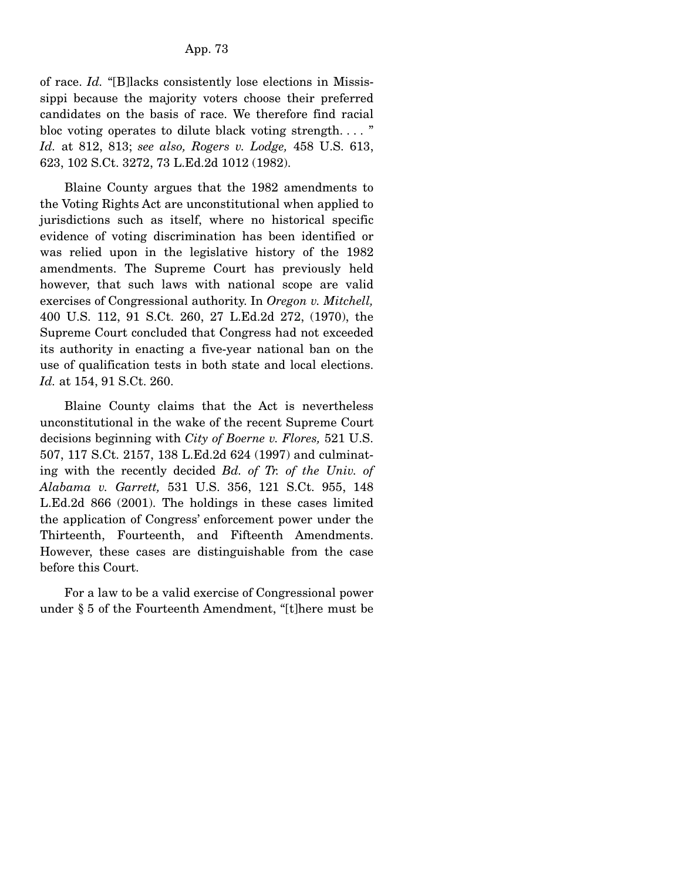of race. *Id.* "[B]lacks consistently lose elections in Mississippi because the majority voters choose their preferred candidates on the basis of race. We therefore find racial bloc voting operates to dilute black voting strength. . . . " *Id.* at 812, 813; *see also, Rogers v. Lodge,* 458 U.S. 613, 623, 102 S.Ct. 3272, 73 L.Ed.2d 1012 (1982).

 Blaine County argues that the 1982 amendments to the Voting Rights Act are unconstitutional when applied to jurisdictions such as itself, where no historical specific evidence of voting discrimination has been identified or was relied upon in the legislative history of the 1982 amendments. The Supreme Court has previously held however, that such laws with national scope are valid exercises of Congressional authority. In *Oregon v. Mitchell,* 400 U.S. 112, 91 S.Ct. 260, 27 L.Ed.2d 272, (1970), the Supreme Court concluded that Congress had not exceeded its authority in enacting a five-year national ban on the use of qualification tests in both state and local elections. *Id.* at 154, 91 S.Ct. 260.

 Blaine County claims that the Act is nevertheless unconstitutional in the wake of the recent Supreme Court decisions beginning with *City of Boerne v. Flores,* 521 U.S. 507, 117 S.Ct. 2157, 138 L.Ed.2d 624 (1997) and culminating with the recently decided *Bd. of Tr. of the Univ. of Alabama v. Garrett,* 531 U.S. 356, 121 S.Ct. 955, 148 L.Ed.2d 866 (2001). The holdings in these cases limited the application of Congress' enforcement power under the Thirteenth, Fourteenth, and Fifteenth Amendments. However, these cases are distinguishable from the case before this Court.

 For a law to be a valid exercise of Congressional power under § 5 of the Fourteenth Amendment, "[t]here must be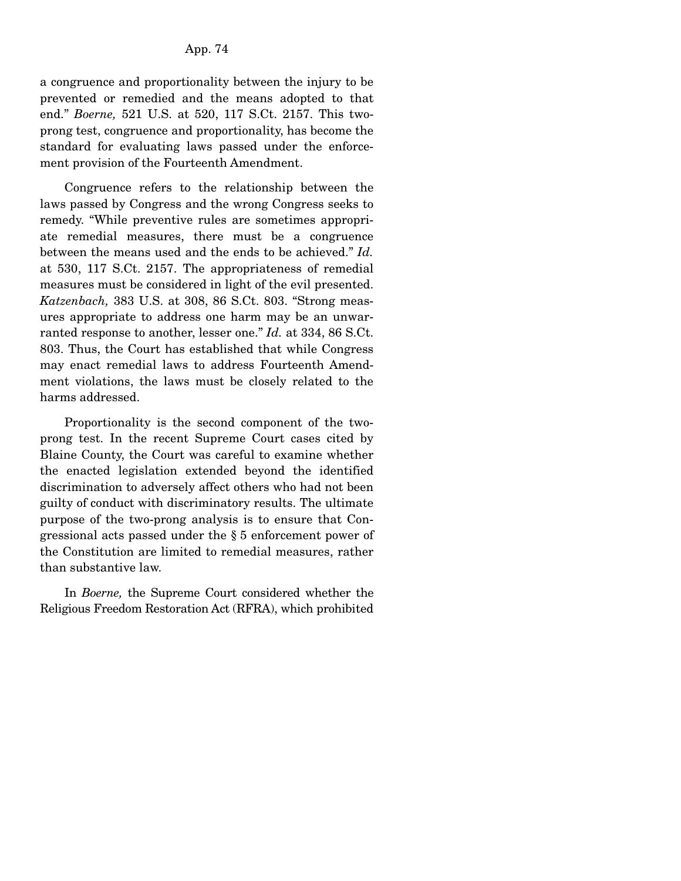a congruence and proportionality between the injury to be prevented or remedied and the means adopted to that end." *Boerne,* 521 U.S. at 520, 117 S.Ct. 2157. This twoprong test, congruence and proportionality, has become the standard for evaluating laws passed under the enforcement provision of the Fourteenth Amendment.

 Congruence refers to the relationship between the laws passed by Congress and the wrong Congress seeks to remedy. "While preventive rules are sometimes appropriate remedial measures, there must be a congruence between the means used and the ends to be achieved." *Id.* at 530, 117 S.Ct. 2157. The appropriateness of remedial measures must be considered in light of the evil presented. *Katzenbach,* 383 U.S. at 308, 86 S.Ct. 803. "Strong measures appropriate to address one harm may be an unwarranted response to another, lesser one." *Id.* at 334, 86 S.Ct. 803. Thus, the Court has established that while Congress may enact remedial laws to address Fourteenth Amendment violations, the laws must be closely related to the harms addressed.

 Proportionality is the second component of the twoprong test. In the recent Supreme Court cases cited by Blaine County, the Court was careful to examine whether the enacted legislation extended beyond the identified discrimination to adversely affect others who had not been guilty of conduct with discriminatory results. The ultimate purpose of the two-prong analysis is to ensure that Congressional acts passed under the § 5 enforcement power of the Constitution are limited to remedial measures, rather than substantive law.

 In *Boerne,* the Supreme Court considered whether the Religious Freedom Restoration Act (RFRA), which prohibited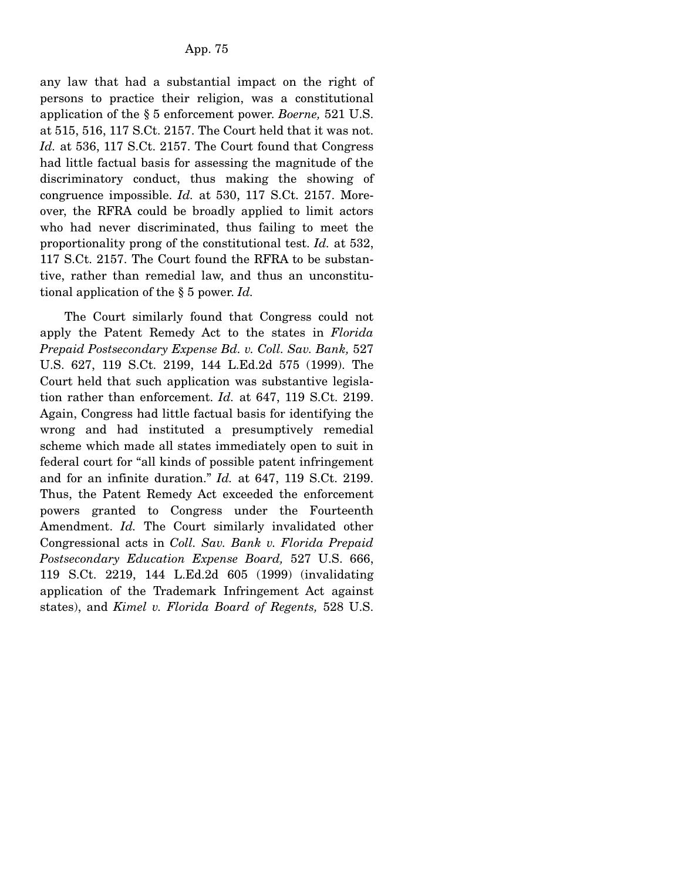any law that had a substantial impact on the right of persons to practice their religion, was a constitutional application of the § 5 enforcement power. *Boerne,* 521 U.S. at 515, 516, 117 S.Ct. 2157. The Court held that it was not. *Id.* at 536, 117 S.Ct. 2157. The Court found that Congress had little factual basis for assessing the magnitude of the discriminatory conduct, thus making the showing of congruence impossible. *Id.* at 530, 117 S.Ct. 2157. Moreover, the RFRA could be broadly applied to limit actors who had never discriminated, thus failing to meet the proportionality prong of the constitutional test. *Id.* at 532, 117 S.Ct. 2157. The Court found the RFRA to be substantive, rather than remedial law, and thus an unconstitutional application of the § 5 power. *Id.*

 The Court similarly found that Congress could not apply the Patent Remedy Act to the states in *Florida Prepaid Postsecondary Expense Bd. v. Coll. Sav. Bank,* 527 U.S. 627, 119 S.Ct. 2199, 144 L.Ed.2d 575 (1999). The Court held that such application was substantive legislation rather than enforcement. *Id.* at 647, 119 S.Ct. 2199. Again, Congress had little factual basis for identifying the wrong and had instituted a presumptively remedial scheme which made all states immediately open to suit in federal court for "all kinds of possible patent infringement and for an infinite duration." *Id.* at 647, 119 S.Ct. 2199. Thus, the Patent Remedy Act exceeded the enforcement powers granted to Congress under the Fourteenth Amendment. *Id.* The Court similarly invalidated other Congressional acts in *Coll. Sav. Bank v. Florida Prepaid Postsecondary Education Expense Board,* 527 U.S. 666, 119 S.Ct. 2219, 144 L.Ed.2d 605 (1999) (invalidating application of the Trademark Infringement Act against states), and *Kimel v. Florida Board of Regents,* 528 U.S.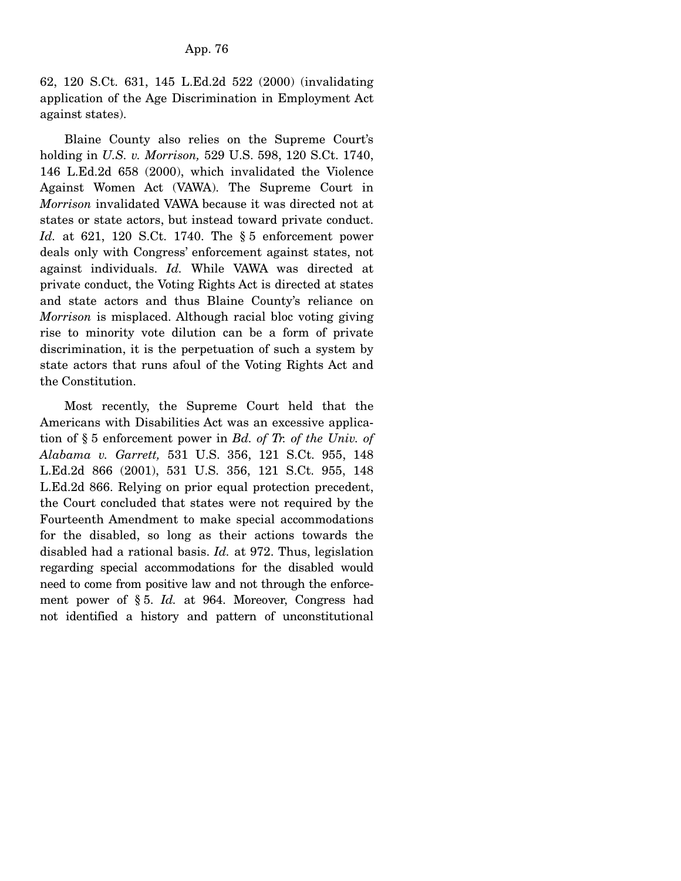62, 120 S.Ct. 631, 145 L.Ed.2d 522 (2000) (invalidating application of the Age Discrimination in Employment Act against states).

 Blaine County also relies on the Supreme Court's holding in *U.S. v. Morrison,* 529 U.S. 598, 120 S.Ct. 1740, 146 L.Ed.2d 658 (2000), which invalidated the Violence Against Women Act (VAWA). The Supreme Court in *Morrison* invalidated VAWA because it was directed not at states or state actors, but instead toward private conduct. *Id.* at 621, 120 S.Ct. 1740. The § 5 enforcement power deals only with Congress' enforcement against states, not against individuals. *Id.* While VAWA was directed at private conduct, the Voting Rights Act is directed at states and state actors and thus Blaine County's reliance on *Morrison* is misplaced. Although racial bloc voting giving rise to minority vote dilution can be a form of private discrimination, it is the perpetuation of such a system by state actors that runs afoul of the Voting Rights Act and the Constitution.

 Most recently, the Supreme Court held that the Americans with Disabilities Act was an excessive application of § 5 enforcement power in *Bd. of Tr. of the Univ. of Alabama v. Garrett,* 531 U.S. 356, 121 S.Ct. 955, 148 L.Ed.2d 866 (2001), 531 U.S. 356, 121 S.Ct. 955, 148 L.Ed.2d 866. Relying on prior equal protection precedent, the Court concluded that states were not required by the Fourteenth Amendment to make special accommodations for the disabled, so long as their actions towards the disabled had a rational basis. *Id.* at 972. Thus, legislation regarding special accommodations for the disabled would need to come from positive law and not through the enforcement power of § 5. *Id.* at 964. Moreover, Congress had not identified a history and pattern of unconstitutional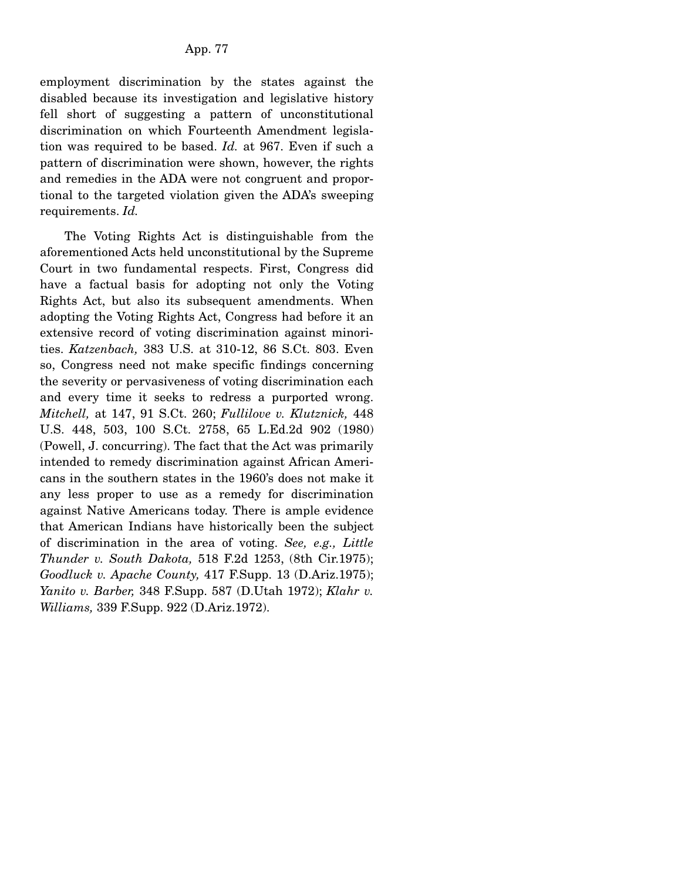employment discrimination by the states against the disabled because its investigation and legislative history fell short of suggesting a pattern of unconstitutional discrimination on which Fourteenth Amendment legislation was required to be based. *Id.* at 967. Even if such a pattern of discrimination were shown, however, the rights and remedies in the ADA were not congruent and proportional to the targeted violation given the ADA's sweeping requirements. *Id.*

 The Voting Rights Act is distinguishable from the aforementioned Acts held unconstitutional by the Supreme Court in two fundamental respects. First, Congress did have a factual basis for adopting not only the Voting Rights Act, but also its subsequent amendments. When adopting the Voting Rights Act, Congress had before it an extensive record of voting discrimination against minorities. *Katzenbach,* 383 U.S. at 310-12, 86 S.Ct. 803. Even so, Congress need not make specific findings concerning the severity or pervasiveness of voting discrimination each and every time it seeks to redress a purported wrong. *Mitchell,* at 147, 91 S.Ct. 260; *Fullilove v. Klutznick,* 448 U.S. 448, 503, 100 S.Ct. 2758, 65 L.Ed.2d 902 (1980) (Powell, J. concurring). The fact that the Act was primarily intended to remedy discrimination against African Americans in the southern states in the 1960's does not make it any less proper to use as a remedy for discrimination against Native Americans today. There is ample evidence that American Indians have historically been the subject of discrimination in the area of voting. *See, e.g., Little Thunder v. South Dakota,* 518 F.2d 1253, (8th Cir.1975); *Goodluck v. Apache County,* 417 F.Supp. 13 (D.Ariz.1975); *Yanito v. Barber,* 348 F.Supp. 587 (D.Utah 1972); *Klahr v. Williams,* 339 F.Supp. 922 (D.Ariz.1972).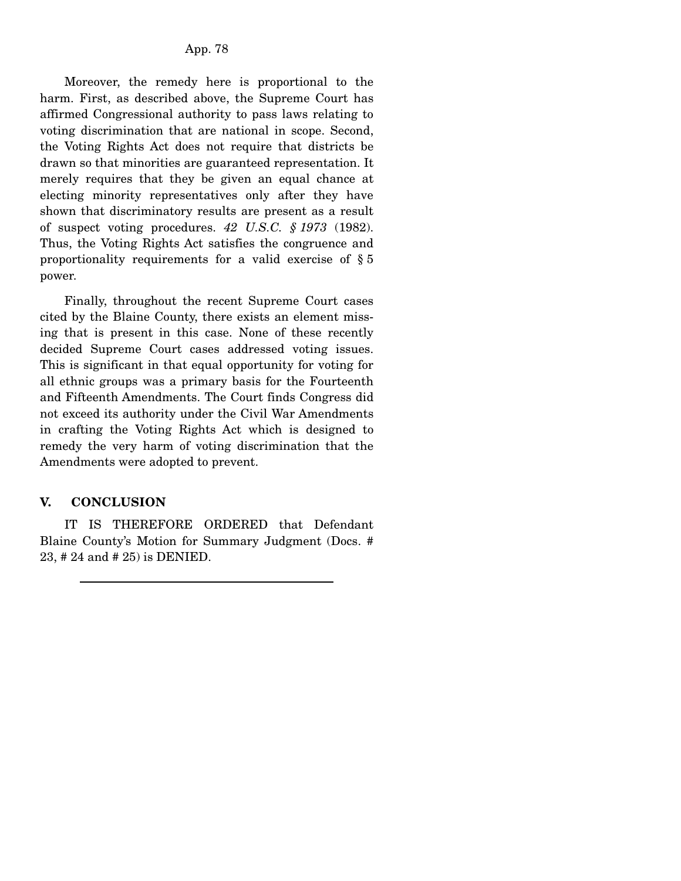Moreover, the remedy here is proportional to the harm. First, as described above, the Supreme Court has affirmed Congressional authority to pass laws relating to voting discrimination that are national in scope. Second, the Voting Rights Act does not require that districts be drawn so that minorities are guaranteed representation. It merely requires that they be given an equal chance at electing minority representatives only after they have shown that discriminatory results are present as a result of suspect voting procedures. *42 U.S.C. § 1973* (1982). Thus, the Voting Rights Act satisfies the congruence and proportionality requirements for a valid exercise of § 5 power.

 Finally, throughout the recent Supreme Court cases cited by the Blaine County, there exists an element missing that is present in this case. None of these recently decided Supreme Court cases addressed voting issues. This is significant in that equal opportunity for voting for all ethnic groups was a primary basis for the Fourteenth and Fifteenth Amendments. The Court finds Congress did not exceed its authority under the Civil War Amendments in crafting the Voting Rights Act which is designed to remedy the very harm of voting discrimination that the Amendments were adopted to prevent.

#### **V. CONCLUSION**

 IT IS THEREFORE ORDERED that Defendant Blaine County's Motion for Summary Judgment (Docs. # 23, # 24 and # 25) is DENIED.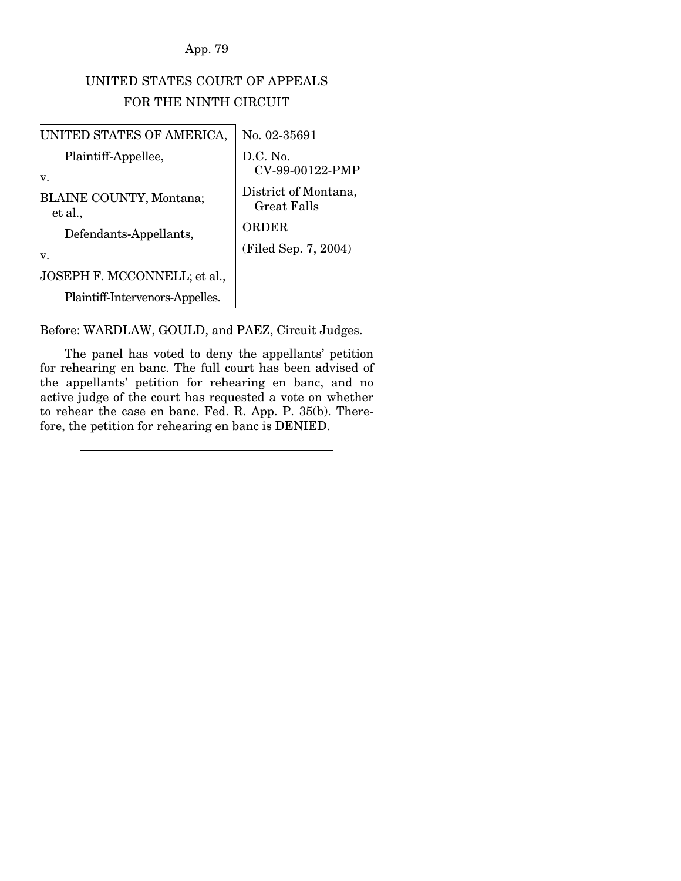#### App. 79

# UNITED STATES COURT OF APPEALS FOR THE NINTH CIRCUIT

| UNITED STATES OF AMERICA,                 | No. 02-35691                        |
|-------------------------------------------|-------------------------------------|
| Plaintiff-Appellee,<br>v.                 | D.C. No.<br>CV-99-00122-PMP         |
| <b>BLAINE COUNTY, Montana;</b><br>et al., | District of Montana,<br>Great Falls |
| Defendants-Appellants,                    | <b>ORDER</b>                        |
| v.                                        | (Filed Sep. 7, 2004)                |
| JOSEPH F. MCCONNELL; et al.,              |                                     |
| Plaintiff-Intervenors-Appelles.           |                                     |

Before: WARDLAW, GOULD, and PAEZ, Circuit Judges.

 The panel has voted to deny the appellants' petition for rehearing en banc. The full court has been advised of the appellants' petition for rehearing en banc, and no active judge of the court has requested a vote on whether to rehear the case en banc. Fed. R. App. P. 35(b). Therefore, the petition for rehearing en banc is DENIED.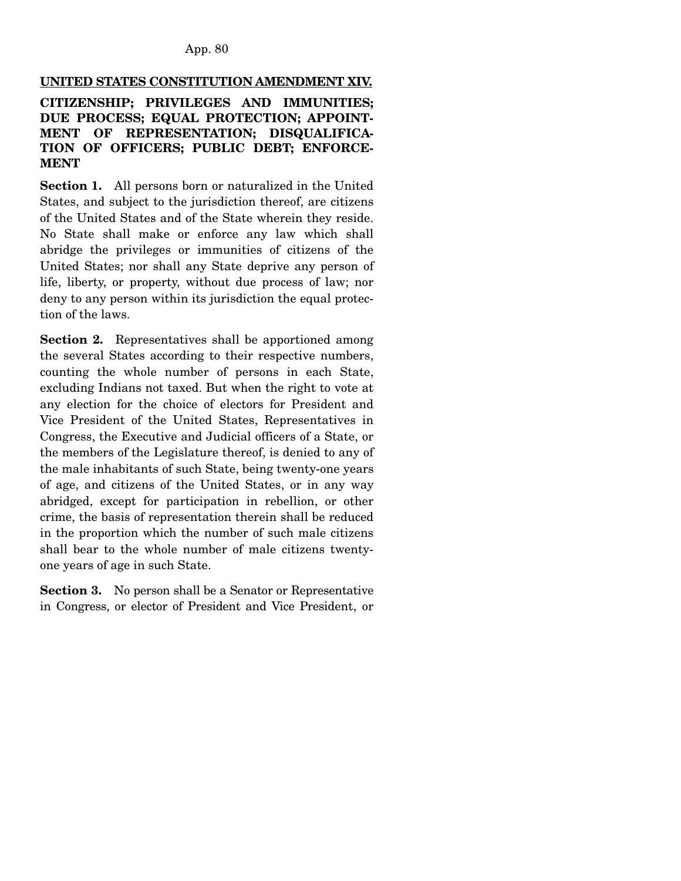### **UNITED STATES CONSTITUTION AMENDMENT XIV.**

# **CITIZENSHIP; PRIVILEGES AND IMMUNITIES; DUE PROCESS; EQUAL PROTECTION; APPOINT-MENT OF REPRESENTATION; DISQUALIFICA-TION OF OFFICERS; PUBLIC DEBT; ENFORCE-MENT**

**Section 1.** All persons born or naturalized in the United States, and subject to the jurisdiction thereof, are citizens of the United States and of the State wherein they reside. No State shall make or enforce any law which shall abridge the privileges or immunities of citizens of the United States; nor shall any State deprive any person of life, liberty, or property, without due process of law; nor deny to any person within its jurisdiction the equal protection of the laws.

**Section 2.** Representatives shall be apportioned among the several States according to their respective numbers, counting the whole number of persons in each State, excluding Indians not taxed. But when the right to vote at any election for the choice of electors for President and Vice President of the United States, Representatives in Congress, the Executive and Judicial officers of a State, or the members of the Legislature thereof, is denied to any of the male inhabitants of such State, being twenty-one years of age, and citizens of the United States, or in any way abridged, except for participation in rebellion, or other crime, the basis of representation therein shall be reduced in the proportion which the number of such male citizens shall bear to the whole number of male citizens twentyone years of age in such State.

**Section 3.** No person shall be a Senator or Representative in Congress, or elector of President and Vice President, or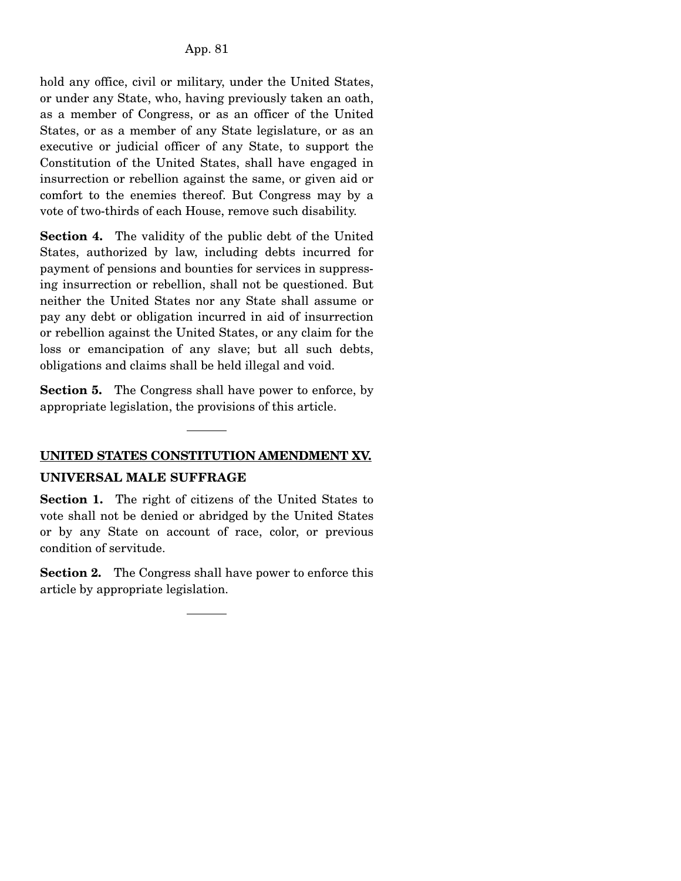hold any office, civil or military, under the United States, or under any State, who, having previously taken an oath, as a member of Congress, or as an officer of the United States, or as a member of any State legislature, or as an executive or judicial officer of any State, to support the Constitution of the United States, shall have engaged in insurrection or rebellion against the same, or given aid or comfort to the enemies thereof. But Congress may by a vote of two-thirds of each House, remove such disability.

**Section 4.** The validity of the public debt of the United States, authorized by law, including debts incurred for payment of pensions and bounties for services in suppressing insurrection or rebellion, shall not be questioned. But neither the United States nor any State shall assume or pay any debt or obligation incurred in aid of insurrection or rebellion against the United States, or any claim for the loss or emancipation of any slave; but all such debts, obligations and claims shall be held illegal and void.

**Section 5.** The Congress shall have power to enforce, by appropriate legislation, the provisions of this article.

# **UNITED STATES CONSTITUTION AMENDMENT XV. UNIVERSAL MALE SUFFRAGE**

**Section 1.** The right of citizens of the United States to vote shall not be denied or abridged by the United States or by any State on account of race, color, or previous condition of servitude.

**Section 2.** The Congress shall have power to enforce this article by appropriate legislation.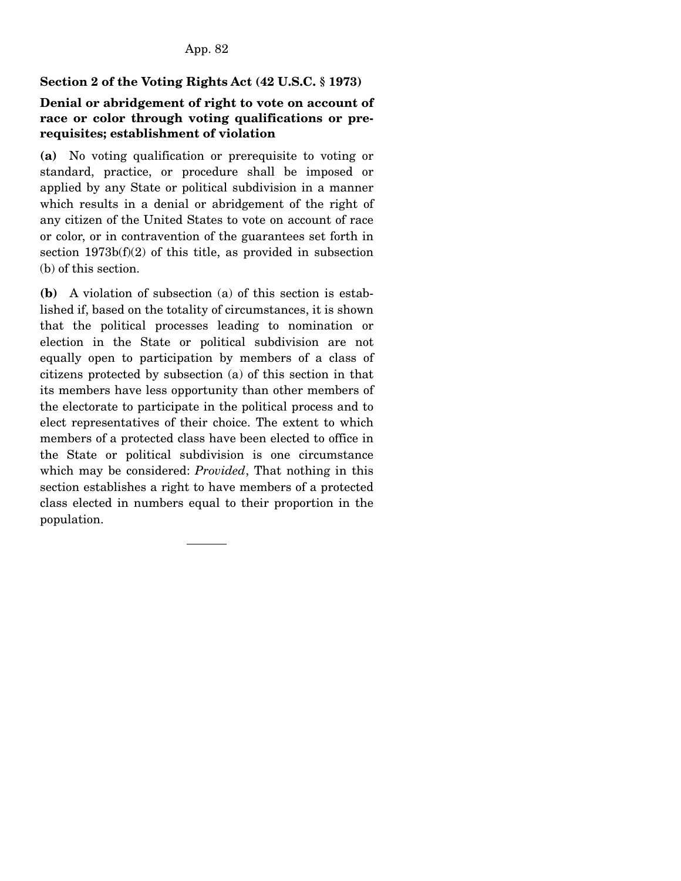# **Section 2 of the Voting Rights Act (42 U.S.C. § 1973)**

# **Denial or abridgement of right to vote on account of race or color through voting qualifications or prerequisites; establishment of violation**

**(a)** No voting qualification or prerequisite to voting or standard, practice, or procedure shall be imposed or applied by any State or political subdivision in a manner which results in a denial or abridgement of the right of any citizen of the United States to vote on account of race or color, or in contravention of the guarantees set forth in section  $1973b(f)(2)$  of this title, as provided in subsection (b) of this section.

**(b)** A violation of subsection (a) of this section is established if, based on the totality of circumstances, it is shown that the political processes leading to nomination or election in the State or political subdivision are not equally open to participation by members of a class of citizens protected by subsection (a) of this section in that its members have less opportunity than other members of the electorate to participate in the political process and to elect representatives of their choice. The extent to which members of a protected class have been elected to office in the State or political subdivision is one circumstance which may be considered: *Provided*, That nothing in this section establishes a right to have members of a protected class elected in numbers equal to their proportion in the population.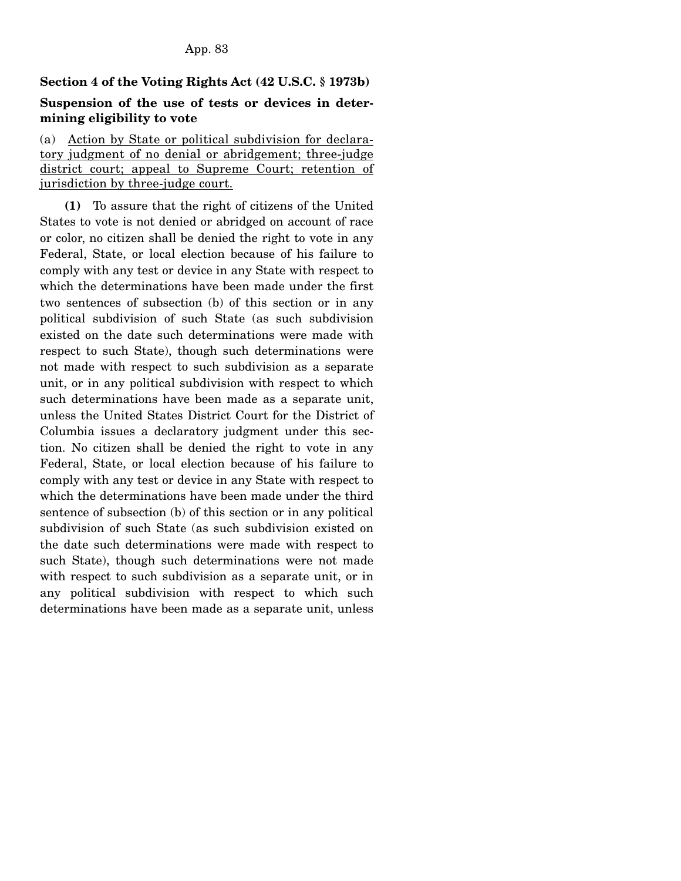#### **Section 4 of the Voting Rights Act (42 U.S.C. § 1973b)**

### **Suspension of the use of tests or devices in determining eligibility to vote**

(a) Action by State or political subdivision for declaratory judgment of no denial or abridgement; three-judge district court; appeal to Supreme Court; retention of jurisdiction by three-judge court.

 **(1)** To assure that the right of citizens of the United States to vote is not denied or abridged on account of race or color, no citizen shall be denied the right to vote in any Federal, State, or local election because of his failure to comply with any test or device in any State with respect to which the determinations have been made under the first two sentences of subsection (b) of this section or in any political subdivision of such State (as such subdivision existed on the date such determinations were made with respect to such State), though such determinations were not made with respect to such subdivision as a separate unit, or in any political subdivision with respect to which such determinations have been made as a separate unit, unless the United States District Court for the District of Columbia issues a declaratory judgment under this section. No citizen shall be denied the right to vote in any Federal, State, or local election because of his failure to comply with any test or device in any State with respect to which the determinations have been made under the third sentence of subsection (b) of this section or in any political subdivision of such State (as such subdivision existed on the date such determinations were made with respect to such State), though such determinations were not made with respect to such subdivision as a separate unit, or in any political subdivision with respect to which such determinations have been made as a separate unit, unless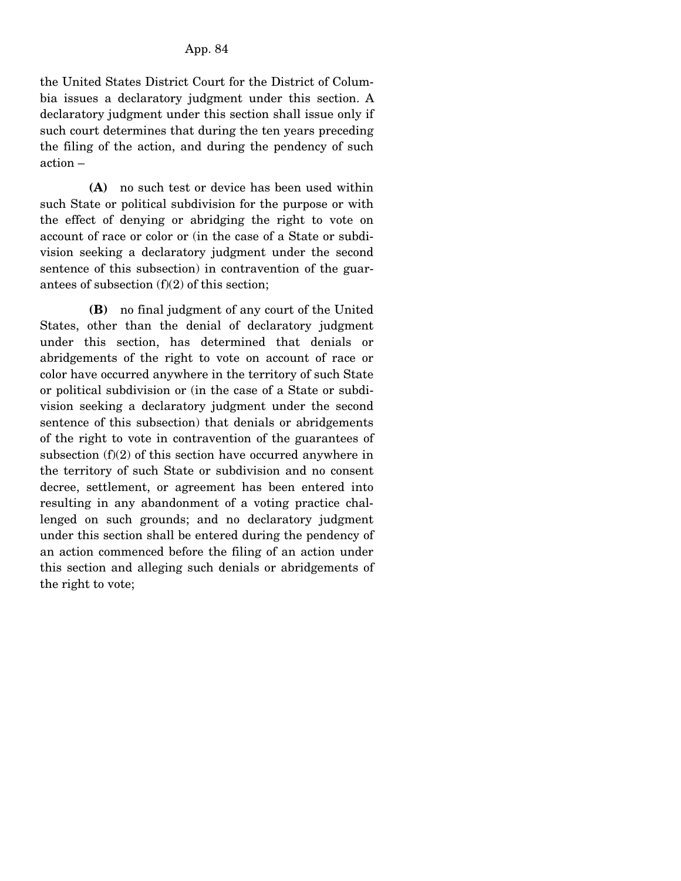the United States District Court for the District of Columbia issues a declaratory judgment under this section. A declaratory judgment under this section shall issue only if such court determines that during the ten years preceding the filing of the action, and during the pendency of such action –

 **(A)** no such test or device has been used within such State or political subdivision for the purpose or with the effect of denying or abridging the right to vote on account of race or color or (in the case of a State or subdivision seeking a declaratory judgment under the second sentence of this subsection) in contravention of the guarantees of subsection (f)(2) of this section;

 **(B)** no final judgment of any court of the United States, other than the denial of declaratory judgment under this section, has determined that denials or abridgements of the right to vote on account of race or color have occurred anywhere in the territory of such State or political subdivision or (in the case of a State or subdivision seeking a declaratory judgment under the second sentence of this subsection) that denials or abridgements of the right to vote in contravention of the guarantees of subsection (f)(2) of this section have occurred anywhere in the territory of such State or subdivision and no consent decree, settlement, or agreement has been entered into resulting in any abandonment of a voting practice challenged on such grounds; and no declaratory judgment under this section shall be entered during the pendency of an action commenced before the filing of an action under this section and alleging such denials or abridgements of the right to vote;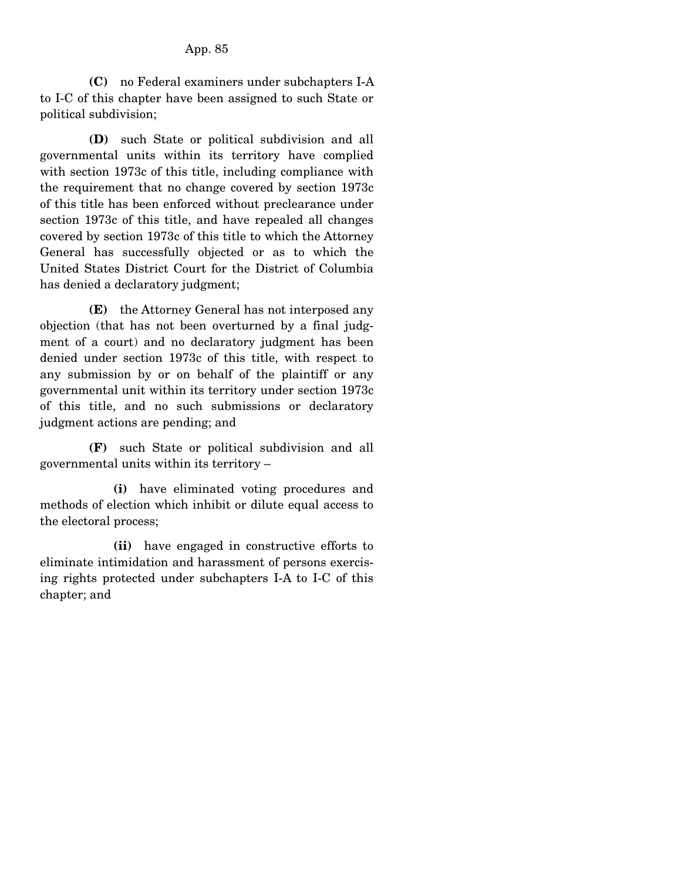**(C)** no Federal examiners under subchapters I-A to I-C of this chapter have been assigned to such State or political subdivision;

 **(D)** such State or political subdivision and all governmental units within its territory have complied with section 1973c of this title, including compliance with the requirement that no change covered by section 1973c of this title has been enforced without preclearance under section 1973c of this title, and have repealed all changes covered by section 1973c of this title to which the Attorney General has successfully objected or as to which the United States District Court for the District of Columbia has denied a declaratory judgment;

 **(E)** the Attorney General has not interposed any objection (that has not been overturned by a final judgment of a court) and no declaratory judgment has been denied under section 1973c of this title, with respect to any submission by or on behalf of the plaintiff or any governmental unit within its territory under section 1973c of this title, and no such submissions or declaratory judgment actions are pending; and

 **(F)** such State or political subdivision and all governmental units within its territory –

 **(i)** have eliminated voting procedures and methods of election which inhibit or dilute equal access to the electoral process;

 **(ii)** have engaged in constructive efforts to eliminate intimidation and harassment of persons exercising rights protected under subchapters I-A to I-C of this chapter; and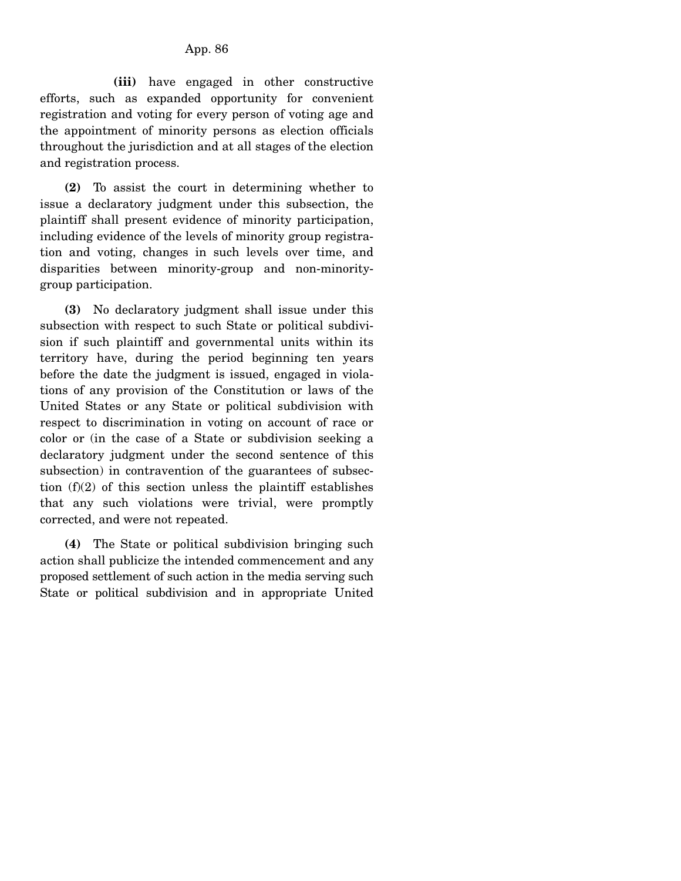**(iii)** have engaged in other constructive efforts, such as expanded opportunity for convenient registration and voting for every person of voting age and the appointment of minority persons as election officials throughout the jurisdiction and at all stages of the election and registration process.

 **(2)** To assist the court in determining whether to issue a declaratory judgment under this subsection, the plaintiff shall present evidence of minority participation, including evidence of the levels of minority group registration and voting, changes in such levels over time, and disparities between minority-group and non-minoritygroup participation.

 **(3)** No declaratory judgment shall issue under this subsection with respect to such State or political subdivision if such plaintiff and governmental units within its territory have, during the period beginning ten years before the date the judgment is issued, engaged in violations of any provision of the Constitution or laws of the United States or any State or political subdivision with respect to discrimination in voting on account of race or color or (in the case of a State or subdivision seeking a declaratory judgment under the second sentence of this subsection) in contravention of the guarantees of subsection  $(f)(2)$  of this section unless the plaintiff establishes that any such violations were trivial, were promptly corrected, and were not repeated.

 **(4)** The State or political subdivision bringing such action shall publicize the intended commencement and any proposed settlement of such action in the media serving such State or political subdivision and in appropriate United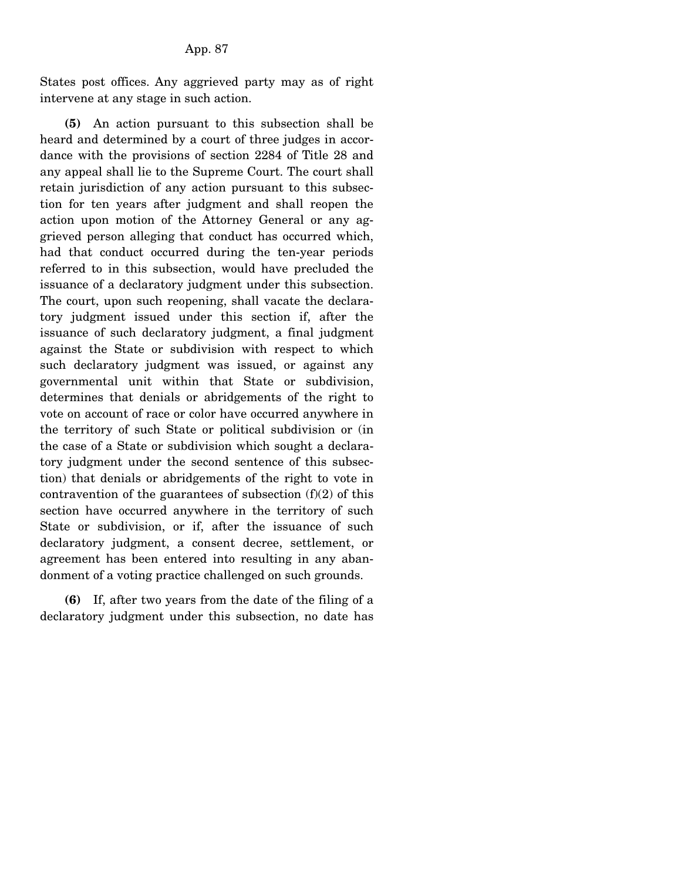States post offices. Any aggrieved party may as of right intervene at any stage in such action.

 **(5)** An action pursuant to this subsection shall be heard and determined by a court of three judges in accordance with the provisions of section 2284 of Title 28 and any appeal shall lie to the Supreme Court. The court shall retain jurisdiction of any action pursuant to this subsection for ten years after judgment and shall reopen the action upon motion of the Attorney General or any aggrieved person alleging that conduct has occurred which, had that conduct occurred during the ten-year periods referred to in this subsection, would have precluded the issuance of a declaratory judgment under this subsection. The court, upon such reopening, shall vacate the declaratory judgment issued under this section if, after the issuance of such declaratory judgment, a final judgment against the State or subdivision with respect to which such declaratory judgment was issued, or against any governmental unit within that State or subdivision, determines that denials or abridgements of the right to vote on account of race or color have occurred anywhere in the territory of such State or political subdivision or (in the case of a State or subdivision which sought a declaratory judgment under the second sentence of this subsection) that denials or abridgements of the right to vote in contravention of the guarantees of subsection  $(f)(2)$  of this section have occurred anywhere in the territory of such State or subdivision, or if, after the issuance of such declaratory judgment, a consent decree, settlement, or agreement has been entered into resulting in any abandonment of a voting practice challenged on such grounds.

 **(6)** If, after two years from the date of the filing of a declaratory judgment under this subsection, no date has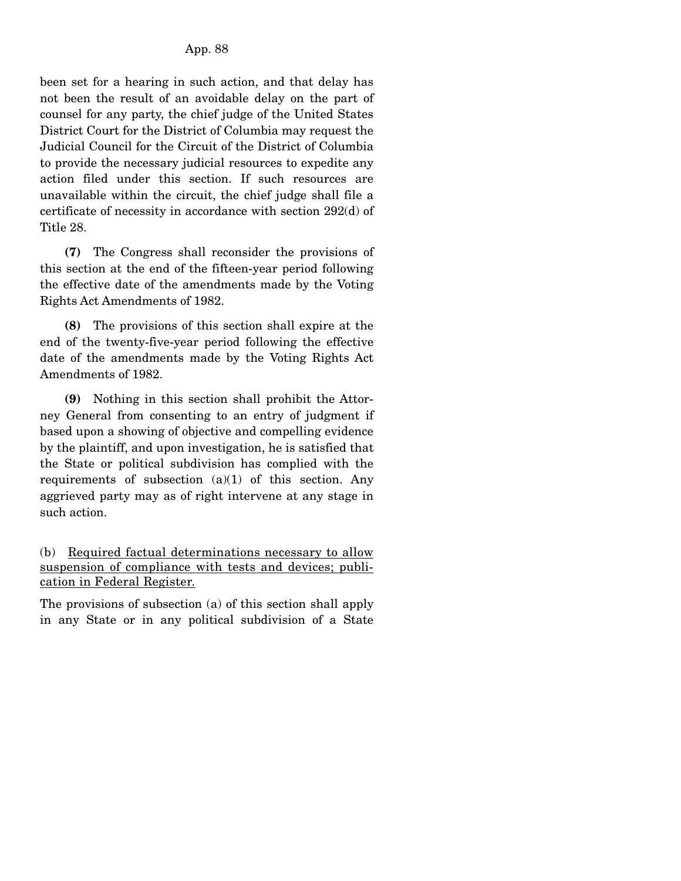been set for a hearing in such action, and that delay has not been the result of an avoidable delay on the part of counsel for any party, the chief judge of the United States District Court for the District of Columbia may request the Judicial Council for the Circuit of the District of Columbia to provide the necessary judicial resources to expedite any action filed under this section. If such resources are unavailable within the circuit, the chief judge shall file a certificate of necessity in accordance with section 292(d) of Title 28.

 **(7)** The Congress shall reconsider the provisions of this section at the end of the fifteen-year period following the effective date of the amendments made by the Voting Rights Act Amendments of 1982.

 **(8)** The provisions of this section shall expire at the end of the twenty-five-year period following the effective date of the amendments made by the Voting Rights Act Amendments of 1982.

 **(9)** Nothing in this section shall prohibit the Attorney General from consenting to an entry of judgment if based upon a showing of objective and compelling evidence by the plaintiff, and upon investigation, he is satisfied that the State or political subdivision has complied with the requirements of subsection  $(a)(1)$  of this section. Any aggrieved party may as of right intervene at any stage in such action.

(b) Required factual determinations necessary to allow suspension of compliance with tests and devices; publication in Federal Register.

The provisions of subsection (a) of this section shall apply in any State or in any political subdivision of a State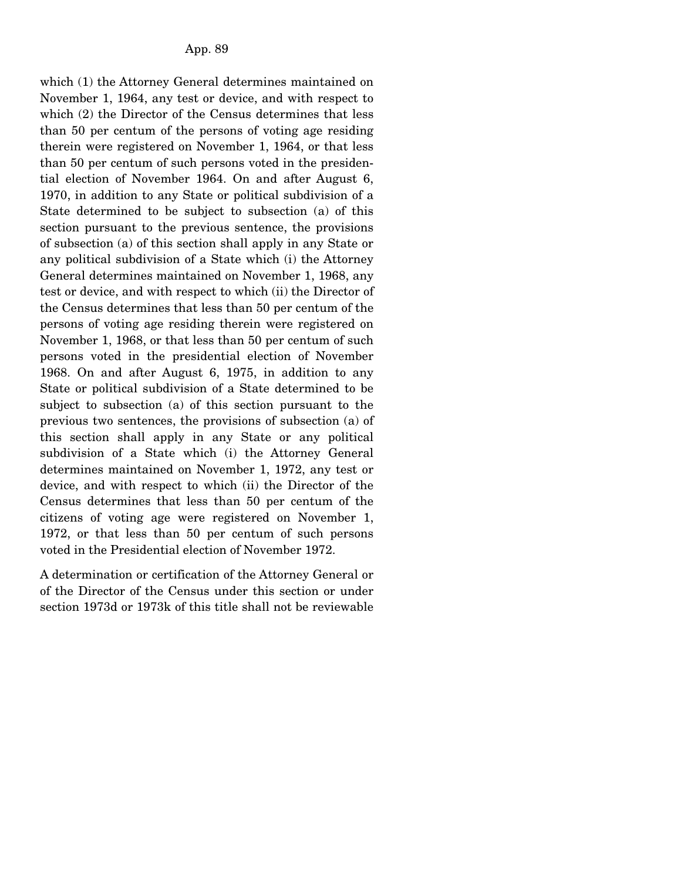which (1) the Attorney General determines maintained on November 1, 1964, any test or device, and with respect to which (2) the Director of the Census determines that less than 50 per centum of the persons of voting age residing therein were registered on November 1, 1964, or that less than 50 per centum of such persons voted in the presidential election of November 1964. On and after August 6, 1970, in addition to any State or political subdivision of a State determined to be subject to subsection (a) of this section pursuant to the previous sentence, the provisions of subsection (a) of this section shall apply in any State or any political subdivision of a State which (i) the Attorney General determines maintained on November 1, 1968, any test or device, and with respect to which (ii) the Director of the Census determines that less than 50 per centum of the persons of voting age residing therein were registered on November 1, 1968, or that less than 50 per centum of such persons voted in the presidential election of November 1968. On and after August 6, 1975, in addition to any State or political subdivision of a State determined to be subject to subsection (a) of this section pursuant to the previous two sentences, the provisions of subsection (a) of this section shall apply in any State or any political subdivision of a State which (i) the Attorney General determines maintained on November 1, 1972, any test or device, and with respect to which (ii) the Director of the Census determines that less than 50 per centum of the citizens of voting age were registered on November 1, 1972, or that less than 50 per centum of such persons voted in the Presidential election of November 1972.

A determination or certification of the Attorney General or of the Director of the Census under this section or under section 1973d or 1973k of this title shall not be reviewable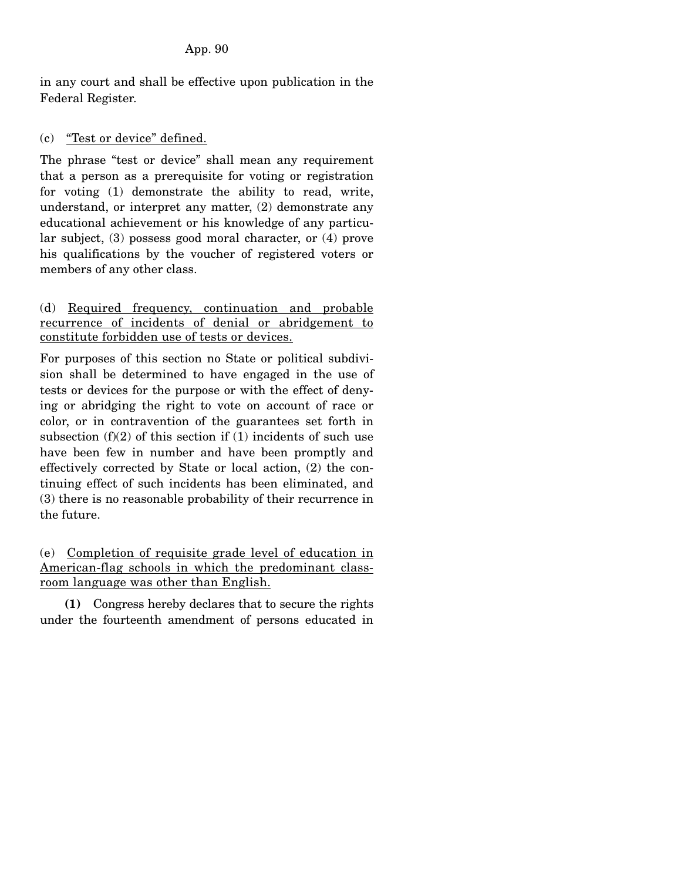in any court and shall be effective upon publication in the Federal Register.

# (c) "Test or device" defined.

The phrase "test or device" shall mean any requirement that a person as a prerequisite for voting or registration for voting (1) demonstrate the ability to read, write, understand, or interpret any matter, (2) demonstrate any educational achievement or his knowledge of any particular subject, (3) possess good moral character, or (4) prove his qualifications by the voucher of registered voters or members of any other class.

# (d) Required frequency, continuation and probable recurrence of incidents of denial or abridgement to constitute forbidden use of tests or devices.

For purposes of this section no State or political subdivision shall be determined to have engaged in the use of tests or devices for the purpose or with the effect of denying or abridging the right to vote on account of race or color, or in contravention of the guarantees set forth in subsection  $(f)(2)$  of this section if  $(1)$  incidents of such use have been few in number and have been promptly and effectively corrected by State or local action, (2) the continuing effect of such incidents has been eliminated, and (3) there is no reasonable probability of their recurrence in the future.

# (e) Completion of requisite grade level of education in American-flag schools in which the predominant classroom language was other than English.

 **(1)** Congress hereby declares that to secure the rights under the fourteenth amendment of persons educated in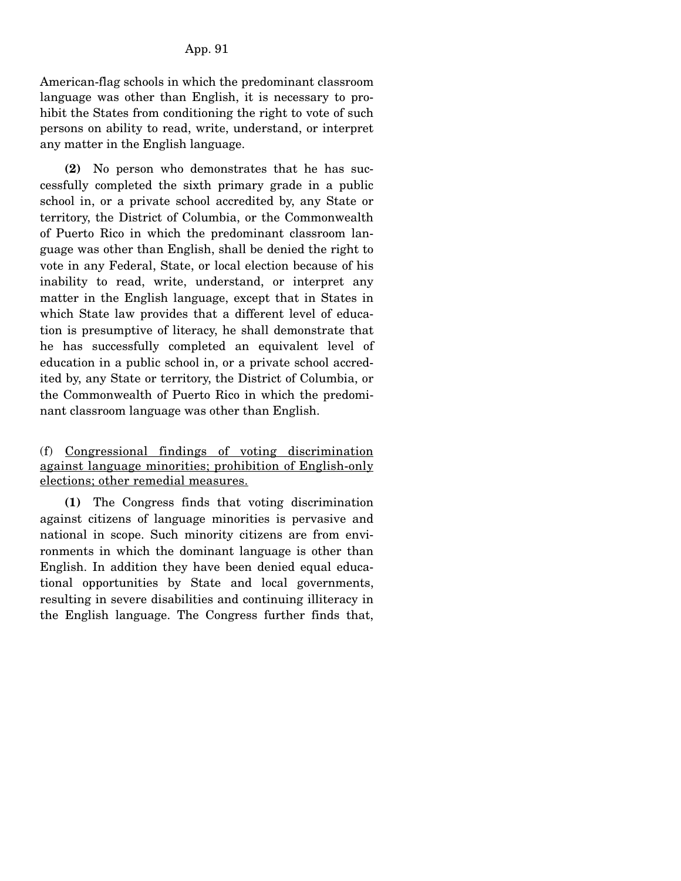American-flag schools in which the predominant classroom language was other than English, it is necessary to prohibit the States from conditioning the right to vote of such persons on ability to read, write, understand, or interpret any matter in the English language.

 **(2)** No person who demonstrates that he has successfully completed the sixth primary grade in a public school in, or a private school accredited by, any State or territory, the District of Columbia, or the Commonwealth of Puerto Rico in which the predominant classroom language was other than English, shall be denied the right to vote in any Federal, State, or local election because of his inability to read, write, understand, or interpret any matter in the English language, except that in States in which State law provides that a different level of education is presumptive of literacy, he shall demonstrate that he has successfully completed an equivalent level of education in a public school in, or a private school accredited by, any State or territory, the District of Columbia, or the Commonwealth of Puerto Rico in which the predominant classroom language was other than English.

### (f) Congressional findings of voting discrimination against language minorities; prohibition of English-only elections; other remedial measures.

 **(1)** The Congress finds that voting discrimination against citizens of language minorities is pervasive and national in scope. Such minority citizens are from environments in which the dominant language is other than English. In addition they have been denied equal educational opportunities by State and local governments, resulting in severe disabilities and continuing illiteracy in the English language. The Congress further finds that,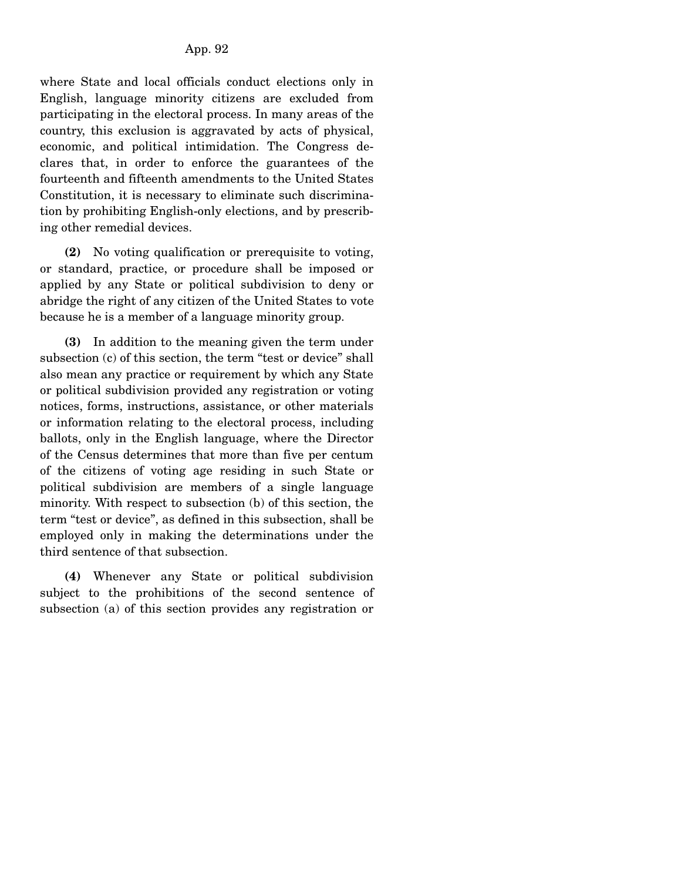where State and local officials conduct elections only in English, language minority citizens are excluded from participating in the electoral process. In many areas of the country, this exclusion is aggravated by acts of physical, economic, and political intimidation. The Congress declares that, in order to enforce the guarantees of the fourteenth and fifteenth amendments to the United States Constitution, it is necessary to eliminate such discrimination by prohibiting English-only elections, and by prescribing other remedial devices.

 **(2)** No voting qualification or prerequisite to voting, or standard, practice, or procedure shall be imposed or applied by any State or political subdivision to deny or abridge the right of any citizen of the United States to vote because he is a member of a language minority group.

 **(3)** In addition to the meaning given the term under subsection (c) of this section, the term "test or device" shall also mean any practice or requirement by which any State or political subdivision provided any registration or voting notices, forms, instructions, assistance, or other materials or information relating to the electoral process, including ballots, only in the English language, where the Director of the Census determines that more than five per centum of the citizens of voting age residing in such State or political subdivision are members of a single language minority. With respect to subsection (b) of this section, the term "test or device", as defined in this subsection, shall be employed only in making the determinations under the third sentence of that subsection.

 **(4)** Whenever any State or political subdivision subject to the prohibitions of the second sentence of subsection (a) of this section provides any registration or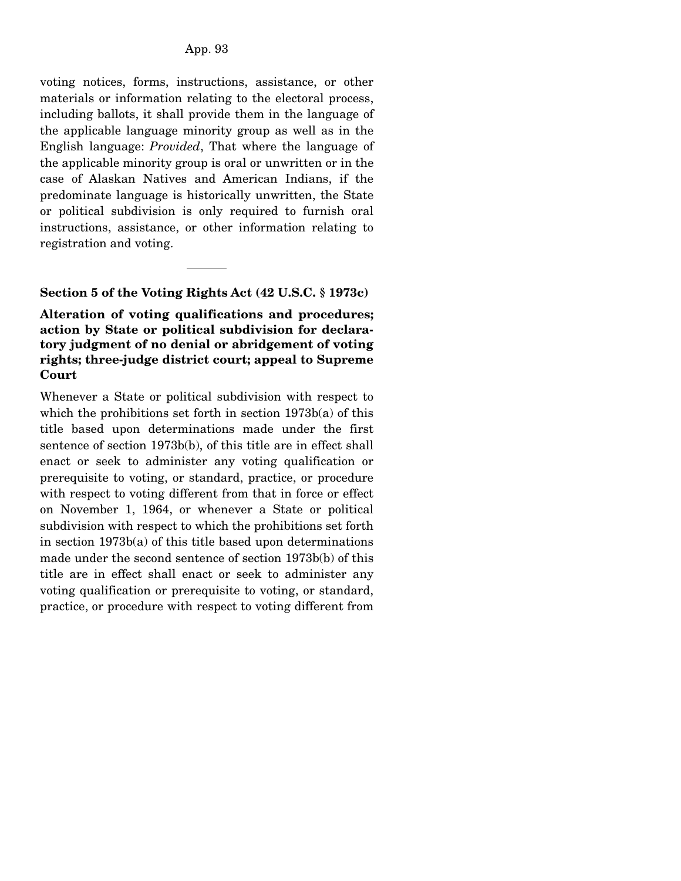voting notices, forms, instructions, assistance, or other materials or information relating to the electoral process, including ballots, it shall provide them in the language of the applicable language minority group as well as in the English language: *Provided*, That where the language of the applicable minority group is oral or unwritten or in the case of Alaskan Natives and American Indians, if the predominate language is historically unwritten, the State or political subdivision is only required to furnish oral instructions, assistance, or other information relating to registration and voting.

#### **Section 5 of the Voting Rights Act (42 U.S.C. § 1973c)**

**Alteration of voting qualifications and procedures; action by State or political subdivision for declaratory judgment of no denial or abridgement of voting rights; three-judge district court; appeal to Supreme Court** 

Whenever a State or political subdivision with respect to which the prohibitions set forth in section  $1973b(a)$  of this title based upon determinations made under the first sentence of section 1973b(b), of this title are in effect shall enact or seek to administer any voting qualification or prerequisite to voting, or standard, practice, or procedure with respect to voting different from that in force or effect on November 1, 1964, or whenever a State or political subdivision with respect to which the prohibitions set forth in section 1973b(a) of this title based upon determinations made under the second sentence of section 1973b(b) of this title are in effect shall enact or seek to administer any voting qualification or prerequisite to voting, or standard, practice, or procedure with respect to voting different from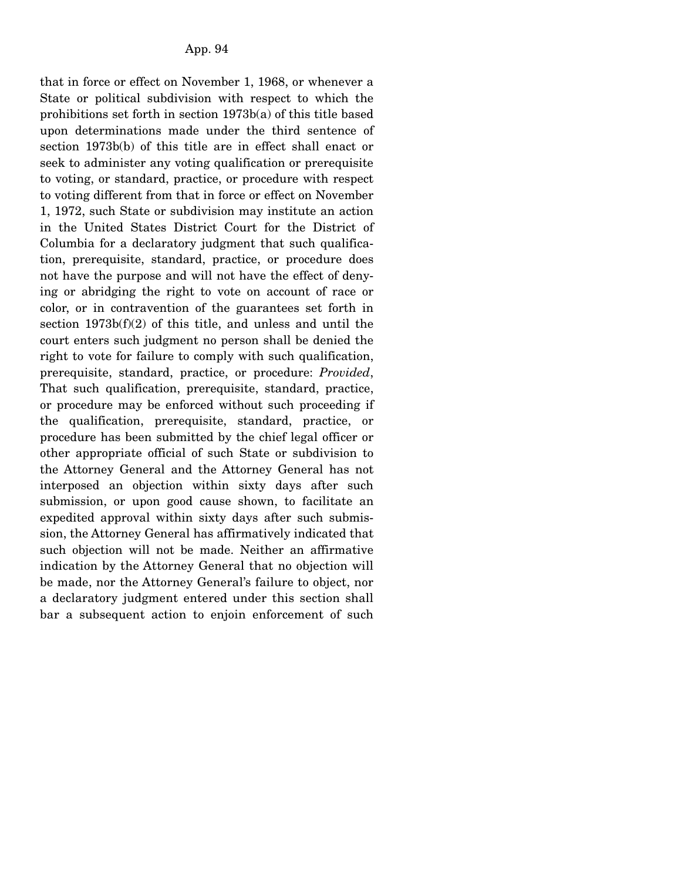that in force or effect on November 1, 1968, or whenever a State or political subdivision with respect to which the prohibitions set forth in section 1973b(a) of this title based upon determinations made under the third sentence of section 1973b(b) of this title are in effect shall enact or seek to administer any voting qualification or prerequisite to voting, or standard, practice, or procedure with respect to voting different from that in force or effect on November 1, 1972, such State or subdivision may institute an action in the United States District Court for the District of Columbia for a declaratory judgment that such qualification, prerequisite, standard, practice, or procedure does not have the purpose and will not have the effect of denying or abridging the right to vote on account of race or color, or in contravention of the guarantees set forth in section 1973b(f)(2) of this title, and unless and until the court enters such judgment no person shall be denied the right to vote for failure to comply with such qualification, prerequisite, standard, practice, or procedure: *Provided*, That such qualification, prerequisite, standard, practice, or procedure may be enforced without such proceeding if the qualification, prerequisite, standard, practice, or procedure has been submitted by the chief legal officer or other appropriate official of such State or subdivision to the Attorney General and the Attorney General has not interposed an objection within sixty days after such submission, or upon good cause shown, to facilitate an expedited approval within sixty days after such submission, the Attorney General has affirmatively indicated that such objection will not be made. Neither an affirmative indication by the Attorney General that no objection will be made, nor the Attorney General's failure to object, nor a declaratory judgment entered under this section shall bar a subsequent action to enjoin enforcement of such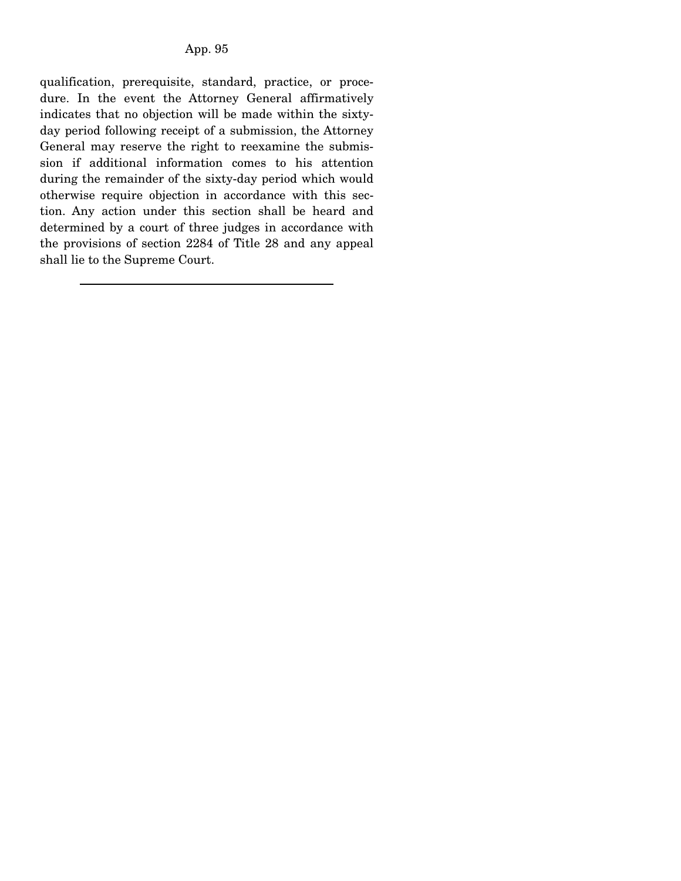qualification, prerequisite, standard, practice, or procedure. In the event the Attorney General affirmatively indicates that no objection will be made within the sixtyday period following receipt of a submission, the Attorney General may reserve the right to reexamine the submission if additional information comes to his attention during the remainder of the sixty-day period which would otherwise require objection in accordance with this section. Any action under this section shall be heard and determined by a court of three judges in accordance with the provisions of section 2284 of Title 28 and any appeal shall lie to the Supreme Court.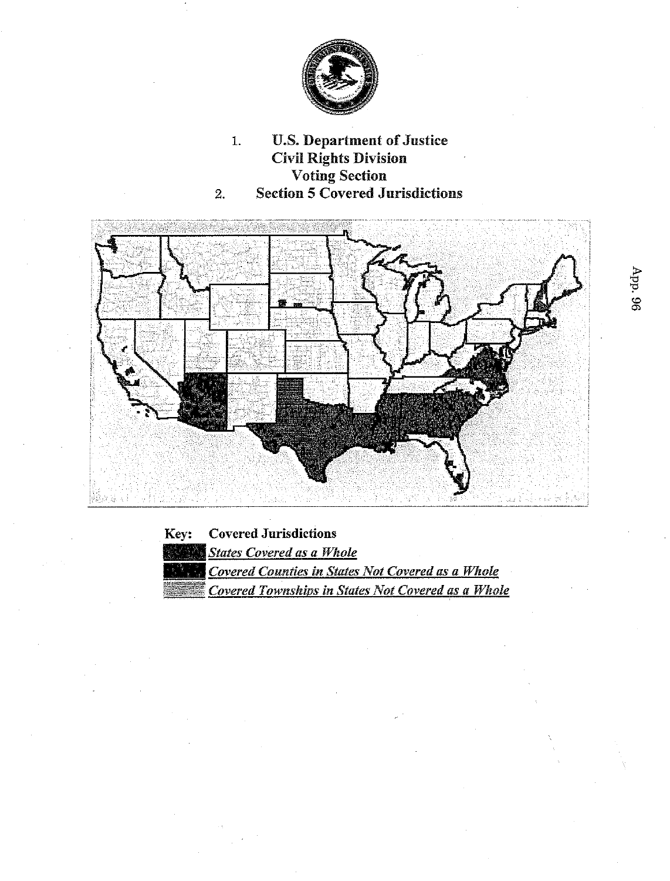

#### **U.S. Department of Justice**  $1.$ **Civil Rights Division Voting Section Section 5 Covered Jurisdictions**  $\overline{2}$ .



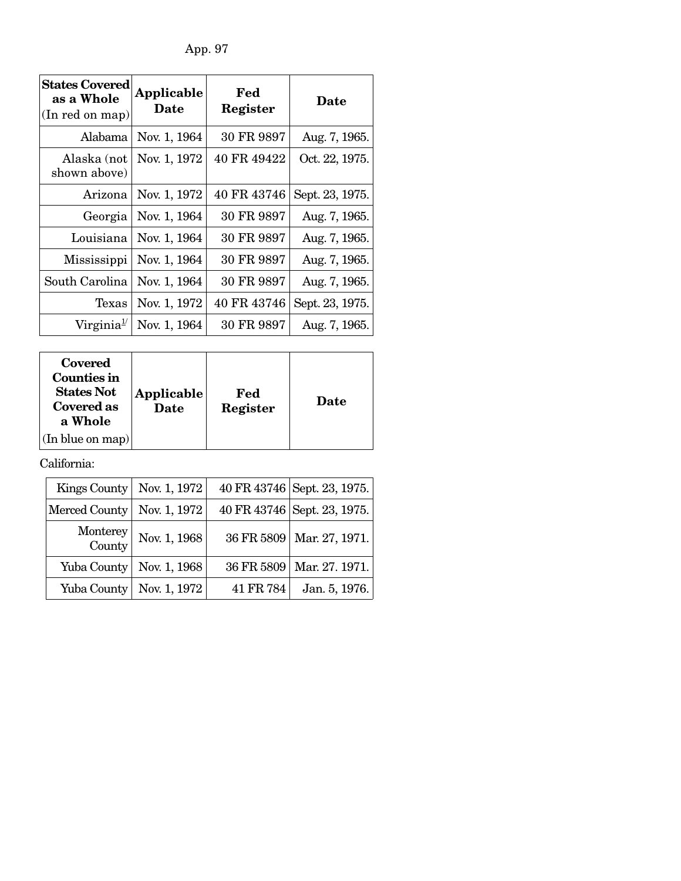| <b>States Covered</b><br>as a Whole<br>(In red on map) | Applicable<br>Date | Fed<br>Register | Date            |
|--------------------------------------------------------|--------------------|-----------------|-----------------|
| Alabama                                                | Nov. 1, 1964       | 30 FR 9897      | Aug. 7, 1965.   |
| Alaska (not<br>shown above)                            | Nov. 1, 1972       | 40 FR 49422     | Oct. 22, 1975.  |
| Arizona                                                | Nov. 1, 1972       | 40 FR 43746     | Sept. 23, 1975. |
| Georgia                                                | Nov. 1, 1964       | 30 FR 9897      | Aug. 7, 1965.   |
| Louisiana                                              | Nov. 1, 1964       | 30 FR 9897      | Aug. 7, 1965.   |
| Mississippi                                            | Nov. 1, 1964       | 30 FR 9897      | Aug. 7, 1965.   |
| South Carolina                                         | Nov. 1, 1964       | 30 FR 9897      | Aug. 7, 1965.   |
| Texas                                                  | Nov. 1, 1972       | 40 FR 43746     | Sept. 23, 1975. |
| Virginia $\frac{1}{2}$                                 | Nov. 1, 1964       | 30 FR 9897      | Aug. 7, 1965.   |

| Covered<br><b>Counties in</b><br><b>States Not</b><br><b>Covered as</b><br>a Whole | Applicable<br>Date | Fed<br>Register | Date |
|------------------------------------------------------------------------------------|--------------------|-----------------|------|
| $(\text{In blue on map})$                                                          |                    |                 |      |

California:

| Kings County       | Nov. 1, 1972 |            | 40 FR 43746 Sept. 23, 1975. |
|--------------------|--------------|------------|-----------------------------|
| Merced County      | Nov. 1, 1972 |            | 40 FR 43746 Sept. 23, 1975. |
| Monterey<br>County | Nov. 1, 1968 | 36 FR 5809 | Mar. 27, 1971.              |
| Yuba County        | Nov. 1, 1968 | 36 FR 5809 | Mar. 27. 1971.              |
| Yuba County        | Nov. 1, 1972 | 41 FR 784  | Jan. 5, 1976.               |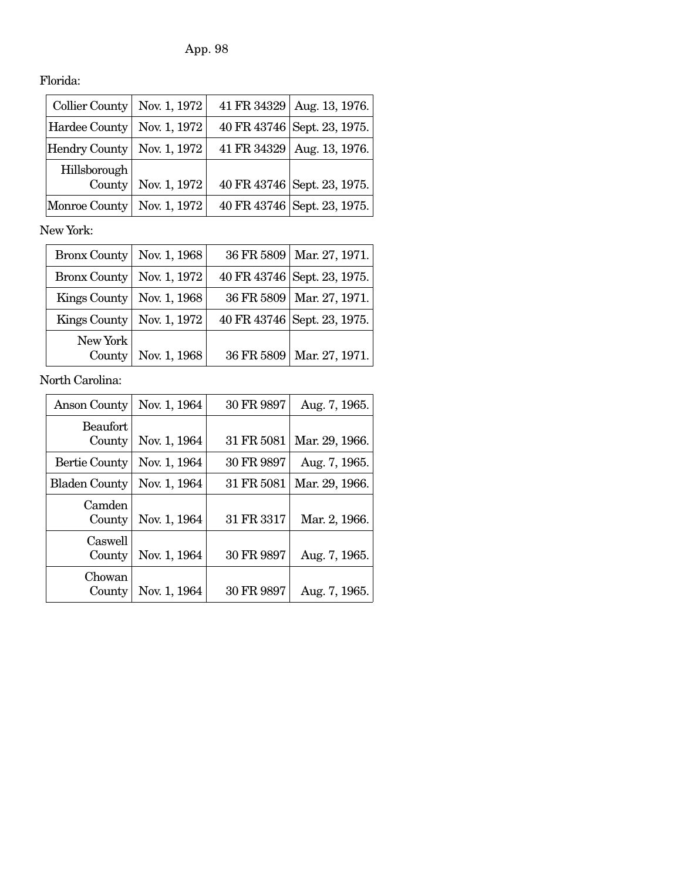Florida:

| Collier County   Nov. 1, 1972 |              | 41 FR 34329 Aug. 13, 1976.   |
|-------------------------------|--------------|------------------------------|
| Hardee County                 | Nov. 1, 1972 | 40 FR 43746 Sept. 23, 1975.  |
| Hendry County   Nov. 1, 1972  |              | 41 FR 34329   Aug. 13, 1976. |
| Hillsborough<br>County        | Nov. 1, 1972 | 40 FR 43746 Sept. 23, 1975.  |
| Monroe County   Nov. 1, 1972  |              | 40 FR 43746 Sept. 23, 1975.  |

New York:

| <b>Bronx County</b> | Nov. 1, 1968 |            | 36 FR 5809   Mar. 27, 1971. |
|---------------------|--------------|------------|-----------------------------|
| <b>Bronx County</b> | Nov. 1, 1972 |            | 40 FR 43746 Sept. 23, 1975. |
| Kings County        | Nov. 1, 1968 |            | 36 FR 5809   Mar. 27, 1971. |
| Kings County        | Nov. 1, 1972 |            | 40 FR 43746 Sept. 23, 1975. |
| New York<br>County  | Nov. 1, 1968 | 36 FR 5809 | Mar. 27, 1971.              |

North Carolina:

| <b>Anson County</b>       | Nov. 1, 1964 | 30 FR 9897 | Aug. 7, 1965.  |
|---------------------------|--------------|------------|----------------|
| <b>Beaufort</b><br>County | Nov. 1, 1964 | 31 FR 5081 | Mar. 29, 1966. |
| <b>Bertie County</b>      | Nov. 1, 1964 | 30 FR 9897 | Aug. 7, 1965.  |
| <b>Bladen County</b>      | Nov. 1, 1964 | 31 FR 5081 | Mar. 29, 1966. |
| Camden<br>County          | Nov. 1, 1964 | 31 FR 3317 | Mar. 2, 1966.  |
| Caswell<br>County         | Nov. 1, 1964 | 30 FR 9897 | Aug. 7, 1965.  |
| Chowan<br>County          | Nov. 1, 1964 | 30 FR 9897 | Aug. 7, 1965.  |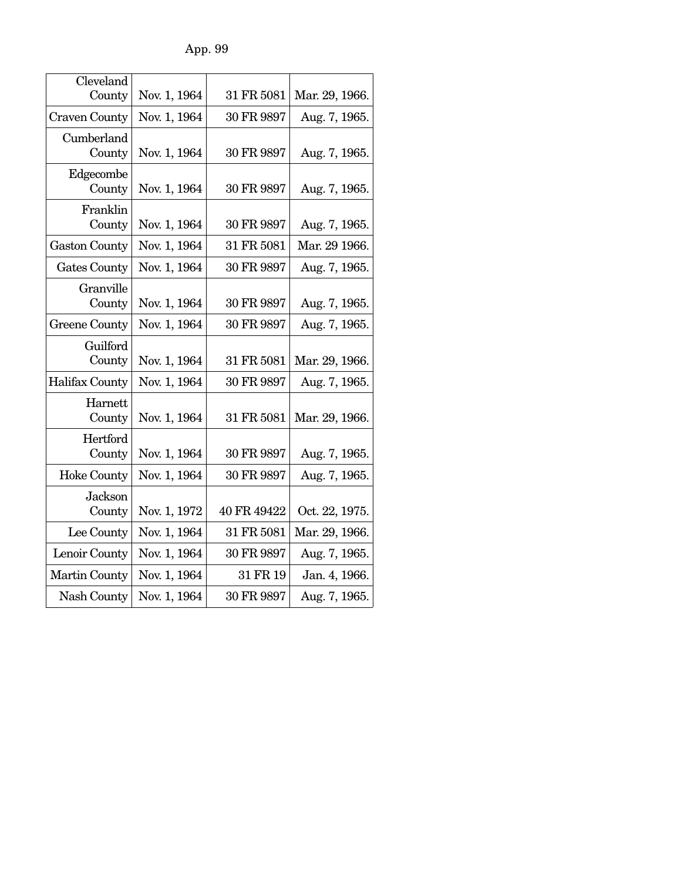App. 99

| Cleveland             |              |             |                |
|-----------------------|--------------|-------------|----------------|
| County                | Nov. 1, 1964 | 31 FR 5081  | Mar. 29, 1966. |
| <b>Craven County</b>  | Nov. 1, 1964 | 30 FR 9897  | Aug. 7, 1965.  |
| Cumberland<br>County  | Nov. 1, 1964 | 30 FR 9897  | Aug. 7, 1965.  |
| Edgecombe<br>County   | Nov. 1, 1964 | 30 FR 9897  | Aug. 7, 1965.  |
| Franklin<br>County    | Nov. 1, 1964 | 30 FR 9897  | Aug. 7, 1965.  |
| <b>Gaston County</b>  | Nov. 1, 1964 | 31 FR 5081  | Mar. 29 1966.  |
| Gates County          | Nov. 1, 1964 | 30 FR 9897  | Aug. 7, 1965.  |
| Granville<br>County   | Nov. 1, 1964 | 30 FR 9897  | Aug. 7, 1965.  |
| <b>Greene County</b>  | Nov. 1, 1964 | 30 FR 9897  | Aug. 7, 1965.  |
| Guilford<br>County    | Nov. 1, 1964 | 31 FR 5081  | Mar. 29, 1966. |
| <b>Halifax County</b> | Nov. 1, 1964 | 30 FR 9897  | Aug. 7, 1965.  |
| Harnett<br>County     | Nov. 1, 1964 | 31 FR 5081  | Mar. 29, 1966. |
| Hertford<br>County    | Nov. 1, 1964 | 30 FR 9897  | Aug. 7, 1965.  |
| <b>Hoke County</b>    | Nov. 1, 1964 | 30 FR 9897  | Aug. 7, 1965.  |
| Jackson<br>County     | Nov. 1, 1972 | 40 FR 49422 | Oct. 22, 1975. |
| Lee County            | Nov. 1, 1964 | 31 FR 5081  | Mar. 29, 1966. |
| Lenoir County         | Nov. 1, 1964 | 30 FR 9897  | Aug. 7, 1965.  |
| Martin County         | Nov. 1, 1964 | 31 FR 19    | Jan. 4, 1966.  |
| Nash County           | Nov. 1, 1964 | 30 FR 9897  | Aug. 7, 1965.  |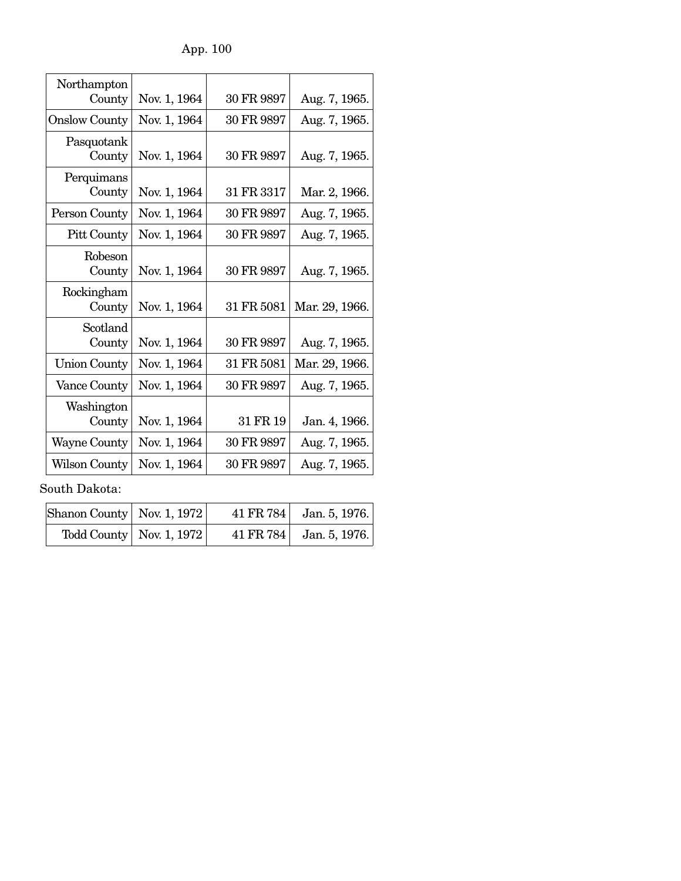App. 100

| Northampton          |              |            |                |
|----------------------|--------------|------------|----------------|
| County               | Nov. 1, 1964 | 30 FR 9897 | Aug. 7, 1965.  |
| <b>Onslow County</b> | Nov. 1, 1964 | 30 FR 9897 | Aug. 7, 1965.  |
| Pasquotank<br>County | Nov. 1, 1964 | 30 FR 9897 | Aug. 7, 1965.  |
| Perquimans<br>County | Nov. 1, 1964 | 31 FR 3317 | Mar. 2, 1966.  |
| Person County        | Nov. 1, 1964 | 30 FR 9897 | Aug. 7, 1965.  |
| <b>Pitt County</b>   | Nov. 1, 1964 | 30 FR 9897 | Aug. 7, 1965.  |
| Robeson<br>County    | Nov. 1, 1964 | 30 FR 9897 | Aug. 7, 1965.  |
| Rockingham<br>County | Nov. 1, 1964 | 31 FR 5081 | Mar. 29, 1966. |
| Scotland<br>County   | Nov. 1, 1964 | 30 FR 9897 | Aug. 7, 1965.  |
| <b>Union County</b>  | Nov. 1, 1964 | 31 FR 5081 | Mar. 29, 1966. |
| Vance County         | Nov. 1, 1964 | 30 FR 9897 | Aug. 7, 1965.  |
| Washington<br>County | Nov. 1, 1964 | 31 FR 19   | Jan. 4, 1966.  |
| Wayne County         | Nov. 1, 1964 | 30 FR 9897 | Aug. 7, 1965.  |
| <b>Wilson County</b> | Nov. 1, 1964 | 30 FR 9897 | Aug. 7, 1965.  |

South Dakota:

| Shanon County   Nov. 1, 1972 |                            | 41 FR 784 Jan. 5, 1976. |
|------------------------------|----------------------------|-------------------------|
|                              | Todd County   Nov. 1, 1972 | 41 FR 784 Jan. 5, 1976. |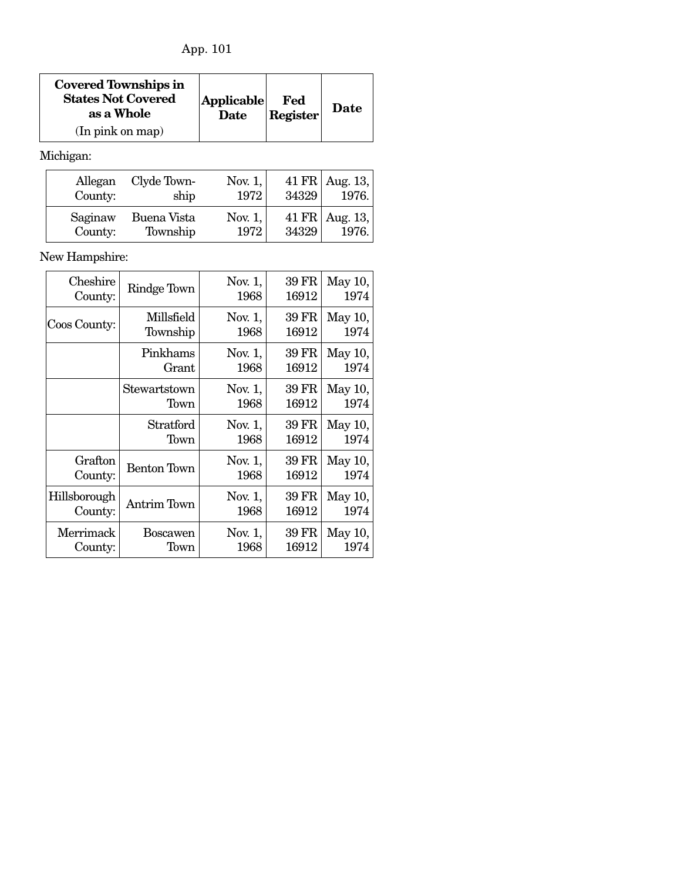| <b>Covered Townships in</b><br><b>States Not Covered</b><br>as a Whole | <b>Applicable</b><br><b>Date</b> | Fed<br>Register | Date |
|------------------------------------------------------------------------|----------------------------------|-----------------|------|
| (In pink on map)                                                       |                                  |                 |      |

Michigan:

| Allegan | Clyde Town- | Nov. $1$ , | 34329 | 41 FR   Aug. 13, |
|---------|-------------|------------|-------|------------------|
| County: | ship        | 1972       |       | 1976.            |
| Saginaw | Buena Vista | Nov. $1$ , | 34329 | 41 FR Aug. 13,   |
| County: | Township    | 1972       |       | 1976.            |

New Hampshire:

| Cheshire     | Rindge Town        | Nov. $1$ , | 39 FR | May 10, |
|--------------|--------------------|------------|-------|---------|
| County:      |                    | 1968       | 16912 | 1974    |
| Coos County: | Millsfield         | Nov. $1,$  | 39 FR | May 10, |
|              | Township           | 1968       | 16912 | 1974    |
|              | Pinkhams           | Nov. 1,    | 39 FR | May 10, |
|              | Grant              | 1968       | 16912 | 1974    |
|              | Stewartstown       | Nov. $1$ , | 39 FR | May 10, |
|              | Town               | 1968       | 16912 | 1974    |
|              | <b>Stratford</b>   | Nov. $1,$  | 39 FR | May 10, |
|              | Town               | 1968       | 16912 | 1974    |
| Grafton      | <b>Benton Town</b> | Nov. $1,$  | 39 FR | May 10, |
| County:      |                    | 1968       | 16912 | 1974    |
| Hillsborough | Antrim Town        | Nov. $1$ , | 39 FR | May 10, |
| County:      |                    | 1968       | 16912 | 1974    |
| Merrimack    | <b>Boscawen</b>    | Nov. $1,$  | 39 FR | May 10, |
| County:      | Town               | 1968       | 16912 | 1974    |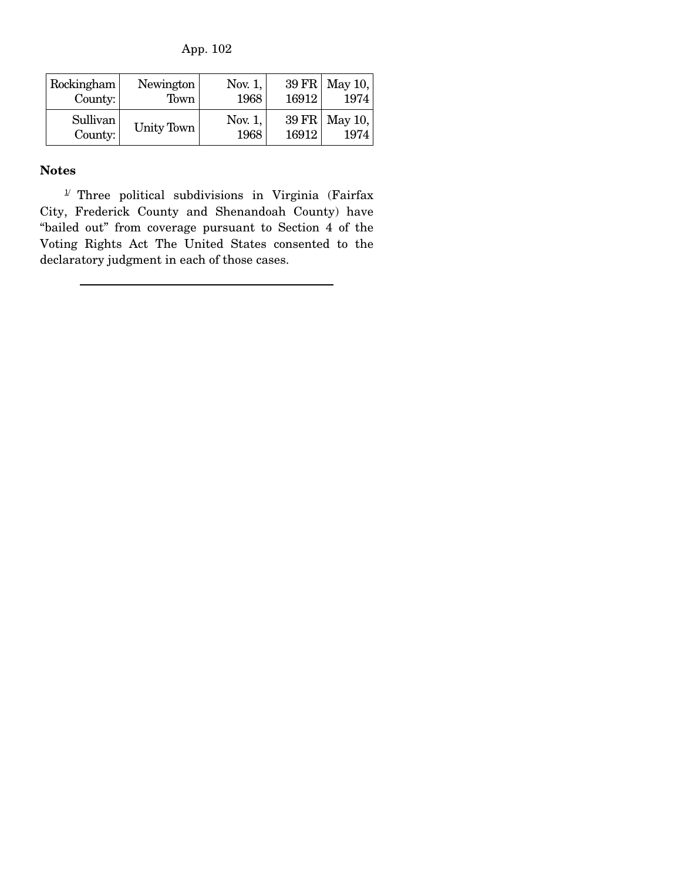App. 102

| Rockingham          | Newington  | Nov. $1,$          | 16912 | 39 FR   May 10,         |
|---------------------|------------|--------------------|-------|-------------------------|
| County:             | Town       | 1968               |       | 1974                    |
| Sullivan<br>County: | Unity Town | Nov. $1$ ,<br>1968 | 16912 | 39 FR   May 10,<br>1974 |

# **Notes**

 $1$  Three political subdivisions in Virginia (Fairfax City, Frederick County and Shenandoah County) have "bailed out" from coverage pursuant to Section 4 of the Voting Rights Act The United States consented to the declaratory judgment in each of those cases.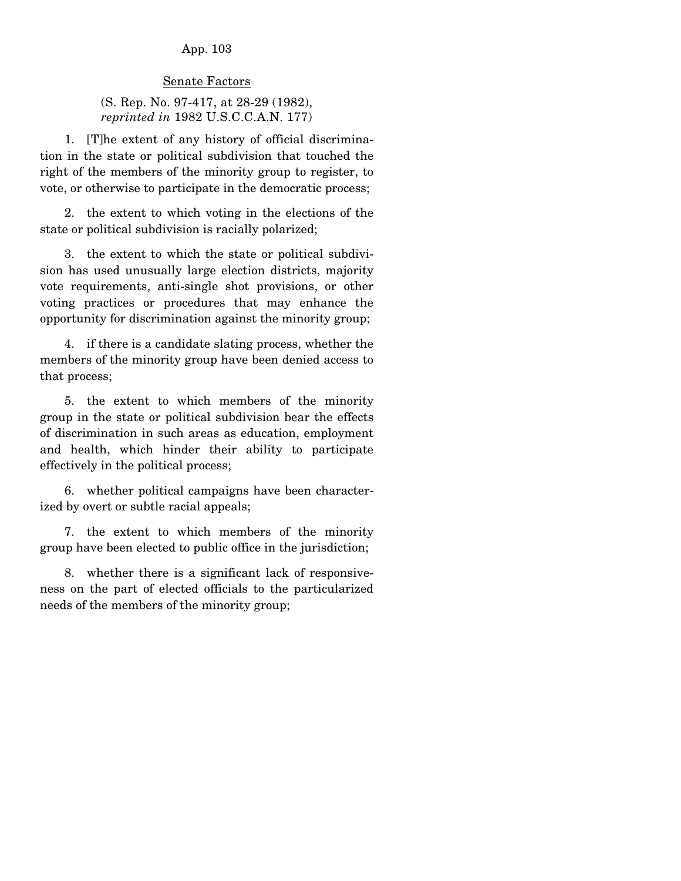App. 103

#### Senate Factors

(S. Rep. No. 97-417, at 28-29 (1982), *reprinted in* 1982 U.S.C.C.A.N. 177)

 1. [T]he extent of any history of official discrimination in the state or political subdivision that touched the right of the members of the minority group to register, to vote, or otherwise to participate in the democratic process;

 2. the extent to which voting in the elections of the state or political subdivision is racially polarized;

 3. the extent to which the state or political subdivision has used unusually large election districts, majority vote requirements, anti-single shot provisions, or other voting practices or procedures that may enhance the opportunity for discrimination against the minority group;

 4. if there is a candidate slating process, whether the members of the minority group have been denied access to that process;

 5. the extent to which members of the minority group in the state or political subdivision bear the effects of discrimination in such areas as education, employment and health, which hinder their ability to participate effectively in the political process;

 6. whether political campaigns have been characterized by overt or subtle racial appeals;

 7. the extent to which members of the minority group have been elected to public office in the jurisdiction;

 8. whether there is a significant lack of responsiveness on the part of elected officials to the particularized needs of the members of the minority group;